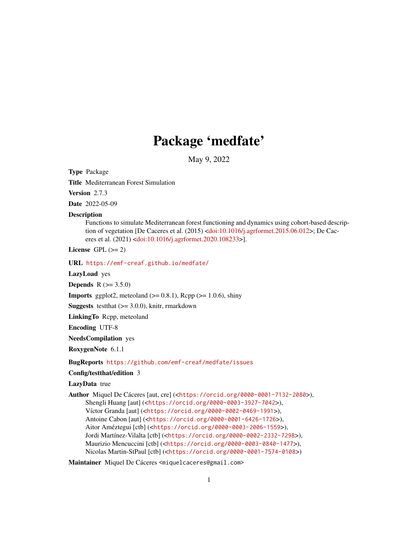# Package 'medfate'

May 9, 2022

<span id="page-0-0"></span>Type Package

Title Mediterranean Forest Simulation

Version 2.7.3

Date 2022-05-09

#### **Description**

Functions to simulate Mediterranean forest functioning and dynamics using cohort-based descrip-tion of vegetation [De Caceres et al. (2015) [<doi:10.1016/j.agrformet.2015.06.012>](https://doi.org/10.1016/j.agrformet.2015.06.012); De Caceres et al. (2021) [<doi:10.1016/j.agrformet.2020.108233>](https://doi.org/10.1016/j.agrformet.2020.108233)].

License GPL  $(>= 2)$ 

URL <https://emf-creaf.github.io/medfate/>

LazyLoad yes

**Depends**  $R (= 3.5.0)$ 

**Imports** ggplot2, meteoland  $(>= 0.8.1)$ , Rcpp  $(>= 1.0.6)$ , shiny

**Suggests** test that  $(>= 3.0.0)$ , knitr, rmarkdown

LinkingTo Rcpp, meteoland

Encoding UTF-8

NeedsCompilation yes

RoxygenNote 6.1.1

BugReports <https://github.com/emf-creaf/medfate/issues>

# Config/testthat/edition 3

LazyData true

Author Miquel De Cáceres [aut, cre] (<<https://orcid.org/0000-0001-7132-2080>>), Shengli Huang [aut] (<<https://orcid.org/0000-0003-3927-7042>>), Víctor Granda [aut] (<<https://orcid.org/0000-0002-0469-1991>>), Antoine Cabon [aut] (<<https://orcid.org/0000-0001-6426-1726>>), Aitor Améztegui [ctb] (<<https://orcid.org/0000-0003-2006-1559>>), Jordi Martínez-Vilalta [ctb] (<<https://orcid.org/0000-0002-2332-7298>>), Maurizio Mencuccini [ctb] (<<https://orcid.org/0000-0003-0840-1477>>), Nicolas Martin-StPaul [ctb] (<<https://orcid.org/0000-0001-7574-0108>>)

Maintainer Miquel De Cáceres <miquelcaceres@gmail.com>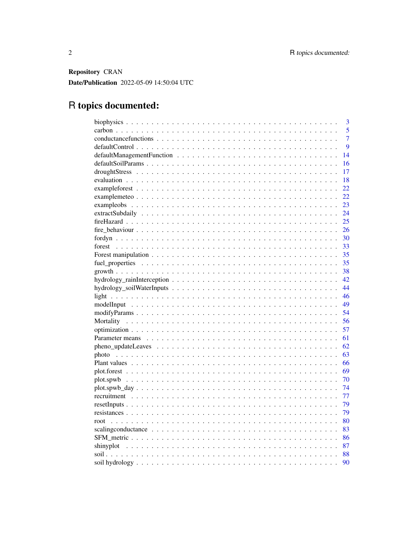Repository CRAN Date/Publication 2022-05-09 14:50:04 UTC

# R topics documented:

| 3                                                                                                                      |
|------------------------------------------------------------------------------------------------------------------------|
| 5                                                                                                                      |
| $\overline{7}$                                                                                                         |
| 9                                                                                                                      |
| 14                                                                                                                     |
| 16                                                                                                                     |
| 17                                                                                                                     |
| 18                                                                                                                     |
| 22                                                                                                                     |
| 22                                                                                                                     |
| 23                                                                                                                     |
| 24                                                                                                                     |
| 25                                                                                                                     |
| 26                                                                                                                     |
| 30                                                                                                                     |
| forest<br>33                                                                                                           |
| 35                                                                                                                     |
| 35                                                                                                                     |
| 38                                                                                                                     |
| 42                                                                                                                     |
| 44                                                                                                                     |
| 46                                                                                                                     |
| 49                                                                                                                     |
| 54                                                                                                                     |
| 56                                                                                                                     |
| 57                                                                                                                     |
| 61                                                                                                                     |
| 62                                                                                                                     |
| 63                                                                                                                     |
| 66                                                                                                                     |
| 69                                                                                                                     |
| 70                                                                                                                     |
| 74                                                                                                                     |
| 77                                                                                                                     |
| 79                                                                                                                     |
| 79                                                                                                                     |
| 80<br>root                                                                                                             |
| 83<br>scaling conductance $\ldots \ldots \ldots \ldots \ldots \ldots \ldots \ldots \ldots \ldots \ldots \ldots \ldots$ |
| 86                                                                                                                     |
| 87                                                                                                                     |
| 88                                                                                                                     |
| 90                                                                                                                     |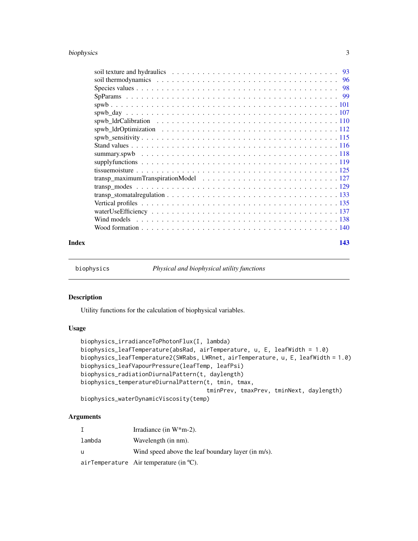# <span id="page-2-0"></span>biophysics 3

#### **Index** 2003 **[143](#page-142-0)**

biophysics *Physical and biophysical utility functions*

# Description

Utility functions for the calculation of biophysical variables.

## Usage

```
biophysics_irradianceToPhotonFlux(I, lambda)
biophysics_leafTemperature(absRad, airTemperature, u, E, leafWidth = 1.0)
biophysics_leafTemperature2(SWRabs, LWRnet, airTemperature, u, E, leafWidth = 1.0)
biophysics_leafVapourPressure(leafTemp, leafPsi)
biophysics_radiationDiurnalPattern(t, daylength)
biophysics_temperatureDiurnalPattern(t, tmin, tmax,
                                     tminPrev, tmaxPrev, tminNext, daylength)
biophysics_waterDynamicViscosity(temp)
```
# Arguments

|        | Irradiance (in $W^*m-2$ ).                         |
|--------|----------------------------------------------------|
| lambda | Wavelength (in nm).                                |
| u      | Wind speed above the leaf boundary layer (in m/s). |
|        | airTemperature Air temperature (in $^{\circ}C$ ).  |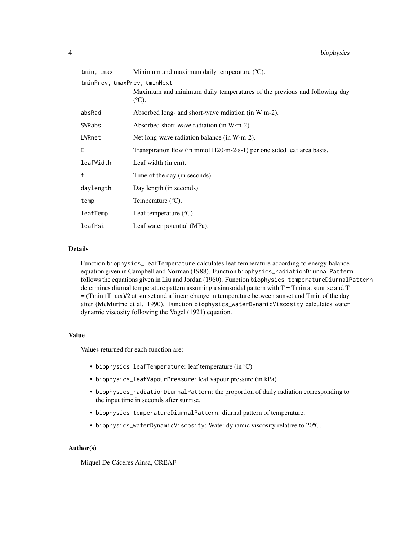| tmin, tmax                   | Minimum and maximum daily temperature $(C)$ .                                                |
|------------------------------|----------------------------------------------------------------------------------------------|
| tminPrev, tmaxPrev, tminNext | Maximum and minimum daily temperatures of the previous and following day<br>$(C^{\circ}C)$ . |
| absRad                       | Absorbed long- and short-wave radiation (in $W \cdot m-2$ ).                                 |
| SWRabs                       | Absorbed short-wave radiation (in $W·m-2$ ).                                                 |
| LWRnet                       | Net long-wave radiation balance (in $W·m-2$ ).                                               |
| E                            | Transpiration flow (in mmol H20·m-2·s-1) per one sided leaf area basis.                      |
| leafWidth                    | Leaf width (in cm).                                                                          |
| t                            | Time of the day (in seconds).                                                                |
| daylength                    | Day length (in seconds).                                                                     |
| temp                         | Temperature $(^{\circ}C)$ .                                                                  |
| leafTemp                     | Leaf temperature $({}^{\circ}C)$ .                                                           |
| leafPsi                      | Leaf water potential (MPa).                                                                  |

#### Details

Function biophysics\_leafTemperature calculates leaf temperature according to energy balance equation given in Campbell and Norman (1988). Function biophysics\_radiationDiurnalPattern follows the equations given in Liu and Jordan (1960). Function biophysics\_temperatureDiurnalPattern determines diurnal temperature pattern assuming a sinusoidal pattern with  $T = T$ min at sunrise and  $T$ = (Tmin+Tmax)/2 at sunset and a linear change in temperature between sunset and Tmin of the day after (McMurtrie et al. 1990). Function biophysics\_waterDynamicViscosity calculates water dynamic viscosity following the Vogel (1921) equation.

#### Value

Values returned for each function are:

- biophysics\_leafTemperature: leaf temperature (in ºC)
- biophysics\_leafVapourPressure: leaf vapour pressure (in kPa)
- biophysics\_radiationDiurnalPattern: the proportion of daily radiation corresponding to the input time in seconds after sunrise.
- biophysics\_temperatureDiurnalPattern: diurnal pattern of temperature.
- biophysics\_waterDynamicViscosity: Water dynamic viscosity relative to 20ºC.

# Author(s)

Miquel De Cáceres Ainsa, CREAF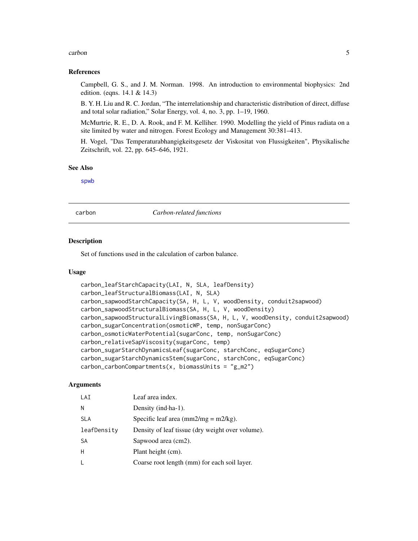#### <span id="page-4-0"></span>carbon 5 and 5 and 5 and 5 and 6 and 6 and 6 and 6 and 6 and 6 and 6 and 6 and 6 and 6 and 6 and 6 and 6 and 6 and 6 and 6 and 6 and 6 and 6 and 6 and 6 and 6 and 6 and 6 and 6 and 6 and 6 and 6 and 6 and 6 and 6 and 6 and

#### References

Campbell, G. S., and J. M. Norman. 1998. An introduction to environmental biophysics: 2nd edition. (eqns. 14.1 & 14.3)

B. Y. H. Liu and R. C. Jordan, "The interrelationship and characteristic distribution of direct, diffuse and total solar radiation," Solar Energy, vol. 4, no. 3, pp. 1–19, 1960.

McMurtrie, R. E., D. A. Rook, and F. M. Kelliher. 1990. Modelling the yield of Pinus radiata on a site limited by water and nitrogen. Forest Ecology and Management 30:381–413.

H. Vogel, "Das Temperaturabhangigkeitsgesetz der Viskositat von Flussigkeiten", Physikalische Zeitschrift, vol. 22, pp. 645–646, 1921.

#### See Also

[spwb](#page-100-1)

carbon *Carbon-related functions*

#### **Description**

Set of functions used in the calculation of carbon balance.

#### Usage

```
carbon_leafStarchCapacity(LAI, N, SLA, leafDensity)
carbon_leafStructuralBiomass(LAI, N, SLA)
carbon_sapwoodStarchCapacity(SA, H, L, V, woodDensity, conduit2sapwood)
carbon_sapwoodStructuralBiomass(SA, H, L, V, woodDensity)
carbon_sapwoodStructuralLivingBiomass(SA, H, L, V, woodDensity, conduit2sapwood)
carbon_sugarConcentration(osmoticWP, temp, nonSugarConc)
carbon_osmoticWaterPotential(sugarConc, temp, nonSugarConc)
carbon_relativeSapViscosity(sugarConc, temp)
carbon_sugarStarchDynamicsLeaf(sugarConc, starchConc, eqSugarConc)
carbon_sugarStarchDynamicsStem(sugarConc, starchConc, eqSugarConc)
carbon_carbonCompartments(x, biomassUnits = "g_m2")
```
#### Arguments

| LAI         | Leaf area index.                                                           |
|-------------|----------------------------------------------------------------------------|
| N           | Density (ind ha-1).                                                        |
| <b>SLA</b>  | Specific leaf area $\frac{\text{mm2}}{\text{mg}} = \frac{m2}{\text{kg}}$ . |
| leafDensity | Density of leaf tissue (dry weight over volume).                           |
| <b>SA</b>   | Sapwood area (cm2).                                                        |
| Н           | Plant height (cm).                                                         |
| L           | Coarse root length (mm) for each soil layer.                               |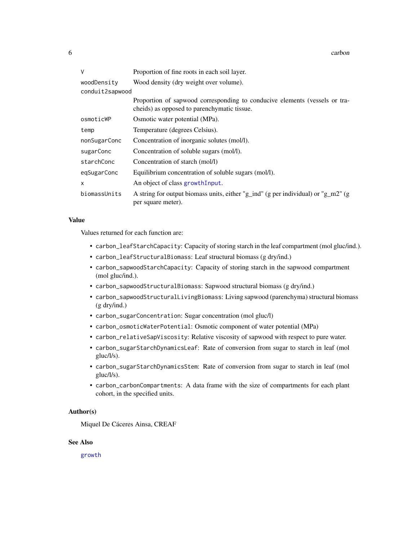| V               | Proportion of fine roots in each soil layer.                                                                              |  |
|-----------------|---------------------------------------------------------------------------------------------------------------------------|--|
| woodDensity     | Wood density (dry weight over volume).                                                                                    |  |
| conduit2sapwood |                                                                                                                           |  |
|                 | Proportion of sapwood corresponding to conducive elements (vessels or tra-<br>cheids) as opposed to parenchymatic tissue. |  |
| osmoticWP       | Osmotic water potential (MPa).                                                                                            |  |
| temp            | Temperature (degrees Celsius).                                                                                            |  |
| nonSugarConc    | Concentration of inorganic solutes (mol/l).                                                                               |  |
| sugarConc       | Concentration of soluble sugars (mol/l).                                                                                  |  |
| starchConc      | Concentration of starch (mol/l)                                                                                           |  |
| eqSugarConc     | Equilibrium concentration of soluble sugars (mol/l).                                                                      |  |
| X               | An object of class growth Input.                                                                                          |  |
| biomassUnits    | A string for output biomass units, either "g_ind" (g per individual) or "g_m2" (g<br>per square meter).                   |  |

#### Value

Values returned for each function are:

- carbon\_leafStarchCapacity: Capacity of storing starch in the leaf compartment (mol gluc/ind.).
- carbon\_leafStructuralBiomass: Leaf structural biomass (g dry/ind.)
- carbon\_sapwoodStarchCapacity: Capacity of storing starch in the sapwood compartment (mol gluc/ind.).
- carbon\_sapwoodStructuralBiomass: Sapwood structural biomass (g dry/ind.)
- carbon\_sapwoodStructuralLivingBiomass: Living sapwood (parenchyma) structural biomass (g dry/ind.)
- carbon\_sugarConcentration: Sugar concentration (mol gluc/l)
- carbon\_osmoticWaterPotential: Osmotic component of water potential (MPa)
- carbon\_relativeSapViscosity: Relative viscosity of sapwood with respect to pure water.
- carbon\_sugarStarchDynamicsLeaf: Rate of conversion from sugar to starch in leaf (mol gluc/l/s).
- carbon\_sugarStarchDynamicsStem: Rate of conversion from sugar to starch in leaf (mol gluc/l/s).
- carbon\_carbonCompartments: A data frame with the size of compartments for each plant cohort, in the specified units.

#### Author(s)

Miquel De Cáceres Ainsa, CREAF

#### See Also

[growth](#page-37-1)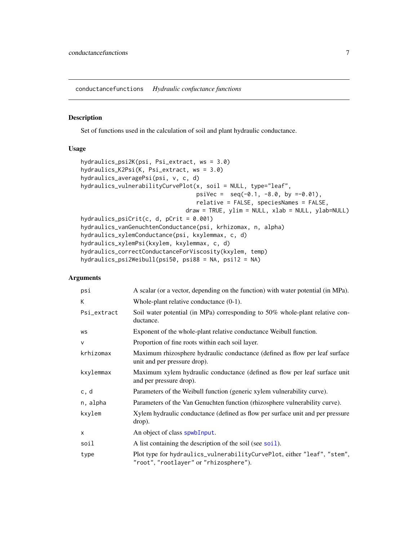<span id="page-6-0"></span>conductancefunctions *Hydraulic confuctance functions*

# Description

Set of functions used in the calculation of soil and plant hydraulic conductance.

#### Usage

```
hydraulics_psi2K(psi, Psi_extract, ws = 3.0)
hydraulics_K2Psi(K, Psi_extract, ws = 3.0)
hydraulics_averagePsi(psi, v, c, d)
hydraulics_vulnerabilityCurvePlot(x, soil = NULL, type="leaf",
                                  psiVec = seq(-0.1, -8.0, by =0.01),
                                  relative = FALSE, speciesNames = FALSE,
                               draw = TRUE, ylim = NULL, xlab = NULL, ylab=NULL)
hydraulics_psiCrit(c, d, pCrit = 0.001)
hydraulics_vanGenuchtenConductance(psi, krhizomax, n, alpha)
hydraulics_xylemConductance(psi, kxylemmax, c, d)
hydraulics_xylemPsi(kxylem, kxylemmax, c, d)
hydraulics_correctConductanceForViscosity(kxylem, temp)
hydraulics_psi2Weibull(psi50, psi88 = NA, psi12 = NA)
```
# Arguments

| psi          | A scalar (or a vector, depending on the function) with water potential (in MPa).                                  |
|--------------|-------------------------------------------------------------------------------------------------------------------|
| K            | Whole-plant relative conductance $(0-1)$ .                                                                        |
| Psi_extract  | Soil water potential (in MPa) corresponding to 50% whole-plant relative con-<br>ductance.                         |
| WS           | Exponent of the whole-plant relative conductance Weibull function.                                                |
| $\mathsf{V}$ | Proportion of fine roots within each soil layer.                                                                  |
| krhizomax    | Maximum rhizosphere hydraulic conductance (defined as flow per leaf surface<br>unit and per pressure drop).       |
| kxylemmax    | Maximum xylem hydraulic conductance (defined as flow per leaf surface unit<br>and per pressure drop).             |
| c, d         | Parameters of the Weibull function (generic xylem vulnerability curve).                                           |
| n, alpha     | Parameters of the Van Genuchten function (rhizosphere vulnerability curve).                                       |
| kxylem       | Xylem hydraulic conductance (defined as flow per surface unit and per pressure<br>drop).                          |
| X            | An object of class spwbInput.                                                                                     |
| soil         | A list containing the description of the soil (see soil).                                                         |
| type         | Plot type for hydraulics_vulnerabilityCurvePlot, either "leaf", "stem",<br>"root", "rootlayer" or "rhizosphere"). |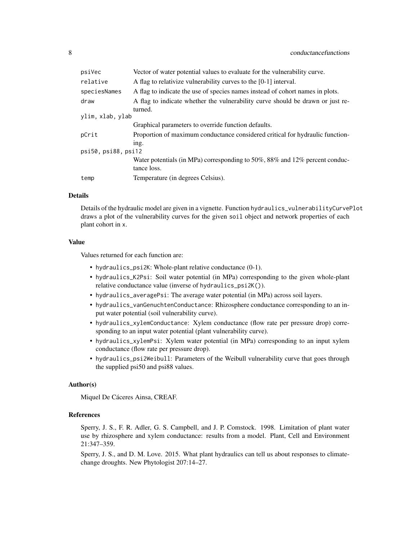| psiVec            | Vector of water potential values to evaluate for the vulnerability curve.                  |  |
|-------------------|--------------------------------------------------------------------------------------------|--|
| relative          | A flag to relativize vulnerability curves to the [0-1] interval.                           |  |
| speciesNames      | A flag to indicate the use of species names instead of cohort names in plots.              |  |
| draw              | A flag to indicate whether the vulnerability curve should be drawn or just re-<br>turned.  |  |
| ylim, xlab, ylab  |                                                                                            |  |
|                   | Graphical parameters to override function defaults.                                        |  |
| pCrit             | Proportion of maximum conductance considered critical for hydraulic function-<br>ing.      |  |
| psi50,psi88,psi12 |                                                                                            |  |
|                   | Water potentials (in MPa) corresponding to 50%, 88% and 12% percent conduc-<br>tance loss. |  |
| temp              | Temperature (in degrees Celsius).                                                          |  |
|                   |                                                                                            |  |

# Details

Details of the hydraulic model are given in a vignette. Function hydraulics\_vulnerabilityCurvePlot draws a plot of the vulnerability curves for the given soil object and network properties of each plant cohort in x.

#### Value

Values returned for each function are:

- hydraulics\_psi2K: Whole-plant relative conductance (0-1).
- hydraulics\_K2Psi: Soil water potential (in MPa) corresponding to the given whole-plant relative conductance value (inverse of hydraulics\_psi2K()).
- hydraulics\_averagePsi: The average water potential (in MPa) across soil layers.
- hydraulics\_vanGenuchtenConductance: Rhizosphere conductance corresponding to an input water potential (soil vulnerability curve).
- hydraulics\_xylemConductance: Xylem conductance (flow rate per pressure drop) corresponding to an input water potential (plant vulnerability curve).
- hydraulics\_xylemPsi: Xylem water potential (in MPa) corresponding to an input xylem conductance (flow rate per pressure drop).
- hydraulics\_psi2Weibull: Parameters of the Weibull vulnerability curve that goes through the supplied psi50 and psi88 values.

#### Author(s)

Miquel De Cáceres Ainsa, CREAF.

#### References

Sperry, J. S., F. R. Adler, G. S. Campbell, and J. P. Comstock. 1998. Limitation of plant water use by rhizosphere and xylem conductance: results from a model. Plant, Cell and Environment 21:347–359.

Sperry, J. S., and D. M. Love. 2015. What plant hydraulics can tell us about responses to climatechange droughts. New Phytologist 207:14–27.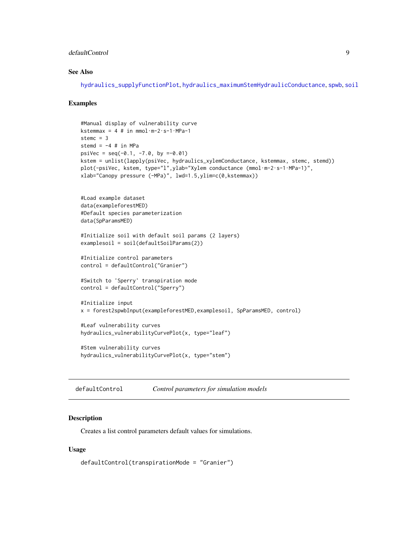# <span id="page-8-0"></span>defaultControl 9

# See Also

[hydraulics\\_supplyFunctionPlot](#page-118-1), [hydraulics\\_maximumStemHydraulicConductance](#page-82-1), [spwb](#page-100-1), [soil](#page-87-1)

### Examples

```
#Manual display of vulnerability curve
kstemmax = 4 # in mmol\cdotm-2\cdots-1\cdotMPa-1
stemc = 3stemd = -4 # in MPa
psiVec = seq(-0.1, -7.0, by =0.01)kstem = unlist(lapply(psiVec, hydraulics_xylemConductance, kstemmax, stemc, stemd))
plot(-psiVec, kstem, type="l",ylab="Xylem conductance (mmol·m-2·s-1·MPa-1)",
xlab="Canopy pressure (-MPa)", lwd=1.5,ylim=c(0,kstemmax))
#Load example dataset
data(exampleforestMED)
#Default species parameterization
data(SpParamsMED)
#Initialize soil with default soil params (2 layers)
examplesoil = soil(defaultSoilParams(2))
#Initialize control parameters
control = defaultControl("Granier")
#Switch to 'Sperry' transpiration mode
control = defaultControl("Sperry")
#Initialize input
x = forest2spwbInput(exampleforestMED,examplesoil, SpParamsMED, control)
#Leaf vulnerability curves
hydraulics_vulnerabilityCurvePlot(x, type="leaf")
#Stem vulnerability curves
hydraulics_vulnerabilityCurvePlot(x, type="stem")
```
<span id="page-8-1"></span>defaultControl *Control parameters for simulation models*

#### **Description**

Creates a list control parameters default values for simulations.

# Usage

```
defaultControl(transpirationMode = "Granier")
```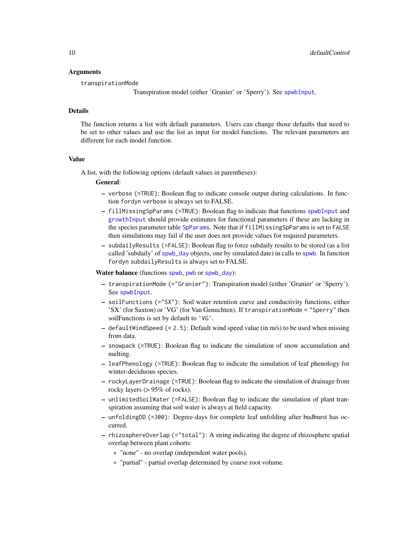#### Arguments

transpirationMode

Transpiration model (either 'Granier' or 'Sperry'). See [spwbInput](#page-48-1).

#### Details

The function returns a list with default parameters. Users can change those defaults that need to be set to other values and use the list as input for model functions. The relevant parameters are different for each model function.

# Value

A list, with the following options (default values in parentheses):

#### General:

- verbose (=TRUE): Boolean flag to indicate console output during calculations. In function fordyn verbose is always set to FALSE.
- fillMissingSpParams (=TRUE): Boolean flag to indicate that functions [spwbInput](#page-48-1) and [growthInput](#page-48-1) should provide estimates for functional parameters if these are lacking in the species parameter table [SpParams](#page-98-1). Note that if fillMissingSpParams is set to FALSE then simulations may fail if the user does not provide values for required parameters.
- subdailyResults (=FALSE): Boolean flag to force subdaily results to be stored (as a list called 'subdaily' of [spwb\\_day](#page-106-1) objects, one by simulated date) in calls to [spwb](#page-100-1). In function fordyn subdailyResults is always set to FALSE.

Water balance (functions [spwb](#page-100-1), [pwb](#page-100-2) or [spwb\\_day](#page-106-1)):

- transpirationMode (="Granier"): Transpiration model (either 'Granier' or 'Sperry'). See [spwbInput](#page-48-1).
- soilFunctions (="SX"): Soil water retention curve and conductivity functions, either 'SX' (for Saxton) or 'VG' (for Van Genuchten). If transpirationMode = "Sperry" then soilFunctions is set by default to 'VG'.
- $-$  defaultWindSpeed (= 2.5): Default wind speed value (in m/s) to be used when missing from data.
- snowpack (=TRUE): Boolean flag to indicate the simulation of snow accumulation and melting.
- leafPhenology (=TRUE): Boolean flag to indicate the simulation of leaf phenology for winter-deciduous species.
- rockyLayerDrainage (=TRUE): Boolean flag to indicate the simulation of drainage from rocky layers (> 95% of rocks).
- unlimitedSoilWater (=FALSE): Boolean flag to indicate the simulation of plant transpiration assuming that soil water is always at field capacity.
- unfoldingDD (=300): Degree-days for complete leaf unfolding after budburst has occurred.
- rhizosphereOverlap (="total"): A string indicating the degree of rhizosphere spatial overlap between plant cohorts:
	- \* "none" no overlap (independent water pools).
	- \* "partial" partial overlap determined by coarse root volume.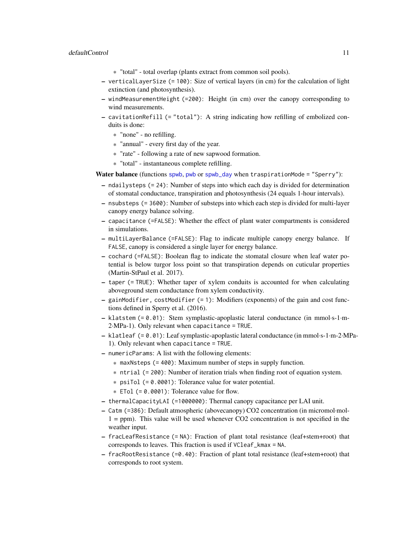- \* "total" total overlap (plants extract from common soil pools).
- verticalLayerSize (= 100): Size of vertical layers (in cm) for the calculation of light extinction (and photosynthesis).
- windMeasurementHeight (=200): Height (in cm) over the canopy corresponding to wind measurements.
- cavitationRefill (= "total"): A string indicating how refilling of embolized conduits is done:
	- \* "none" no refilling.
	- \* "annual" every first day of the year.
	- \* "rate" following a rate of new sapwood formation.
	- \* "total" instantaneous complete refilling.

Water balance (functions [spwb](#page-100-1), [pwb](#page-100-2) or [spwb\\_day](#page-106-1) when traspirationMode = "Sperry"):

- ndailysteps (= 24): Number of steps into which each day is divided for determination of stomatal conductance, transpiration and photosynthesis (24 equals 1-hour intervals).
- nsubsteps (= 3600): Number of substeps into which each step is divided for multi-layer canopy energy balance solving.
- capacitance (=FALSE): Whether the effect of plant water compartments is considered in simulations.
- multiLayerBalance (=FALSE): Flag to indicate multiple canopy energy balance. If FALSE, canopy is considered a single layer for energy balance.
- cochard (=FALSE): Boolean flag to indicate the stomatal closure when leaf water potential is below turgor loss point so that transpiration depends on cuticular properties (Martin-StPaul et al. 2017).
- taper (= TRUE): Whether taper of xylem conduits is accounted for when calculating aboveground stem conductance from xylem conductivity.
- gainModifier, costModifier (= 1): Modifiers (exponents) of the gain and cost functions defined in Sperry et al. (2016).
- klatstem (= 0.01): Stem symplastic-apoplastic lateral conductance (in mmol·s-1·m-2·MPa-1). Only relevant when capacitance = TRUE.
- klatleaf (= 0.01): Leaf symplastic-apoplastic lateral conductance (in mmol·s-1·m-2·MPa-1). Only relevant when capacitance = TRUE.
- numericParams: A list with the following elements:
	- $*$  maxNsteps (= 400): Maximum number of steps in supply function.
	- \* ntrial (= 200): Number of iteration trials when finding root of equation system.
	- \* psiTol (= 0.0001): Tolerance value for water potential.
	- $*$  ETol (= 0.0001): Tolerance value for flow.
- thermalCapacityLAI (=1000000): Thermal canopy capacitance per LAI unit.
- Catm (=386): Default atmospheric (abovecanopy) CO2 concentration (in micromol·mol- $1 = ppm$ ). This value will be used whenever CO2 concentration is not specified in the weather input.
- fracLeafResistance (= NA): Fraction of plant total resistance (leaf+stem+root) that corresponds to leaves. This fraction is used if VCleaf\_kmax = NA.
- fracRootResistance (=0.40): Fraction of plant total resistance (leaf+stem+root) that corresponds to root system.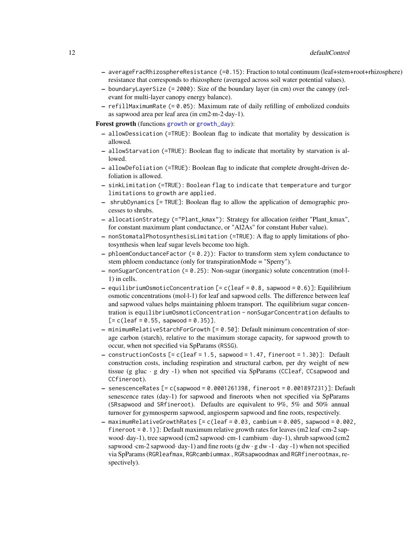- averageFracRhizosphereResistance (=0.15): Fraction to total continuum (leaf+stem+root+rhizosphere) resistance that corresponds to rhizosphere (averaged across soil water potential values).
- boundaryLayerSize (= 2000): Size of the boundary layer (in cm) over the canopy (relevant for multi-layer canopy energy balance).
- $-$  refillMaximumRate (= 0.05): Maximum rate of daily refilling of embolized conduits as sapwood area per leaf area (in cm2·m-2·day-1).

Forest growth (functions [growth](#page-37-1) or [growth\\_day](#page-106-2)):

- allowDessication (=TRUE): Boolean flag to indicate that mortality by dessication is allowed.
- allowStarvation (=TRUE): Boolean flag to indicate that mortality by starvation is allowed.
- allowDefoliation (=TRUE): Boolean flag to indicate that complete drought-driven defoliation is allowed.
- sinkLimitation (=TRUE): Boolean flag to indicate that temperature and turgor limitations to growth are applied.
- shrubDynamics [= TRUE]: Boolean flag to allow the application of demographic processes to shrubs.
- allocationStrategy (="Plant\_kmax"): Strategy for allocation (either "Plant\_kmax", for constant maximum plant conductance, or "Al2As" for constant Huber value).
- nonStomatalPhotosynthesisLimitation (=TRUE): A flag to apply limitations of photosynthesis when leaf sugar levels become too high.
- $-$  phloemConductanceFactor (=  $0.2$ )): Factor to transform stem xylem conductance to stem phloem conductance (only for transpirationMode = "Sperry").
- nonSugarConcentration (= 0.25): Non-sugar (inorganic) solute concentration (mol·l-1) in cells.
- $-$  equilibriumOsmoticConcentration [= c(leaf = 0.8, sapwood = 0.6)]: Equilibrium osmotic concentrations (mol·l-1) for leaf and sapwood cells. The difference between leaf and sapwood values helps maintaining phloem transport. The equilibrium sugar concentration is equilibriumOsmoticConcentration - nonSugarConcentration defaults to  $[= c(leaf = 0.55, sapwood = 0.35)].$
- minimumRelativeStarchForGrowth [= 0.50]: Default minimum concentration of storage carbon (starch), relative to the maximum storage capacity, for sapwood growth to occur, when not specified via SpParams (RSSG).
- $-$  constructionCosts  $[= c(leaf = 1.5,$  sapwood  $= 1.47,$  fineroot  $= 1.30)$ ]: Default construction costs, including respiration and structural carbon, per dry weight of new tissue (g gluc  $\cdot$  g dry -1) when not specified via SpParams (CCleaf, CCsapwood and CCfineroot).
- senescenceRates [= c(sapwood = 0.0001261398, fineroot = 0.001897231)]: Default senescence rates (day-1) for sapwood and fineroots when not specified via SpParams (SRsapwood and SRfineroot). Defaults are equivalent to 9%, 5% and 50% annual turnover for gymnosperm sapwood, angiosperm sapwood and fine roots, respectively.
- $-$  maximumRelativeGrowthRates  $[= c(leaf = 0.03,$  cambium = 0.005, sapwood = 0.002, fineroot =  $(0.1)$ ]: Default maximum relative growth rates for leaves (m2 leaf  $\cdot$ cm-2 sapwood· day-1), tree sapwood (cm2 sapwood· cm-1 cambium · day-1), shrub sapwood (cm2 sapwood · cm-2 sapwood· day-1) and fine roots (g dw · g dw -1 · day -1) when not specified via SpParams (RGRleafmax, RGRcambiummax , RGRsapwoodmax and RGRfinerootmax, respectively).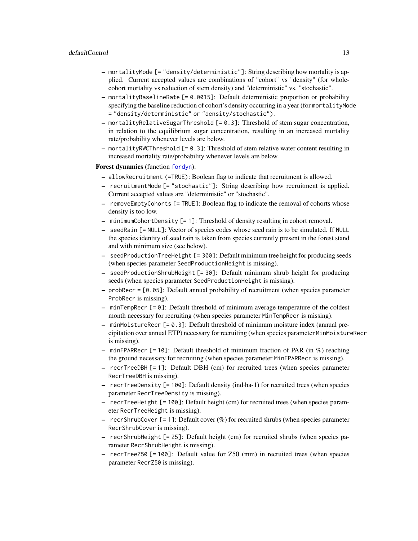# defaultControl 13

- mortalityMode [= "density/deterministic"]: String describing how mortality is applied. Current accepted values are combinations of "cohort" vs "density" (for wholecohort mortality vs reduction of stem density) and "deterministic" vs. "stochastic".
- mortalityBaselineRate [= 0.0015]: Default deterministic proportion or probability specifying the baseline reduction of cohort's density occurring in a year (for mortalityMode = "density/deterministic" or "density/stochastic").
- $-$  mortalityRelativeSugarThreshold  $[= 0.3]$ : Threshold of stem sugar concentration, in relation to the equilibrium sugar concentration, resulting in an increased mortality rate/probability whenever levels are below.
- $-$  mortalityRWCThreshold  $[-0.3]$ : Threshold of stem relative water content resulting in increased mortality rate/probability whenever levels are below.

#### Forest dynamics (function [fordyn](#page-29-1)):

- allowRecruitment (=TRUE): Boolean flag to indicate that recruitment is allowed.
- recruitmentMode [= "stochastic"]: String describing how recruitment is applied. Current accepted values are "deterministic" or "stochastic".
- removeEmptyCohorts [= TRUE]: Boolean flag to indicate the removal of cohorts whose density is too low.
- minimumCohortDensity [= 1]: Threshold of density resulting in cohort removal.
- seedRain [= NULL]: Vector of species codes whose seed rain is to be simulated. If NULL the species identity of seed rain is taken from species currently present in the forest stand and with minimum size (see below).
- seedProductionTreeHeight [= 300]: Default minimum tree height for producing seeds (when species parameter SeedProductionHeight is missing).
- seedProductionShrubHeight [= 30]: Default minimum shrub height for producing seeds (when species parameter SeedProductionHeight is missing).
- $-$  probRecr =  $[0.05]$ : Default annual probability of recruitment (when species parameter ProbRecr is missing).
- $-$  minTempRecr  $[= 0]$ : Default threshold of minimum average temperature of the coldest month necessary for recruiting (when species parameter MinTempRecr is missing).
- minMoistureRecr [= 0.3]: Default threshold of minimum moisture index (annual precipitation over annual ETP) necessary for recruiting (when species parameter MinMoistureRecr is missing).
- minFPARRecr [= 10]: Default threshold of minimum fraction of PAR (in  $\%$ ) reaching the ground necessary for recruiting (when species parameter MinFPARRecr is missing).
- recrTreeDBH [= 1]: Default DBH (cm) for recruited trees (when species parameter RecrTreeDBH is missing).
- recrTreeDensity [= 100]: Default density (ind·ha-1) for recruited trees (when species parameter RecrTreeDensity is missing).
- recrTreeHeight [= 100]: Default height (cm) for recruited trees (when species parameter RecrTreeHeight is missing).
- recrShrubCover  $\lbrack = 1 \rbrack$ : Default cover  $(\%)$  for recruited shrubs (when species parameter RecrShrubCover is missing).
- recrShrubHeight [= 25]: Default height (cm) for recruited shrubs (when species parameter RecrShrubHeight is missing).
- recrTreeZ50 [= 100]: Default value for Z50 (mm) in recruited trees (when species parameter RecrZ50 is missing).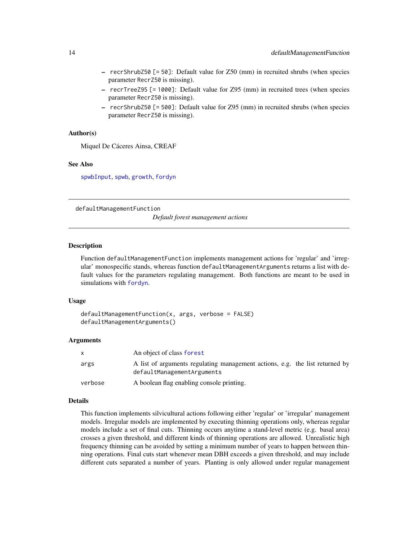- <span id="page-13-0"></span>– recrShrubZ50 [= 50]: Default value for Z50 (mm) in recruited shrubs (when species parameter RecrZ50 is missing).
- recrTreeZ95 [= 1000]: Default value for Z95 (mm) in recruited trees (when species parameter RecrZ50 is missing).
- recrShrubZ50 [= 500]: Default value for Z95 (mm) in recruited shrubs (when species parameter RecrZ50 is missing).

## Author(s)

Miquel De Cáceres Ainsa, CREAF

#### See Also

[spwbInput](#page-48-1), [spwb](#page-100-1), [growth](#page-37-1), [fordyn](#page-29-1)

<span id="page-13-1"></span>defaultManagementFunction

*Default forest management actions*

#### Description

Function defaultManagementFunction implements management actions for 'regular' and 'irregular' monospecific stands, whereas function defaultManagementArguments returns a list with default values for the parameters regulating management. Both functions are meant to be used in simulations with [fordyn](#page-29-1).

#### Usage

```
defaultManagementFunction(x, args, verbose = FALSE)
defaultManagementArguments()
```
#### Arguments

| $\mathsf{x}$ | An object of class forest                                                                                  |
|--------------|------------------------------------------------------------------------------------------------------------|
| args         | A list of arguments regulating management actions, e.g. the list returned by<br>defaultManagementArguments |
| verbose      | A boolean flag enabling console printing.                                                                  |

#### Details

This function implements silvicultural actions following either 'regular' or 'irregular' management models. Irregular models are implemented by executing thinning operations only, whereas regular models include a set of final cuts. Thinning occurs anytime a stand-level metric (e.g. basal area) crosses a given threshold, and different kinds of thinning operations are allowed. Unrealistic high frequency thinning can be avoided by setting a minimum number of years to happen between thinning operations. Final cuts start whenever mean DBH exceeds a given threshold, and may include different cuts separated a number of years. Planting is only allowed under regular management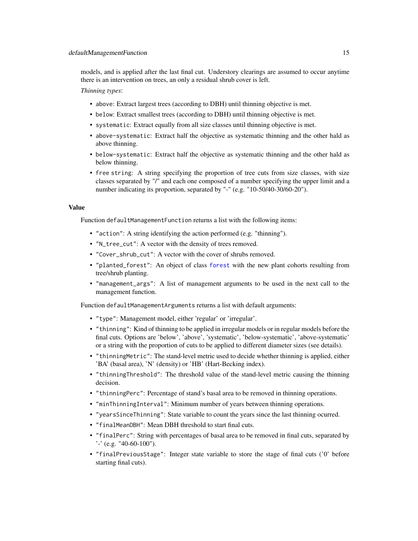models, and is applied after the last final cut. Understory clearings are assumed to occur anytime there is an intervention on trees, an only a residual shrub cover is left.

*Thinning types*:

- above: Extract largest trees (according to DBH) until thinning objective is met.
- below: Extract smallest trees (according to DBH) until thinning objective is met.
- systematic: Extract equally from all size classes until thinning objective is met.
- above-systematic: Extract half the objective as systematic thinning and the other hald as above thinning.
- below-systematic: Extract half the objective as systematic thinning and the other hald as below thinning.
- free string: A string specifying the proportion of tree cuts from size classes, with size classes separated by "/" and each one composed of a number specifying the upper limit and a number indicating its proportion, separated by "-" (e.g. "10-50/40-30/60-20").

#### Value

Function defaultManagementFunction returns a list with the following items:

- "action": A string identifying the action performed (e.g. "thinning").
- "N\_tree\_cut": A vector with the density of trees removed.
- "Cover\_shrub\_cut": A vector with the cover of shrubs removed.
- "planted\_forest": An object of class [forest](#page-32-1) with the new plant cohorts resulting from tree/shrub planting.
- "management\_args": A list of management arguments to be used in the next call to the management function.

Function defaultManagementArguments returns a list with default arguments:

- "type": Management model, either 'regular' or 'irregular'.
- "thinning": Kind of thinning to be applied in irregular models or in regular models before the final cuts. Options are 'below', 'above', 'systematic', 'below-systematic', 'above-systematic' or a string with the proportion of cuts to be applied to different diameter sizes (see details).
- "thinningMetric": The stand-level metric used to decide whether thinning is applied, either 'BA' (basal area), 'N' (density) or 'HB' (Hart-Becking index).
- "thinningThreshold": The threshold value of the stand-level metric causing the thinning decision.
- "thinningPerc": Percentage of stand's basal area to be removed in thinning operations.
- "minThinningInterval": Minimum number of years between thinning operations.
- "yearsSinceThinning": State variable to count the years since the last thinning ocurred.
- "finalMeanDBH": Mean DBH threshold to start final cuts.
- "finalPerc": String with percentages of basal area to be removed in final cuts, separated by '-' (e.g. "40-60-100").
- "finalPreviousStage": Integer state variable to store the stage of final cuts ('0' before starting final cuts).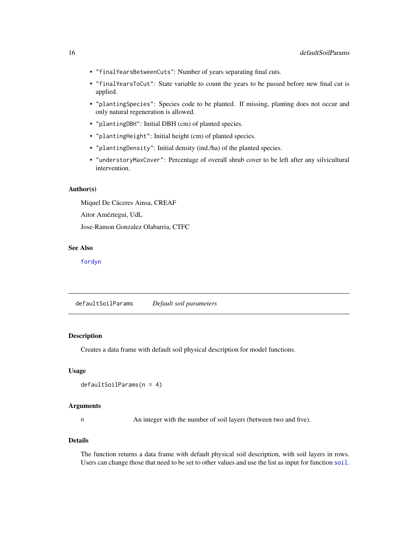- <span id="page-15-0"></span>• "finalYearsBetweenCuts": Number of years separating final cuts.
- "finalYearsToCut": State variable to count the years to be passed before new final cut is applied.
- "plantingSpecies": Species code to be planted. If missing, planting does not occur and only natural regeneration is allowed.
- "plantingDBH": Initial DBH (cm) of planted species.
- "plantingHeight": Initial height (cm) of planted species.
- "plantingDensity": Initial density (ind./ha) of the planted species.
- "understoryMaxCover": Percentage of overall shrub cover to be left after any silvicultural intervention.

#### Author(s)

Miquel De Cáceres Ainsa, CREAF

Aitor Améztegui, UdL

Jose-Ramon Gonzalez Olabarria, CTFC

# See Also

[fordyn](#page-29-1)

defaultSoilParams *Default soil parameters*

# Description

Creates a data frame with default soil physical description for model functions.

#### Usage

```
defaultSoilParams(n = 4)
```
# Arguments

n An integer with the number of soil layers (between two and five).

# Details

The function returns a data frame with default physical soil description, with soil layers in rows. Users can change those that need to be set to other values and use the list as input for function [soil](#page-87-1).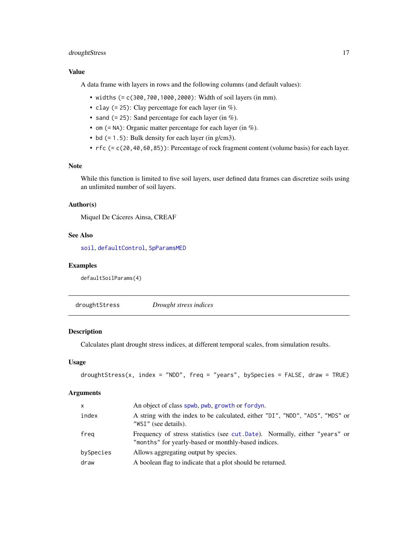# <span id="page-16-0"></span>droughtStress 17

# Value

A data frame with layers in rows and the following columns (and default values):

- widths (= c(300,700,1000,2000): Width of soil layers (in mm).
- clay (= 25): Clay percentage for each layer (in  $\%$ ).
- sand  $(= 25)$ : Sand percentage for each layer (in %).
- om  $(=\mathsf{NA})$ : Organic matter percentage for each layer (in %).
- bd (= 1.5): Bulk density for each layer (in g/cm3).
- rfc (= c(20,40,60,85)): Percentage of rock fragment content (volume basis) for each layer.

# Note

While this function is limited to five soil layers, user defined data frames can discretize soils using an unlimited number of soil layers.

#### Author(s)

Miquel De Cáceres Ainsa, CREAF

# See Also

[soil](#page-87-1), [defaultControl](#page-8-1), [SpParamsMED](#page-98-2)

#### Examples

defaultSoilParams(4)

droughtStress *Drought stress indices*

# Description

Calculates plant drought stress indices, at different temporal scales, from simulation results.

## Usage

```
droughtStress(x, index = "NDD", freq = "years", bySpecies = FALSE, draw = TRUE)
```
#### Arguments

| x         | An object of class spwb, pwb, growth or fordyn.                                                                                    |
|-----------|------------------------------------------------------------------------------------------------------------------------------------|
| index     | A string with the index to be calculated, either "DI", "NDD", "ADS", "MDS" or<br>"WSI" (see details).                              |
| freg      | Frequency of stress statistics (see cut. Date). Normally, either "years" or<br>"months" for yearly-based or monthly-based indices. |
| bySpecies | Allows aggregating output by species.                                                                                              |
| draw      | A boolean flag to indicate that a plot should be returned.                                                                         |
|           |                                                                                                                                    |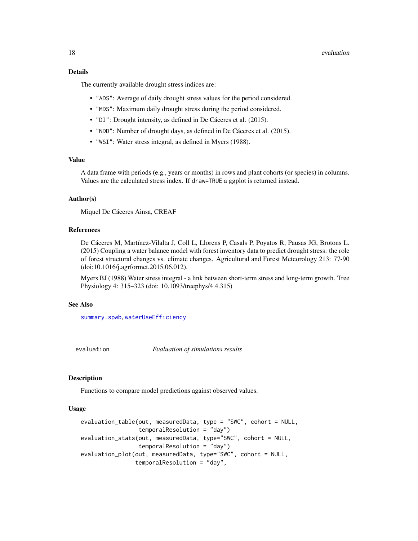#### <span id="page-17-0"></span>18 evaluation and the contract of the contract of the contract of the contract of the contract of the contract of the contract of the contract of the contract of the contract of the contract of the contract of the contract

# Details

The currently available drought stress indices are:

- "ADS": Average of daily drought stress values for the period considered.
- "MDS": Maximum daily drought stress during the period considered.
- "DI": Drought intensity, as defined in De Cáceres et al. (2015).
- "NDD": Number of drought days, as defined in De Cáceres et al. (2015).
- "WSI": Water stress integral, as defined in Myers (1988).

# Value

A data frame with periods (e.g., years or months) in rows and plant cohorts (or species) in columns. Values are the calculated stress index. If draw=TRUE a ggplot is returned instead.

# Author(s)

Miquel De Cáceres Ainsa, CREAF

#### References

De Cáceres M, Martínez-Vilalta J, Coll L, Llorens P, Casals P, Poyatos R, Pausas JG, Brotons L. (2015) Coupling a water balance model with forest inventory data to predict drought stress: the role of forest structural changes vs. climate changes. Agricultural and Forest Meteorology 213: 77-90 (doi:10.1016/j.agrformet.2015.06.012).

Myers BJ (1988) Water stress integral - a link between short-term stress and long-term growth. Tree Physiology 4: 315–323 (doi: 10.1093/treephys/4.4.315)

#### See Also

[summary.spwb](#page-117-1), [waterUseEfficiency](#page-136-1)

<span id="page-17-1"></span>evaluation *Evaluation of simulations results*

#### **Description**

Functions to compare model predictions against observed values.

#### Usage

```
evaluation_table(out, measuredData, type = "SWC", cohort = NULL,
                 temporalResolution = "day")
evaluation_stats(out, measuredData, type="SWC", cohort = NULL,
                 temporalResolution = "day")
evaluation_plot(out, measuredData, type="SWC", cohort = NULL,
                temporalResolution = "day",
```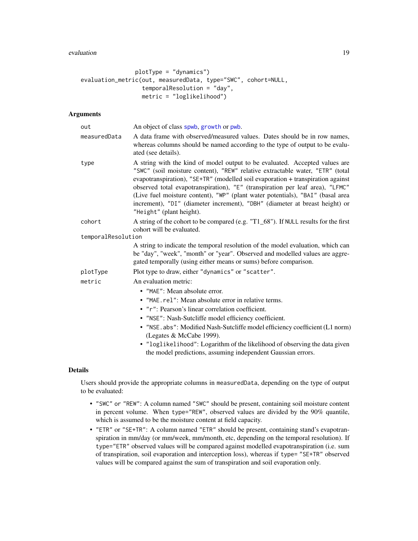#### evaluation and the contract of the contract of the contract of the contract of the contract of the contract of the contract of the contract of the contract of the contract of the contract of the contract of the contract of

```
plotType = "dynamics")
evaluation_metric(out, measuredData, type="SWC", cohort=NULL,
                  temporalResolution = "day",
                  metric = "loglikelihood")
```
# Arguments

| out                | An object of class spwb, growth or pwb.                                                                                                                                                                                                                                                                                                                                                                                                                                                                                       |
|--------------------|-------------------------------------------------------------------------------------------------------------------------------------------------------------------------------------------------------------------------------------------------------------------------------------------------------------------------------------------------------------------------------------------------------------------------------------------------------------------------------------------------------------------------------|
| measuredData       | A data frame with observed/measured values. Dates should be in row names,<br>whereas columns should be named according to the type of output to be evalu-<br>ated (see details).                                                                                                                                                                                                                                                                                                                                              |
| type               | A string with the kind of model output to be evaluated. Accepted values are<br>"SWC" (soil moisture content), "REW" relative extractable water, "ETR" (total<br>evapotranspiration), "SE+TR" (modelled soil evaporation + transpiration against<br>observed total evapotranspiration), "E" (transpiration per leaf area), "LFMC"<br>(Live fuel moisture content), "WP" (plant water potentials), "BAI" (basal area<br>increment), "DI" (diameter increment), "DBH" (diameter at breast height) or<br>"Height" (plant height). |
| cohort             | A string of the cohort to be compared (e.g. "T1_68"). If NULL results for the first                                                                                                                                                                                                                                                                                                                                                                                                                                           |
|                    | cohort will be evaluated.                                                                                                                                                                                                                                                                                                                                                                                                                                                                                                     |
| temporalResolution |                                                                                                                                                                                                                                                                                                                                                                                                                                                                                                                               |
|                    | A string to indicate the temporal resolution of the model evaluation, which can<br>be "day", "week", "month" or "year". Observed and modelled values are aggre-<br>gated temporally (using either means or sums) before comparison.                                                                                                                                                                                                                                                                                           |
| plotType           | Plot type to draw, either "dynamics" or "scatter".                                                                                                                                                                                                                                                                                                                                                                                                                                                                            |
| metric             | An evaluation metric:                                                                                                                                                                                                                                                                                                                                                                                                                                                                                                         |
|                    | • "MAE": Mean absolute error.                                                                                                                                                                                                                                                                                                                                                                                                                                                                                                 |
|                    | • "MAE.rel": Mean absolute error in relative terms.                                                                                                                                                                                                                                                                                                                                                                                                                                                                           |
|                    | • "r": Pearson's linear correlation coefficient.                                                                                                                                                                                                                                                                                                                                                                                                                                                                              |
|                    | · "NSE": Nash-Sutcliffe model efficiency coefficient.                                                                                                                                                                                                                                                                                                                                                                                                                                                                         |
|                    | · "NSE. abs": Modified Nash-Sutcliffe model efficiency coefficient (L1 norm)<br>(Legates & McCabe 1999).                                                                                                                                                                                                                                                                                                                                                                                                                      |
|                    | • "loglikelihood": Logarithm of the likelihood of observing the data given                                                                                                                                                                                                                                                                                                                                                                                                                                                    |
|                    | the model predictions, assuming independent Gaussian errors.                                                                                                                                                                                                                                                                                                                                                                                                                                                                  |

#### Details

Users should provide the appropriate columns in measuredData, depending on the type of output to be evaluated:

- "SWC" or "REW": A column named "SWC" should be present, containing soil moisture content in percent volume. When type="REW", observed values are divided by the 90% quantile, which is assumed to be the moisture content at field capacity.
- "ETR" or "SE+TR": A column named "ETR" should be present, containing stand's evapotranspiration in mm/day (or mm/week, mm/month, etc, depending on the temporal resolution). If type="ETR" observed values will be compared against modelled evapotranspiration (i.e. sum of transpiration, soil evaporation and interception loss), whereas if type= "SE+TR" observed values will be compared against the sum of transpiration and soil evaporation only.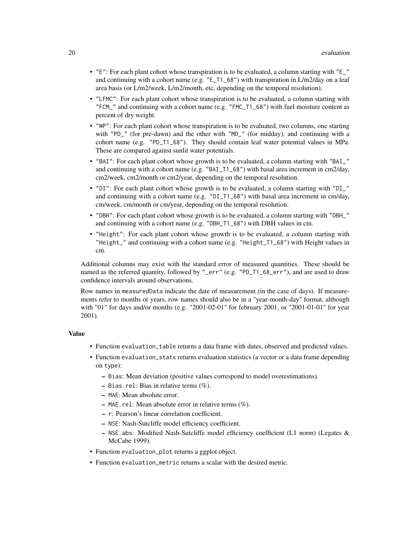- "E": For each plant cohort whose transpiration is to be evaluated, a column starting with "E\_" and continuing with a cohort name (e.g. "E\_T1\_68") with transpiration in L/m2/day on a leaf area basis (or L/m2/week, L/m2/month, etc, depending on the temporal resolution).
- "LFMC": For each plant cohort whose transpiration is to be evaluated, a column starting with "FCM\_" and continuing with a cohort name (e.g. "FMC\_T1\_68") with fuel moisture content as percent of dry weight.
- "WP": For each plant cohort whose transpiration is to be evaluated, two columns, one starting with "PD\_" (for pre-dawn) and the other with "MD\_" (for midday), and continuing with a cohort name (e.g. "PD\_T1\_68"). They should contain leaf water potential values in MPa. These are compared against sunlit water potentials.
- "BAI": For each plant cohort whose growth is to be evaluated, a column starting with "BAI\_" and continuing with a cohort name (e.g. "BAI\_T1\_68") with basal area increment in cm2/day, cm2/week, cm2/month or cm2/year, depending on the temporal resolution.
- "DI": For each plant cohort whose growth is to be evaluated, a column starting with "DI\_" and continuing with a cohort name (e.g. "DI\_T1\_68") with basal area increment in cm/day, cm/week, cm/month or cm/year, depending on the temporal resolution.
- "DBH": For each plant cohort whose growth is to be evaluated, a column starting with "DBH\_" and continuing with a cohort name (e.g. "DBH\_T1\_68") with DBH values in cm.
- "Height": For each plant cohort whose growth is to be evaluated, a column starting with "Height\_" and continuing with a cohort name (e.g. "Height\_T1\_68") with Height values in cm.

Additional columns may exist with the standard error of measured quantities. These should be named as the referred quantity, followed by "\_err" (e.g. "PD\_T1\_68\_err"), and are used to draw confidence intervals around observations.

Row names in measuredData indicate the date of measurement (in the case of days). If measurements refer to months or years, row names should also be in a "year-month-day" format, although with "01" for days and/or months (e.g. "2001-02-01" for february 2001, or "2001-01-01" for year 2001).

# Value

- Function evaluation\_table returns a data frame with dates, observed and predicted values.
- Function evaluation\_stats returns evaluation statistics (a vector or a data frame depending on type):
	- Bias: Mean deviation (positive values correspond to model overestimations).
	- $-$  Bias.rel: Bias in relative terms  $(\%).$
	- MAE: Mean absolute error.
	- MAE.rel: Mean absolute error in relative terms (%).
	- r: Pearson's linear correlation coefficient.
	- NSE: Nash-Sutcliffe model efficiency coefficient.
	- $-$  NSE. abs: Modified Nash-Sutcliffe model efficiency coefficient (L1 norm) (Legates & McCabe 1999).
- Function evaluation\_plot returns a ggplot object.
- Function evaluation\_metric returns a scalar with the desired metric.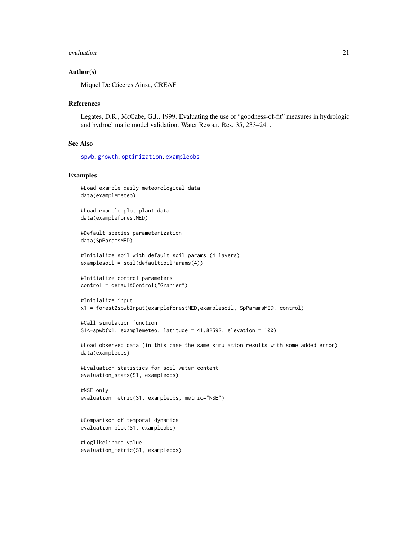#### evaluation  $21$

#### Author(s)

Miquel De Cáceres Ainsa, CREAF

#### References

Legates, D.R., McCabe, G.J., 1999. Evaluating the use of "goodness-of-fit" measures in hydrologic and hydroclimatic model validation. Water Resour. Res. 35, 233–241.

#### See Also

[spwb](#page-100-1), [growth](#page-37-1), [optimization](#page-56-1), [exampleobs](#page-22-1)

#### Examples

```
#Load example daily meteorological data
data(examplemeteo)
```
#Load example plot plant data data(exampleforestMED)

#Default species parameterization data(SpParamsMED)

```
#Initialize soil with default soil params (4 layers)
examplesoil = soil(defaultSoilParams(4))
```

```
#Initialize control parameters
control = defaultControl("Granier")
```

```
#Initialize input
x1 = forest2spwbInput(exampleforestMED,examplesoil, SpParamsMED, control)
```

```
#Call simulation function
S1<-spwb(x1, examplemeteo, latitude = 41.82592, elevation = 100)
```

```
#Load observed data (in this case the same simulation results with some added error)
data(exampleobs)
```

```
#Evaluation statistics for soil water content
evaluation_stats(S1, exampleobs)
```

```
#NSE only
evaluation_metric(S1, exampleobs, metric="NSE")
```
#Comparison of temporal dynamics evaluation\_plot(S1, exampleobs)

```
#Loglikelihood value
evaluation_metric(S1, exampleobs)
```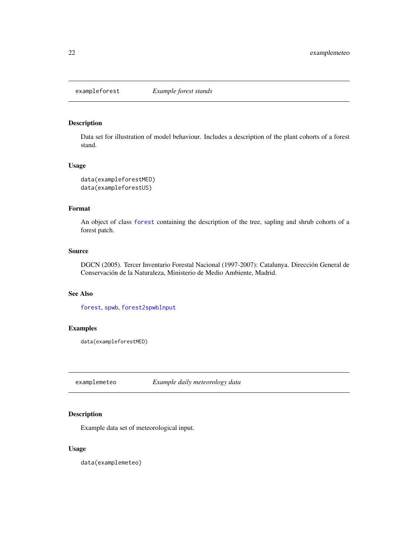<span id="page-21-0"></span>

# <span id="page-21-1"></span>Description

Data set for illustration of model behaviour. Includes a description of the plant cohorts of a forest stand.

# Usage

```
data(exampleforestMED)
data(exampleforestUS)
```
# Format

An object of class [forest](#page-32-1) containing the description of the tree, sapling and shrub cohorts of a forest patch.

#### Source

DGCN (2005). Tercer Inventario Forestal Nacional (1997-2007): Catalunya. Dirección General de Conservación de la Naturaleza, Ministerio de Medio Ambiente, Madrid.

#### See Also

[forest](#page-32-1), [spwb](#page-100-1), [forest2spwbInput](#page-48-1)

# Examples

data(exampleforestMED)

examplemeteo *Example daily meteorology data*

# Description

Example data set of meteorological input.

# Usage

data(examplemeteo)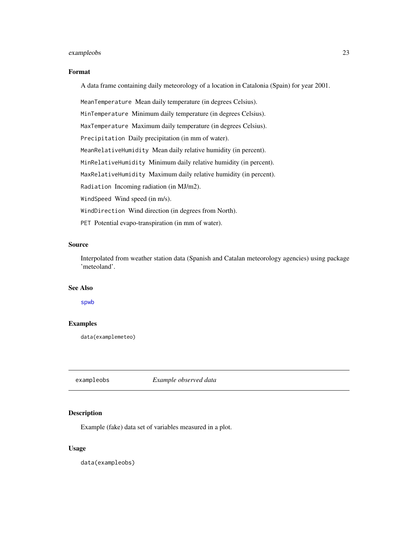#### <span id="page-22-0"></span>exampleobs 23

#### Format

A data frame containing daily meteorology of a location in Catalonia (Spain) for year 2001.

MeanTemperature Mean daily temperature (in degrees Celsius).

MinTemperature Minimum daily temperature (in degrees Celsius).

MaxTemperature Maximum daily temperature (in degrees Celsius).

Precipitation Daily precipitation (in mm of water).

MeanRelativeHumidity Mean daily relative humidity (in percent).

MinRelativeHumidity Minimum daily relative humidity (in percent).

MaxRelativeHumidity Maximum daily relative humidity (in percent).

Radiation Incoming radiation (in MJ/m2).

WindSpeed Wind speed (in m/s).

WindDirection Wind direction (in degrees from North).

PET Potential evapo-transpiration (in mm of water).

# Source

Interpolated from weather station data (Spanish and Catalan meteorology agencies) using package 'meteoland'.

#### See Also

[spwb](#page-100-1)

# Examples

data(examplemeteo)

<span id="page-22-1"></span>exampleobs *Example observed data*

# Description

Example (fake) data set of variables measured in a plot.

#### Usage

data(exampleobs)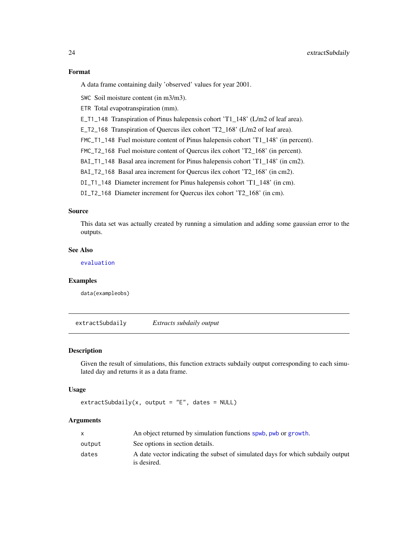# Format

A data frame containing daily 'observed' values for year 2001.

SWC Soil moisture content (in m3/m3).

ETR Total evapotranspiration (mm).

E\_T1\_148 Transpiration of Pinus halepensis cohort 'T1\_148' (L/m2 of leaf area).

E\_T2\_168 Transpiration of Quercus ilex cohort 'T2\_168' (L/m2 of leaf area).

FMC\_T1\_148 Fuel moisture content of Pinus halepensis cohort 'T1\_148' (in percent).

FMC\_T2\_168 Fuel moisture content of Quercus ilex cohort 'T2\_168' (in percent).

BAI\_T1\_148 Basal area increment for Pinus halepensis cohort 'T1\_148' (in cm2).

BAI\_T2\_168 Basal area increment for Quercus ilex cohort 'T2\_168' (in cm2).

DI\_T1\_148 Diameter increment for Pinus halepensis cohort 'T1\_148' (in cm).

DI\_T2\_168 Diameter increment for Quercus ilex cohort 'T2\_168' (in cm).

# Source

This data set was actually created by running a simulation and adding some gaussian error to the outputs.

# See Also

[evaluation](#page-17-1)

#### Examples

data(exampleobs)

extractSubdaily *Extracts subdaily output*

#### Description

Given the result of simulations, this function extracts subdaily output corresponding to each simulated day and returns it as a data frame.

#### Usage

```
extractSubdaily(x, output = "E", dates = NULL)
```
# Arguments

|        | An object returned by simulation functions spwb, pwb or growth.                                |
|--------|------------------------------------------------------------------------------------------------|
| output | See options in section details.                                                                |
| dates  | A date vector indicating the subset of simulated days for which subdaily output<br>is desired. |

<span id="page-23-0"></span>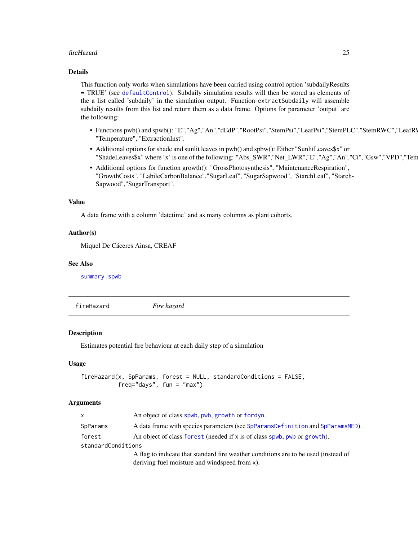#### <span id="page-24-0"></span>fireHazard 25

# Details

This function only works when simulations have been carried using control option 'subdailyResults = TRUE' (see [defaultControl](#page-8-1)). Subdaily simulation results will then be stored as elements of the a list called 'subdaily' in the simulation output. Function extractSubdaily will assemble subdaily results from this list and return them as a data frame. Options for parameter 'output' are the following:

- Functions pwb() and spwb(): "E","Ag","An","dEdP","RootPsi","StemPsi","LeafPsi","StemPLC","StemRWC","LeafRV "Temperature", "ExtractionInst".
- Additional options for shade and sunlit leaves in pwb() and spbw(): Either "SunlitLeaves\$x" or "ShadeLeaves\$x" where 'x' is one of the following: "Abs\_SWR","Net\_LWR","E","Ag","An","Ci","Gsw","VPD","Tem
- Additional options for function growth(): "GrossPhotosynthesis", "MaintenanceRespiration", "GrowthCosts", "LabileCarbonBalance","SugarLeaf", "SugarSapwood", "StarchLeaf", "Starch-Sapwood","SugarTransport".

#### Value

A data frame with a column 'datetime' and as many columns as plant cohorts.

#### Author(s)

Miquel De Cáceres Ainsa, CREAF

# See Also

[summary.spwb](#page-117-1)

fireHazard *Fire hazard*

# Description

Estimates potential fire behaviour at each daily step of a simulation

#### Usage

```
fireHazard(x, SpParams, forest = NULL, standardConditions = FALSE,
           freq="days", fun = "max")
```
#### **Arguments**

| <b>X</b>           | An object of class spwb, pwb, growth or fordyn.                                     |
|--------------------|-------------------------------------------------------------------------------------|
| SpParams           | A data frame with species parameters (see SpParamsDefinition and SpParamsMED).      |
| forest             | An object of class forest (needed if x is of class spwb, pwb or growth).            |
| standardConditions |                                                                                     |
|                    | A flag to indicate that standard fire weather conditions are to be used (instead of |
|                    | deriving fuel moisture and windspeed from x).                                       |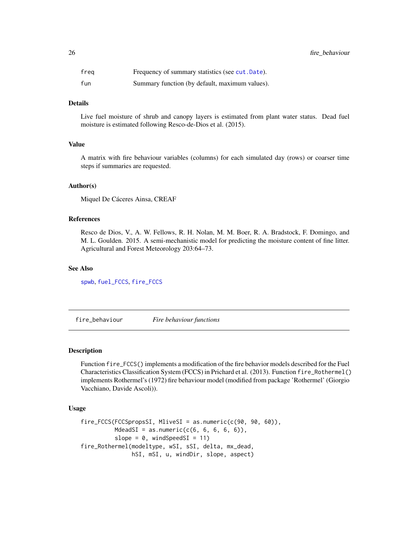<span id="page-25-0"></span>

| freg | Frequency of summary statistics (see cut. Date). |
|------|--------------------------------------------------|
| fun  | Summary function (by default, maximum values).   |

# Details

Live fuel moisture of shrub and canopy layers is estimated from plant water status. Dead fuel moisture is estimated following Resco-de-Dios et al. (2015).

#### Value

A matrix with fire behaviour variables (columns) for each simulated day (rows) or coarser time steps if summaries are requested.

#### Author(s)

Miquel De Cáceres Ainsa, CREAF

#### References

Resco de Dios, V., A. W. Fellows, R. H. Nolan, M. M. Boer, R. A. Bradstock, F. Domingo, and M. L. Goulden. 2015. A semi-mechanistic model for predicting the moisture content of fine litter. Agricultural and Forest Meteorology 203:64–73.

## See Also

[spwb](#page-100-1), [fuel\\_FCCS](#page-34-1), [fire\\_FCCS](#page-25-1)

fire\_behaviour *Fire behaviour functions*

#### <span id="page-25-1"></span>Description

Function fire\_FCCS() implements a modification of the fire behavior models described for the Fuel Characteristics Classification System (FCCS) in Prichard et al. (2013). Function fire\_Rothermel() implements Rothermel's (1972) fire behaviour model (modified from package 'Rothermel' (Giorgio Vacchiano, Davide Ascoli)).

# Usage

```
fire_FCCS(FCCSpropsSI, MliveSI = as.numeric(c(90, 90, 60)),
         MdeadSI = as.numeric(c(6, 6, 6, 6, 6)),
         slope = 0, windSpeedSI = 11)
fire_Rothermel(modeltype, wSI, sSI, delta, mx_dead,
               hSI, mSI, u, windDir, slope, aspect)
```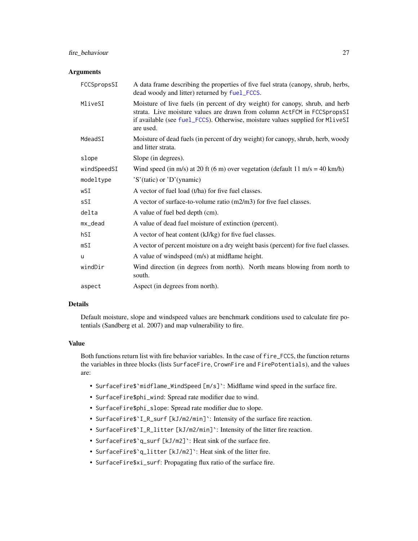# fire\_behaviour 27

#### **Arguments**

| FCCSpropsSI | A data frame describing the properties of five fuel strata (canopy, shrub, herbs,<br>dead woody and litter) returned by fuel_FCCS.                                                                                                                      |
|-------------|---------------------------------------------------------------------------------------------------------------------------------------------------------------------------------------------------------------------------------------------------------|
| MliveSI     | Moisture of live fuels (in percent of dry weight) for canopy, shrub, and herb<br>strata. Live moisture values are drawn from column ActFCM in FCCSpropsSI<br>if available (see fuel_FCCS). Otherwise, moisture values supplied for MliveSI<br>are used. |
| MdeadSI     | Moisture of dead fuels (in percent of dry weight) for canopy, shrub, herb, woody<br>and litter strata.                                                                                                                                                  |
| slope       | Slope (in degrees).                                                                                                                                                                                                                                     |
| windSpeedSI | Wind speed (in m/s) at 20 ft (6 m) over vegetation (default 11 m/s = 40 km/h)                                                                                                                                                                           |
| modeltype   | 'S'(tatic) or 'D'(ynamic)                                                                                                                                                                                                                               |
| wSI         | A vector of fuel load (t/ha) for five fuel classes.                                                                                                                                                                                                     |
| sSI         | A vector of surface-to-volume ratio $(m2/m3)$ for five fuel classes.                                                                                                                                                                                    |
| delta       | A value of fuel bed depth (cm).                                                                                                                                                                                                                         |
| mx_dead     | A value of dead fuel moisture of extinction (percent).                                                                                                                                                                                                  |
| hSI         | A vector of heat content (kJ/kg) for five fuel classes.                                                                                                                                                                                                 |
| mST         | A vector of percent moisture on a dry weight basis (percent) for five fuel classes.                                                                                                                                                                     |
| u           | A value of windspeed (m/s) at midflame height.                                                                                                                                                                                                          |
| windDir     | Wind direction (in degrees from north). North means blowing from north to<br>south.                                                                                                                                                                     |
| aspect      | Aspect (in degrees from north).                                                                                                                                                                                                                         |

# Details

Default moisture, slope and windspeed values are benchmark conditions used to calculate fire potentials (Sandberg et al. 2007) and map vulnerability to fire.

# Value

Both functions return list with fire behavior variables. In the case of fire\_FCCS, the function returns the variables in three blocks (lists SurfaceFire, CrownFire and FirePotentials), and the values are:

- SurfaceFire\$`midflame\_WindSpeed [m/s]`: Midflame wind speed in the surface fire.
- SurfaceFire\$phi\_wind: Spread rate modifier due to wind.
- SurfaceFire\$phi\_slope: Spread rate modifier due to slope.
- SurfaceFire\$`I\_R\_surf [kJ/m2/min]`: Intensity of the surface fire reaction.
- SurfaceFire\$`I\_R\_litter [kJ/m2/min]`: Intensity of the litter fire reaction.
- SurfaceFire\$`q\_surf [kJ/m2]`: Heat sink of the surface fire.
- SurfaceFire\$`q\_litter [kJ/m2]`: Heat sink of the litter fire.
- SurfaceFire\$xi\_surf: Propagating flux ratio of the surface fire.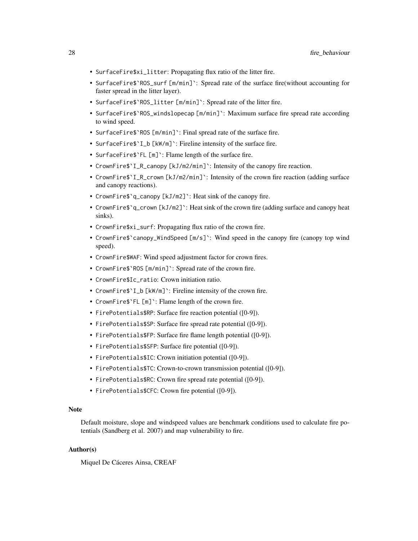- SurfaceFire\$xi\_litter: Propagating flux ratio of the litter fire.
- SurfaceFire\$`ROS\_surf [m/min]`: Spread rate of the surface fire(without accounting for faster spread in the litter layer).
- SurfaceFire\$`ROS\_litter [m/min]`: Spread rate of the litter fire.
- SurfaceFire\$`ROS\_windslopecap [m/min]`: Maximum surface fire spread rate according to wind speed.
- SurfaceFire\$`ROS [m/min]`: Final spread rate of the surface fire.
- SurfaceFire\$`I\_b [kW/m]`: Fireline intensity of the surface fire.
- SurfaceFire\$'FL [m]': Flame length of the surface fire.
- CrownFire\$`I\_R\_canopy [kJ/m2/min]`: Intensity of the canopy fire reaction.
- CrownFire\$`I\_R\_crown [kJ/m2/min]`: Intensity of the crown fire reaction (adding surface and canopy reactions).
- CrownFire\$`q\_canopy [kJ/m2]`: Heat sink of the canopy fire.
- CrownFire  $\gamma$  a crown [kJ/m2] : Heat sink of the crown fire (adding surface and canopy heat sinks).
- CrownFire\$xi\_surf: Propagating flux ratio of the crown fire.
- CrownFire\$`canopy\_WindSpeed [m/s]`: Wind speed in the canopy fire (canopy top wind speed).
- CrownFire\$WAF: Wind speed adjustment factor for crown fires.
- CrownFire\$`ROS [m/min]`: Spread rate of the crown fire.
- CrownFire\$Ic\_ratio: Crown initiation ratio.
- CrownFire\$`I\_b [kW/m]`: Fireline intensity of the crown fire.
- CrownFire\$'FL [m]': Flame length of the crown fire.
- FirePotentials\$RP: Surface fire reaction potential ([0-9]).
- FirePotentials\$SP: Surface fire spread rate potential ([0-9]).
- FirePotentials\$FP: Surface fire flame length potential ([0-9]).
- FirePotentials\$SFP: Surface fire potential ([0-9]).
- FirePotentials\$IC: Crown initiation potential ([0-9]).
- FirePotentials\$TC: Crown-to-crown transmission potential ([0-9]).
- FirePotentials\$RC: Crown fire spread rate potential ([0-9]).
- FirePotentials\$CFC: Crown fire potential ([0-9]).

# Note

Default moisture, slope and windspeed values are benchmark conditions used to calculate fire potentials (Sandberg et al. 2007) and map vulnerability to fire.

# Author(s)

Miquel De Cáceres Ainsa, CREAF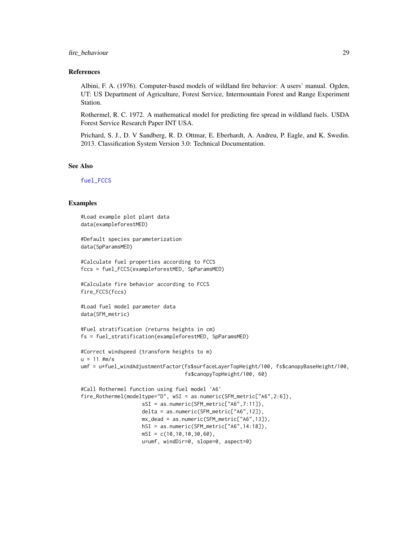## fire\_behaviour 29

#### References

Albini, F. A. (1976). Computer-based models of wildland fire behavior: A users' manual. Ogden, UT: US Department of Agriculture, Forest Service, Intermountain Forest and Range Experiment Station.

Rothermel, R. C. 1972. A mathematical model for predicting fire spread in wildland fuels. USDA Forest Service Research Paper INT USA.

Prichard, S. J., D. V Sandberg, R. D. Ottmar, E. Eberhardt, A. Andreu, P. Eagle, and K. Swedin. 2013. Classification System Version 3.0: Technical Documentation.

#### See Also

[fuel\\_FCCS](#page-34-1)

#### Examples

```
#Load example plot plant data
data(exampleforestMED)
#Default species parameterization
data(SpParamsMED)
#Calculate fuel properties according to FCCS
fccs = fuel_FCCS(exampleforestMED, SpParamsMED)
#Calculate fire behavior according to FCCS
fire_FCCS(fccs)
#Load fuel model parameter data
data(SFM_metric)
#Fuel stratification (returns heights in cm)
fs = fuel_stratification(exampleforestMED, SpParamsMED)
#Correct windspeed (transform heights to m)
u = 11 #m/s
umf = u*fuel_windAdjustmentFactor(fs$surfaceLayerTopHeight/100, fs$canopyBaseHeight/100,
                                  fs$canopyTopHeight/100, 60)
#Call Rothermel function using fuel model 'A6'
fire_Rothermel(modeltype="D", wSI = as.numeric(SFM_metric["A6",2:6]),
                    sSI = as.numeric(SFM_metric["A6",7:11]),
                    delta = as.numeric(SFM_metric["A6",12]),
                    mx_dead = as.numeric(SFM_metric["A6",13]),
                    hSI = as.numeric(SFM_metric["A6",14:18]),
                    mSI = c(10, 10, 10, 30, 60),
                    u=umf, windDir=0, slope=0, aspect=0)
```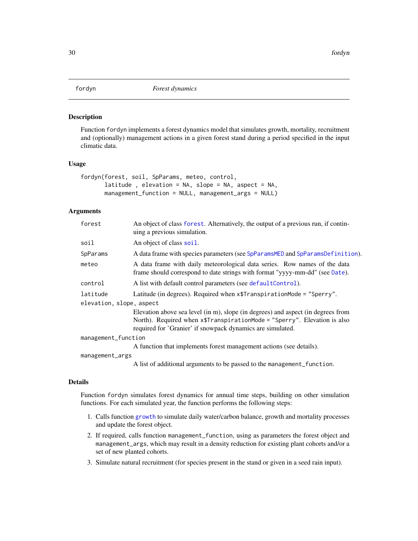<span id="page-29-1"></span><span id="page-29-0"></span>

#### Description

Function fordyn implements a forest dynamics model that simulates growth, mortality, recruitment and (optionally) management actions in a given forest stand during a period specified in the input climatic data.

#### Usage

```
fordyn(forest, soil, SpParams, meteo, control,
       latitude , elevation = NA, slope = NA, aspect = NA,
       management_function = NULL, management_args = NULL)
```
# Arguments

| forest                   | An object of class forest. Alternatively, the output of a previous run, if contin-<br>uing a previous simulation.                                                                                                          |  |
|--------------------------|----------------------------------------------------------------------------------------------------------------------------------------------------------------------------------------------------------------------------|--|
| soil                     | An object of class soil.                                                                                                                                                                                                   |  |
| SpParams                 | A data frame with species parameters (see SpParamsMED and SpParamsDefinition).                                                                                                                                             |  |
| meteo                    | A data frame with daily meteorological data series. Row names of the data<br>frame should correspond to date strings with format "yyyy-mm-dd" (see Date).                                                                  |  |
| control                  | A list with default control parameters (see default Control).                                                                                                                                                              |  |
| latitude                 | Latitude (in degrees). Required when $x$ \$TranspirationMode = "Sperry".                                                                                                                                                   |  |
| elevation, slope, aspect |                                                                                                                                                                                                                            |  |
|                          | Elevation above sea level (in m), slope (in degrees) and aspect (in degrees from<br>North). Required when x\$TranspirationMode = "Sperry". Elevation is also<br>required for 'Granier' if snowpack dynamics are simulated. |  |
| management_function      |                                                                                                                                                                                                                            |  |
|                          | A function that implements forest management actions (see details).                                                                                                                                                        |  |
| management_args          |                                                                                                                                                                                                                            |  |
|                          | A list of additional arguments to be passed to the management_function.                                                                                                                                                    |  |

#### Details

Function fordyn simulates forest dynamics for annual time steps, building on other simulation functions. For each simulated year, the function performs the following steps:

- 1. Calls function [growth](#page-37-1) to simulate daily water/carbon balance, growth and mortality processes and update the forest object.
- 2. If required, calls function management\_function, using as parameters the forest object and management\_args, which may result in a density reduction for existing plant cohorts and/or a set of new planted cohorts.
- 3. Simulate natural recruitment (for species present in the stand or given in a seed rain input).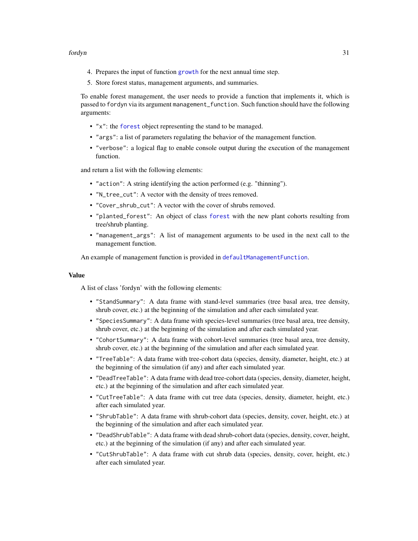- 4. Prepares the input of function [growth](#page-37-1) for the next annual time step.
- 5. Store forest status, management arguments, and summaries.

To enable forest management, the user needs to provide a function that implements it, which is passed to fordyn via its argument management\_function. Such function should have the following arguments:

- "x": the [forest](#page-32-1) object representing the stand to be managed.
- "args": a list of parameters regulating the behavior of the management function.
- "verbose": a logical flag to enable console output during the execution of the management function.

and return a list with the following elements:

- "action": A string identifying the action performed (e.g. "thinning").
- "N\_tree\_cut": A vector with the density of trees removed.
- "Cover\_shrub\_cut": A vector with the cover of shrubs removed.
- "planted\_forest": An object of class [forest](#page-32-1) with the new plant cohorts resulting from tree/shrub planting.
- "management\_args": A list of management arguments to be used in the next call to the management function.

An example of management function is provided in [defaultManagementFunction](#page-13-1).

#### Value

A list of class 'fordyn' with the following elements:

- "StandSummary": A data frame with stand-level summaries (tree basal area, tree density, shrub cover, etc.) at the beginning of the simulation and after each simulated year.
- "SpeciesSummary": A data frame with species-level summaries (tree basal area, tree density, shrub cover, etc.) at the beginning of the simulation and after each simulated year.
- "CohortSummary": A data frame with cohort-level summaries (tree basal area, tree density, shrub cover, etc.) at the beginning of the simulation and after each simulated year.
- "TreeTable": A data frame with tree-cohort data (species, density, diameter, height, etc.) at the beginning of the simulation (if any) and after each simulated year.
- "DeadTreeTable": A data frame with dead tree-cohort data (species, density, diameter, height, etc.) at the beginning of the simulation and after each simulated year.
- "CutTreeTable": A data frame with cut tree data (species, density, diameter, height, etc.) after each simulated year.
- "ShrubTable": A data frame with shrub-cohort data (species, density, cover, height, etc.) at the beginning of the simulation and after each simulated year.
- "DeadShrubTable": A data frame with dead shrub-cohort data (species, density, cover, height, etc.) at the beginning of the simulation (if any) and after each simulated year.
- "CutShrubTable": A data frame with cut shrub data (species, density, cover, height, etc.) after each simulated year.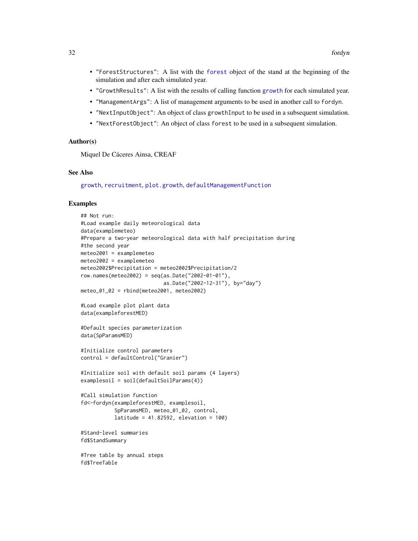- "ForestStructures": A list with the [forest](#page-32-1) object of the stand at the beginning of the simulation and after each simulated year.
- "GrowthResults": A list with the results of calling function [growth](#page-37-1) for each simulated year.
- "ManagementArgs": A list of management arguments to be used in another call to fordyn.
- "NextInputObject": An object of class growthInput to be used in a subsequent simulation.
- "NextForestObject": An object of class forest to be used in a subsequent simulation.

#### Author(s)

Miquel De Cáceres Ainsa, CREAF

#### See Also

[growth](#page-37-1), [recruitment](#page-76-1), [plot.growth](#page-69-1), [defaultManagementFunction](#page-13-1)

#### Examples

```
## Not run:
#Load example daily meteorological data
data(examplemeteo)
#Prepare a two-year meteorological data with half precipitation during
#the second year
meteo2001 = examplemeteo
meteo2002 = examplemeteo
meteo2002$Precipitation = meteo2002$Precipitation/2
row.names(meteo2002) = seq(as.Date("2002-01-01"),
                           as.Date("2002-12-31"), by="day")
meteo_01_02 = rbind(meteo2001, meteo2002)
#Load example plot plant data
data(exampleforestMED)
#Default species parameterization
data(SpParamsMED)
#Initialize control parameters
control = defaultControl("Granier")
#Initialize soil with default soil params (4 layers)
examplesoil = soil(defaultSoilParams(4))
#Call simulation function
fd<-fordyn(exampleforestMED, examplesoil,
           SpParamsMED, meteo_01_02, control,
           latitude = 41.82592, elevation = 100)
#Stand-level summaries
fd$StandSummary
#Tree table by annual steps
fd$TreeTable
```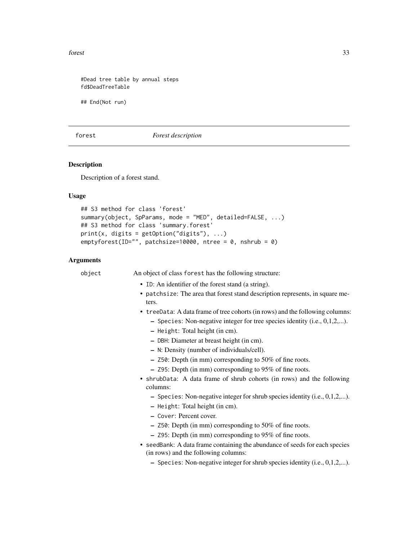<span id="page-32-0"></span>forest 33

#Dead tree table by annual steps fd\$DeadTreeTable

## End(Not run)

<span id="page-32-1"></span>forest *Forest description*

# <span id="page-32-2"></span>Description

Description of a forest stand.

# Usage

```
## S3 method for class 'forest'
summary(object, SpParams, mode = "MED", detailed=FALSE, ...)
## S3 method for class 'summary.forest'
print(x, digits = getOption("digits"), ...)
emptyforest(ID="", patchsize=10000, ntree = 0, nshrub = 0)
```
# Arguments

| object | An object of class forest has the following structure:                                                              |
|--------|---------------------------------------------------------------------------------------------------------------------|
|        | • ID: An identifier of the forest stand (a string).                                                                 |
|        | • patchsize: The area that forest stand description represents, in square me-<br>ters.                              |
|        | • treeData: A data frame of tree cohorts (in rows) and the following columns:                                       |
|        | - Species: Non-negative integer for tree species identity (i.e., $0,1,2,$ ).                                        |
|        | - Height: Total height (in cm).                                                                                     |
|        | - DBH: Diameter at breast height (in cm).                                                                           |
|        | - N: Density (number of individuals/cell).                                                                          |
|        | $-$ Z50: Depth (in mm) corresponding to 50% of fine roots.                                                          |
|        | - Z95: Depth (in mm) corresponding to 95% of fine roots.                                                            |
|        | • shrubData: A data frame of shrub cohorts (in rows) and the following<br>columns:                                  |
|        | - Species: Non-negative integer for shrub species identity (i.e., $0,1,2,$ ).                                       |
|        | - Height: Total height (in cm).                                                                                     |
|        | - Cover: Percent cover.                                                                                             |
|        | $-$ Z50: Depth (in mm) corresponding to 50% of fine roots.                                                          |
|        | - Z95: Depth (in mm) corresponding to 95% of fine roots.                                                            |
|        | • seedBank: A data frame containing the abundance of seeds for each species<br>(in rows) and the following columns: |
|        | - Species: Non-negative integer for shrub species identity (i.e., $0,1,2,$ ).                                       |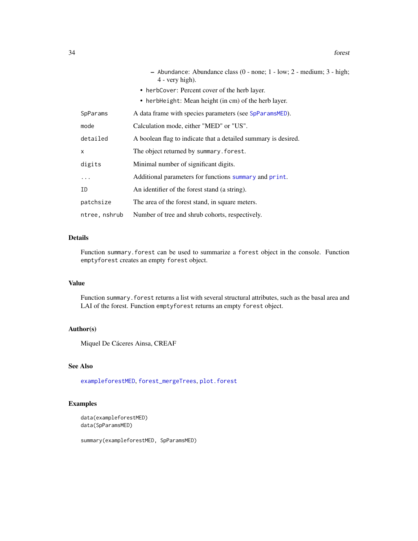|               | - Abundance: Abundance class (0 - none; 1 - low; 2 - medium; 3 - high;<br>$4$ - very high). |
|---------------|---------------------------------------------------------------------------------------------|
|               | • herbCover: Percent cover of the herb layer.                                               |
|               | • herbHeight: Mean height (in cm) of the herb layer.                                        |
| SpParams      | A data frame with species parameters (see SpParamsMED).                                     |
| mode          | Calculation mode, either "MED" or "US".                                                     |
| detailed      | A boolean flag to indicate that a detailed summary is desired.                              |
| X             | The object returned by summary. forest.                                                     |
| digits        | Minimal number of significant digits.                                                       |
| $\cdots$      | Additional parameters for functions summary and print.                                      |
| ΙD            | An identifier of the forest stand (a string).                                               |
| patchsize     | The area of the forest stand, in square meters.                                             |
| ntree, nshrub | Number of tree and shrub cohorts, respectively.                                             |

# Details

Function summary.forest can be used to summarize a forest object in the console. Function emptyforest creates an empty forest object.

# Value

Function summary. forest returns a list with several structural attributes, such as the basal area and LAI of the forest. Function emptyforest returns an empty forest object.

# Author(s)

Miquel De Cáceres Ainsa, CREAF

# See Also

[exampleforestMED](#page-21-1), [forest\\_mergeTrees](#page-34-2), [plot.forest](#page-68-1)

# Examples

```
data(exampleforestMED)
data(SpParamsMED)
```
summary(exampleforestMED, SpParamsMED)

34 forest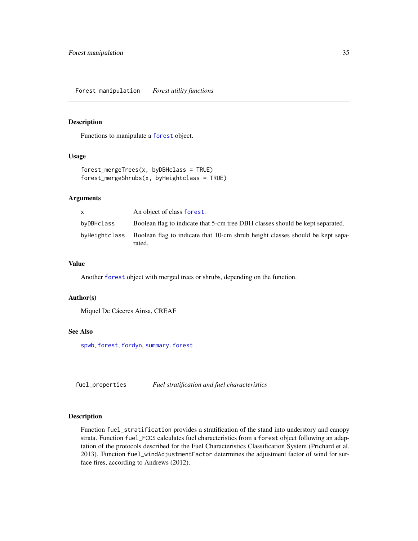#### <span id="page-34-2"></span><span id="page-34-0"></span>Description

Functions to manipulate a [forest](#page-32-1) object.

# Usage

```
forest_mergeTrees(x, byDBHclass = TRUE)
forest_mergeShrubs(x, byHeightclass = TRUE)
```
#### Arguments

| X             | An object of class forest.                                                              |
|---------------|-----------------------------------------------------------------------------------------|
| byDBHclass    | Boolean flag to indicate that 5-cm tree DBH classes should be kept separated.           |
| byHeightclass | Boolean flag to indicate that 10-cm shrub height classes should be kept sepa-<br>rated. |

# Value

Another [forest](#page-32-1) object with merged trees or shrubs, depending on the function.

#### Author(s)

Miquel De Cáceres Ainsa, CREAF

#### See Also

[spwb](#page-100-1), [forest](#page-32-1), [fordyn](#page-29-1), [summary.forest](#page-32-2)

fuel\_properties *Fuel stratification and fuel characteristics*

# <span id="page-34-1"></span>Description

Function fuel\_stratification provides a stratification of the stand into understory and canopy strata. Function fuel\_FCCS calculates fuel characteristics from a forest object following an adaptation of the protocols described for the Fuel Characteristics Classification System (Prichard et al. 2013). Function fuel\_windAdjustmentFactor determines the adjustment factor of wind for surface fires, according to Andrews (2012).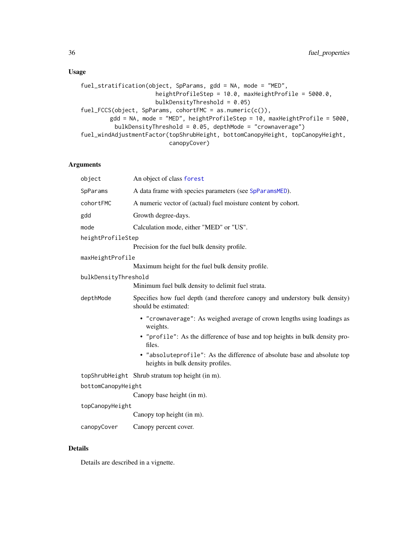# Usage

```
fuel_stratification(object, SpParams, gdd = NA, mode = "MED",
                     heightProfileStep = 10.0, maxHeightProfile = 5000.0,
                     bulkDensityThreshold = 0.05)
fuel_FCCS(object, SpParams, cohortFMC = as.numeric(c()),
        gdd = NA, mode = "MED", heightProfileStep = 10, maxHeightProfile = 5000,
         bulkDensityThreshold = 0.05, depthMode = "crownaverage")
fuel_windAdjustmentFactor(topShrubHeight, bottomCanopyHeight, topCanopyHeight,
                          canopyCover)
```
# Arguments

| object               | An object of class forest                                                                                     |
|----------------------|---------------------------------------------------------------------------------------------------------------|
| SpParams             | A data frame with species parameters (see SpParamsMED).                                                       |
| cohortFMC            | A numeric vector of (actual) fuel moisture content by cohort.                                                 |
| gdd                  | Growth degree-days.                                                                                           |
| mode                 | Calculation mode, either "MED" or "US".                                                                       |
| heightProfileStep    |                                                                                                               |
|                      | Precision for the fuel bulk density profile.                                                                  |
| maxHeightProfile     |                                                                                                               |
|                      | Maximum height for the fuel bulk density profile.                                                             |
| bulkDensityThreshold |                                                                                                               |
|                      | Minimum fuel bulk density to delimit fuel strata.                                                             |
| depthMode            | Specifies how fuel depth (and therefore canopy and understory bulk density)<br>should be estimated:           |
|                      | • "crownaverage": As weighed average of crown lengths using loadings as<br>weights.                           |
|                      | • "profile": As the difference of base and top heights in bulk density pro-<br>files.                         |
|                      | • "absoluteprofile": As the difference of absolute base and absolute top<br>heights in bulk density profiles. |
|                      | topShrubHeight Shrub stratum top height (in m).                                                               |
| bottomCanopyHeight   |                                                                                                               |
|                      | Canopy base height (in m).                                                                                    |
| topCanopyHeight      |                                                                                                               |
|                      | Canopy top height (in m).                                                                                     |
| canopyCover          | Canopy percent cover.                                                                                         |
|                      |                                                                                                               |

# Details

Details are described in a vignette.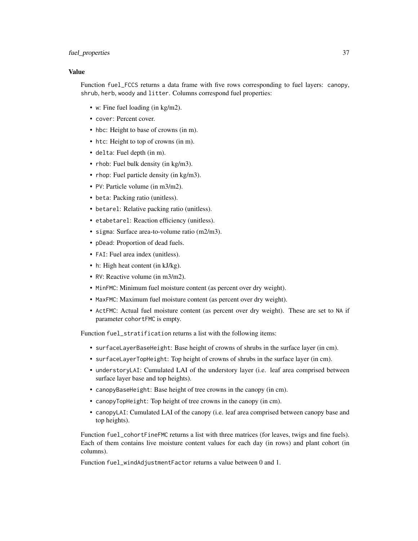## fuel\_properties 37

# Value

Function fuel\_FCCS returns a data frame with five rows corresponding to fuel layers: canopy, shrub, herb, woody and litter. Columns correspond fuel properties:

- w: Fine fuel loading (in kg/m2).
- cover: Percent cover.
- hbc: Height to base of crowns (in m).
- htc: Height to top of crowns (in m).
- delta: Fuel depth (in m).
- rhob: Fuel bulk density (in kg/m3).
- rhop: Fuel particle density (in kg/m3).
- PV: Particle volume (in m3/m2).
- beta: Packing ratio (unitless).
- betarel: Relative packing ratio (unitless).
- etabetarel: Reaction efficiency (unitless).
- sigma: Surface area-to-volume ratio (m2/m3).
- pDead: Proportion of dead fuels.
- FAI: Fuel area index (unitless).
- h: High heat content (in kJ/kg).
- RV: Reactive volume (in m3/m2).
- MinFMC: Minimum fuel moisture content (as percent over dry weight).
- MaxFMC: Maximum fuel moisture content (as percent over dry weight).
- ActFMC: Actual fuel moisture content (as percent over dry weight). These are set to NA if parameter cohortFMC is empty.

Function fuel\_stratification returns a list with the following items:

- surfaceLayerBaseHeight: Base height of crowns of shrubs in the surface layer (in cm).
- surfaceLayerTopHeight: Top height of crowns of shrubs in the surface layer (in cm).
- understoryLAI: Cumulated LAI of the understory layer (i.e. leaf area comprised between surface layer base and top heights).
- canopyBaseHeight: Base height of tree crowns in the canopy (in cm).
- canopyTopHeight: Top height of tree crowns in the canopy (in cm).
- canopyLAI: Cumulated LAI of the canopy (i.e. leaf area comprised between canopy base and top heights).

Function fuel\_cohortFineFMC returns a list with three matrices (for leaves, twigs and fine fuels). Each of them contains live moisture content values for each day (in rows) and plant cohort (in columns).

Function fuel\_windAdjustmentFactor returns a value between 0 and 1.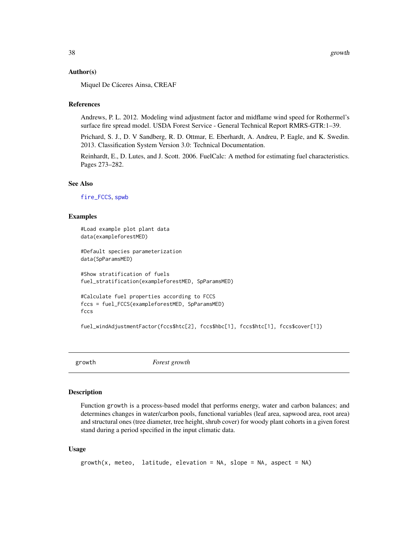#### Author(s)

Miquel De Cáceres Ainsa, CREAF

### References

Andrews, P. L. 2012. Modeling wind adjustment factor and midflame wind speed for Rothermel's surface fire spread model. USDA Forest Service - General Technical Report RMRS-GTR:1–39.

Prichard, S. J., D. V Sandberg, R. D. Ottmar, E. Eberhardt, A. Andreu, P. Eagle, and K. Swedin. 2013. Classification System Version 3.0: Technical Documentation.

Reinhardt, E., D. Lutes, and J. Scott. 2006. FuelCalc: A method for estimating fuel characteristics. Pages 273–282.

#### See Also

[fire\\_FCCS](#page-25-0), [spwb](#page-100-0)

## Examples

```
#Load example plot plant data
data(exampleforestMED)
#Default species parameterization
data(SpParamsMED)
#Show stratification of fuels
fuel_stratification(exampleforestMED, SpParamsMED)
#Calculate fuel properties according to FCCS
fccs = fuel_FCCS(exampleforestMED, SpParamsMED)
```

```
fccs
```

```
fuel_windAdjustmentFactor(fccs$htc[2], fccs$hbc[1], fccs$htc[1], fccs$cover[1])
```
<span id="page-37-0"></span>

growth *Forest growth*

#### **Description**

Function growth is a process-based model that performs energy, water and carbon balances; and determines changes in water/carbon pools, functional variables (leaf area, sapwood area, root area) and structural ones (tree diameter, tree height, shrub cover) for woody plant cohorts in a given forest stand during a period specified in the input climatic data.

#### Usage

```
growth(x, meteo, latitude, elevation = NA, slope = NA, aspect = NA)
```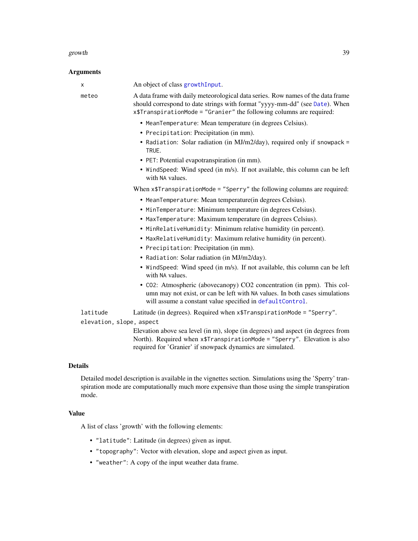#### growth 39

# **Arguments**

| а динениз                |                                                                                                                                                                                                                                        |
|--------------------------|----------------------------------------------------------------------------------------------------------------------------------------------------------------------------------------------------------------------------------------|
| X                        | An object of class growth Input.                                                                                                                                                                                                       |
| meteo                    | A data frame with daily meteorological data series. Row names of the data frame<br>should correspond to date strings with format "yyyy-mm-dd" (see Date). When<br>x\$TranspirationMode = "Granier" the following columns are required: |
|                          | • MeanTemperature: Mean temperature (in degrees Celsius).                                                                                                                                                                              |
|                          | • Precipitation: Precipitation (in mm).                                                                                                                                                                                                |
|                          | • Radiation: Solar radiation (in MJ/m2/day), required only if snowpack =<br>TRUE.                                                                                                                                                      |
|                          | • PET: Potential evapotranspiration (in mm).                                                                                                                                                                                           |
|                          | • WindSpeed: Wind speed (in m/s). If not available, this column can be left<br>with NA values.                                                                                                                                         |
|                          | When x\$TranspirationMode = "Sperry" the following columns are required:                                                                                                                                                               |
|                          | • MeanTemperature: Mean temperature(in degrees Celsius).                                                                                                                                                                               |
|                          | • MinTemperature: Minimum temperature (in degrees Celsius).                                                                                                                                                                            |
|                          | • MaxTemperature: Maximum temperature (in degrees Celsius).                                                                                                                                                                            |
|                          | • MinRelativeHumidity: Minimum relative humidity (in percent).                                                                                                                                                                         |
|                          | • MaxRelativeHumidity: Maximum relative humidity (in percent).                                                                                                                                                                         |
|                          | • Precipitation: Precipitation (in mm).                                                                                                                                                                                                |
|                          | • Radiation: Solar radiation (in MJ/m2/day).                                                                                                                                                                                           |
|                          | • WindSpeed: Wind speed (in m/s). If not available, this column can be left<br>with NA values.                                                                                                                                         |
|                          | • CO2: Atmospheric (abovecanopy) CO2 concentration (in ppm). This col-<br>umn may not exist, or can be left with NA values. In both cases simulations<br>will assume a constant value specified in defaultControl.                     |
| latitude                 | Latitude (in degrees). Required when x\$TranspirationMode = "Sperry".                                                                                                                                                                  |
| elevation, slope, aspect |                                                                                                                                                                                                                                        |
|                          | Elevation above sea level (in m), slope (in degrees) and aspect (in degrees from<br>North). Required when x\$TranspirationMode = "Sperry". Elevation is also<br>required for 'Granier' if snowpack dynamics are simulated.             |
|                          |                                                                                                                                                                                                                                        |

# Details

Detailed model description is available in the vignettes section. Simulations using the 'Sperry' transpiration mode are computationally much more expensive than those using the simple transpiration mode.

# Value

A list of class 'growth' with the following elements:

- "latitude": Latitude (in degrees) given as input.
- "topography": Vector with elevation, slope and aspect given as input.
- "weather": A copy of the input weather data frame.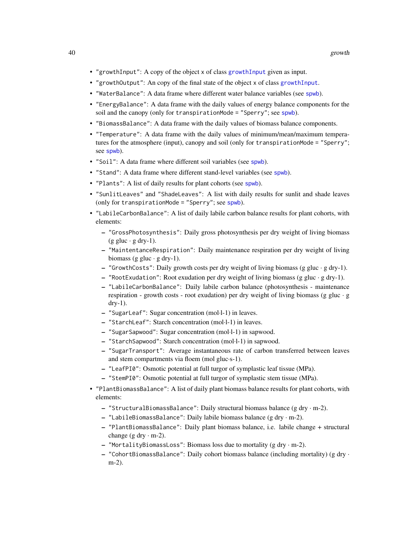- "growthInput": A copy of the object x of class [growthInput](#page-48-0) given as input.
- "growthOutput": An copy of the final state of the object x of class [growthInput](#page-48-0).
- "WaterBalance": A data frame where different water balance variables (see [spwb](#page-100-0)).
- "EnergyBalance": A data frame with the daily values of energy balance components for the soil and the canopy (only for transpirationMode = "Sperry"; see [spwb](#page-100-0)).
- "BiomassBalance": A data frame with the daily values of biomass balance components.
- "Temperature": A data frame with the daily values of minimum/mean/maximum temperatures for the atmosphere (input), canopy and soil (only for transpirationMode = "Sperry"; see [spwb](#page-100-0)).
- "Soil": A data frame where different soil variables (see [spwb](#page-100-0)).
- "Stand": A data frame where different stand-level variables (see [spwb](#page-100-0)).
- "Plants": A list of daily results for plant cohorts (see [spwb](#page-100-0)).
- "SunlitLeaves" and "ShadeLeaves": A list with daily results for sunlit and shade leaves (only for transpirationMode = "Sperry"; see [spwb](#page-100-0)).
- "LabileCarbonBalance": A list of daily labile carbon balance results for plant cohorts, with elements:
	- "GrossPhotosynthesis": Daily gross photosynthesis per dry weight of living biomass  $(g$  gluc  $\cdot$  g dry-1).
	- "MaintentanceRespiration": Daily maintenance respiration per dry weight of living biomass (g gluc  $\cdot$  g dry-1).
	- "GrowthCosts": Daily growth costs per dry weight of living biomass (g gluc · g dry-1).
	- $-$  "RootExudation": Root exudation per dry weight of living biomass (g gluc  $\cdot$  g dry-1).
	- "LabileCarbonBalance": Daily labile carbon balance (photosynthesis maintenance respiration - growth costs - root exudation) per dry weight of living biomass (g gluc  $\cdot$  g dry-1).
	- "SugarLeaf": Sugar concentration (mol·l-1) in leaves.
	- "StarchLeaf": Starch concentration (mol·l-1) in leaves.
	- "SugarSapwood": Sugar concentration (mol·l-1) in sapwood.
	- "StarchSapwood": Starch concentration (mol·l-1) in sapwood.
	- "SugarTransport": Average instantaneous rate of carbon transferred between leaves and stem compartments via floem (mol gluc·s-1).
	- "LeafPI0": Osmotic potential at full turgor of symplastic leaf tissue (MPa).
	- "StemPI0": Osmotic potential at full turgor of symplastic stem tissue (MPa).
- "PlantBiomassBalance": A list of daily plant biomass balance results for plant cohorts, with elements:
	- "StructuralBiomassBalance": Daily structural biomass balance (g dry · m-2).
	- "LabileBiomassBalance": Daily labile biomass balance (g dry · m-2).
	- "PlantBiomassBalance": Daily plant biomass balance, i.e. labile change + structural change (g dry  $\cdot$  m-2).
	- "MortalityBiomassLoss": Biomass loss due to mortality (g dry · m-2).
	- "CohortBiomassBalance": Daily cohort biomass balance (including mortality) (g dry · m-2).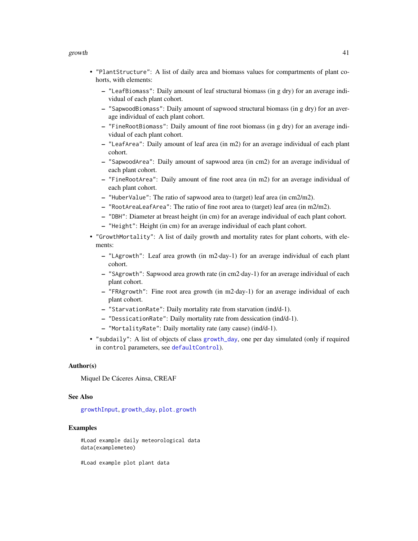#### growth the state of the state of the state of the state of the state of the state of the state of the state of the state of the state of the state of the state of the state of the state of the state of the state of the sta

- "PlantStructure": A list of daily area and biomass values for compartments of plant cohorts, with elements:
	- "LeafBiomass": Daily amount of leaf structural biomass (in g dry) for an average individual of each plant cohort.
	- "SapwoodBiomass": Daily amount of sapwood structural biomass (in g dry) for an average individual of each plant cohort.
	- "FineRootBiomass": Daily amount of fine root biomass (in g dry) for an average individual of each plant cohort.
	- "LeafArea": Daily amount of leaf area (in m2) for an average individual of each plant cohort.
	- "SapwoodArea": Daily amount of sapwood area (in cm2) for an average individual of each plant cohort.
	- "FineRootArea": Daily amount of fine root area (in m2) for an average individual of each plant cohort.
	- "HuberValue": The ratio of sapwood area to (target) leaf area (in cm2/m2).
	- "RootAreaLeafArea": The ratio of fine root area to (target) leaf area (in m2/m2).
	- "DBH": Diameter at breast height (in cm) for an average individual of each plant cohort.
	- "Height": Height (in cm) for an average individual of each plant cohort.
- "GrowthMortality": A list of daily growth and mortality rates for plant cohorts, with elements:
	- "LAgrowth": Leaf area growth (in m2·day-1) for an average individual of each plant cohort.
	- "SAgrowth": Sapwood area growth rate (in cm2·day-1) for an average individual of each plant cohort.
	- "FRAgrowth": Fine root area growth (in m2·day-1) for an average individual of each plant cohort.
	- "StarvationRate": Daily mortality rate from starvation (ind/d-1).
	- "DessicationRate": Daily mortality rate from dessication (ind/d-1).
	- "MortalityRate": Daily mortality rate (any cause) (ind/d-1).
- "subdaily": A list of objects of class [growth\\_day](#page-106-0), one per day simulated (only if required in control parameters, see [defaultControl](#page-8-0)).

## Author(s)

Miquel De Cáceres Ainsa, CREAF

# See Also

[growthInput](#page-48-0), [growth\\_day](#page-106-0), [plot.growth](#page-69-0)

## Examples

#Load example daily meteorological data data(examplemeteo)

#Load example plot plant data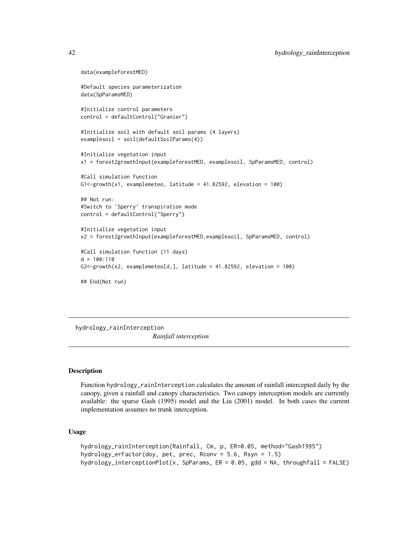```
data(exampleforestMED)
#Default species parameterization
data(SpParamsMED)
#Initialize control parameters
control = defaultControl("Granier")
#Initialize soil with default soil params (4 layers)
examplesoil = soil(defaultSoilParams(4))
#Initialize vegetation input
x1 = forest2growthInput(exampleforestMED, examplesoil, SpParamsMED, control)
#Call simulation function
G1<-growth(x1, examplemeteo, latitude = 41.82592, elevation = 100)
## Not run:
#Switch to 'Sperry' transpiration mode
control = defaultControl("Sperry")
#Initialize vegetation input
x2 = forest2growthInput(exampleforestMED,examplesoil, SpParamsMED, control)
#Call simulation function (11 days)
d = 100:110G2 <- growth(x2, examplemeteo[d,], latitude = 41.82592, elevation = 100)
## End(Not run)
```
<span id="page-41-0"></span>hydrology\_rainInterception *Rainfall interception*

### Description

Function hydrology\_rainInterception calculates the amount of rainfall intercepted daily by the canopy, given a rainfall and canopy characteristics. Two canopy interception models are currently available: the sparse Gash (1995) model and the Liu (2001) model. In both cases the current implementation assumes no trunk interception.

# Usage

```
hydrology_rainInterception(Rainfall, Cm, p, ER=0.05, method="Gash1995")
hydrology_erFactor(doy, pet, prec, Rconv = 5.6, Rsyn = 1.5)
hydrology_interceptionPlot(x, SpParams, ER = 0.05, gdd = NA, throughfall = FALSE)
```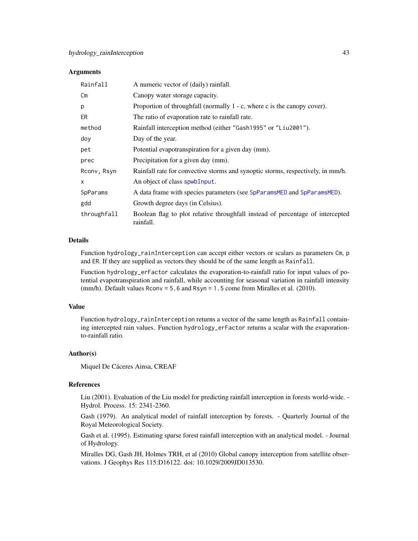## Arguments

| Rainfall      | A numeric vector of (daily) rainfall.                                                       |
|---------------|---------------------------------------------------------------------------------------------|
| $\mathsf{Cm}$ | Canopy water storage capacity.                                                              |
| p             | Proportion of throughfall (normally $1 - c$ , where c is the canopy cover).                 |
| ER.           | The ratio of evaporation rate to rainfall rate.                                             |
| method        | Rainfall interception method (either "Gash1995" or "Liu2001").                              |
| doy           | Day of the year.                                                                            |
| pet           | Potential evapotranspiration for a given day (mm).                                          |
| prec          | Precipitation for a given day (mm).                                                         |
| Rconv, Rsyn   | Rainfall rate for convective storms and synoptic storms, respectively, in mm/h.             |
| x             | An object of class spwbInput.                                                               |
| SpParams      | A data frame with species parameters (see SpParamsMED and SpParamsMED).                     |
| gdd           | Growth degree days (in Celsius).                                                            |
| throughfall   | Boolean flag to plot relative throughfall instead of percentage of intercepted<br>rainfall. |

# Details

Function hydrology\_rainInterception can accept either vectors or scalars as parameters Cm, p and ER. If they are supplied as vectors they should be of the same length as Rainfall.

Function hydrology\_erFactor calculates the evaporation-to-rainfall ratio for input values of potential evapotranspiration and rainfall, while accounting for seasonal variation in rainfall intensity (mm/h). Default values Rconv = 5.6 and Rsyn = 1.5 come from Miralles et al. (2010).

## Value

Function hydrology\_rainInterception returns a vector of the same length as Rainfall containing intercepted rain values. Function hydrology\_erFactor returns a scalar with the evaporationto-rainfall ratio.

### Author(s)

Miquel De Cáceres Ainsa, CREAF

#### References

Liu (2001). Evaluation of the Liu model for predicting rainfall interception in forests world-wide. - Hydrol. Process. 15: 2341-2360.

Gash (1979). An analytical model of rainfall interception by forests. - Quarterly Journal of the Royal Meteorological Society.

Gash et al. (1995). Estimating sparse forest rainfall interception with an analytical model. - Journal of Hydrology.

Miralles DG, Gash JH, Holmes TRH, et al (2010) Global canopy interception from satellite observations. J Geophys Res 115:D16122. doi: 10.1029/2009JD013530.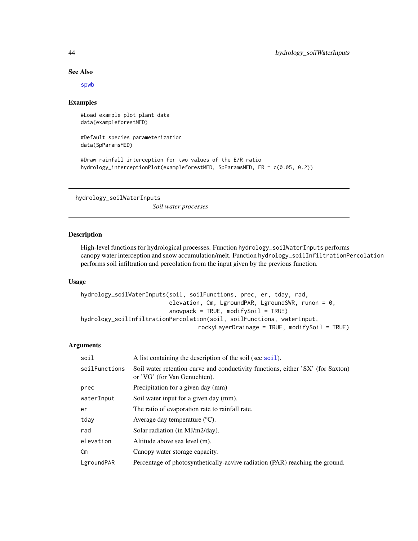## See Also

[spwb](#page-100-0)

## Examples

#Load example plot plant data data(exampleforestMED)

#Default species parameterization data(SpParamsMED)

#Draw rainfall interception for two values of the E/R ratio hydrology\_interceptionPlot(exampleforestMED, SpParamsMED, ER = c(0.05, 0.2))

hydrology\_soilWaterInputs

*Soil water processes*

#### Description

High-level functions for hydrological processes. Function hydrology\_soilWaterInputs performs canopy water interception and snow accumulation/melt. Function hydrology\_soilInfiltrationPercolation performs soil infiltration and percolation from the input given by the previous function.

# Usage

```
hydrology_soilWaterInputs(soil, soilFunctions, prec, er, tday, rad,
                          elevation, Cm, LgroundPAR, LgroundSWR, runon = 0,
                          snowpack = TRUE, modifySoil = TRUE)
hydrology_soilInfiltrationPercolation(soil, soilFunctions, waterInput,
                                  rockyLayerDrainage = TRUE, modifySoil = TRUE)
```
# Arguments

| soil          | A list containing the description of the soil (see soil).                                                       |
|---------------|-----------------------------------------------------------------------------------------------------------------|
| soilFunctions | Soil water retention curve and conductivity functions, either 'SX' (for Saxton)<br>or 'VG' (for Van Genuchten). |
| prec          | Precipitation for a given day (mm)                                                                              |
| waterInput    | Soil water input for a given day (mm).                                                                          |
| er            | The ratio of evaporation rate to rainfall rate.                                                                 |
| tday          | Average day temperature $(C)$ .                                                                                 |
| rad           | Solar radiation (in MJ/m2/day).                                                                                 |
| elevation     | Altitude above sea level (m).                                                                                   |
| $\mathsf{Cm}$ | Canopy water storage capacity.                                                                                  |
| LgroundPAR    | Percentage of photosynthetically-acvive radiation (PAR) reaching the ground.                                    |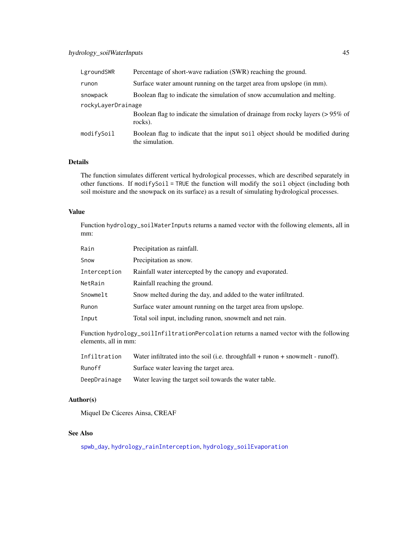| LgroundSWR         | Percentage of short-wave radiation (SWR) reaching the ground.                                    |  |
|--------------------|--------------------------------------------------------------------------------------------------|--|
| runon              | Surface water amount running on the target area from upslope (in mm).                            |  |
| snowpack           | Boolean flag to indicate the simulation of snow accumulation and melting.                        |  |
| rockyLayerDrainage |                                                                                                  |  |
|                    | Boolean flag to indicate the simulation of drainage from rocky layers (>95% of<br>rocks).        |  |
| modifySoil         | Boolean flag to indicate that the input soil object should be modified during<br>the simulation. |  |

# Details

The function simulates different vertical hydrological processes, which are described separately in other functions. If modifySoil = TRUE the function will modify the soil object (including both soil moisture and the snowpack on its surface) as a result of simulating hydrological processes.

## Value

Function hydrology\_soilWaterInputs returns a named vector with the following elements, all in mm:

| Rain         | Precipitation as rainfall.                                      |
|--------------|-----------------------------------------------------------------|
| Snow         | Precipitation as snow.                                          |
| Interception | Rainfall water intercepted by the canopy and evaporated.        |
| NetRain      | Rainfall reaching the ground.                                   |
| Snowmelt     | Snow melted during the day, and added to the water infiltrated. |
| Runon        | Surface water amount running on the target area from upslope.   |
| Input        | Total soil input, including runon, snowmelt and net rain.       |

Function hydrology\_soilInfiltrationPercolation returns a named vector with the following elements, all in mm:

| Infiltration | Water infiltrated into the soil (i.e. throughfall $+$ runon $+$ snowmelt - runoff). |
|--------------|-------------------------------------------------------------------------------------|
| Runoff       | Surface water leaving the target area.                                              |
| DeepDrainage | Water leaving the target soil towards the water table.                              |

#### Author(s)

Miquel De Cáceres Ainsa, CREAF

# See Also

[spwb\\_day](#page-106-1), [hydrology\\_rainInterception](#page-41-0), [hydrology\\_soilEvaporation](#page-89-0)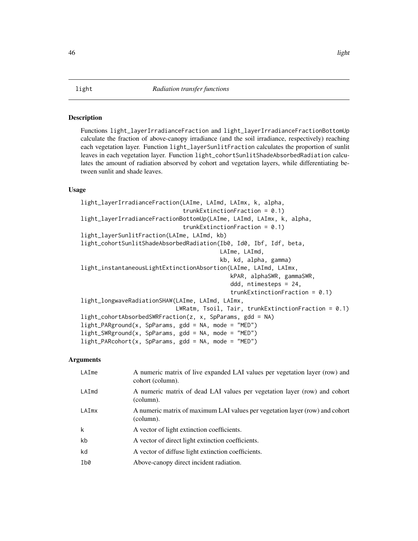## Description

Functions light\_layerIrradianceFraction and light\_layerIrradianceFractionBottomUp calculate the fraction of above-canopy irradiance (and the soil irradiance, respectively) reaching each vegetation layer. Function light\_layerSunlitFraction calculates the proportion of sunlit leaves in each vegetation layer. Function light\_cohortSunlitShadeAbsorbedRadiation calculates the amount of radiation absorved by cohort and vegetation layers, while differentiating between sunlit and shade leaves.

# Usage

```
light_layerIrradianceFraction(LAIme, LAImd, LAImx, k, alpha,
                              trunkExtinctionFraction = 0.1)
light_layerIrradianceFractionBottomUp(LAIme, LAImd, LAImx, k, alpha,
                              trunkExtinctionFraction = 0.1)
light_layerSunlitFraction(LAIme, LAImd, kb)
light_cohortSunlitShadeAbsorbedRadiation(Ib0, Id0, Ibf, Idf, beta,
                                         LAIme, LAImd,
                                         kb, kd, alpha, gamma)
light_instantaneousLightExtinctionAbsortion(LAIme, LAImd, LAImx,
                                            kPAR, alphaSWR, gammaSWR,
                                            ddd, ntimesteps = 24,
                                            trunkExtinctionFraction = 0.1)
light_longwaveRadiationSHAW(LAIme, LAImd, LAImx,
                            LWRatm, Tsoil, Tair, trunkExtinctionFraction = 0.1)
light_cohortAbsorbedSWRFraction(z, x, SpParams, gdd = NA)
light\_PARGround(x, SpParams, gdd = NA, mode = "MED")light\_SWRground(x, SpParams, gdd = NA, mode = "MED")light\_PARCohort(x, SpParams, gdd = NA, mode = "MED")
```
#### Arguments

| LAIme | A numeric matrix of live expanded LAI values per vegetation layer (row) and<br>cohort (column). |
|-------|-------------------------------------------------------------------------------------------------|
| LAImd | A numeric matrix of dead LAI values per vegetation layer (row) and cohort<br>(column).          |
| LAImx | A numeric matrix of maximum LAI values per vegetation layer (row) and cohort<br>(column).       |
| k     | A vector of light extinction coefficients.                                                      |
| kb    | A vector of direct light extinction coefficients.                                               |
| kd    | A vector of diffuse light extinction coefficients.                                              |
| Ib0   | Above-canopy direct incident radiation.                                                         |
|       |                                                                                                 |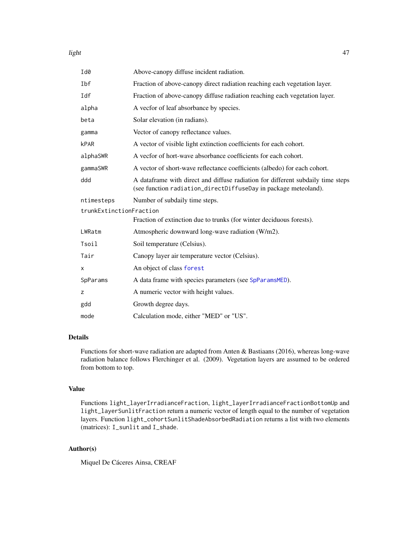## light to the contract of the contract of the contract of the contract of the contract of the contract of the contract of the contract of the contract of the contract of the contract of the contract of the contract of the c

| Id0                     | Above-canopy diffuse incident radiation.                                                                                                           |
|-------------------------|----------------------------------------------------------------------------------------------------------------------------------------------------|
| <b>Ibf</b>              | Fraction of above-canopy direct radiation reaching each vegetation layer.                                                                          |
| Idf                     | Fraction of above-canopy diffuse radiation reaching each vegetation layer.                                                                         |
| alpha                   | A vecfor of leaf absorbance by species.                                                                                                            |
| beta                    | Solar elevation (in radians).                                                                                                                      |
| gamma                   | Vector of canopy reflectance values.                                                                                                               |
| <b>kPAR</b>             | A vector of visible light extinction coefficients for each cohort.                                                                                 |
| alphaSWR                | A vector of hort-wave absorbance coefficients for each cohort.                                                                                     |
| gammaSWR                | A vector of short-wave reflectance coefficients (albedo) for each cohort.                                                                          |
| ddd                     | A dataframe with direct and diffuse radiation for different subdaily time steps<br>(see function radiation_directDiffuseDay in package meteoland). |
| ntimesteps              | Number of subdaily time steps.                                                                                                                     |
| trunkExtinctionFraction |                                                                                                                                                    |
|                         | Fraction of extinction due to trunks (for winter deciduous forests).                                                                               |
| LWRatm                  | Atmospheric downward long-wave radiation (W/m2).                                                                                                   |
| Tsoil                   | Soil temperature (Celsius).                                                                                                                        |
| Tair                    | Canopy layer air temperature vector (Celsius).                                                                                                     |
| X                       | An object of class forest                                                                                                                          |
| SpParams                | A data frame with species parameters (see SpParamsMED).                                                                                            |
| z                       | A numeric vector with height values.                                                                                                               |
| gdd                     | Growth degree days.                                                                                                                                |
| mode                    | Calculation mode, either "MED" or "US".                                                                                                            |
|                         |                                                                                                                                                    |

# Details

Functions for short-wave radiation are adapted from Anten & Bastiaans (2016), whereas long-wave radiation balance follows Flerchinger et al. (2009). Vegetation layers are assumed to be ordered from bottom to top.

# Value

Functions light\_layerIrradianceFraction, light\_layerIrradianceFractionBottomUp and light\_layerSunlitFraction return a numeric vector of length equal to the number of vegetation layers. Function light\_cohortSunlitShadeAbsorbedRadiation returns a list with two elements (matrices): I\_sunlit and I\_shade.

# Author(s)

Miquel De Cáceres Ainsa, CREAF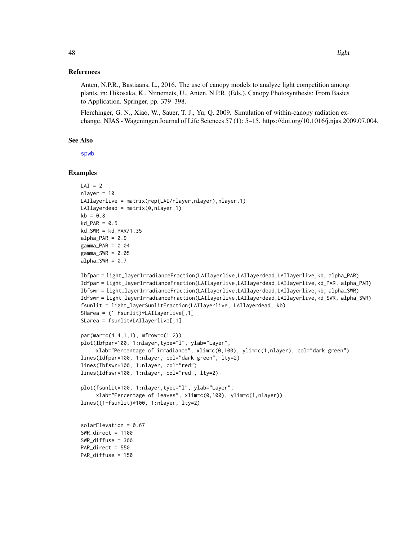## References

Anten, N.P.R., Bastiaans, L., 2016. The use of canopy models to analyze light competition among plants, in: Hikosaka, K., Niinemets, U., Anten, N.P.R. (Eds.), Canopy Photosynthesis: From Basics to Application. Springer, pp. 379–398.

Flerchinger, G. N., Xiao, W., Sauer, T. J., Yu, Q. 2009. Simulation of within-canopy radiation exchange. NJAS - Wageningen Journal of Life Sciences 57 (1): 5–15. https://doi.org/10.1016/j.njas.2009.07.004.

#### See Also

[spwb](#page-100-0)

# Examples

```
LAI = 2nlayer = 10
LAIlayerlive = matrix(rep(LAI/nlayer,nlayer),nlayer,1)
LAIlayerdead = matrix(0, nlayer, 1)kb = 0.8kd PAR = 0.5kd_SWR = kd_PAR/1.35
alpha_PAR = 0.9gamma_PAR = 0.04gamma_SWR = 0.05alpha_SWR = 0.7Ibfpar = light_layerIrradianceFraction(LAIlayerlive,LAIlayerdead,LAIlayerlive,kb, alpha_PAR)
Idfpar = light_layerIrradianceFraction(LAIlayerlive,LAIlayerdead,LAIlayerlive,kd_PAR, alpha_PAR)
Ibfswr = light_layerIrradianceFraction(LAIlayerlive,LAIlayerdead,LAIlayerlive,kb, alpha_SWR)
```

```
Idfswr = light_layerIrradianceFraction(LAIlayerlive,LAIlayerdead,LAIlayerlive,kd_SWR, alpha_SWR)
fsunlit = light_layerSunlitFraction(LAIlayerlive, LAIlayerdead, kb)
```

```
SHarea = (1-fsunlit)*LAIlayerlive[,1]
SLarea = fsunlit*LAIlayerlive[,1]
```

```
par(mar=c(4,4,1,1), mfrow=c(1,2))
plot(Ibfpar*100, 1:nlayer,type="l", ylab="Layer",
    xlab="Percentage of irradiance", xlim=c(0,100), ylim=c(1,nlayer), col="dark green")
lines(Idfpar*100, 1:nlayer, col="dark green", lty=2)
lines(Ibfswr*100, 1:nlayer, col="red")
lines(Idfswr*100, 1:nlayer, col="red", lty=2)
```

```
plot(fsunlit*100, 1:nlayer,type="l", ylab="Layer",
     xlab="Percentage of leaves", xlim=c(0,100), ylim=c(1,nlayer))
lines((1-fsunlit)*100, 1:nlayer, lty=2)
```
solarElevation = 0.67 SWR\_direct = 1100 SWR\_diffuse = 300 PAR direct =  $550$ PAR\_diffuse = 150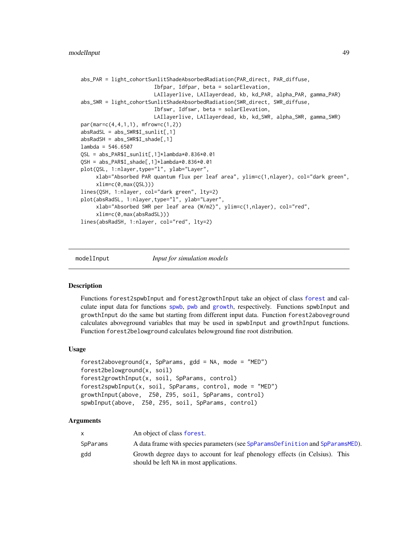```
abs_PAR = light_cohortSunlitShadeAbsorbedRadiation(PAR_direct, PAR_diffuse,
                        Ibfpar, Idfpar, beta = solarElevation,
                        LAIlayerlive, LAIlayerdead, kb, kd_PAR, alpha_PAR, gamma_PAR)
abs_SWR = light_cohortSunlitShadeAbsorbedRadiation(SWR_direct, SWR_diffuse,
                        Ibfswr, Idfswr, beta = solarElevation,
                        LAIlayerlive, LAIlayerdead, kb, kd_SWR, alpha_SWR, gamma_SWR)
par(mar=c(4,4,1,1), mfrow=c(1,2))
absRadSL = abs_SWR$I_sunlit[,1]
absRadSH = abs_SWR$I_shade[,1]
lambda = 546.6507QSL = abs_PAR$I_sunlit[,1]*lambda*0.836*0.01
QSH = abs_PAR$I_shade[,1]*lambda*0.836*0.01
plot(QSL, 1:nlayer,type="l", ylab="Layer",
     xlab="Absorbed PAR quantum flux per leaf area", ylim=c(1,nlayer), col="dark green",
     xlim=c(0,max(QSL)))
lines(QSH, 1:nlayer, col="dark green", lty=2)
plot(absRadSL, 1:nlayer,type="l", ylab="Layer",
     xlab="Absorbed SWR per leaf area (W/m2)", ylim=c(1,nlayer), col="red",
     xlim=c(0,max(absRadSL)))
lines(absRadSH, 1:nlayer, col="red", lty=2)
```

```
modelInput Input for simulation models
```
# <span id="page-48-0"></span>Description

Functions forest2spwbInput and forest2growthInput take an object of class [forest](#page-32-0) and calculate input data for functions [spwb](#page-100-0), [pwb](#page-100-1) and [growth](#page-37-0), respectively. Functions spwbInput and growthInput do the same but starting from different input data. Function forest2aboveground calculates aboveground variables that may be used in spwbInput and growthInput functions. Function forest2belowground calculates belowground fine root distribution.

## Usage

```
forest2aboveground(x, SpParams, gdd = NA, mode = "MED")
forest2belowground(x, soil)
forest2growthInput(x, soil, SpParams, control)
forest2spwbInput(x, soil, SpParams, control, mode = "MED")
growthInput(above, Z50, Z95, soil, SpParams, control)
spwbInput(above, Z50, Z95, soil, SpParams, control)
```
# Arguments

|          | An object of class forest.                                                                                             |
|----------|------------------------------------------------------------------------------------------------------------------------|
| SpParams | A data frame with species parameters (see SpParamsDefinition and SpParamsMED).                                         |
| gdd      | Growth degree days to account for leaf phenology effects (in Celsius). This<br>should be left NA in most applications. |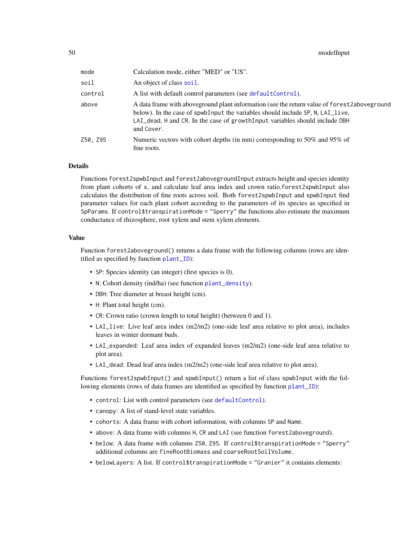| mode     | Calculation mode, either "MED" or "US".                                                                                                                                                                                                                                         |
|----------|---------------------------------------------------------------------------------------------------------------------------------------------------------------------------------------------------------------------------------------------------------------------------------|
| soil     | An object of class soil.                                                                                                                                                                                                                                                        |
| control  | A list with default control parameters (see default Control).                                                                                                                                                                                                                   |
| above    | A data frame with above ground plant information (see the return value of forest 2 above ground<br>below). In the case of spwbInput the variables should include SP, N, LAI_live,<br>LAI_dead, H and CR. In the case of growth Input variables should include DBH<br>and Cover. |
| Z50, Z95 | Numeric vectors with cohort depths (in mm) corresponding to 50% and 95% of<br>fine roots.                                                                                                                                                                                       |

#### Details

Functions forest2spwbInput and forest2abovegroundInput extracts height and species identity from plant cohorts of x, and calculate leaf area index and crown ratio.forest2spwbInput also calculates the distribution of fine roots across soil. Both forest2spwbInput and spwbInput find parameter values for each plant cohort according to the parameters of its species as specified in SpParams. If control\$transpirationMode = "Sperry" the functions also estimate the maximum conductance of rhizosphere, root xylem and stem xylem elements.

# Value

Function forest2aboveground() returns a data frame with the following columns (rows are identified as specified by function [plant\\_ID](#page-65-0)):

- SP: Species identity (an integer) (first species is 0).
- N: Cohort density (ind/ha) (see function [plant\\_density](#page-65-0)).
- DBH: Tree diameter at breast height (cm).
- H: Plant total height (cm).
- CR: Crown ratio (crown length to total height) (between 0 and 1).
- LAI\_live: Live leaf area index (m2/m2) (one-side leaf area relative to plot area), includes leaves in winter dormant buds.
- LAI\_expanded: Leaf area index of expanded leaves (m2/m2) (one-side leaf area relative to plot area).
- LAI\_dead: Dead leaf area index (m2/m2) (one-side leaf area relative to plot area).

Functions forest2spwbInput() and spwbInput() return a list of class spwbInput with the following elements (rows of data frames are identified as specified by function [plant\\_ID](#page-65-0)):

- control: List with control parameters (see [defaultControl](#page-8-0)).
- canopy: A list of stand-level state variables.
- cohorts: A data frame with cohort information, with columns SP and Name.
- above: A data frame with columns H, CR and LAI (see function forest2aboveground).
- below: A data frame with columns Z50, Z95. If control\$transpirationMode = "Sperry" additional columns are fineRootBiomass and coarseRootSoilVolume.
- belowLayers: A list. If control\$transpirationMode = "Granier" it contains elements: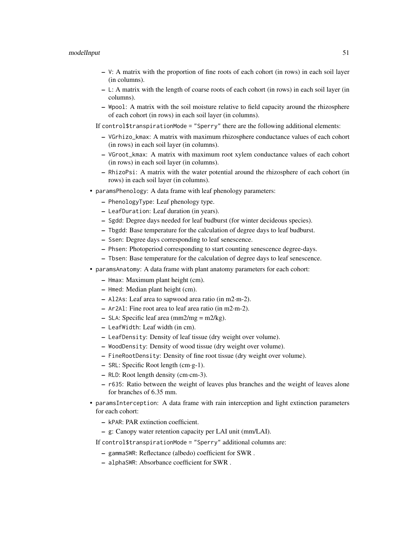#### modelInput 51

- V: A matrix with the proportion of fine roots of each cohort (in rows) in each soil layer (in columns).
- L: A matrix with the length of coarse roots of each cohort (in rows) in each soil layer (in columns).
- Wpool: A matrix with the soil moisture relative to field capacity around the rhizosphere of each cohort (in rows) in each soil layer (in columns).

If control\$transpirationMode = "Sperry" there are the following additional elements:

- VGrhizo\_kmax: A matrix with maximum rhizosphere conductance values of each cohort (in rows) in each soil layer (in columns).
- VGroot\_kmax: A matrix with maximum root xylem conductance values of each cohort (in rows) in each soil layer (in columns).
- RhizoPsi: A matrix with the water potential around the rhizosphere of each cohort (in rows) in each soil layer (in columns).
- paramsPhenology: A data frame with leaf phenology parameters:
	- PhenologyType: Leaf phenology type.
	- LeafDuration: Leaf duration (in years).
	- Sgdd: Degree days needed for leaf budburst (for winter decideous species).
	- Tbgdd: Base temperature for the calculation of degree days to leaf budburst.
	- Ssen: Degree days corresponding to leaf senescence.
	- Phsen: Photoperiod corresponding to start counting senescence degree-days.
	- Tbsen: Base temperature for the calculation of degree days to leaf senescence.
- paramsAnatomy: A data frame with plant anatomy parameters for each cohort:
	- Hmax: Maximum plant height (cm).
	- Hmed: Median plant height (cm).
	- Al2As: Leaf area to sapwood area ratio (in m2·m-2).
	- Ar2Al: Fine root area to leaf area ratio (in m2·m-2).
	- SLA: Specific leaf area  $\text{(mm2/mg)} = \text{m2/kg}$ .
	- LeafWidth: Leaf width (in cm).
	- LeafDensity: Density of leaf tissue (dry weight over volume).
	- WoodDensity: Density of wood tissue (dry weight over volume).
	- FineRootDensity: Density of fine root tissue (dry weight over volume).
	- $-$  SRL: Specific Root length (cm·g-1).
	- RLD: Root length density (cm·cm-3).
	- r635: Ratio between the weight of leaves plus branches and the weight of leaves alone for branches of 6.35 mm.
- paramsInterception: A data frame with rain interception and light extinction parameters for each cohort:
	- kPAR: PAR extinction coefficient.
	- g: Canopy water retention capacity per LAI unit (mm/LAI).
	- If control\$transpirationMode = "Sperry" additional columns are:
		- gammaSWR: Reflectance (albedo) coefficient for SWR .
		- alphaSWR: Absorbance coefficient for SWR .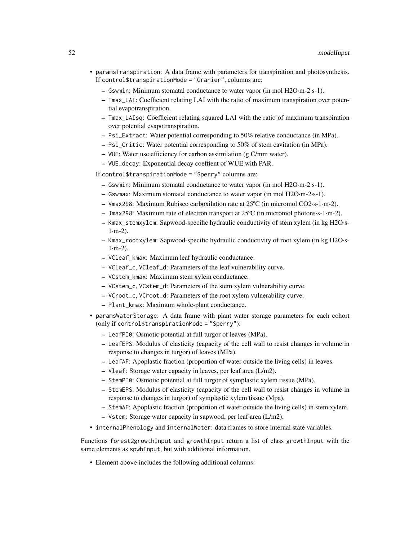- paramsTranspiration: A data frame with parameters for transpiration and photosynthesis. If control\$transpirationMode = "Granier", columns are:
	- Gswmin: Minimum stomatal conductance to water vapor (in mol H2O·m-2·s-1).
	- Tmax\_LAI: Coefficient relating LAI with the ratio of maximum transpiration over potential evapotranspiration.
	- Tmax\_LAIsq: Coefficient relating squared LAI with the ratio of maximum transpiration over potential evapotranspiration.
	- Psi\_Extract: Water potential corresponding to 50% relative conductance (in MPa).
	- Psi\_Critic: Water potential corresponding to 50% of stem cavitation (in MPa).
	- WUE: Water use efficiency for carbon assimilation (g C/mm water).
	- WUE\_decay: Exponential decay coeffient of WUE with PAR.

If control\$transpirationMode = "Sperry" columns are:

- Gswmin: Minimum stomatal conductance to water vapor (in mol H2O·m-2·s-1).
- Gswmax: Maximum stomatal conductance to water vapor (in mol H2O·m-2·s-1).
- Vmax298: Maximum Rubisco carboxilation rate at 25ºC (in micromol CO2·s-1·m-2).
- Jmax298: Maximum rate of electron transport at 25ºC (in micromol photons·s-1·m-2).
- Kmax\_stemxylem: Sapwood-specific hydraulic conductivity of stem xylem (in kg H2O·s- $1·m-2$ ).
- Kmax\_rootxylem: Sapwood-specific hydraulic conductivity of root xylem (in kg H2O·s- $1·m-2$ ).
- VCleaf\_kmax: Maximum leaf hydraulic conductance.
- VCleaf\_c, VCleaf\_d: Parameters of the leaf vulnerability curve.
- VCstem\_kmax: Maximum stem xylem conductance.
- VCstem\_c, VCstem\_d: Parameters of the stem xylem vulnerability curve.
- VCroot\_c, VCroot\_d: Parameters of the root xylem vulnerability curve.
- Plant\_kmax: Maximum whole-plant conductance.
- paramsWaterStorage: A data frame with plant water storage parameters for each cohort (only if control\$transpirationMode = "Sperry"):
	- LeafPI0: Osmotic potential at full turgor of leaves (MPa).
	- LeafEPS: Modulus of elasticity (capacity of the cell wall to resist changes in volume in response to changes in turgor) of leaves (MPa).
	- LeafAF: Apoplastic fraction (proportion of water outside the living cells) in leaves.
	- Vleaf: Storage water capacity in leaves, per leaf area (L/m2).
	- StemPI0: Osmotic potential at full turgor of symplastic xylem tissue (MPa).
	- StemEPS: Modulus of elasticity (capacity of the cell wall to resist changes in volume in response to changes in turgor) of symplastic xylem tissue (Mpa).
	- StemAF: Apoplastic fraction (proportion of water outside the living cells) in stem xylem. – Vstem: Storage water capacity in sapwood, per leaf area (L/m2).
- internalPhenology and internalWater: data frames to store internal state variables.

Functions forest2growthInput and growthInput return a list of class growthInput with the same elements as spwbInput, but with additional information.

• Element above includes the following additional columns: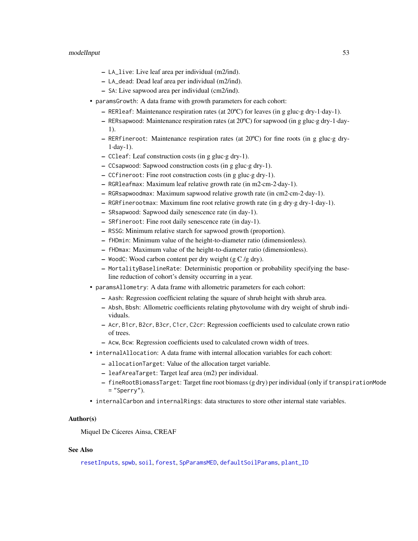- LA\_live: Live leaf area per individual (m2/ind).
- LA\_dead: Dead leaf area per individual (m2/ind).
- SA: Live sapwood area per individual (cm2/ind).
- paramsGrowth: A data frame with growth parameters for each cohort:
	- RER1eaf: Maintenance respiration rates (at  $20^{\circ}$ C) for leaves (in g gluc·g dry-1·day-1).
	- RERsapwood: Maintenance respiration rates (at 20ºC) for sapwood (in g gluc·g dry-1·day-1).
	- RERfineroot: Maintenance respiration rates (at  $20^{\circ}$ C) for fine roots (in g gluc $\cdot$ g dry-1·day-1).
	- CCleaf: Leaf construction costs (in g gluc·g dry-1).
	- CCsapwood: Sapwood construction costs (in g gluc·g dry-1).
	- CCfineroot: Fine root construction costs (in g gluc·g dry-1).
	- RGRleafmax: Maximum leaf relative growth rate (in m2·cm-2·day-1).
	- RGRsapwoodmax: Maximum sapwood relative growth rate (in cm2·cm-2·day-1).
	- RGRfinerootmax: Maximum fine root relative growth rate (in g dry·g dry-1·day-1).
	- SRsapwood: Sapwood daily senescence rate (in day-1).
	- SRfineroot: Fine root daily senescence rate (in day-1).
	- RSSG: Minimum relative starch for sapwood growth (proportion).
	- fHDmin: Minimum value of the height-to-diameter ratio (dimensionless).
	- fHDmax: Maximum value of the height-to-diameter ratio (dimensionless).
	- WoodC: Wood carbon content per dry weight (g  $C/g$  dry).
	- MortalityBaselineRate: Deterministic proportion or probability specifying the baseline reduction of cohort's density occurring in a year.
- paramsAllometry: A data frame with allometric parameters for each cohort:
	- Aash: Regression coefficient relating the square of shrub height with shrub area.
	- Absh, Bbsh: Allometric coefficients relating phytovolume with dry weight of shrub individuals.
	- Acr, B1cr, B2cr, B3cr, C1cr, C2cr: Regression coefficients used to calculate crown ratio of trees.
	- Acw, Bcw: Regression coefficients used to calculated crown width of trees.
- internalAllocation: A data frame with internal allocation variables for each cohort:
	- allocationTarget: Value of the allocation target variable.
	- leafAreaTarget: Target leaf area (m2) per individual.
	- fineRootBiomassTarget: Target fine root biomass (g dry) per individual (only if transpirationMode  $=$  "Sperry").
- internalCarbon and internalRings: data structures to store other internal state variables.

## Author(s)

Miquel De Cáceres Ainsa, CREAF

# See Also

[resetInputs](#page-78-0), [spwb](#page-100-0), [soil](#page-87-0), [forest](#page-32-0), [SpParamsMED](#page-98-0), [defaultSoilParams](#page-15-0), [plant\\_ID](#page-65-0)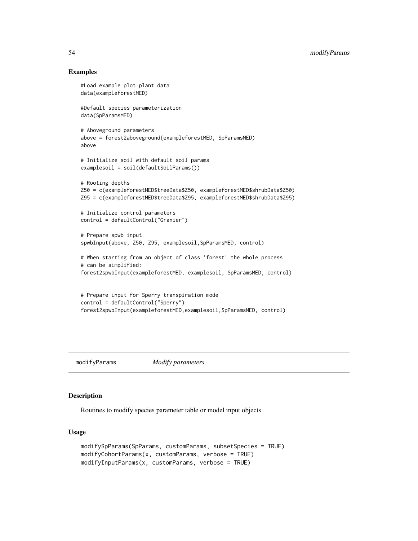# Examples

```
#Load example plot plant data
data(exampleforestMED)
#Default species parameterization
data(SpParamsMED)
# Aboveground parameters
above = forest2aboveground(exampleforestMED, SpParamsMED)
above
# Initialize soil with default soil params
examplesoil = soil(defaultSoilParams())
# Rooting depths
Z50 = c(exampleforestMED$treeData$Z50, exampleforestMED$shrubData$Z50)
Z95 = c(exampleforestMED$treeData$Z95, exampleforestMED$shrubData$Z95)
# Initialize control parameters
control = defaultControl("Granier")
# Prepare spwb input
spwbInput(above, Z50, Z95, examplesoil,SpParamsMED, control)
# When starting from an object of class 'forest' the whole process
# can be simplified:
forest2spwbInput(exampleforestMED, examplesoil, SpParamsMED, control)
# Prepare input for Sperry transpiration mode
control = defaultControl("Sperry")
forest2spwbInput(exampleforestMED,examplesoil,SpParamsMED, control)
```
modifyParams *Modify parameters*

### <span id="page-53-0"></span>Description

Routines to modify species parameter table or model input objects

#### Usage

```
modifySpParams(SpParams, customParams, subsetSpecies = TRUE)
modifyCohortParams(x, customParams, verbose = TRUE)
modifyInputParams(x, customParams, verbose = TRUE)
```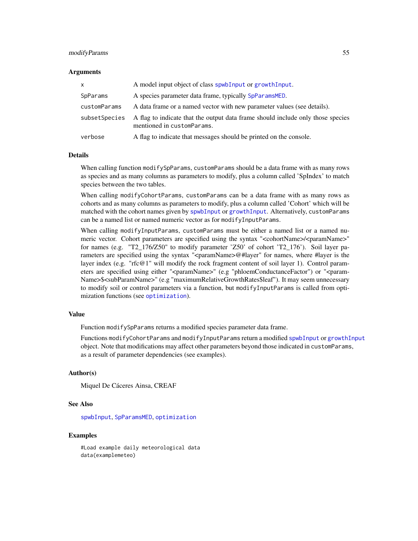## modifyParams 55

#### Arguments

| X             | A model input object of class spwbInput or growthInput.                                                       |
|---------------|---------------------------------------------------------------------------------------------------------------|
| SpParams      | A species parameter data frame, typically SpParamsMED.                                                        |
| customParams  | A data frame or a named vector with new parameter values (see details).                                       |
| subsetSpecies | A flag to indicate that the output data frame should include only those species<br>mentioned in customParams. |
| verbose       | A flag to indicate that messages should be printed on the console.                                            |

#### Details

When calling function modifySpParams, customParams should be a data frame with as many rows as species and as many columns as parameters to modify, plus a column called 'SpIndex' to match species between the two tables.

When calling modifyCohortParams, customParams can be a data frame with as many rows as cohorts and as many columns as parameters to modify, plus a column called 'Cohort' which will be matched with the cohort names given by [spwbInput](#page-48-0) or [growthInput](#page-48-0). Alternatively, customParams can be a named list or named numeric vector as for modifyInputParams.

When calling modifyInputParams, customParams must be either a named list or a named numeric vector. Cohort parameters are specified using the syntax "<cohortName>/<paramName>" for names (e.g. "T2\_176/Z50" to modify parameter  $Z50'$  of cohort  $T2_176'$ ). Soil layer parameters are specified using the syntax "<paramName>@#layer" for names, where #layer is the layer index (e.g. "rfc@1" will modify the rock fragment content of soil layer 1). Control parameters are specified using either "<paramName>" (e.g "phloemConductanceFactor") or "<param-Name>\$<subParamName>" (e.g "maximumRelativeGrowthRates\$leaf"). It may seem unnecessary to modify soil or control parameters via a function, but modifyInputParams is called from optimization functions (see [optimization](#page-56-0)).

## Value

Function modifySpParams returns a modified species parameter data frame.

Functions modifyCohortParams and modifyInputParams return a modified [spwbInput](#page-48-0) or [growthInput](#page-48-0) object. Note that modifications may affect other parameters beyond those indicated in customParams, as a result of parameter dependencies (see examples).

#### Author(s)

Miquel De Cáceres Ainsa, CREAF

### See Also

[spwbInput](#page-48-0), [SpParamsMED](#page-98-0), [optimization](#page-56-0)

## Examples

#Load example daily meteorological data data(examplemeteo)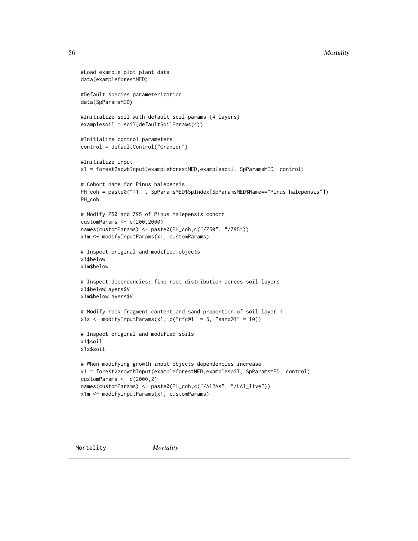### 56 Mortality and the contract of the contract of the contract of the contract of the contract of the contract of the contract of the contract of the contract of the contract of the contract of the contract of the contract

```
#Load example plot plant data
data(exampleforestMED)
#Default species parameterization
data(SpParamsMED)
#Initialize soil with default soil params (4 layers)
examplesoil = soil(defaultSoilParams(4))
#Initialize control parameters
control = defaultControl("Granier")
#Initialize input
x1 = forest2spwbInput(exampleforestMED,examplesoil, SpParamsMED, control)
# Cohort name for Pinus halepensis
PH_coh = paste0("T1_", SpParamsMED$SpIndex[SpParamsMED$Name=="Pinus halepensis"])
PH_coh
# Modify Z50 and Z95 of Pinus halepensis cohort
customParams <- c(200,2000)
names(customParams) <- paste0(PH_coh,c("/Z50", "/Z95"))
x1m <- modifyInputParams(x1, customParams)
# Inspect original and modified objects
x1$below
x1m$below
# Inspect dependencies: fine root distribution across soil layers
x1$belowLayers$V
x1m$belowLayers$V
# Modify rock fragment content and sand proportion of soil layer 1
x1s <- modifyInputParams(x1, c("rfc@1" = 5, "sand@1" = 10))
# Inspect original and modified soils
x1$soil
x1s$soil
# When modifying growth input objects dependencies increase
x1 = forest2growthInput(exampleforestMED,examplesoil, SpParamsMED, control)
customParams <- c(2000,2)
names(customParams) <- paste0(PH_coh,c("/Al2As", "/LAI_live"))
x1m <- modifyInputParams(x1, customParams)
```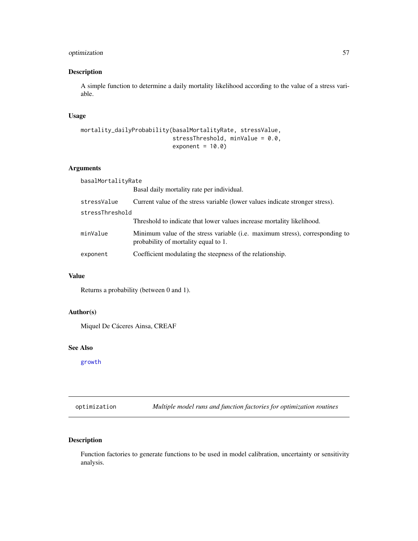# optimization 57

# Description

A simple function to determine a daily mortality likelihood according to the value of a stress variable.

# Usage

```
mortality_dailyProbability(basalMortalityRate, stressValue,
                           stressThreshold, minValue = 0.0,
                           exponent = 10.0)
```
# Arguments

basalMortalityRate

|                 | Basal daily mortality rate per individual.                                                                           |  |
|-----------------|----------------------------------------------------------------------------------------------------------------------|--|
| stressValue     | Current value of the stress variable (lower values indicate stronger stress).                                        |  |
| stressThreshold |                                                                                                                      |  |
|                 | Threshold to indicate that lower values increase mortality likelihood.                                               |  |
| minValue        | Minimum value of the stress variable (i.e. maximum stress), corresponding to<br>probability of mortality equal to 1. |  |
| exponent        | Coefficient modulating the steepness of the relationship.                                                            |  |

#### Value

Returns a probability (between 0 and 1).

# Author(s)

Miquel De Cáceres Ainsa, CREAF

#### See Also

[growth](#page-37-0)

<span id="page-56-0"></span>optimization *Multiple model runs and function factories for optimization routines*

# Description

Function factories to generate functions to be used in model calibration, uncertainty or sensitivity analysis.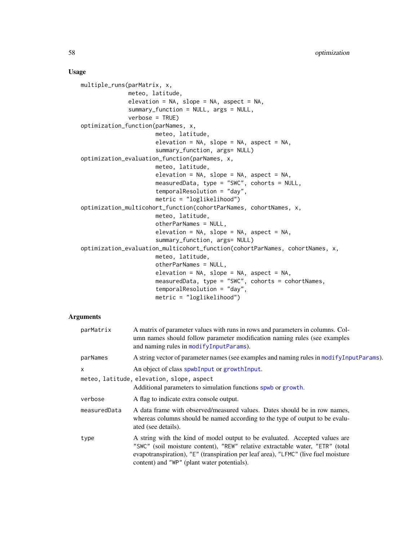## Usage

```
multiple_runs(parMatrix, x,
              meteo, latitude,
              elevation = NA, slope = NA, aspect = NA,
              summary_function = NULL, args = NULL,
              verbose = TRUE)
optimization_function(parNames, x,
                      meteo, latitude,
                      elevation = NA, slope = NA, aspect = NA,
                      summary_function, args= NULL)
optimization_evaluation_function(parNames, x,
                      meteo, latitude,
                      elevation = NA, slope = NA, aspect = NA,
                      measuredData, type = "SWC", cohorts = NULL,
                      temporalResolution = "day",
                      metric = "loglikelihood")
optimization_multicohort_function(cohortParNames, cohortNames, x,
                      meteo, latitude,
                      otherParNames = NULL,
                      elevation = NA, slope = NA, aspect = NA,
                      summary_function, args= NULL)
optimization_evaluation_multicohort_function(cohortParNames, cohortNames, x,
                      meteo, latitude,
                      otherParNames = NULL,
                      elevation = NA, slope = NA, aspect = NA,
                      measuredData, type = "SWC", cohorts = cohortNames,
                      temporalResolution = "day",
                      metric = "loglikelihood")
```
# Arguments

| parMatrix    | A matrix of parameter values with runs in rows and parameters in columns. Col-<br>umn names should follow parameter modification naming rules (see examples<br>and naming rules in modifyInputParams).                                                                                            |
|--------------|---------------------------------------------------------------------------------------------------------------------------------------------------------------------------------------------------------------------------------------------------------------------------------------------------|
| parNames     | A string vector of parameter names (see examples and naming rules in modify Input Params).                                                                                                                                                                                                        |
| $\mathsf{x}$ | An object of class spwbInput or growthInput.                                                                                                                                                                                                                                                      |
|              | meteo, latitude, elevation, slope, aspect<br>Additional parameters to simulation functions spwb or growth.                                                                                                                                                                                        |
| verbose      | A flag to indicate extra console output.                                                                                                                                                                                                                                                          |
| measuredData | A data frame with observed/measured values. Dates should be in row names,<br>whereas columns should be named according to the type of output to be evalu-<br>ated (see details).                                                                                                                  |
| type         | A string with the kind of model output to be evaluated. Accepted values are<br>"SWC" (soil moisture content), "REW" relative extractable water, "ETR" (total<br>evapotranspiration), "E" (transpiration per leaf area), "LFMC" (live fuel moisture<br>content) and "WP" (plant water potentials). |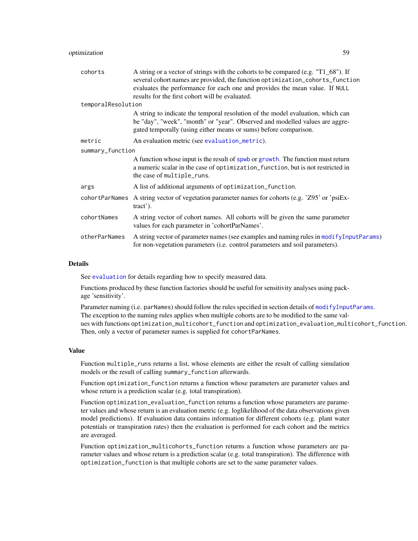| cohorts            | A string or a vector of strings with the cohorts to be compared (e.g. "T1_68"). If<br>several cohort names are provided, the function optimization_cohorts_function<br>evaluates the performance for each one and provides the mean value. If NULL<br>results for the first cohort will be evaluated. |
|--------------------|-------------------------------------------------------------------------------------------------------------------------------------------------------------------------------------------------------------------------------------------------------------------------------------------------------|
| temporalResolution |                                                                                                                                                                                                                                                                                                       |
|                    | A string to indicate the temporal resolution of the model evaluation, which can<br>be "day", "week", "month" or "year". Observed and modelled values are aggre-<br>gated temporally (using either means or sums) before comparison.                                                                   |
| metric             | An evaluation metric (see evaluation_metric).                                                                                                                                                                                                                                                         |
| summary_function   |                                                                                                                                                                                                                                                                                                       |
|                    | A function whose input is the result of spwb or growth. The function must return<br>a numeric scalar in the case of optimization_function, but is not restricted in<br>the case of multiple_runs.                                                                                                     |
| args               | A list of additional arguments of optimization_function.                                                                                                                                                                                                                                              |
|                    | cohortParNames A string vector of vegetation parameter names for cohorts (e.g. 'Z95' or 'psiEx-<br>$\text{tract}$ ).                                                                                                                                                                                  |
| cohortNames        | A string vector of cohort names. All cohorts will be given the same parameter<br>values for each parameter in 'cohortParNames'.                                                                                                                                                                       |
| otherParNames      | A string vector of parameter names (see examples and naming rules in modifyInputParams)<br>for non-vegetation parameters (i.e. control parameters and soil parameters).                                                                                                                               |
|                    |                                                                                                                                                                                                                                                                                                       |

## Details

See [evaluation](#page-17-1) for details regarding how to specify measured data.

Functions produced by these function factories should be useful for sensitivity analyses using package 'sensitivity'.

Parameter naming (i.e. parNames) should follow the rules specified in section details of [modifyInputParams](#page-53-0). The exception to the naming rules applies when multiple cohorts are to be modified to the same values with functions optimization\_multicohort\_function and optimization\_evaluation\_multicohort\_function. Then, only a vector of parameter names is supplied for cohortParNames.

## Value

Function multiple\_runs returns a list, whose elements are either the result of calling simulation models or the result of calling summary\_function afterwards.

Function optimization\_function returns a function whose parameters are parameter values and whose return is a prediction scalar (e.g. total transpiration).

Function optimization\_evaluation\_function returns a function whose parameters are parameter values and whose return is an evaluation metric (e.g. loglikelihood of the data observations given model predictions). If evaluation data contains information for different cohorts (e.g. plant water potentials or transpiration rates) then the evaluation is performed for each cohort and the metrics are averaged.

Function optimization\_multicohorts\_function returns a function whose parameters are parameter values and whose return is a prediction scalar (e.g. total transpiration). The difference with optimization\_function is that multiple cohorts are set to the same parameter values.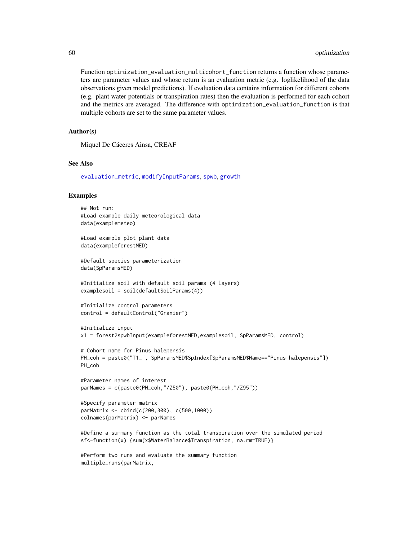Function optimization\_evaluation\_multicohort\_function returns a function whose parameters are parameter values and whose return is an evaluation metric (e.g. loglikelihood of the data observations given model predictions). If evaluation data contains information for different cohorts (e.g. plant water potentials or transpiration rates) then the evaluation is performed for each cohort and the metrics are averaged. The difference with optimization\_evaluation\_function is that multiple cohorts are set to the same parameter values.

# Author(s)

Miquel De Cáceres Ainsa, CREAF

## See Also

[evaluation\\_metric](#page-17-0), [modifyInputParams](#page-53-0), [spwb](#page-100-0), [growth](#page-37-0)

## Examples

```
## Not run:
#Load example daily meteorological data
data(examplemeteo)
#Load example plot plant data
data(exampleforestMED)
#Default species parameterization
data(SpParamsMED)
#Initialize soil with default soil params (4 layers)
examplesoil = soil(defaultSoilParams(4))
#Initialize control parameters
control = defaultControl("Granier")
#Initialize input
x1 = forest2spwbInput(exampleforestMED,examplesoil, SpParamsMED, control)
# Cohort name for Pinus halepensis
PH_coh = paste0("T1_", SpParamsMED$SpIndex[SpParamsMED$Name=="Pinus halepensis"])
PH_coh
#Parameter names of interest
parNames = c(paste0(PH_coh,"/Z50"), paste0(PH_coh,"/Z95"))
#Specify parameter matrix
parMatrix <- cbind(c(200,300), c(500,1000))
colnames(parMatrix) <- parNames
#Define a summary function as the total transpiration over the simulated period
sf<-function(x) {sum(x$WaterBalance$Transpiration, na.rm=TRUE)}
#Perform two runs and evaluate the summary function
```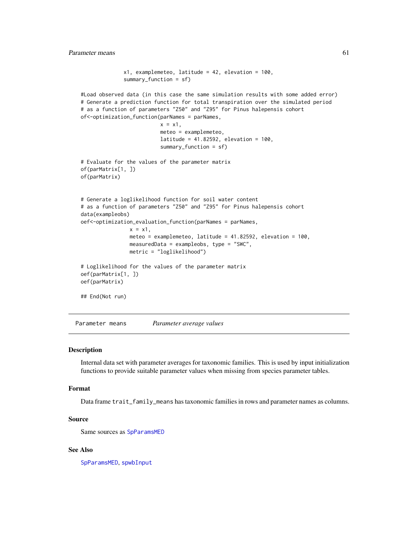```
x1, examplemeteo, latitude = 42, elevation = 100,
              summary_function = sf)
#Load observed data (in this case the same simulation results with some added error)
# Generate a prediction function for total transpiration over the simulated period
# as a function of parameters "Z50" and "Z95" for Pinus halepensis cohort
of<-optimization_function(parNames = parNames,
                          x = x1,
                          meteo = examplemeteo,
                          latitude = 41.82592, elevation = 100,
                          summary_function = sf)
# Evaluate for the values of the parameter matrix
of(parMatrix[1, ])
of(parMatrix)
# Generate a loglikelihood function for soil water content
# as a function of parameters "Z50" and "Z95" for Pinus halepensis cohort
data(exampleobs)
oef<-optimization_evaluation_function(parNames = parNames,
                x = x1,
                meteo = examplemeteo, latitude = 41.82592, elevation = 100,
               measuredData = exampleobs, type = "SWC",
               metric = "loglikelihood")
# Loglikelihood for the values of the parameter matrix
oef(parMatrix[1, ])
oef(parMatrix)
## End(Not run)
```
Parameter means *Parameter average values*

## Description

Internal data set with parameter averages for taxonomic families. This is used by input initialization functions to provide suitable parameter values when missing from species parameter tables.

#### Format

Data frame trait\_family\_means has taxonomic families in rows and parameter names as columns.

#### Source

Same sources as [SpParamsMED](#page-98-0)

# See Also

[SpParamsMED](#page-98-0), [spwbInput](#page-48-0)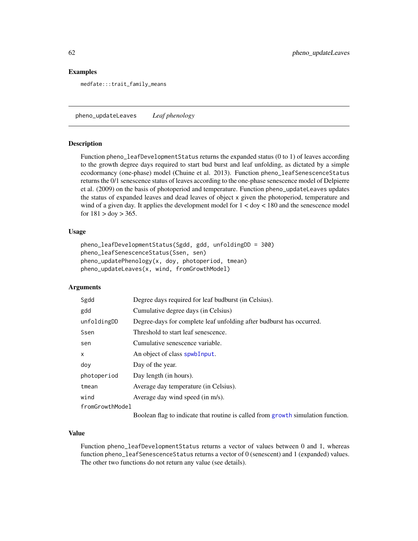# Examples

medfate:::trait\_family\_means

pheno\_updateLeaves *Leaf phenology*

#### **Description**

Function pheno\_leafDevelopmentStatus returns the expanded status (0 to 1) of leaves according to the growth degree days required to start bud burst and leaf unfolding, as dictated by a simple ecodormancy (one-phase) model (Chuine et al. 2013). Function pheno\_leafSenescenceStatus returns the 0/1 senescence status of leaves according to the one-phase senescence model of Delpierre et al. (2009) on the basis of photoperiod and temperature. Function pheno\_updateLeaves updates the status of expanded leaves and dead leaves of object x given the photoperiod, temperature and wind of a given day. It applies the development model for 1 < doy < 180 and the senescence model for  $181 > \text{doy} > 365$ .

## Usage

```
pheno_leafDevelopmentStatus(Sgdd, gdd, unfoldingDD = 300)
pheno_leafSenescenceStatus(Ssen, sen)
pheno_updatePhenology(x, doy, photoperiod, tmean)
pheno_updateLeaves(x, wind, fromGrowthModel)
```
# Arguments

| Sgdd            | Degree days required for leaf budburst (in Celsius).                 |
|-----------------|----------------------------------------------------------------------|
| gdd             | Cumulative degree days (in Celsius)                                  |
| unfoldingDD     | Degree-days for complete leaf unfolding after budburst has occurred. |
| Ssen            | Threshold to start leaf senescence.                                  |
| sen             | Cumulative senescence variable.                                      |
| X               | An object of class spwbInput.                                        |
| dov             | Day of the year.                                                     |
| photoperiod     | Day length (in hours).                                               |
| tmean           | Average day temperature (in Celsius).                                |
| wind            | Average day wind speed (in m/s).                                     |
| fromGrowthModel |                                                                      |
|                 |                                                                      |

Boolean flag to indicate that routine is called from [growth](#page-37-0) simulation function.

# Value

Function pheno\_leafDevelopmentStatus returns a vector of values between 0 and 1, whereas function pheno\_leafSenescenceStatus returns a vector of 0 (senescent) and 1 (expanded) values. The other two functions do not return any value (see details).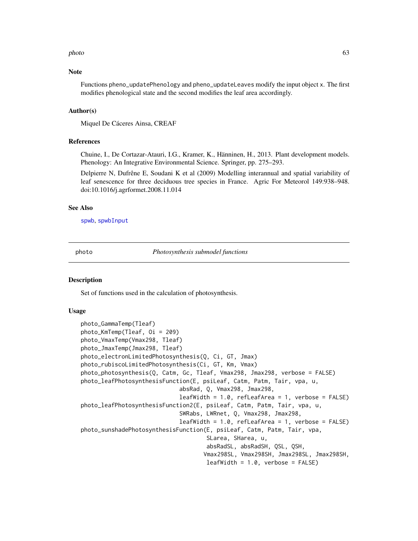#### photo 63

## **Note**

Functions pheno\_updatePhenology and pheno\_updateLeaves modify the input object x. The first modifies phenological state and the second modifies the leaf area accordingly.

#### Author(s)

Miquel De Cáceres Ainsa, CREAF

### References

Chuine, I., De Cortazar-Atauri, I.G., Kramer, K., Hänninen, H., 2013. Plant development models. Phenology: An Integrative Environmental Science. Springer, pp. 275–293.

Delpierre N, Dufrêne E, Soudani K et al (2009) Modelling interannual and spatial variability of leaf senescence for three deciduous tree species in France. Agric For Meteorol 149:938–948. doi:10.1016/j.agrformet.2008.11.014

#### See Also

[spwb](#page-100-0), [spwbInput](#page-48-0)

photo *Photosynthesis submodel functions*

## **Description**

Set of functions used in the calculation of photosynthesis.

### Usage

```
photo_GammaTemp(Tleaf)
photo_KmTemp(Tleaf, Oi = 209)
photo_VmaxTemp(Vmax298, Tleaf)
photo_JmaxTemp(Jmax298, Tleaf)
photo_electronLimitedPhotosynthesis(Q, Ci, GT, Jmax)
photo_rubiscoLimitedPhotosynthesis(Ci, GT, Km, Vmax)
photo_photosynthesis(Q, Catm, Gc, Tleaf, Vmax298, Jmax298, verbose = FALSE)
photo_leafPhotosynthesisFunction(E, psiLeaf, Catm, Patm, Tair, vpa, u,
                             absRad, Q, Vmax298, Jmax298,
                             leafWidth = 1.0, reflexArea = 1, verbose = FALSE)photo_leafPhotosynthesisFunction2(E, psiLeaf, Catm, Patm, Tair, vpa, u,
                             SWRabs, LWRnet, Q, Vmax298, Jmax298,
                             leafWidth = 1.0, refLeafArea = 1, verbose = FALSE)
photo_sunshadePhotosynthesisFunction(E, psiLeaf, Catm, Patm, Tair, vpa,
                                     SLarea, SHarea, u,
                                     absRadSL, absRadSH, QSL, QSH,
                                    Vmax298SL, Vmax298SH, Jmax298SL, Jmax298SH,
                                     leafWidth = 1.0, verbose = FALSE)
```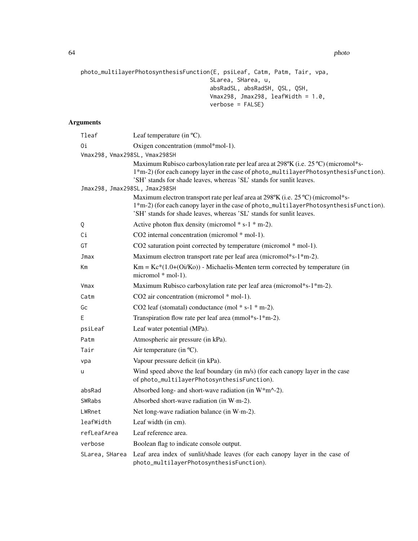64 photo

```
photo_multilayerPhotosynthesisFunction(E, psiLeaf, Catm, Patm, Tair, vpa,
                                      SLarea, SHarea, u,
                                      absRadSL, absRadSH, QSL, QSH,
                                      Vmax298, Jmax298, leafWidth = 1.0,
                                      verbose = FALSE)
```
# Arguments

| Tleaf                         | Leaf temperature (in $^{\circ}C$ ).                                                                                                                                                                                                                  |
|-------------------------------|------------------------------------------------------------------------------------------------------------------------------------------------------------------------------------------------------------------------------------------------------|
| 0i                            | Oxigen concentration (mmol*mol-1).                                                                                                                                                                                                                   |
| Vmax298, Vmax298SL, Vmax298SH |                                                                                                                                                                                                                                                      |
|                               | Maximum Rubisco carboxylation rate per leaf area at 298°K (i.e. 25 °C) (micromol*s-<br>1*m-2) (for each canopy layer in the case of photo_multilayerPhotosynthesisFunction).<br>'SH' stands for shade leaves, whereas 'SL' stands for sunlit leaves. |
| Jmax298, Jmax298SL, Jmax298SH |                                                                                                                                                                                                                                                      |
|                               | Maximum electron transport rate per leaf area at 298°K (i.e. 25 °C) (micromol*s-<br>1*m-2) (for each canopy layer in the case of photo_multilayerPhotosynthesisFunction).<br>'SH' stands for shade leaves, whereas 'SL' stands for sunlit leaves.    |
| Q                             | Active photon flux density (micromol $* s-1 * m-2$ ).                                                                                                                                                                                                |
| Сi                            | CO2 internal concentration (micromol * mol-1).                                                                                                                                                                                                       |
| GT                            | CO2 saturation point corrected by temperature (micromol * mol-1).                                                                                                                                                                                    |
| Jmax                          | Maximum electron transport rate per leaf area (micromol*s-1*m-2).                                                                                                                                                                                    |
| Кm                            | $Km = Kc*(1.0+(0i/Ko))$ - Michaelis-Menten term corrected by temperature (in<br>micromol * mol-1).                                                                                                                                                   |
| Vmax                          | Maximum Rubisco carboxylation rate per leaf area (micromol*s-1*m-2).                                                                                                                                                                                 |
| Catm                          | CO2 air concentration (micromol * mol-1).                                                                                                                                                                                                            |
| Gc                            | CO2 leaf (stomatal) conductance (mol $* s-1 * m-2$ ).                                                                                                                                                                                                |
| Ε                             | Transpiration flow rate per leaf area (mmol*s-1*m-2).                                                                                                                                                                                                |
| psiLeaf                       | Leaf water potential (MPa).                                                                                                                                                                                                                          |
| Patm                          | Atmospheric air pressure (in kPa).                                                                                                                                                                                                                   |
| Tair                          | Air temperature (in °C).                                                                                                                                                                                                                             |
| vpa                           | Vapour pressure deficit (in kPa).                                                                                                                                                                                                                    |
| u                             | Wind speed above the leaf boundary (in m/s) (for each canopy layer in the case<br>of photo_multilayerPhotosynthesisFunction).                                                                                                                        |
| absRad                        | Absorbed long- and short-wave radiation (in $W^*m^2$ ).                                                                                                                                                                                              |
| SWRabs                        | Absorbed short-wave radiation (in W·m-2).                                                                                                                                                                                                            |
| LWRnet                        | Net long-wave radiation balance (in W·m-2).                                                                                                                                                                                                          |
| leafWidth                     | Leaf width (in cm).                                                                                                                                                                                                                                  |
| refLeafArea                   | Leaf reference area.                                                                                                                                                                                                                                 |
| verbose                       | Boolean flag to indicate console output.                                                                                                                                                                                                             |
| SLarea, SHarea                | Leaf area index of sunlit/shade leaves (for each canopy layer in the case of<br>photo_multilayerPhotosynthesisFunction).                                                                                                                             |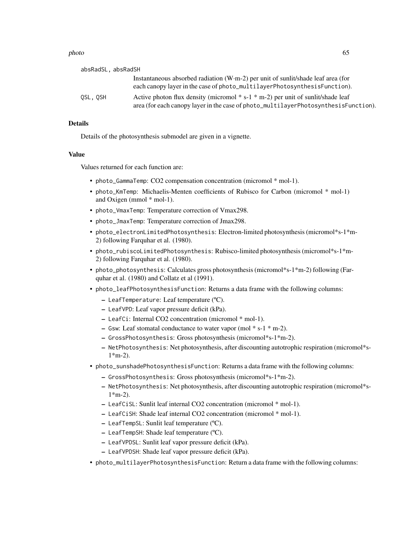#### photo 65

| absRadSL, absRadSH |                                                                                                                                                                           |
|--------------------|---------------------------------------------------------------------------------------------------------------------------------------------------------------------------|
|                    | Instantaneous absorbed radiation $(W \cdot m - 2)$ per unit of sunlit/shade leaf area (for<br>each canopy layer in the case of photo_multilayerPhotosynthesisFunction).   |
| OSL.OSH            | Active photon flux density (micromol $* s-1 * m-2$ ) per unit of sunlit/shade leaf<br>area (for each canopy layer in the case of photo_multilayerPhotosynthesisFunction). |

# Details

Details of the photosynthesis submodel are given in a vignette.

## Value

Values returned for each function are:

- photo\_GammaTemp: CO2 compensation concentration (micromol \* mol-1).
- photo\_KmTemp: Michaelis-Menten coefficients of Rubisco for Carbon (micromol \* mol-1) and Oxigen (mmol \* mol-1).
- photo\_VmaxTemp: Temperature correction of Vmax298.
- photo\_JmaxTemp: Temperature correction of Jmax298.
- photo\_electronLimitedPhotosynthesis: Electron-limited photosynthesis (micromol\*s-1\*m-2) following Farquhar et al. (1980).
- photo\_rubiscoLimitedPhotosynthesis: Rubisco-limited photosynthesis (micromol\*s-1\*m-2) following Farquhar et al. (1980).
- photo\_photosynthesis: Calculates gross photosynthesis (micromol\*s-1\*m-2) following (Farquhar et al. (1980) and Collatz et al (1991).
- photo\_leafPhotosynthesisFunction: Returns a data frame with the following columns:
	- LeafTemperature: Leaf temperature (ºC).
	- LeafVPD: Leaf vapor pressure deficit (kPa).
	- LeafCi: Internal CO2 concentration (micromol \* mol-1).
	- Gsw: Leaf stomatal conductance to water vapor (mol \* s-1 \* m-2).
	- GrossPhotosynthesis: Gross photosynthesis (micromol\*s-1\*m-2).
	- NetPhotosynthesis: Net photosynthesis, after discounting autotrophic respiration (micromol\*s- $1*$ m-2).
- photo\_sunshadePhotosynthesisFunction: Returns a data frame with the following columns:
	- GrossPhotosynthesis: Gross photosynthesis (micromol\*s-1\*m-2).
	- NetPhotosynthesis: Net photosynthesis, after discounting autotrophic respiration (micromol\*s-1\*m-2).
	- LeafCiSL: Sunlit leaf internal CO2 concentration (micromol \* mol-1).
	- LeafCiSH: Shade leaf internal CO2 concentration (micromol \* mol-1).
	- LeafTempSL: Sunlit leaf temperature (ºC).
	- LeafTempSH: Shade leaf temperature (ºC).
	- LeafVPDSL: Sunlit leaf vapor pressure deficit (kPa).
	- LeafVPDSH: Shade leaf vapor pressure deficit (kPa).
- photo\_multilayerPhotosynthesisFunction: Return a data frame with the following columns: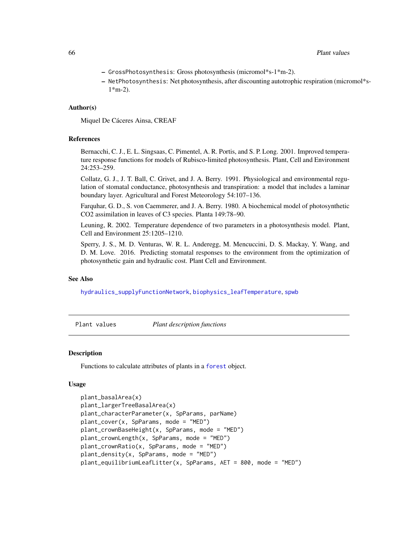- GrossPhotosynthesis: Gross photosynthesis (micromol\*s-1\*m-2).
- NetPhotosynthesis: Net photosynthesis, after discounting autotrophic respiration (micromol\*s-1\*m-2).

# Author(s)

Miquel De Cáceres Ainsa, CREAF

## References

Bernacchi, C. J., E. L. Singsaas, C. Pimentel, A. R. Portis, and S. P. Long. 2001. Improved temperature response functions for models of Rubisco-limited photosynthesis. Plant, Cell and Environment 24:253–259.

Collatz, G. J., J. T. Ball, C. Grivet, and J. A. Berry. 1991. Physiological and environmental regulation of stomatal conductance, photosynthesis and transpiration: a model that includes a laminar boundary layer. Agricultural and Forest Meteorology 54:107–136.

Farquhar, G. D., S. von Caemmerer, and J. A. Berry. 1980. A biochemical model of photosynthetic CO2 assimilation in leaves of C3 species. Planta 149:78–90.

Leuning, R. 2002. Temperature dependence of two parameters in a photosynthesis model. Plant, Cell and Environment 25:1205–1210.

Sperry, J. S., M. D. Venturas, W. R. L. Anderegg, M. Mencuccini, D. S. Mackay, Y. Wang, and D. M. Love. 2016. Predicting stomatal responses to the environment from the optimization of photosynthetic gain and hydraulic cost. Plant Cell and Environment.

# See Also

[hydraulics\\_supplyFunctionNetwork](#page-118-0), [biophysics\\_leafTemperature](#page-2-0), [spwb](#page-100-0)

Plant values *Plant description functions*

### <span id="page-65-0"></span>Description

Functions to calculate attributes of plants in a [forest](#page-32-0) object.

#### Usage

```
plant_basalArea(x)
plant_largerTreeBasalArea(x)
plant_characterParameter(x, SpParams, parName)
plant_cover(x, SpParams, mode = "MED")
plant_crownBaseHeight(x, SpParams, mode = "MED")
plant_crownLength(x, SpParams, mode = "MED")
plant_crownRatio(x, SpParams, mode = "MED")
plant_density(x, SpParams, mode = "MED")
plant_equilibriumLeafLitter(x, SpParams, AET = 800, mode = "MED")
```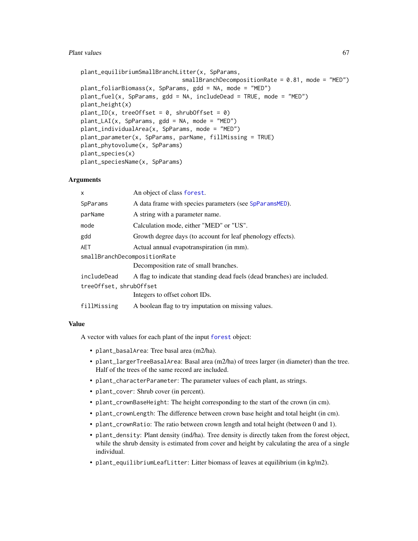## Plant values 67

```
plant_equilibriumSmallBranchLitter(x, SpParams,
                              smallBranchDecompositionRate = 0.81, mode = "MED")
plant_foliarBiomass(x, SpParams, gdd = NA, mode = "MED")
plant_fuel(x, SpParams, gdd = NA, includeDead = TRUE, mode = "MED")
plant_height(x)
plant\_ID(x, treeOffset = 0, shrubOffset = 0)plant_LAI(x, SpParams, gdd = NA, mode = "MED")
plant_individualArea(x, SpParams, mode = "MED")
plant_parameter(x, SpParams, parName, fillMissing = TRUE)
plant_phytovolume(x, SpParams)
plant_species(x)
plant_speciesName(x, SpParams)
```
# **Arguments**

| X                            | An object of class forest.                                                |
|------------------------------|---------------------------------------------------------------------------|
| SpParams                     | A data frame with species parameters (see SpParamsMED).                   |
| parName                      | A string with a parameter name.                                           |
| mode                         | Calculation mode, either "MED" or "US".                                   |
| gdd                          | Growth degree days (to account for leaf phenology effects).               |
| AET                          | Actual annual evapotranspiration (in mm).                                 |
| smallBranchDecompositionRate |                                                                           |
|                              | Decomposition rate of small branches.                                     |
| includeDead                  | A flag to indicate that standing dead fuels (dead branches) are included. |
| treeOffset, shrubOffset      |                                                                           |
|                              | Integers to offset cohort IDs.                                            |
| fillMissing                  | A boolean flag to try imputation on missing values.                       |
|                              |                                                                           |

# Value

A vector with values for each plant of the input [forest](#page-32-0) object:

- plant\_basalArea: Tree basal area (m2/ha).
- plant\_largerTreeBasalArea: Basal area (m2/ha) of trees larger (in diameter) than the tree. Half of the trees of the same record are included.
- plant\_characterParameter: The parameter values of each plant, as strings.
- plant\_cover: Shrub cover (in percent).
- plant\_crownBaseHeight: The height corresponding to the start of the crown (in cm).
- plant\_crownLength: The difference between crown base height and total height (in cm).
- plant\_crownRatio: The ratio between crown length and total height (between 0 and 1).
- plant\_density: Plant density (ind/ha). Tree density is directly taken from the forest object, while the shrub density is estimated from cover and height by calculating the area of a single individual.
- plant\_equilibriumLeafLitter: Litter biomass of leaves at equilibrium (in kg/m2).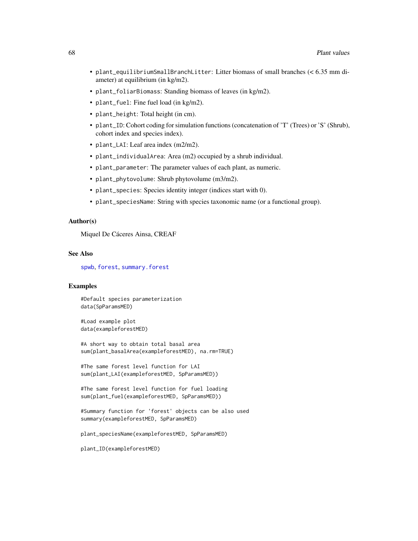- plant\_equilibriumSmallBranchLitter: Litter biomass of small branches (< 6.35 mm diameter) at equilibrium (in kg/m2).
- plant\_foliarBiomass: Standing biomass of leaves (in kg/m2).
- plant\_fuel: Fine fuel load (in kg/m2).
- plant\_height: Total height (in cm).
- plant\_ID: Cohort coding for simulation functions (concatenation of 'T' (Trees) or 'S' (Shrub), cohort index and species index).
- plant\_LAI: Leaf area index (m2/m2).
- plant\_individualArea: Area (m2) occupied by a shrub individual.
- plant\_parameter: The parameter values of each plant, as numeric.
- plant\_phytovolume: Shrub phytovolume (m3/m2).
- plant\_species: Species identity integer (indices start with 0).
- plant\_speciesName: String with species taxonomic name (or a functional group).

## Author(s)

Miquel De Cáceres Ainsa, CREAF

#### See Also

[spwb](#page-100-0), [forest](#page-32-0), [summary.forest](#page-32-1)

# Examples

#Default species parameterization data(SpParamsMED)

#Load example plot data(exampleforestMED)

#A short way to obtain total basal area sum(plant\_basalArea(exampleforestMED), na.rm=TRUE)

#The same forest level function for LAI sum(plant\_LAI(exampleforestMED, SpParamsMED))

#The same forest level function for fuel loading sum(plant\_fuel(exampleforestMED, SpParamsMED))

#Summary function for 'forest' objects can be also used summary(exampleforestMED, SpParamsMED)

plant\_speciesName(exampleforestMED, SpParamsMED)

plant\_ID(exampleforestMED)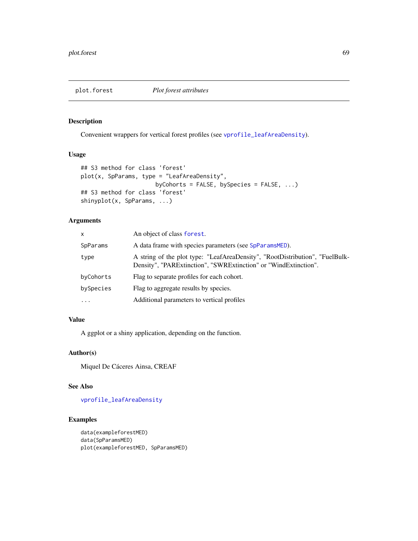# plot.forest *Plot forest attributes*

## Description

Convenient wrappers for vertical forest profiles (see [vprofile\\_leafAreaDensity](#page-134-0)).

# Usage

```
## S3 method for class 'forest'
plot(x, SpParams, type = "LeafAreaDensity",
                      byCohorts = FALSE, bySpecies = FALSE, ...)
## S3 method for class 'forest'
shinyplot(x, SpParams, ...)
```
# Arguments

| x         | An object of class forest.                                                                                                                      |
|-----------|-------------------------------------------------------------------------------------------------------------------------------------------------|
| SpParams  | A data frame with species parameters (see SpParamsMED).                                                                                         |
| type      | A string of the plot type: "LeafAreaDensity", "RootDistribution", "FuelBulk-<br>Density", "PARExtinction", "SWRExtinction" or "WindExtinction". |
| byCohorts | Flag to separate profiles for each cohort.                                                                                                      |
| bySpecies | Flag to aggregate results by species.                                                                                                           |
| $\cdots$  | Additional parameters to vertical profiles                                                                                                      |

# Value

A ggplot or a shiny application, depending on the function.

# Author(s)

Miquel De Cáceres Ainsa, CREAF

#### See Also

[vprofile\\_leafAreaDensity](#page-134-0)

# Examples

```
data(exampleforestMED)
data(SpParamsMED)
plot(exampleforestMED, SpParamsMED)
```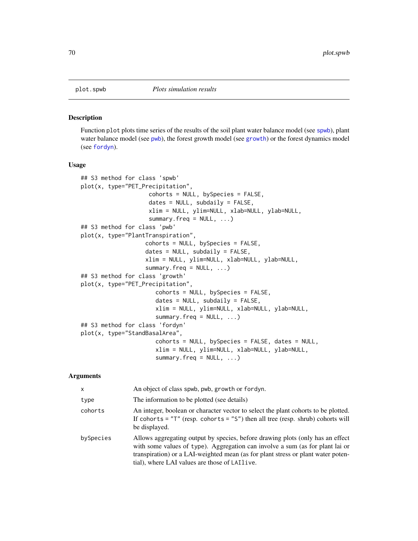#### <span id="page-69-0"></span>Description

Function plot plots time series of the results of the soil plant water balance model (see [spwb](#page-100-0)), plant water balance model (see [pwb](#page-100-1)), the forest growth model (see [growth](#page-37-0)) or the forest dynamics model (see [fordyn](#page-29-0)).

#### Usage

```
## S3 method for class 'spwb'
plot(x, type="PET_Precipitation",
                    cohorts = NULL, bySpecies = FALSE,
                    dates = NULL, subdaily = FALSE,
                    xlim = NULL, ylim=NULL, xlab=NULL, ylab=NULL,
                    summary.freq = NULL, ...)## S3 method for class 'pwb'
plot(x, type="PlantTranspiration",
                   cohorts = NULL, bySpecies = FALSE,
                   dates = NULL, subdaily = FALSE,
                   xlim = NULL, ylim=NULL, xlab=NULL, ylab=NULL,
                   summary.freq = NULL, ...)## S3 method for class 'growth'
plot(x, type="PET_Precipitation",
                      cohorts = NULL, bySpecies = FALSE,
                      dates = NULL, subdaily = FALSE,
                      xlim = NULL, ylim=NULL, xlab=NULL, ylab=NULL,
                      summary.freq = NULL, ...)## S3 method for class 'fordyn'
plot(x, type="StandBasalArea",
                      cohorts = NULL, bySpecies = FALSE, dates = NULL,
                      xlim = NULL, ylim=NULL, xlab=NULL, ylab=NULL,
                      summary.freq = NULL, ...)
```
#### Arguments

| $\mathsf{x}$ | An object of class spwb, pwb, growth or fordyn.                                                                                                                                                                                                                                                       |
|--------------|-------------------------------------------------------------------------------------------------------------------------------------------------------------------------------------------------------------------------------------------------------------------------------------------------------|
| type         | The information to be plotted (see details)                                                                                                                                                                                                                                                           |
| cohorts      | An integer, boolean or character vector to select the plant cohorts to be plotted.<br>If cohorts = $"T"$ (resp. cohorts = $"S"$ ) then all tree (resp. shrub) cohorts will<br>be displayed.                                                                                                           |
| bySpecies    | Allows aggregating output by species, before drawing plots (only has an effect<br>with some values of type). Aggregation can involve a sum (as for plant lai or<br>transpiration) or a LAI-weighted mean (as for plant stress or plant water poten-<br>tial), where LAI values are those of LAI live. |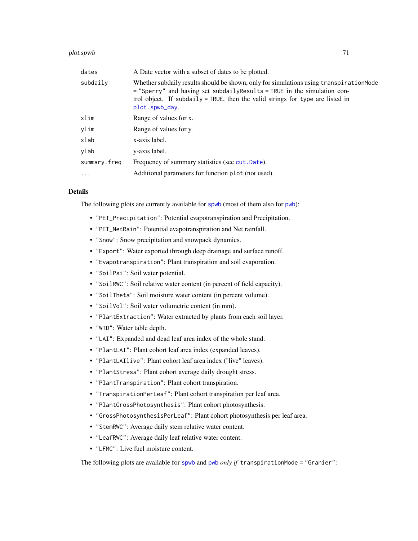#### plot.spwb 71

| dates        | A Date vector with a subset of dates to be plotted.                                                                                                                                                                                                                     |
|--------------|-------------------------------------------------------------------------------------------------------------------------------------------------------------------------------------------------------------------------------------------------------------------------|
| subdaily     | Whether subdaily results should be shown, only for simulations using transpiration Mode<br>= "Sperry" and having set subdaily Results = TRUE in the simulation con-<br>trol object. If subdaily = TRUE, then the valid strings for type are listed in<br>plot.spwb_day. |
| xlim         | Range of values for x.                                                                                                                                                                                                                                                  |
| ylim         | Range of values for y.                                                                                                                                                                                                                                                  |
| xlab         | x-axis label.                                                                                                                                                                                                                                                           |
| ylab         | y-axis label.                                                                                                                                                                                                                                                           |
| summary.freq | Frequency of summary statistics (see cut. Date).                                                                                                                                                                                                                        |
| $\cdot$      | Additional parameters for function plot (not used).                                                                                                                                                                                                                     |

# Details

The following plots are currently available for [spwb](#page-100-0) (most of them also for [pwb](#page-100-1)):

- "PET\_Precipitation": Potential evapotranspiration and Precipitation.
- "PET\_NetRain": Potential evapotranspiration and Net rainfall.
- "Snow": Snow precipitation and snowpack dynamics.
- "Export": Water exported through deep drainage and surface runoff.
- "Evapotranspiration": Plant transpiration and soil evaporation.
- "SoilPsi": Soil water potential.
- "SoilRWC": Soil relative water content (in percent of field capacity).
- "SoilTheta": Soil moisture water content (in percent volume).
- "SoilVol": Soil water volumetric content (in mm).
- "PlantExtraction": Water extracted by plants from each soil layer.
- "WTD": Water table depth.
- "LAI": Expanded and dead leaf area index of the whole stand.
- "PlantLAI": Plant cohort leaf area index (expanded leaves).
- "PlantLAIlive": Plant cohort leaf area index ("live" leaves).
- "PlantStress": Plant cohort average daily drought stress.
- "PlantTranspiration": Plant cohort transpiration.
- "TranspirationPerLeaf": Plant cohort transpiration per leaf area.
- "PlantGrossPhotosynthesis": Plant cohort photosynthesis.
- "GrossPhotosynthesisPerLeaf": Plant cohort photosynthesis per leaf area.
- "StemRWC": Average daily stem relative water content.
- "LeafRWC": Average daily leaf relative water content.
- "LFMC": Live fuel moisture content.

The following plots are available for [spwb](#page-100-0) and [pwb](#page-100-1) *only if* transpirationMode = "Granier":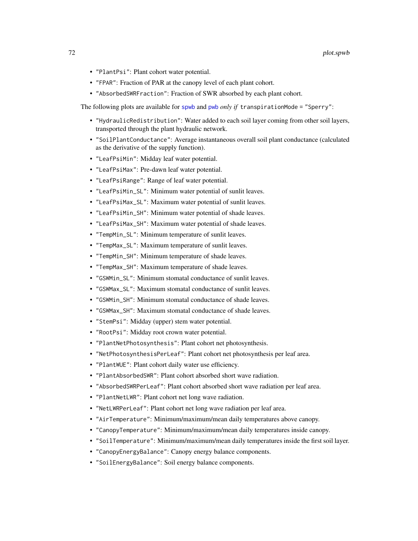- "PlantPsi": Plant cohort water potential.
- "FPAR": Fraction of PAR at the canopy level of each plant cohort.
- "AbsorbedSWRFraction": Fraction of SWR absorbed by each plant cohort.

The following plots are available for [spwb](#page-100-0) and [pwb](#page-100-1) *only if* transpirationMode = "Sperry":

- "HydraulicRedistribution": Water added to each soil layer coming from other soil layers, transported through the plant hydraulic network.
- "SoilPlantConductance": Average instantaneous overall soil plant conductance (calculated as the derivative of the supply function).
- "LeafPsiMin": Midday leaf water potential.
- "LeafPsiMax": Pre-dawn leaf water potential.
- "LeafPsiRange": Range of leaf water potential.
- "LeafPsiMin\_SL": Minimum water potential of sunlit leaves.
- "LeafPsiMax\_SL": Maximum water potential of sunlit leaves.
- "LeafPsiMin\_SH": Minimum water potential of shade leaves.
- "LeafPsiMax\_SH": Maximum water potential of shade leaves.
- "TempMin\_SL": Minimum temperature of sunlit leaves.
- "TempMax\_SL": Maximum temperature of sunlit leaves.
- "TempMin\_SH": Minimum temperature of shade leaves.
- "TempMax\_SH": Maximum temperature of shade leaves.
- "GSWMin\_SL": Minimum stomatal conductance of sunlit leaves.
- "GSWMax\_SL": Maximum stomatal conductance of sunlit leaves.
- "GSWMin SH": Minimum stomatal conductance of shade leaves.
- "GSWMax\_SH": Maximum stomatal conductance of shade leaves.
- "StemPsi": Midday (upper) stem water potential.
- "RootPsi": Midday root crown water potential.
- "PlantNetPhotosynthesis": Plant cohort net photosynthesis.
- "NetPhotosynthesisPerLeaf": Plant cohort net photosynthesis per leaf area.
- "PlantWUE": Plant cohort daily water use efficiency.
- "PlantAbsorbedSWR": Plant cohort absorbed short wave radiation.
- "AbsorbedSWRPerLeaf": Plant cohort absorbed short wave radiation per leaf area.
- "PlantNetLWR": Plant cohort net long wave radiation.
- "NetLWRPerLeaf": Plant cohort net long wave radiation per leaf area.
- "AirTemperature": Minimum/maximum/mean daily temperatures above canopy.
- "CanopyTemperature": Minimum/maximum/mean daily temperatures inside canopy.
- "SoilTemperature": Minimum/maximum/mean daily temperatures inside the first soil layer.
- "CanopyEnergyBalance": Canopy energy balance components.
- "SoilEnergyBalance": Soil energy balance components.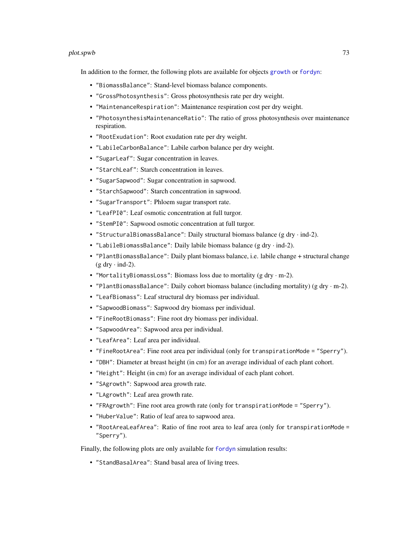#### plot.spwb 73

In addition to the former, the following plots are available for objects [growth](#page-37-0) or [fordyn](#page-29-0):

- "BiomassBalance": Stand-level biomass balance components.
- "GrossPhotosynthesis": Gross photosynthesis rate per dry weight.
- "MaintenanceRespiration": Maintenance respiration cost per dry weight.
- "PhotosynthesisMaintenanceRatio": The ratio of gross photosynthesis over maintenance respiration.
- "RootExudation": Root exudation rate per dry weight.
- "LabileCarbonBalance": Labile carbon balance per dry weight.
- "SugarLeaf": Sugar concentration in leaves.
- "StarchLeaf": Starch concentration in leaves.
- "SugarSapwood": Sugar concentration in sapwood.
- "StarchSapwood": Starch concentration in sapwood.
- "SugarTransport": Phloem sugar transport rate.
- "LeafPI0": Leaf osmotic concentration at full turgor.
- "StemPI0": Sapwood osmotic concentration at full turgor.
- "StructuralBiomassBalance": Daily structural biomass balance (g dry  $\cdot$  ind-2).
- "LabileBiomassBalance": Daily labile biomass balance (g dry  $\cdot$  ind-2).
- "PlantBiomassBalance": Daily plant biomass balance, i.e. labile change + structural change  $(g$  dry  $\cdot$  ind-2).
- "MortalityBiomassLoss": Biomass loss due to mortality (g dry · m-2).
- "PlantBiomassBalance": Daily cohort biomass balance (including mortality) (g dry  $\cdot$  m-2).
- "LeafBiomass": Leaf structural dry biomass per individual.
- "SapwoodBiomass": Sapwood dry biomass per individual.
- "FineRootBiomass": Fine root dry biomass per individual.
- "SapwoodArea": Sapwood area per individual.
- "LeafArea": Leaf area per individual.
- "FineRootArea": Fine root area per individual (only for transpirationMode = "Sperry").
- "DBH": Diameter at breast height (in cm) for an average individual of each plant cohort.
- "Height": Height (in cm) for an average individual of each plant cohort.
- "SAgrowth": Sapwood area growth rate.
- "LAgrowth": Leaf area growth rate.
- "FRAgrowth": Fine root area growth rate (only for transpirationMode = "Sperry").
- "HuberValue": Ratio of leaf area to sapwood area.
- "RootAreaLeafArea": Ratio of fine root area to leaf area (only for transpirationMode = "Sperry").

Finally, the following plots are only available for [fordyn](#page-29-0) simulation results:

• "StandBasalArea": Stand basal area of living trees.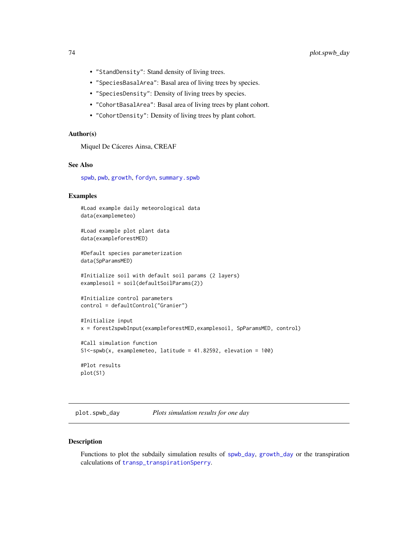- "StandDensity": Stand density of living trees.
- "SpeciesBasalArea": Basal area of living trees by species.
- "SpeciesDensity": Density of living trees by species.
- "CohortBasalArea": Basal area of living trees by plant cohort.
- "CohortDensity": Density of living trees by plant cohort.

# Author(s)

Miquel De Cáceres Ainsa, CREAF

# See Also

[spwb](#page-100-0), [pwb](#page-100-1), [growth](#page-37-0), [fordyn](#page-29-0), [summary.spwb](#page-117-0)

## Examples

```
#Load example daily meteorological data
data(examplemeteo)
```
#Load example plot plant data data(exampleforestMED)

#Default species parameterization data(SpParamsMED)

```
#Initialize soil with default soil params (2 layers)
examplesoil = soil(defaultSoilParams(2))
```

```
#Initialize control parameters
control = defaultControl("Granier")
```

```
#Initialize input
x = forest2spwbInput(exampleforestMED,examplesoil, SpParamsMED, control)
```

```
#Call simulation function
S1<-spwb(x, examplemeteo, latitude = 41.82592, elevation = 100)
#Plot results
plot(S1)
```

```
plot.spwb_day Plots simulation results for one day
```
## Description

Functions to plot the subdaily simulation results of [spwb\\_day](#page-106-0), [growth\\_day](#page-106-1) or the transpiration calculations of [transp\\_transpirationSperry](#page-128-0).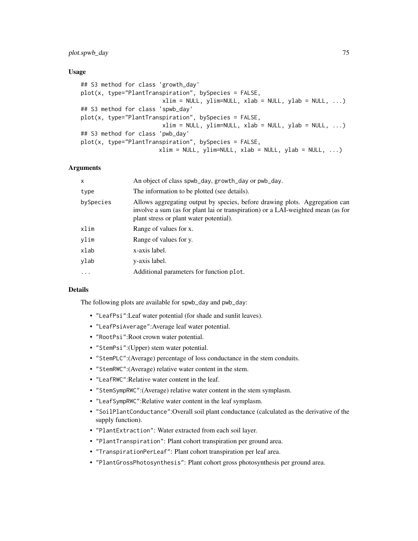# plot.spwb\_day 75

## Usage

```
## S3 method for class 'growth_day'
plot(x, type="PlantTransportation", by Species = FALSE,xlim = NULL, ylim=NULL, xlab = NULL, ylab = NULL, ...)## S3 method for class 'spwb_day'
plot(x, type="PlantTransportation", by Species = FALSE,xlim = NULL, ylim=NULL, xlab = NULL, ylab = NULL, ...)
## S3 method for class 'pwb_day'
plot(x, type="PlantTranspiration", bySpecies = FALSE,
                       xlim = NULL, ylim=NULL, xlab = NULL, ylab = NULL, ...)
```
# Arguments

| X         | An object of class spwb_day, growth_day or pwb_day.                                                                                                                                                        |  |
|-----------|------------------------------------------------------------------------------------------------------------------------------------------------------------------------------------------------------------|--|
| type      | The information to be plotted (see details).                                                                                                                                                               |  |
| bySpecies | Allows aggregating output by species, before drawing plots. Aggregation can<br>involve a sum (as for plant lai or transpiration) or a LAI-weighted mean (as for<br>plant stress or plant water potential). |  |
| xlim      | Range of values for x.                                                                                                                                                                                     |  |
| ylim      | Range of values for y.                                                                                                                                                                                     |  |
| xlab      | x-axis label.                                                                                                                                                                                              |  |
| ylab      | y-axis label.                                                                                                                                                                                              |  |
| $\cdot$   | Additional parameters for function plot.                                                                                                                                                                   |  |
|           |                                                                                                                                                                                                            |  |

## Details

The following plots are available for spwb\_day and pwb\_day:

- "LeafPsi":Leaf water potential (for shade and sunlit leaves).
- "LeafPsiAverage":Average leaf water potential.
- "RootPsi":Root crown water potential.
- "StemPsi":(Upper) stem water potential.
- "StemPLC":(Average) percentage of loss conductance in the stem conduits.
- "StemRWC":(Average) relative water content in the stem.
- "LeafRWC":Relative water content in the leaf.
- "StemSympRWC":(Average) relative water content in the stem symplasm.
- "LeafSympRWC":Relative water content in the leaf symplasm.
- "SoilPlantConductance":Overall soil plant conductance (calculated as the derivative of the supply function).
- "PlantExtraction": Water extracted from each soil layer.
- "PlantTranspiration": Plant cohort transpiration per ground area.
- "TranspirationPerLeaf": Plant cohort transpiration per leaf area.
- "PlantGrossPhotosynthesis": Plant cohort gross photosynthesis per ground area.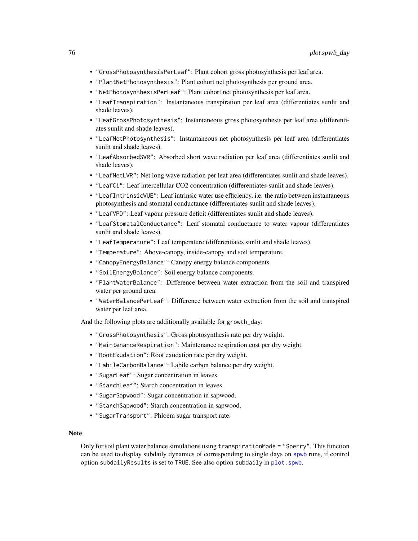- "GrossPhotosynthesisPerLeaf": Plant cohort gross photosynthesis per leaf area.
- "PlantNetPhotosynthesis": Plant cohort net photosynthesis per ground area.
- "NetPhotosynthesisPerLeaf": Plant cohort net photosynthesis per leaf area.
- "LeafTranspiration": Instantaneous transpiration per leaf area (differentiates sunlit and shade leaves).
- "LeafGrossPhotosynthesis": Instantaneous gross photosynthesis per leaf area (differentiates sunlit and shade leaves).
- "LeafNetPhotosynthesis": Instantaneous net photosynthesis per leaf area (differentiates sunlit and shade leaves).
- "LeafAbsorbedSWR": Absorbed short wave radiation per leaf area (differentiates sunlit and shade leaves).
- "LeafNetLWR": Net long wave radiation per leaf area (differentiates sunlit and shade leaves).
- "LeafCi": Leaf intercellular CO2 concentration (differentiates sunlit and shade leaves).
- "LeafIntrinsicWUE": Leaf intrinsic water use efficiency, i.e. the ratio between instantaneous photosynthesis and stomatal conductance (differentiates sunlit and shade leaves).
- "LeafVPD": Leaf vapour pressure deficit (differentiates sunlit and shade leaves).
- "LeafStomatalConductance": Leaf stomatal conductance to water vapour (differentiates sunlit and shade leaves).
- "LeafTemperature": Leaf temperature (differentiates sunlit and shade leaves).
- "Temperature": Above-canopy, inside-canopy and soil temperature.
- "CanopyEnergyBalance": Canopy energy balance components.
- "SoilEnergyBalance": Soil energy balance components.
- "PlantWaterBalance": Difference between water extraction from the soil and transpired water per ground area.
- "WaterBalancePerLeaf": Difference between water extraction from the soil and transpired water per leaf area.

And the following plots are additionally available for growth\_day:

- "GrossPhotosynthesis": Gross photosynthesis rate per dry weight.
- "MaintenanceRespiration": Maintenance respiration cost per dry weight.
- "RootExudation": Root exudation rate per dry weight.
- "LabileCarbonBalance": Labile carbon balance per dry weight.
- "SugarLeaf": Sugar concentration in leaves.
- "StarchLeaf": Starch concentration in leaves.
- "SugarSapwood": Sugar concentration in sapwood.
- "StarchSapwood": Starch concentration in sapwood.
- "SugarTransport": Phloem sugar transport rate.

## **Note**

Only for soil plant water balance simulations using transpirationMode = "Sperry". This function can be used to display subdaily dynamics of corresponding to single days on [spwb](#page-100-0) runs, if control option subdailyResults is set to TRUE. See also option subdaily in [plot.spwb](#page-69-0).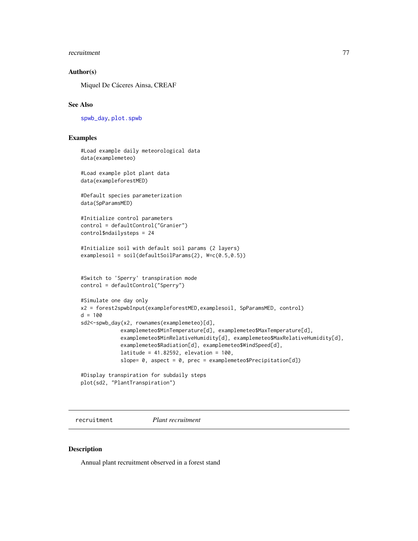#### recruitment 77

## Author(s)

Miquel De Cáceres Ainsa, CREAF

# See Also

[spwb\\_day](#page-106-0), [plot.spwb](#page-69-0)

## Examples

```
#Load example daily meteorological data
data(examplemeteo)
#Load example plot plant data
data(exampleforestMED)
#Default species parameterization
data(SpParamsMED)
#Initialize control parameters
control = defaultControl("Granier")
control$ndailysteps = 24
#Initialize soil with default soil params (2 layers)
examplesoil = soil(defaultSoilParams(2), W=c(0.5,0.5))
#Switch to 'Sperry' transpiration mode
control = defaultControl("Sperry")
#Simulate one day only
x2 = forest2spwbInput(exampleforestMED,examplesoil, SpParamsMED, control)
d = 100sd2<-spwb_day(x2, rownames(examplemeteo)[d],
             examplemeteo$MinTemperature[d], examplemeteo$MaxTemperature[d],
             examplemeteo$MinRelativeHumidity[d], examplemeteo$MaxRelativeHumidity[d],
             examplemeteo$Radiation[d], examplemeteo$WindSpeed[d],
             latitude = 41.82592, elevation = 100,
             slope= 0, aspect = 0, prec = examplemeteo$Precipitation[d])
#Display transpiration for subdaily steps
plot(sd2, "PlantTranspiration")
```
recruitment *Plant recruitment*

## Description

Annual plant recruitment observed in a forest stand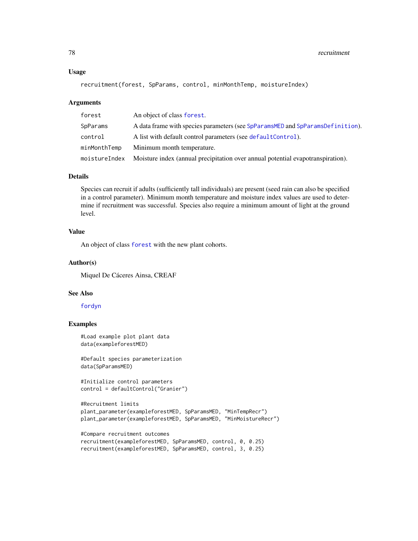#### Usage

```
recruitment(forest, SpParams, control, minMonthTemp, moistureIndex)
```
#### Arguments

| forest        | An object of class forest.                                                      |  |
|---------------|---------------------------------------------------------------------------------|--|
| SpParams      | A data frame with species parameters (see SpParamsMED and SpParamsDefinition).  |  |
| control       | A list with default control parameters (see default Control).                   |  |
| minMonthTemp  | Minimum month temperature.                                                      |  |
| moistureIndex | Moisture index (annual precipitation over annual potential evapotranspiration). |  |

# Details

Species can recruit if adults (sufficiently tall individuals) are present (seed rain can also be specified in a control parameter). Minimum month temperature and moisture index values are used to determine if recruitment was successful. Species also require a minimum amount of light at the ground level.

# Value

An object of class [forest](#page-32-0) with the new plant cohorts.

#### Author(s)

Miquel De Cáceres Ainsa, CREAF

## See Also

#### [fordyn](#page-29-0)

## Examples

```
#Load example plot plant data
data(exampleforestMED)
```
#Default species parameterization data(SpParamsMED)

```
#Initialize control parameters
control = defaultControl("Granier")
```

```
#Recruitment limits
plant_parameter(exampleforestMED, SpParamsMED, "MinTempRecr")
plant_parameter(exampleforestMED, SpParamsMED, "MinMoistureRecr")
```

```
#Compare recruitment outcomes
recruitment(exampleforestMED, SpParamsMED, control, 0, 0.25)
recruitment(exampleforestMED, SpParamsMED, control, 3, 0.25)
```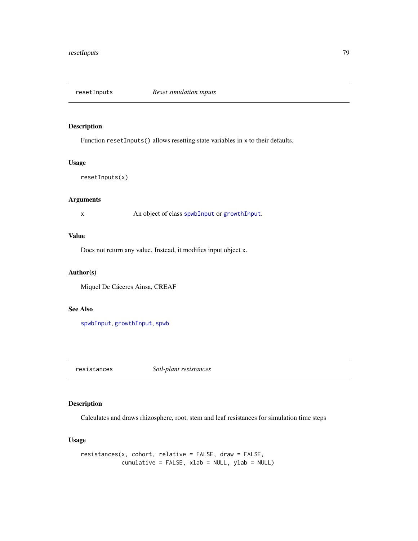# Description

Function resetInputs() allows resetting state variables in x to their defaults.

## Usage

```
resetInputs(x)
```
# Arguments

x An object of class [spwbInput](#page-48-0) or [growthInput](#page-48-0).

## Value

Does not return any value. Instead, it modifies input object x.

# Author(s)

Miquel De Cáceres Ainsa, CREAF

# See Also

[spwbInput](#page-48-0), [growthInput](#page-48-0), [spwb](#page-100-0)

resistances *Soil-plant resistances*

# Description

Calculates and draws rhizosphere, root, stem and leaf resistances for simulation time steps

# Usage

```
resistances(x, cohort, relative = FALSE, draw = FALSE,
           cumulative = FALSE, xlab = NULL, ylab = NULL)
```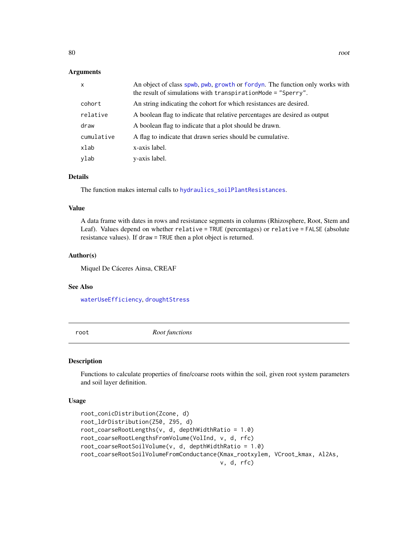## **Arguments**

| $\mathsf{x}$ | An object of class spwb, pwb, growth or fordyn. The function only works with<br>the result of simulations with transpirationMode = "Sperry". |
|--------------|----------------------------------------------------------------------------------------------------------------------------------------------|
| cohort       | An string indicating the cohort for which resistances are desired.                                                                           |
| relative     | A boolean flag to indicate that relative percentages are desired as output                                                                   |
| draw         | A boolean flag to indicate that a plot should be drawn.                                                                                      |
| cumulative   | A flag to indicate that drawn series should be cumulative.                                                                                   |
| xlab         | x-axis label.                                                                                                                                |
| ylab         | y-axis label.                                                                                                                                |

# Details

The function makes internal calls to [hydraulics\\_soilPlantResistances](#page-82-0).

# Value

A data frame with dates in rows and resistance segments in columns (Rhizosphere, Root, Stem and Leaf). Values depend on whether relative = TRUE (percentages) or relative = FALSE (absolute resistance values). If draw = TRUE then a plot object is returned.

## Author(s)

Miquel De Cáceres Ainsa, CREAF

#### See Also

[waterUseEfficiency](#page-136-0), [droughtStress](#page-16-0)

root *Root functions*

#### Description

Functions to calculate properties of fine/coarse roots within the soil, given root system parameters and soil layer definition.

## Usage

```
root_conicDistribution(Zcone, d)
root_ldrDistribution(Z50, Z95, d)
root_coarseRootLengths(v, d, depthWidthRatio = 1.0)
root_coarseRootLengthsFromVolume(VolInd, v, d, rfc)
root_coarseRootSoilVolume(v, d, depthWidthRatio = 1.0)
root_coarseRootSoilVolumeFromConductance(Kmax_rootxylem, VCroot_kmax, Al2As,
                                         v, d, rfc)
```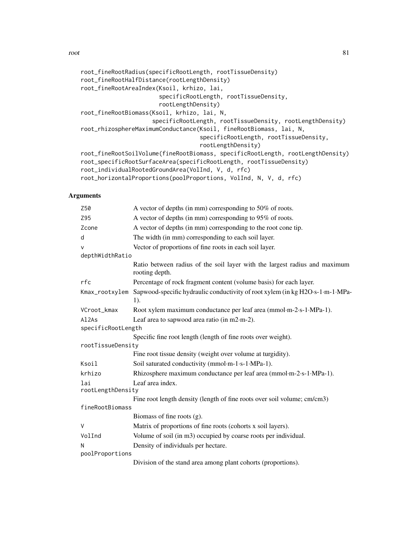```
root_fineRootRadius(specificRootLength, rootTissueDensity)
root_fineRootHalfDistance(rootLengthDensity)
root_fineRootAreaIndex(Ksoil, krhizo, lai,
                       specificRootLength, rootTissueDensity,
                       rootLengthDensity)
root_fineRootBiomass(Ksoil, krhizo, lai, N,
                     specificRootLength, rootTissueDensity, rootLengthDensity)
root_rhizosphereMaximumConductance(Ksoil, fineRootBiomass, lai, N,
                                   specificRootLength, rootTissueDensity,
                                   rootLengthDensity)
root_fineRootSoilVolume(fineRootBiomass, specificRootLength, rootLengthDensity)
root_specificRootSurfaceArea(specificRootLength, rootTissueDensity)
root_individualRootedGroundArea(VolInd, V, d, rfc)
root_horizontalProportions(poolProportions, VolInd, N, V, d, rfc)
```
# Arguments

| Z50                            | A vector of depths (in mm) corresponding to 50% of roots.                                    |  |
|--------------------------------|----------------------------------------------------------------------------------------------|--|
| Z95                            | A vector of depths (in mm) corresponding to 95% of roots.                                    |  |
| Zcone                          | A vector of depths (in mm) corresponding to the root cone tip.                               |  |
| d                              | The width (in mm) corresponding to each soil layer.                                          |  |
| $\vee$                         | Vector of proportions of fine roots in each soil layer.                                      |  |
| depthWidthRatio                |                                                                                              |  |
|                                | Ratio between radius of the soil layer with the largest radius and maximum<br>rooting depth. |  |
| rfc                            | Percentage of rock fragment content (volume basis) for each layer.                           |  |
| Kmax_rootxylem                 | Sapwood-specific hydraulic conductivity of root xylem (in kg H2O·s-1·m-1·MPa-<br>1).         |  |
| VCroot_kmax                    | Root xylem maximum conductance per leaf area (mmol·m-2·s-1·MPa-1).                           |  |
| Al <sub>2</sub> A <sub>s</sub> | Leaf area to sapwood area ratio (in m2·m-2).                                                 |  |
| specificRootLength             |                                                                                              |  |
|                                | Specific fine root length (length of fine roots over weight).                                |  |
| rootTissueDensity              |                                                                                              |  |
|                                | Fine root tissue density (weight over volume at turgidity).                                  |  |
| Ksoil                          | Soil saturated conductivity (mmol·m-1·s-1·MPa-1).                                            |  |
| krhizo                         | Rhizosphere maximum conductance per leaf area (mmol·m-2·s-1·MPa-1).                          |  |
| lai                            | Leaf area index.                                                                             |  |
| rootLengthDensity              |                                                                                              |  |
|                                | Fine root length density (length of fine roots over soil volume; cm/cm3)                     |  |
| fineRootBiomass                |                                                                                              |  |
|                                | Biomass of fine roots $(g)$ .                                                                |  |
| $\vee$                         | Matrix of proportions of fine roots (cohorts x soil layers).                                 |  |
| VolInd                         | Volume of soil (in m3) occupied by coarse roots per individual.                              |  |
| N                              | Density of individuals per hectare.                                                          |  |
| poolProportions                |                                                                                              |  |
|                                | Division of the stand area among plant cohorts (proportions).                                |  |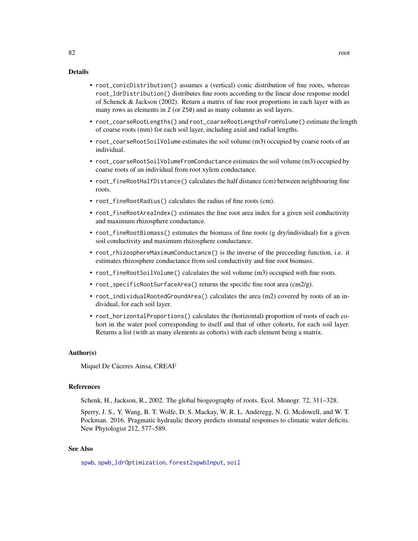## Details

- root\_conicDistribution() assumes a (vertical) conic distribution of fine roots, whereas root\_ldrDistribution() distributes fine roots according to the linear dose response model of Schenck & Jackson (2002). Return a matrix of fine root proportions in each layer with as many rows as elements in Z (or Z50) and as many columns as soil layers.
- root\_coarseRootLengths() and root\_coarseRootLengthsFromVolume() estimate the length of coarse roots (mm) for each soil layer, including axial and radial lengths.
- root\_coarseRootSoilVolume estimates the soil volume (m3) occupied by coarse roots of an individual.
- root\_coarseRootSoilVolumeFromConductance estimates the soil volume (m3) occupied by coarse roots of an individual from root xylem conductance.
- root\_fineRootHalfDistance() calculates the half distance (cm) between neighbouring fine roots.
- root\_fineRootRadius() calculates the radius of fine roots (cm).
- root\_fineRootAreaIndex() estimates the fine root area index for a given soil conductivity and maximum rhizosphere conductance.
- root\_fineRootBiomass() estimates the biomass of fine roots (g dry/individual) for a given soil conductivity and maximum rhizosphere conductance.
- root\_rhizosphereMaximumConductance() is the inverse of the preceeding function, i.e. it estimates rhizosphere conductance from soil conductivity and fine root biomass.
- root\_fineRootSoilVolume() calculates the soil volume (m3) occupied with fine roots.
- root\_specificRootSurfaceArea() returns the specific fine root area (cm2/g).
- root\_individualRootedGroundArea() calculates the area (m2) covered by roots of an individual, for each soil layer.
- root\_horizontalProportions() calculates the (horizontal) proportion of roots of each cohort in the water pool corresponding to itself and that of other cohorts, for each soil layer. Returns a list (with as many elements as cohorts) with each element being a matrix.

#### Author(s)

Miquel De Cáceres Ainsa, CREAF

# References

Schenk, H., Jackson, R., 2002. The global biogeography of roots. Ecol. Monogr. 72, 311–328.

Sperry, J. S., Y. Wang, B. T. Wolfe, D. S. Mackay, W. R. L. Anderegg, N. G. Mcdowell, and W. T. Pockman. 2016. Pragmatic hydraulic theory predicts stomatal responses to climatic water deficits. New Phytologist 212, 577–589.

# See Also

[spwb](#page-100-0), [spwb\\_ldrOptimization](#page-111-0), [forest2spwbInput](#page-48-0), [soil](#page-87-0)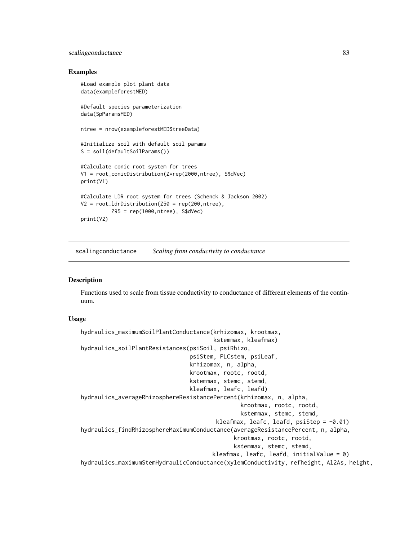# scalingconductance 83

## Examples

```
#Load example plot plant data
data(exampleforestMED)
#Default species parameterization
data(SpParamsMED)
ntree = nrow(exampleforestMED$treeData)
#Initialize soil with default soil params
S = soil(defaultSoilParams())
#Calculate conic root system for trees
V1 = root_conicDistribution(Z=rep(2000,ntree), S$dVec)
print(V1)
#Calculate LDR root system for trees (Schenck & Jackson 2002)
V2 = root\_ldrDistriolution(Z50 = rep(200, ntree),Z95 = rep(1000,ntree), S$dVec)
print(V2)
```
scalingconductance *Scaling from conductivity to conductance*

# <span id="page-82-0"></span>Description

Functions used to scale from tissue conductivity to conductance of different elements of the continuum.

## Usage

```
hydraulics_maximumSoilPlantConductance(krhizomax, krootmax,
                                       kstemmax, kleafmax)
hydraulics_soilPlantResistances(psiSoil, psiRhizo,
                                psiStem, PLCstem, psiLeaf,
                                krhizomax, n, alpha,
                                krootmax, rootc, rootd,
                                kstemmax, stemc, stemd,
                                kleafmax, leafc, leafd)
hydraulics_averageRhizosphereResistancePercent(krhizomax, n, alpha,
                                               krootmax, rootc, rootd,
                                               kstemmax, stemc, stemd,
                                        kleafmax, leafc, leafd, psiStep = -0.01)
hydraulics_findRhizosphereMaximumConductance(averageResistancePercent, n, alpha,
                                             krootmax, rootc, rootd,
                                             kstemmax, stemc, stemd,
                                       kleafmax, leafc, leafd, initialValue = 0)
hydraulics_maximumStemHydraulicConductance(xylemConductivity, refheight, Al2As, height,
```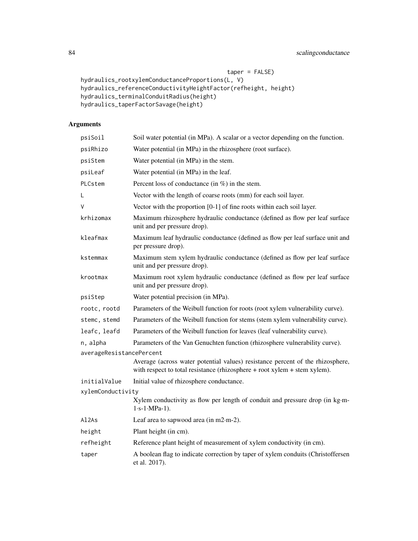```
taper = FALSE)
hydraulics_rootxylemConductanceProportions(L, V)
hydraulics_referenceConductivityHeightFactor(refheight, height)
hydraulics_terminalConduitRadius(height)
hydraulics_taperFactorSavage(height)
```
# Arguments

| psiSoil                        | Soil water potential (in MPa). A scalar or a vector depending on the function.                                                                                  |  |
|--------------------------------|-----------------------------------------------------------------------------------------------------------------------------------------------------------------|--|
| psiRhizo                       | Water potential (in MPa) in the rhizosphere (root surface).                                                                                                     |  |
| psiStem                        | Water potential (in MPa) in the stem.                                                                                                                           |  |
| psiLeaf                        | Water potential (in MPa) in the leaf.                                                                                                                           |  |
| PLCstem                        | Percent loss of conductance (in $\%$ ) in the stem.                                                                                                             |  |
| L                              | Vector with the length of coarse roots (mm) for each soil layer.                                                                                                |  |
| ٧                              | Vector with the proportion $[0-1]$ of fine roots within each soil layer.                                                                                        |  |
| krhizomax                      | Maximum rhizosphere hydraulic conductance (defined as flow per leaf surface<br>unit and per pressure drop).                                                     |  |
| kleafmax                       | Maximum leaf hydraulic conductance (defined as flow per leaf surface unit and<br>per pressure drop).                                                            |  |
| kstemmax                       | Maximum stem xylem hydraulic conductance (defined as flow per leaf surface<br>unit and per pressure drop).                                                      |  |
| krootmax                       | Maximum root xylem hydraulic conductance (defined as flow per leaf surface<br>unit and per pressure drop).                                                      |  |
| psiStep                        | Water potential precision (in MPa).                                                                                                                             |  |
| rootc, rootd                   | Parameters of the Weibull function for roots (root xylem vulnerability curve).                                                                                  |  |
| stemc, stemd                   | Parameters of the Weibull function for stems (stem xylem vulnerability curve).                                                                                  |  |
| leafc, leafd                   | Parameters of the Weibull function for leaves (leaf vulnerability curve).                                                                                       |  |
| n, alpha                       | Parameters of the Van Genuchten function (rhizosphere vulnerability curve).                                                                                     |  |
| averageResistancePercent       |                                                                                                                                                                 |  |
|                                | Average (across water potential values) resistance percent of the rhizosphere,<br>with respect to total resistance (rhizosphere $+$ root xylem $+$ stem xylem). |  |
| initialValue                   | Initial value of rhizosphere conductance.                                                                                                                       |  |
| xylemConductivity              |                                                                                                                                                                 |  |
|                                | Xylem conductivity as flow per length of conduit and pressure drop (in kg·m-<br>$1 \cdot s - 1 \cdot MPa - 1$ .                                                 |  |
| Al <sub>2</sub> A <sub>s</sub> | Leaf area to sapwood area (in $m2 \cdot m-2$ ).                                                                                                                 |  |
| height                         | Plant height (in cm).                                                                                                                                           |  |
| refheight                      | Reference plant height of measurement of xylem conductivity (in cm).                                                                                            |  |
| taper                          | A boolean flag to indicate correction by taper of xylem conduits (Christoffersen<br>et al. 2017).                                                               |  |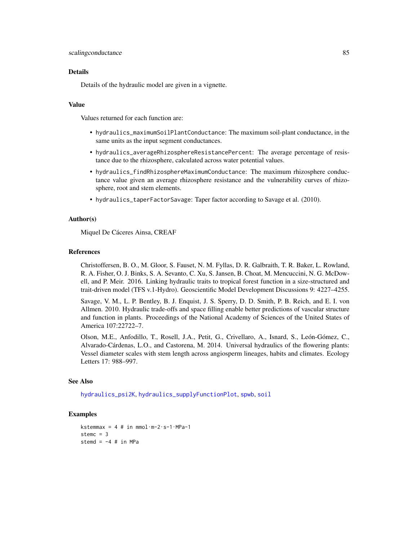#### Details

Details of the hydraulic model are given in a vignette.

# Value

Values returned for each function are:

- hydraulics\_maximumSoilPlantConductance: The maximum soil-plant conductance, in the same units as the input segment conductances.
- hydraulics\_averageRhizosphereResistancePercent: The average percentage of resistance due to the rhizosphere, calculated across water potential values.
- hydraulics\_findRhizosphereMaximumConductance: The maximum rhizosphere conductance value given an average rhizosphere resistance and the vulnerability curves of rhizosphere, root and stem elements.
- hydraulics\_taperFactorSavage: Taper factor according to Savage et al. (2010).

#### Author(s)

Miquel De Cáceres Ainsa, CREAF

#### References

Christoffersen, B. O., M. Gloor, S. Fauset, N. M. Fyllas, D. R. Galbraith, T. R. Baker, L. Rowland, R. A. Fisher, O. J. Binks, S. A. Sevanto, C. Xu, S. Jansen, B. Choat, M. Mencuccini, N. G. McDowell, and P. Meir. 2016. Linking hydraulic traits to tropical forest function in a size-structured and trait-driven model (TFS v.1-Hydro). Geoscientific Model Development Discussions 9: 4227–4255.

Savage, V. M., L. P. Bentley, B. J. Enquist, J. S. Sperry, D. D. Smith, P. B. Reich, and E. I. von Allmen. 2010. Hydraulic trade-offs and space filling enable better predictions of vascular structure and function in plants. Proceedings of the National Academy of Sciences of the United States of America 107:22722–7.

Olson, M.E., Anfodillo, T., Rosell, J.A., Petit, G., Crivellaro, A., Isnard, S., León-Gómez, C., Alvarado-Cárdenas, L.O., and Castorena, M. 2014. Universal hydraulics of the flowering plants: Vessel diameter scales with stem length across angiosperm lineages, habits and climates. Ecology Letters 17: 988–997.

# See Also

[hydraulics\\_psi2K](#page-6-0), [hydraulics\\_supplyFunctionPlot](#page-118-0), [spwb](#page-100-0), [soil](#page-87-0)

#### Examples

```
kstemmax = 4 # in mmol\cdotm-2\cdots-1\cdotMPa-1
stemc = 3stemd = -4 # in MPa
```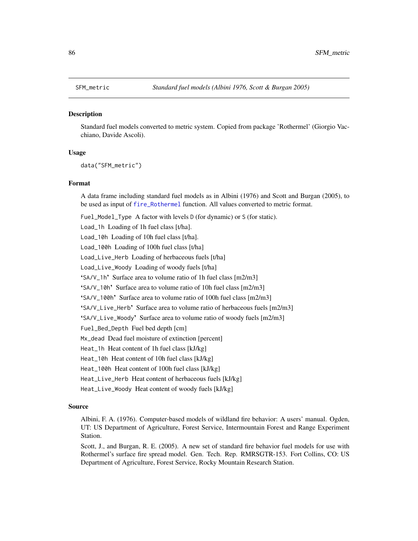#### **Description**

Standard fuel models converted to metric system. Copied from package 'Rothermel' (Giorgio Vacchiano, Davide Ascoli).

#### Usage

data("SFM\_metric")

#### Format

A data frame including standard fuel models as in Albini (1976) and Scott and Burgan (2005), to be used as input of [fire\\_Rothermel](#page-25-0) function. All values converted to metric format.

Fuel\_Model\_Type A factor with levels D (for dynamic) or S (for static).

Load\_1h Loading of 1h fuel class [t/ha].

Load\_10h Loading of 10h fuel class [t/ha].

Load\_100h Loading of 100h fuel class [t/ha]

Load\_Live\_Herb Loading of herbaceous fuels [t/ha]

Load\_Live\_Woody Loading of woody fuels [t/ha]

'SA/V\_1h' Surface area to volume ratio of 1h fuel class [m2/m3]

'SA/V\_10h' Surface area to volume ratio of 10h fuel class [m2/m3]

'SA/V\_100h' Surface area to volume ratio of 100h fuel class [m2/m3]

'SA/V\_Live\_Herb' Surface area to volume ratio of herbaceous fuels [m2/m3]

'SA/V\_Live\_Woody' Surface area to volume ratio of woody fuels [m2/m3]

Fuel\_Bed\_Depth Fuel bed depth [cm]

Mx\_dead Dead fuel moisture of extinction [percent]

Heat\_1h Heat content of 1h fuel class [kJ/kg]

Heat\_10h Heat content of 10h fuel class [kJ/kg]

Heat\_100h Heat content of 100h fuel class [kJ/kg]

Heat\_Live\_Herb Heat content of herbaceous fuels [kJ/kg]

Heat\_Live\_Woody Heat content of woody fuels [kJ/kg]

# Source

Albini, F. A. (1976). Computer-based models of wildland fire behavior: A users' manual. Ogden, UT: US Department of Agriculture, Forest Service, Intermountain Forest and Range Experiment Station.

Scott, J., and Burgan, R. E. (2005). A new set of standard fire behavior fuel models for use with Rothermel's surface fire spread model. Gen. Tech. Rep. RMRSGTR-153. Fort Collins, CO: US Department of Agriculture, Forest Service, Rocky Mountain Research Station.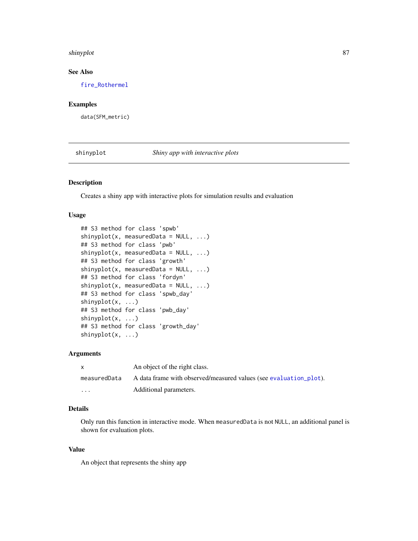#### shinyplot 87

# See Also

[fire\\_Rothermel](#page-25-0)

# Examples

data(SFM\_metric)

shinyplot *Shiny app with interactive plots*

# Description

Creates a shiny app with interactive plots for simulation results and evaluation

# Usage

```
## S3 method for class 'spwb'
shinyplot(x, measuredData = NULL, ...)## S3 method for class 'pwb'
shinyplot(x, measuredData = NULL, ...)## S3 method for class 'growth'
shinyplot(x, measuredData = NULL, ...)## S3 method for class 'fordyn'
shinyplot(x, measuredData = NULL, ...)## S3 method for class 'spwb_day'
shinyplot(x, ...)
## S3 method for class 'pwb_day'
shinyplot(x, ...)
## S3 method for class 'growth_day'
shinyplot(x, ...)
```
# Arguments

| X            | An object of the right class.                                     |  |
|--------------|-------------------------------------------------------------------|--|
| measuredData | A data frame with observed/measured values (see evaluation plot). |  |
| $\cdots$     | Additional parameters.                                            |  |

# Details

Only run this function in interactive mode. When measuredData is not NULL, an additional panel is shown for evaluation plots.

## Value

An object that represents the shiny app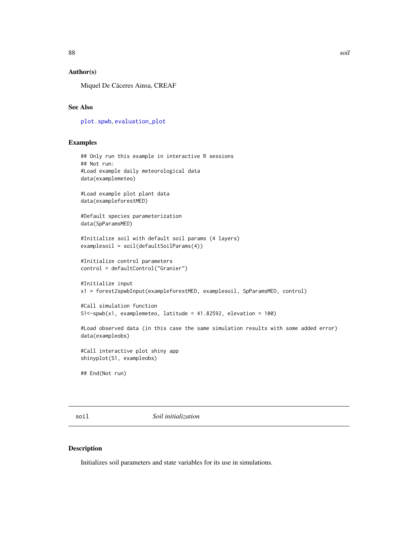# Author(s)

Miquel De Cáceres Ainsa, CREAF

# See Also

[plot.spwb](#page-69-0), [evaluation\\_plot](#page-17-0)

# Examples

```
## Only run this example in interactive R sessions
## Not run:
#Load example daily meteorological data
data(examplemeteo)
#Load example plot plant data
data(exampleforestMED)
#Default species parameterization
data(SpParamsMED)
#Initialize soil with default soil params (4 layers)
examplesoil = soil(defaultSoilParams(4))
#Initialize control parameters
control = defaultControl("Granier")
#Initialize input
x1 = forest2spwbInput(exampleforestMED, examplesoil, SpParamsMED, control)
#Call simulation function
S1<-spwb(x1, examplemeteo, latitude = 41.82592, elevation = 100)
#Load observed data (in this case the same simulation results with some added error)
data(exampleobs)
#Call interactive plot shiny app
shinyplot(S1, exampleobs)
## End(Not run)
```
<span id="page-87-0"></span>soil *Soil initialization*

#### Description

Initializes soil parameters and state variables for its use in simulations.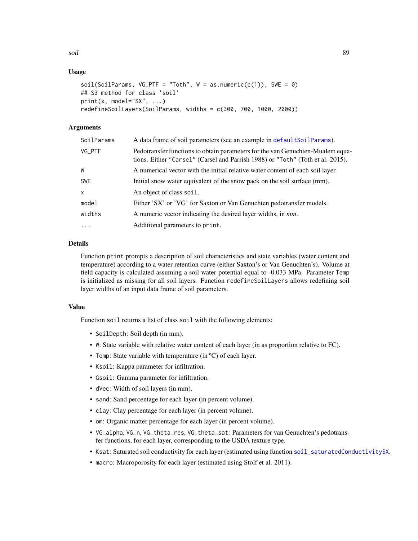# Usage

```
soil(SoilParameters, VG_PTF = "Toth", W = as.numeric(c(1)), SWE = 0)## S3 method for class 'soil'
print(x, model="SX", ...)redefineSoilLayers(SoilParams, widths = c(300, 700, 1000, 2000))
```
# Arguments

| SoilParams | A data frame of soil parameters (see an example in default SoilParams).                                                                                          |  |
|------------|------------------------------------------------------------------------------------------------------------------------------------------------------------------|--|
| VG_PTF     | Pedotransfer functions to obtain parameters for the van Genuchten-Mualem equa-<br>tions. Either "Carsel" (Carsel and Parrish 1988) or "Toth" (Toth et al. 2015). |  |
| W          | A numerical vector with the initial relative water content of each soil layer.                                                                                   |  |
| <b>SWE</b> | Initial snow water equivalent of the snow pack on the soil surface (mm).                                                                                         |  |
| X          | An object of class soil.                                                                                                                                         |  |
| model      | Either 'SX' or 'VG' for Saxton or Van Genuchten pedotransfer models.                                                                                             |  |
| widths     | A numeric vector indicating the desired layer widths, in <i>mm</i> .                                                                                             |  |
| $\ddots$ . | Additional parameters to print.                                                                                                                                  |  |

## Details

Function print prompts a description of soil characteristics and state variables (water content and temperature) according to a water retention curve (either Saxton's or Van Genuchten's). Volume at field capacity is calculated assuming a soil water potential equal to -0.033 MPa. Parameter Temp is initialized as missing for all soil layers. Function redefineSoilLayers allows redefining soil layer widths of an input data frame of soil parameters.

## Value

Function soil returns a list of class soil with the following elements:

- SoilDepth: Soil depth (in mm).
- W: State variable with relative water content of each layer (in as proportion relative to FC).
- Temp: State variable with temperature (in ºC) of each layer.
- Ksoil: Kappa parameter for infiltration.
- Gsoil: Gamma parameter for infiltration.
- dVec: Width of soil layers (in mm).
- sand: Sand percentage for each layer (in percent volume).
- clay: Clay percentage for each layer (in percent volume).
- om: Organic matter percentage for each layer (in percent volume).
- VG\_alpha, VG\_n, VG\_theta\_res, VG\_theta\_sat: Parameters for van Genuchten's pedotransfer functions, for each layer, corresponding to the USDA texture type.
- Ksat: Saturated soil conductivity for each layer (estimated using function [soil\\_saturatedConductivitySX](#page-92-0).
- macro: Macroporosity for each layer (estimated using Stolf et al. 2011).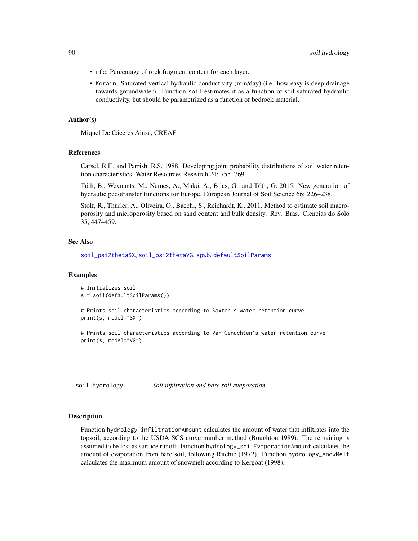- rfc: Percentage of rock fragment content for each layer.
- Kdrain: Saturated vertical hydraulic conductivity (mm/day) (i.e. how easy is deep drainage towards groundwater). Function soil estimates it as a function of soil saturated hydraulic conductivity, but should be parametrized as a function of bedrock material.

## Author(s)

Miquel De Cáceres Ainsa, CREAF

#### References

Carsel, R.F., and Parrish, R.S. 1988. Developing joint probability distributions of soil water retention characteristics. Water Resources Research 24: 755–769.

Tóth, B., Weynants, M., Nemes, A., Makó, A., Bilas, G., and Tóth, G. 2015. New generation of hydraulic pedotransfer functions for Europe. European Journal of Soil Science 66: 226–238.

Stolf, R., Thurler, A., Oliveira, O., Bacchi, S., Reichardt, K., 2011. Method to estimate soil macroporosity and microporosity based on sand content and bulk density. Rev. Bras. Ciencias do Solo 35, 447–459.

#### See Also

[soil\\_psi2thetaSX](#page-92-0), [soil\\_psi2thetaVG](#page-92-0), [spwb](#page-100-0), [defaultSoilParams](#page-15-0)

## Examples

```
# Initializes soil
s = soil(defaultSoilParams())
```

```
# Prints soil characteristics according to Saxton's water retention curve
print(s, model="SX")
```
# Prints soil characteristics according to Van Genuchten's water retention curve print(s, model="VG")

soil hydrology *Soil infiltration and bare soil evaporation*

## Description

Function hydrology\_infiltrationAmount calculates the amount of water that infiltrates into the topsoil, according to the USDA SCS curve number method (Boughton 1989). The remaining is assumed to be lost as surface runoff. Function hydrology\_soilEvaporationAmount calculates the amount of evaporation from bare soil, following Ritchie (1972). Function hydrology\_snowMelt calculates the maximum amount of snowmelt according to Kergoat (1998).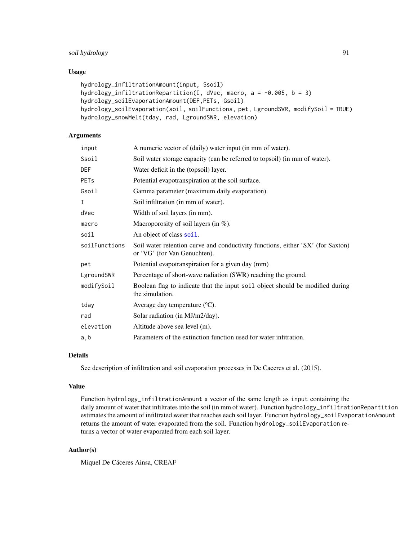# soil hydrology 91

# Usage

```
hydrology_infiltrationAmount(input, Ssoil)
hydrology_infiltrationRepartition(I, dVec, macro, a = -0.005, b = 3)
hydrology_soilEvaporationAmount(DEF,PETs, Gsoil)
hydrology_soilEvaporation(soil, soilFunctions, pet, LgroundSWR, modifySoil = TRUE)
hydrology_snowMelt(tday, rad, LgroundSWR, elevation)
```
# Arguments

| input                  | A numeric vector of (daily) water input (in mm of water).                                                       |  |
|------------------------|-----------------------------------------------------------------------------------------------------------------|--|
| Ssoil                  | Soil water storage capacity (can be referred to topsoil) (in mm of water).                                      |  |
| DEF                    | Water deficit in the (topsoil) layer.                                                                           |  |
| <b>PET<sub>s</sub></b> | Potential evapotranspiration at the soil surface.                                                               |  |
| Gsoil                  | Gamma parameter (maximum daily evaporation).                                                                    |  |
| I                      | Soil infiltration (in mm of water).                                                                             |  |
| dVec                   | Width of soil layers (in mm).                                                                                   |  |
| macro                  | Macroporosity of soil layers (in $%$ ).                                                                         |  |
| soil                   | An object of class soil.                                                                                        |  |
| soilFunctions          | Soil water retention curve and conductivity functions, either 'SX' (for Saxton)<br>or 'VG' (for Van Genuchten). |  |
| pet                    | Potential evapotranspiration for a given day (mm)                                                               |  |
| LgroundSWR             | Percentage of short-wave radiation (SWR) reaching the ground.                                                   |  |
| modifySoil             | Boolean flag to indicate that the input soil object should be modified during<br>the simulation.                |  |
| tday                   | Average day temperature (°C).                                                                                   |  |
| rad                    | Solar radiation (in MJ/m2/day).                                                                                 |  |
| elevation              | Altitude above sea level (m).                                                                                   |  |
| a, b                   | Parameters of the extinction function used for water infitration.                                               |  |

#### Details

See description of infiltration and soil evaporation processes in De Caceres et al. (2015).

#### Value

Function hydrology\_infiltrationAmount a vector of the same length as input containing the daily amount of water that infiltrates into the soil (in mm of water). Function hydrology\_infiltrationRepartition estimates the amount of infiltrated water that reaches each soil layer. Function hydrology\_soilEvaporationAmount returns the amount of water evaporated from the soil. Function hydrology\_soilEvaporation returns a vector of water evaporated from each soil layer.

# Author(s)

Miquel De Cáceres Ainsa, CREAF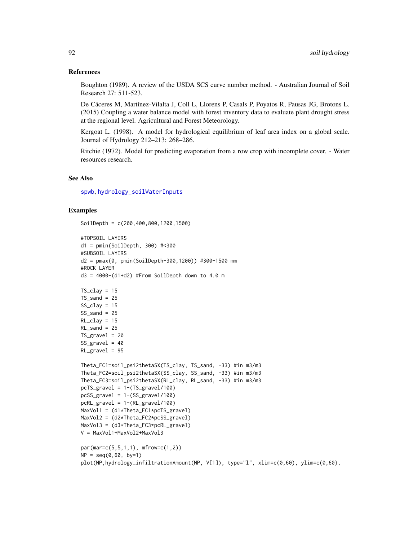#### References

Boughton (1989). A review of the USDA SCS curve number method. - Australian Journal of Soil Research 27: 511-523.

De Cáceres M, Martínez-Vilalta J, Coll L, Llorens P, Casals P, Poyatos R, Pausas JG, Brotons L. (2015) Coupling a water balance model with forest inventory data to evaluate plant drought stress at the regional level. Agricultural and Forest Meteorology.

Kergoat L. (1998). A model for hydrological equilibrium of leaf area index on a global scale. Journal of Hydrology 212–213: 268–286.

Ritchie (1972). Model for predicting evaporation from a row crop with incomplete cover. - Water resources research.

## See Also

[spwb](#page-100-0), [hydrology\\_soilWaterInputs](#page-43-0)

## Examples

```
SoilDepth = c(200,400,800,1200,1500)
#TOPSOIL LAYERS
d1 = pmin(SoilDepth, 300) #<300
#SUBSOIL LAYERS
d2 = pmax(0, pmin(SoilDepth-300,1200)) #300-1500 mm
#ROCK LAYER
d3 = 4000 - (d1 + d2) #From SoilDepth down to 4.0 m
TS\_clay = 15TS\_sand = 25SS_{clay} = 15SS\_sand = 25RL\_clav = 15RL\_sand = 25TS_{gravel} = 20SS\_gravel = 40RL_gravel = 95
Theta_FC1=soil_psi2thetaSX(TS_clay, TS_sand, -33) #in m3/m3
Theta_FC2=soil_psi2thetaSX(SS_clay, SS_sand, -33) #in m3/m3
Theta_FC3=soil_psi2thetaSX(RL_clay, RL_sand, -33) #in m3/m3
pcTS_gravel = 1-(TS_gravel/100)
pcSS_gravel = 1-(SS_gravel/100)
pcRL_gravel = 1-(RL_gravel/100)
MaxVol1 = (d1*Theta_FC1*pcTS_gravel)
MaxVol2 = (d2*Theta_FC2*pcSS_gravel)
MaxVol3 = (d3*Theta_FC3*pcRL_gravel)
V = MaxVol1+MaxVol2+MaxVol3
par(mar=c(5,5,1,1), mfrow=c(1,2))
NP = seq(0, 60, by=1)plot(NP,hydrology_infiltrationAmount(NP, V[1]), type="l", xlim=c(0,60), ylim=c(0,60),
```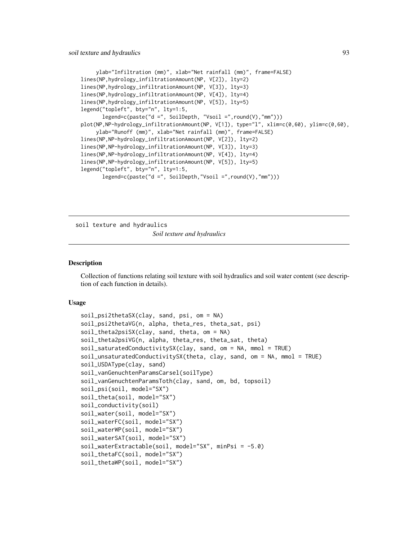```
ylab="Infiltration (mm)", xlab="Net rainfall (mm)", frame=FALSE)
lines(NP,hydrology_infiltrationAmount(NP, V[2]), lty=2)
lines(NP,hydrology_infiltrationAmount(NP, V[3]), lty=3)
lines(NP,hydrology_infiltrationAmount(NP, V[4]), lty=4)
lines(NP,hydrology_infiltrationAmount(NP, V[5]), lty=5)
legend("topleft", bty="n", lty=1:5,
      legend=c(paste("d =", SoilDepth, "Vsoil =",round(V),"mm")))
plot(NP,NP-hydrology_infiltrationAmount(NP, V[1]), type="l", xlim=c(0,60), ylim=c(0,60),
     ylab="Runoff (mm)", xlab="Net rainfall (mm)", frame=FALSE)
lines(NP,NP-hydrology_infiltrationAmount(NP, V[2]), lty=2)
lines(NP,NP-hydrology_infiltrationAmount(NP, V[3]), lty=3)
lines(NP,NP-hydrology_infiltrationAmount(NP, V[4]), lty=4)
lines(NP,NP-hydrology_infiltrationAmount(NP, V[5]), lty=5)
legend("topleft", bty="n", lty=1:5,
      legend=c(paste("d =", SoilDepth,"Vsoil =",round(V),"mm")))
```
soil texture and hydraulics *Soil texture and hydraulics*

## <span id="page-92-0"></span>Description

Collection of functions relating soil texture with soil hydraulics and soil water content (see description of each function in details).

#### Usage

```
soil_psi2thetaSX(clay, sand, psi, om = NA)
soil_psi2thetaVG(n, alpha, theta_res, theta_sat, psi)
soil_theta2psiSX(clay, sand, theta, om = NA)
soil_theta2psiVG(n, alpha, theta_res, theta_sat, theta)
soil_saturatedConductivitySX(clay, sand, om = NA, mmol = TRUE)
soil_unsaturatedConductivitySX(theta, clay, sand, om = NA, mmol = TRUE)
soil_USDAType(clay, sand)
soil_vanGenuchtenParamsCarsel(soilType)
soil_vanGenuchtenParamsToth(clay, sand, om, bd, topsoil)
soil_psi(soil, model="SX")
soil_theta(soil, model="SX")
soil_conductivity(soil)
soil_water(soil, model="SX")
soil_waterFC(soil, model="SX")
soil_waterWP(soil, model="SX")
soil_waterSAT(soil, model="SX")
soil_waterExtractable(soil, model="SX", minPsi = -5.0)
soil_thetaFC(soil, model="SX")
soil_thetaWP(soil, model="SX")
```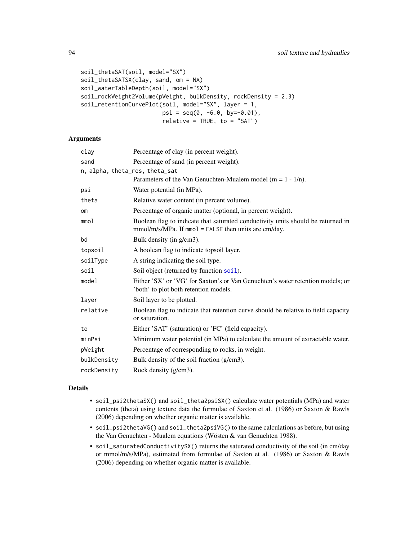```
soil_thetaSAT(soil, model="SX")
soil_thetaSATSX(clay, sand, om = NA)
soil_waterTableDepth(soil, model="SX")
soil_rockWeight2Volume(pWeight, bulkDensity, rockDensity = 2.3)
soil_retentionCurvePlot(soil, model="SX", layer = 1,
                        psi = seq(0, -6.0, by=-0.01),relative = TRUE, to = "SAT")
```
## Arguments

| clay           | Percentage of clay (in percent weight).                                                                                                  |  |
|----------------|------------------------------------------------------------------------------------------------------------------------------------------|--|
| sand           | Percentage of sand (in percent weight).                                                                                                  |  |
|                | n, alpha, theta_res, theta_sat                                                                                                           |  |
|                | Parameters of the Van Genuchten-Mualem model ( $m = 1 - 1/n$ ).                                                                          |  |
| psi            | Water potential (in MPa).                                                                                                                |  |
| theta          | Relative water content (in percent volume).                                                                                              |  |
| O <sub>m</sub> | Percentage of organic matter (optional, in percent weight).                                                                              |  |
| mmol           | Boolean flag to indicate that saturated conductivity units should be returned in<br>mmol/m/s/MPa. If mmol = FALSE then units are cm/day. |  |
| bd             | Bulk density (in g/cm3).                                                                                                                 |  |
| topsoil        | A boolean flag to indicate topsoil layer.                                                                                                |  |
| soilType       | A string indicating the soil type.                                                                                                       |  |
| soil           | Soil object (returned by function soil).                                                                                                 |  |
| model          | Either 'SX' or 'VG' for Saxton's or Van Genuchten's water retention models; or<br>'both' to plot both retention models.                  |  |
| layer          | Soil layer to be plotted.                                                                                                                |  |
| relative       | Boolean flag to indicate that retention curve should be relative to field capacity<br>or saturation.                                     |  |
| to             | Either 'SAT' (saturation) or 'FC' (field capacity).                                                                                      |  |
| minPsi         | Minimum water potential (in MPa) to calculate the amount of extractable water.                                                           |  |
| pWeight        | Percentage of corresponding to rocks, in weight.                                                                                         |  |
| bulkDensity    | Bulk density of the soil fraction (g/cm3).                                                                                               |  |
| rockDensity    | Rock density (g/cm3).                                                                                                                    |  |

# Details

- soil\_psi2thetaSX() and soil\_theta2psiSX() calculate water potentials (MPa) and water contents (theta) using texture data the formulae of Saxton et al. (1986) or Saxton & Rawls (2006) depending on whether organic matter is available.
- soil\_psi2thetaVG() and soil\_theta2psiVG() to the same calculations as before, but using the Van Genuchten - Mualem equations (Wösten & van Genuchten 1988).
- soil\_saturatedConductivitySX() returns the saturated conductivity of the soil (in cm/day or mmol/m/s/MPa), estimated from formulae of Saxton et al. (1986) or Saxton & Rawls (2006) depending on whether organic matter is available.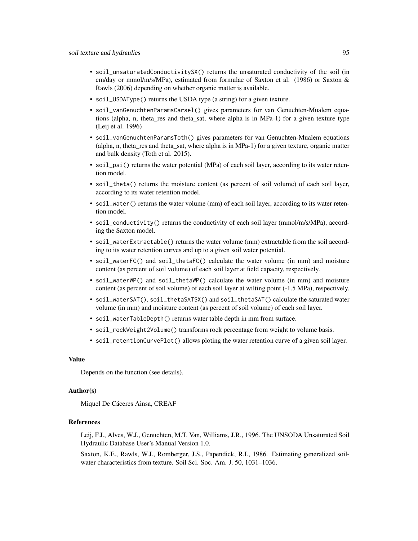- soil\_unsaturatedConductivitySX() returns the unsaturated conductivity of the soil (in cm/day or mmol/m/s/MPa), estimated from formulae of Saxton et al. (1986) or Saxton & Rawls (2006) depending on whether organic matter is available.
- soil\_USDAType() returns the USDA type (a string) for a given texture.
- soil\_vanGenuchtenParamsCarsel() gives parameters for van Genuchten-Mualem equations (alpha, n, theta\_res and theta\_sat, where alpha is in MPa-1) for a given texture type (Leij et al. 1996)
- soil\_vanGenuchtenParamsToth() gives parameters for van Genuchten-Mualem equations (alpha, n, theta\_res and theta\_sat, where alpha is in MPa-1) for a given texture, organic matter and bulk density (Toth et al. 2015).
- soil\_psi() returns the water potential (MPa) of each soil layer, according to its water retention model.
- soil\_theta() returns the moisture content (as percent of soil volume) of each soil layer, according to its water retention model.
- soil\_water() returns the water volume (mm) of each soil layer, according to its water retention model.
- soil\_conductivity() returns the conductivity of each soil layer (mmol/m/s/MPa), according the Saxton model.
- soil\_waterExtractable() returns the water volume (mm) extractable from the soil according to its water retention curves and up to a given soil water potential.
- soil\_waterFC() and soil\_thetaFC() calculate the water volume (in mm) and moisture content (as percent of soil volume) of each soil layer at field capacity, respectively.
- soil\_waterWP() and soil\_thetaWP() calculate the water volume (in mm) and moisture content (as percent of soil volume) of each soil layer at wilting point (-1.5 MPa), respectively.
- soil\_waterSAT(), soil\_thetaSATSX() and soil\_thetaSAT() calculate the saturated water volume (in mm) and moisture content (as percent of soil volume) of each soil layer.
- soil\_waterTableDepth() returns water table depth in mm from surface.
- soil\_rockWeight2Volume() transforms rock percentage from weight to volume basis.
- soil\_retentionCurvePlot() allows ploting the water retention curve of a given soil layer.

## Value

Depends on the function (see details).

#### Author(s)

Miquel De Cáceres Ainsa, CREAF

# References

Leij, F.J., Alves, W.J., Genuchten, M.T. Van, Williams, J.R., 1996. The UNSODA Unsaturated Soil Hydraulic Database User's Manual Version 1.0.

Saxton, K.E., Rawls, W.J., Romberger, J.S., Papendick, R.I., 1986. Estimating generalized soilwater characteristics from texture. Soil Sci. Soc. Am. J. 50, 1031–1036.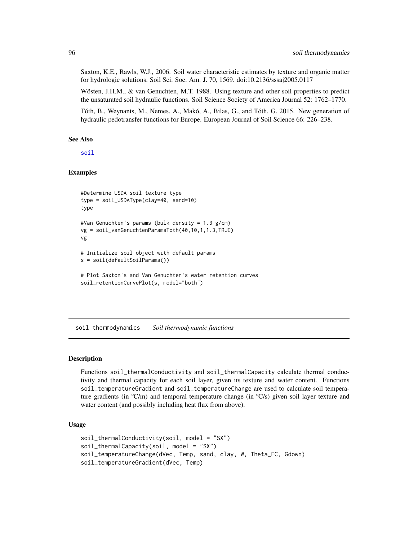Saxton, K.E., Rawls, W.J., 2006. Soil water characteristic estimates by texture and organic matter for hydrologic solutions. Soil Sci. Soc. Am. J. 70, 1569. doi:10.2136/sssaj2005.0117

Wösten, J.H.M., & van Genuchten, M.T. 1988. Using texture and other soil properties to predict the unsaturated soil hydraulic functions. Soil Science Society of America Journal 52: 1762–1770.

Tóth, B., Weynants, M., Nemes, A., Makó, A., Bilas, G., and Tóth, G. 2015. New generation of hydraulic pedotransfer functions for Europe. European Journal of Soil Science 66: 226–238.

#### See Also

[soil](#page-87-0)

# Examples

```
#Determine USDA soil texture type
type = soil_USDAType(clay=40, sand=10)
type
#Van Genuchten's params (bulk density = 1.3 g/cm)
vg = soil_vanGenuchtenParamsToth(40,10,1,1.3,TRUE)
vg
# Initialize soil object with default params
s = soil(defaultSoilParams())
# Plot Saxton's and Van Genuchten's water retention curves
soil_retentionCurvePlot(s, model="both")
```
soil thermodynamics *Soil thermodynamic functions*

#### Description

Functions soil\_thermalConductivity and soil\_thermalCapacity calculate thermal conductivity and thermal capacity for each soil layer, given its texture and water content. Functions soil\_temperatureGradient and soil\_temperatureChange are used to calculate soil temperature gradients (in  ${}^{\circ}C/m$ ) and temporal temperature change (in  ${}^{\circ}C/s$ ) given soil layer texture and water content (and possibly including heat flux from above).

# Usage

```
soil_thermalConductivity(soil, model = "SX")
soil_thermalCapacity(soil, model = "SX")
soil_temperatureChange(dVec, Temp, sand, clay, W, Theta_FC, Gdown)
soil_temperatureGradient(dVec, Temp)
```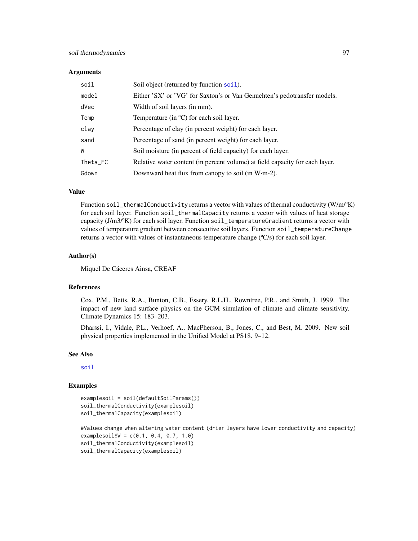#### **Arguments**

| soil     | Soil object (returned by function soil).                                     |  |
|----------|------------------------------------------------------------------------------|--|
| model    | Either 'SX' or 'VG' for Saxton's or Van Genuchten's pedotransfer models.     |  |
| dVec     | Width of soil layers (in mm).                                                |  |
| Temp     | Temperature (in $\rm{^{\circ}C}$ ) for each soil layer.                      |  |
| clay     | Percentage of clay (in percent weight) for each layer.                       |  |
| sand     | Percentage of sand (in percent weight) for each layer.                       |  |
| W        | Soil moisture (in percent of field capacity) for each layer.                 |  |
| Theta_FC | Relative water content (in percent volume) at field capacity for each layer. |  |
| Gdown    | Downward heat flux from canopy to soil (in W·m-2).                           |  |

# Value

Function soil\_thermalConductivity returns a vector with values of thermal conductivity  $(W/m^oK)$ for each soil layer. Function soil\_thermalCapacity returns a vector with values of heat storage capacity (J/m3/ºK) for each soil layer. Function soil\_temperatureGradient returns a vector with values of temperature gradient between consecutive soil layers. Function soil\_temperatureChange returns a vector with values of instantaneous temperature change (ºC/s) for each soil layer.

## Author(s)

Miquel De Cáceres Ainsa, CREAF

# References

Cox, P.M., Betts, R.A., Bunton, C.B., Essery, R.L.H., Rowntree, P.R., and Smith, J. 1999. The impact of new land surface physics on the GCM simulation of climate and climate sensitivity. Climate Dynamics 15: 183–203.

Dharssi, I., Vidale, P.L., Verhoef, A., MacPherson, B., Jones, C., and Best, M. 2009. New soil physical properties implemented in the Unified Model at PS18. 9–12.

#### See Also

[soil](#page-87-0)

#### Examples

```
examplesoil = soil(defaultSoilParams())
soil_thermalConductivity(examplesoil)
soil_thermalCapacity(examplesoil)
```

```
#Values change when altering water content (drier layers have lower conductivity and capacity)
examplesoil$W = c(0.1, 0.4, 0.7, 1.0)
soil_thermalConductivity(examplesoil)
soil_thermalCapacity(examplesoil)
```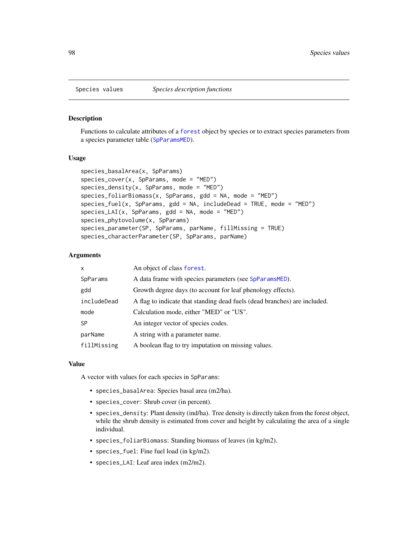#### Description

Functions to calculate attributes of a [forest](#page-32-0) object by species or to extract species parameters from a species parameter table ([SpParamsMED](#page-98-0)).

## Usage

```
species_basalArea(x, SpParams)
species_cover(x, SpParams, mode = "MED")
species\_density(x, SpParams, mode = "MED")species_foliarBiomass(x, SpParams, gdd = NA, mode = "MED")
species_fuel(x, SpParams, gdd = NA, includeDead = TRUE, mode = "MED")
species_LAI(x, SpParams, gdd = NA, mode = "MED")species_phytovolume(x, SpParams)
species_parameter(SP, SpParams, parName, fillMissing = TRUE)
species_characterParameter(SP, SpParams, parName)
```
# Arguments

| $\mathsf{x}$ | An object of class forest.                                                |  |
|--------------|---------------------------------------------------------------------------|--|
| SpParams     | A data frame with species parameters (see SpParamsMED).                   |  |
| gdd          | Growth degree days (to account for leaf phenology effects).               |  |
| includeDead  | A flag to indicate that standing dead fuels (dead branches) are included. |  |
| mode         | Calculation mode, either "MED" or "US".                                   |  |
| <b>SP</b>    | An integer vector of species codes.                                       |  |
| parName      | A string with a parameter name.                                           |  |
| fillMissing  | A boolean flag to try imputation on missing values.                       |  |

#### Value

A vector with values for each species in SpParams:

- species\_basalArea: Species basal area (m2/ha).
- species\_cover: Shrub cover (in percent).
- species\_density: Plant density (ind/ha). Tree density is directly taken from the forest object, while the shrub density is estimated from cover and height by calculating the area of a single individual.
- species\_foliarBiomass: Standing biomass of leaves (in kg/m2).
- species\_fuel: Fine fuel load (in kg/m2).
- species\_LAI: Leaf area index (m2/m2).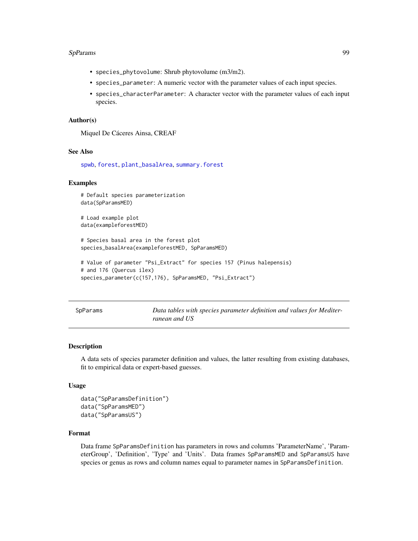#### SpParams 99

- species\_phytovolume: Shrub phytovolume (m3/m2).
- species\_parameter: A numeric vector with the parameter values of each input species.
- species\_characterParameter: A character vector with the parameter values of each input species.

## Author(s)

Miquel De Cáceres Ainsa, CREAF

#### See Also

[spwb](#page-100-0), [forest](#page-32-0), [plant\\_basalArea](#page-65-0), [summary.forest](#page-32-1)

## Examples

```
# Default species parameterization
data(SpParamsMED)
# Load example plot
data(exampleforestMED)
# Species basal area in the forest plot
species_basalArea(exampleforestMED, SpParamsMED)
# Value of parameter "Psi_Extract" for species 157 (Pinus halepensis)
# and 176 (Quercus ilex)
species_parameter(c(157,176), SpParamsMED, "Psi_Extract")
```

| SpParams |  |
|----------|--|
|----------|--|

Data tables with species parameter definition and values for Mediter*ranean and US*

#### <span id="page-98-0"></span>Description

A data sets of species parameter definition and values, the latter resulting from existing databases, fit to empirical data or expert-based guesses.

#### Usage

```
data("SpParamsDefinition")
data("SpParamsMED")
data("SpParamsUS")
```
# Format

Data frame SpParamsDefinition has parameters in rows and columns 'ParameterName', 'ParameterGroup', 'Definition', 'Type' and 'Units'. Data frames SpParamsMED and SpParamsUS have species or genus as rows and column names equal to parameter names in SpParamsDefinition.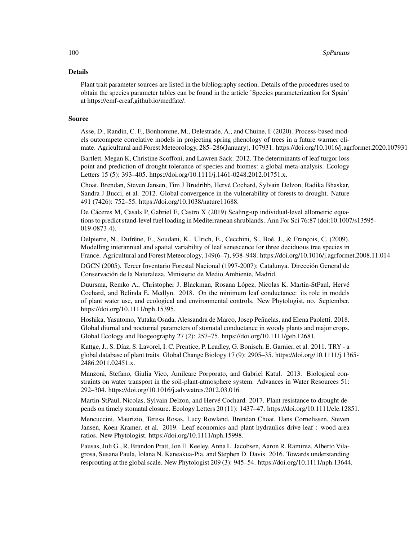#### 100 SpParams SpParams SpParams SpParams SpParams SpParams SpParams SpParams SpParams SpParams SpParams SpParams Sp

#### Details

Plant trait parameter sources are listed in the bibliography section. Details of the procedures used to obtain the species parameter tables can be found in the article 'Species parameterization for Spain' at https://emf-creaf.github.io/medfate/.

#### Source

Asse, D., Randin, C. F., Bonhomme, M., Delestrade, A., and Chuine, I. (2020). Process-based models outcompete correlative models in projecting spring phenology of trees in a future warmer climate. Agricultural and Forest Meteorology, 285–286(January), 107931. https://doi.org/10.1016/j.agrformet.2020.107931

Bartlett, Megan K, Christine Scoffoni, and Lawren Sack. 2012. The determinants of leaf turgor loss point and prediction of drought tolerance of species and biomes: a global meta-analysis. Ecology Letters 15 (5): 393–405. https://doi.org/10.1111/j.1461-0248.2012.01751.x.

Choat, Brendan, Steven Jansen, Tim J Brodribb, Hervé Cochard, Sylvain Delzon, Radika Bhaskar, Sandra J Bucci, et al. 2012. Global convergence in the vulnerability of forests to drought. Nature 491 (7426): 752–55. https://doi.org/10.1038/nature11688.

De Cáceres M, Casals P, Gabriel E, Castro X (2019) Scaling-up individual-level allometric equations to predict stand-level fuel loading in Mediterranean shrublands. Ann For Sci 76:87 (doi:10.1007/s13595- 019-0873-4).

Delpierre, N., Dufrêne, E., Soudani, K., Ulrich, E., Cecchini, S., Boé, J., & François, C. (2009). Modelling interannual and spatial variability of leaf senescence for three deciduous tree species in France. Agricultural and Forest Meteorology, 149(6–7), 938–948. https://doi.org/10.1016/j.agrformet.2008.11.014

DGCN (2005). Tercer Inventario Forestal Nacional (1997-2007): Catalunya. Dirección General de Conservación de la Naturaleza, Ministerio de Medio Ambiente, Madrid.

Duursma, Remko A., Christopher J. Blackman, Rosana López, Nicolas K. Martin-StPaul, Hervé Cochard, and Belinda E. Medlyn. 2018. On the minimum leaf conductance: its role in models of plant water use, and ecological and environmental controls. New Phytologist, no. September. https://doi.org/10.1111/nph.15395.

Hoshika, Yasutomo, Yutaka Osada, Alessandra de Marco, Josep Peñuelas, and Elena Paoletti. 2018. Global diurnal and nocturnal parameters of stomatal conductance in woody plants and major crops. Global Ecology and Biogeography 27 (2): 257–75. https://doi.org/10.1111/geb.12681.

Kattge, J., S. Díaz, S. Lavorel, I. C. Prentice, P. Leadley, G. Bonisch, E. Garnier, et al. 2011. TRY - a global database of plant traits. Global Change Biology 17 (9): 2905–35. https://doi.org/10.1111/j.1365- 2486.2011.02451.x.

Manzoni, Stefano, Giulia Vico, Amilcare Porporato, and Gabriel Katul. 2013. Biological constraints on water transport in the soil-plant-atmosphere system. Advances in Water Resources 51: 292–304. https://doi.org/10.1016/j.advwatres.2012.03.016.

Martin-StPaul, Nicolas, Sylvain Delzon, and Hervé Cochard. 2017. Plant resistance to drought depends on timely stomatal closure. Ecology Letters 20 (11): 1437–47. https://doi.org/10.1111/ele.12851.

Mencuccini, Maurizio, Teresa Rosas, Lucy Rowland, Brendan Choat, Hans Cornelissen, Steven Jansen, Koen Kramer, et al. 2019. Leaf economics and plant hydraulics drive leaf : wood area ratios. New Phytologist. https://doi.org/10.1111/nph.15998.

Pausas, Juli G., R. Brandon Pratt, Jon E. Keeley, Anna L. Jacobsen, Aaron R. Ramirez, Alberto Vilagrosa, Susana Paula, Iolana N. Kaneakua-Pia, and Stephen D. Davis. 2016. Towards understanding resprouting at the global scale. New Phytologist 209 (3): 945–54. https://doi.org/10.1111/nph.13644.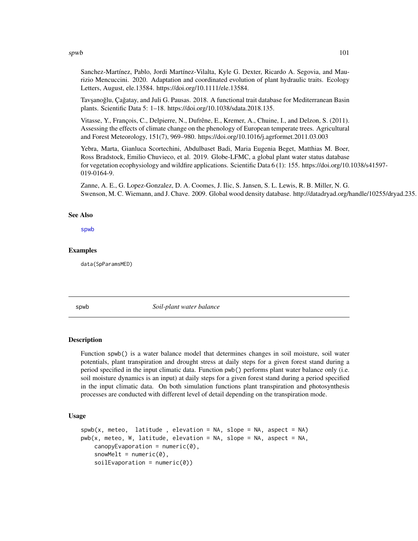$s$ pwb 101

Sanchez-Martínez, Pablo, Jordi Martínez-Vilalta, Kyle G. Dexter, Ricardo A. Segovia, and Maurizio Mencuccini. 2020. Adaptation and coordinated evolution of plant hydraulic traits. Ecology Letters, August, ele.13584. https://doi.org/10.1111/ele.13584.

Tavşanoğlu, Çağatay, and Juli G. Pausas. 2018. A functional trait database for Mediterranean Basin plants. Scientific Data 5: 1–18. https://doi.org/10.1038/sdata.2018.135.

Vitasse, Y., François, C., Delpierre, N., Dufrêne, E., Kremer, A., Chuine, I., and Delzon, S. (2011). Assessing the effects of climate change on the phenology of European temperate trees. Agricultural and Forest Meteorology, 151(7), 969–980. https://doi.org/10.1016/j.agrformet.2011.03.003

Yebra, Marta, Gianluca Scortechini, Abdulbaset Badi, Maria Eugenia Beget, Matthias M. Boer, Ross Bradstock, Emilio Chuvieco, et al. 2019. Globe-LFMC, a global plant water status database for vegetation ecophysiology and wildfire applications. Scientific Data 6 (1): 155. https://doi.org/10.1038/s41597- 019-0164-9.

Zanne, A. E., G. Lopez-Gonzalez, D. A. Coomes, J. Ilic, S. Jansen, S. L. Lewis, R. B. Miller, N. G. Swenson, M. C. Wiemann, and J. Chave. 2009. Global wood density database. http://datadryad.org/handle/10255/dryad.235.

#### See Also

[spwb](#page-100-0)

# Examples

data(SpParamsMED)

<span id="page-100-0"></span>

spwb *Soil-plant water balance*

#### <span id="page-100-1"></span>**Description**

Function spwb() is a water balance model that determines changes in soil moisture, soil water potentials, plant transpiration and drought stress at daily steps for a given forest stand during a period specified in the input climatic data. Function pwb() performs plant water balance only (i.e. soil moisture dynamics is an input) at daily steps for a given forest stand during a period specified in the input climatic data. On both simulation functions plant transpiration and photosynthesis processes are conducted with different level of detail depending on the transpiration mode.

## Usage

```
spub(x, meteo, latitude, elevation = NA, slope = NA, aspect = NA)pwb(x, meteo, W, latitude, elevation = NA, slope = NA, aspect = NA,canopy Evaporation = numeric(0),
   snowMelt = numeric(0),
   soilEvaporation = numeric(0)
```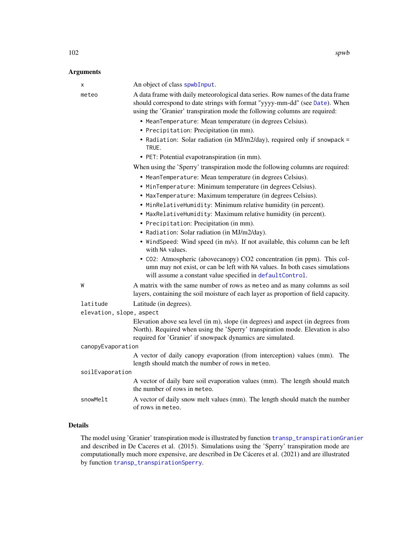| <b>Arguments</b>  |                                                                                                                                                                                                                                              |
|-------------------|----------------------------------------------------------------------------------------------------------------------------------------------------------------------------------------------------------------------------------------------|
| X                 | An object of class spwbInput.                                                                                                                                                                                                                |
| meteo             | A data frame with daily meteorological data series. Row names of the data frame<br>should correspond to date strings with format "yyyy-mm-dd" (see Date). When<br>using the 'Granier' transpiration mode the following columns are required: |
|                   | • MeanTemperature: Mean temperature (in degrees Celsius).                                                                                                                                                                                    |
|                   | • Precipitation: Precipitation (in mm).                                                                                                                                                                                                      |
|                   | • Radiation: Solar radiation (in MJ/m2/day), required only if snowpack =<br>TRUE.                                                                                                                                                            |
|                   | · PET: Potential evapotranspiration (in mm).                                                                                                                                                                                                 |
|                   | When using the 'Sperry' transpiration mode the following columns are required:                                                                                                                                                               |
|                   | • MeanTemperature: Mean temperature (in degrees Celsius).                                                                                                                                                                                    |
|                   | · MinTemperature: Minimum temperature (in degrees Celsius).                                                                                                                                                                                  |
|                   | • MaxTemperature: Maximum temperature (in degrees Celsius).                                                                                                                                                                                  |
|                   | • MinRelativeHumidity: Minimum relative humidity (in percent).                                                                                                                                                                               |
|                   | • MaxRelativeHumidity: Maximum relative humidity (in percent).                                                                                                                                                                               |
|                   | • Precipitation: Precipitation (in mm).                                                                                                                                                                                                      |
|                   | • Radiation: Solar radiation (in MJ/m2/day).                                                                                                                                                                                                 |
|                   | • WindSpeed: Wind speed (in m/s). If not available, this column can be left<br>with NA values.                                                                                                                                               |
|                   | • CO2: Atmospheric (abovecanopy) CO2 concentration (in ppm). This col-<br>umn may not exist, or can be left with NA values. In both cases simulations<br>will assume a constant value specified in defaultControl.                           |
| W                 | A matrix with the same number of rows as meteo and as many columns as soil<br>layers, containing the soil moisture of each layer as proportion of field capacity.                                                                            |
| latitude          | Latitude (in degrees).                                                                                                                                                                                                                       |
|                   | elevation, slope, aspect                                                                                                                                                                                                                     |
|                   | Elevation above sea level (in m), slope (in degrees) and aspect (in degrees from<br>North). Required when using the 'Sperry' transpiration mode. Elevation is also<br>required for 'Granier' if snowpack dynamics are simulated.             |
| canopyEvaporation |                                                                                                                                                                                                                                              |
|                   | A vector of daily canopy evaporation (from interception) values (mm). The<br>length should match the number of rows in meteo.                                                                                                                |
| soilEvaporation   |                                                                                                                                                                                                                                              |
|                   | A vector of daily bare soil evaporation values (mm). The length should match<br>the number of rows in meteo.                                                                                                                                 |
| snowMelt          | A vector of daily snow melt values (mm). The length should match the number<br>of rows in meteo.                                                                                                                                             |

# Details

The model using 'Granier' transpiration mode is illustrated by function [transp\\_transpirationGranier](#page-128-0) and described in De Caceres et al. (2015). Simulations using the 'Sperry' transpiration mode are computationally much more expensive, are described in De Cáceres et al. (2021) and are illustrated by function [transp\\_transpirationSperry](#page-128-0).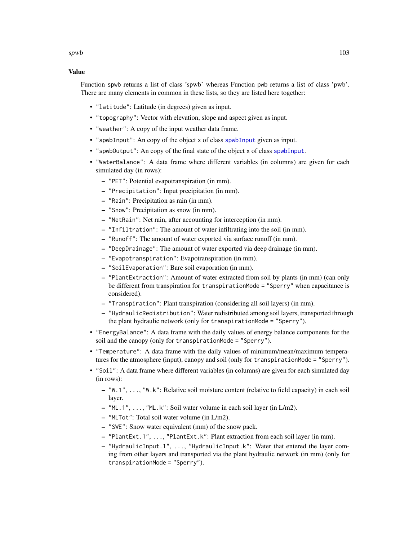# Value

Function spwb returns a list of class 'spwb' whereas Function pwb returns a list of class 'pwb'. There are many elements in common in these lists, so they are listed here together:

- "latitude": Latitude (in degrees) given as input.
- "topography": Vector with elevation, slope and aspect given as input.
- "weather": A copy of the input weather data frame.
- "[spwbInput](#page-48-0)": An copy of the object x of class spwbInput given as input.
- "spwbOutput": An copy of the final state of the object x of class [spwbInput](#page-48-0).
- "WaterBalance": A data frame where different variables (in columns) are given for each simulated day (in rows):
	- "PET": Potential evapotranspiration (in mm).
	- "Precipitation": Input precipitation (in mm).
	- "Rain": Precipitation as rain (in mm).
	- "Snow": Precipitation as snow (in mm).
	- "NetRain": Net rain, after accounting for interception (in mm).
	- "Infiltration": The amount of water infiltrating into the soil (in mm).
	- "Runoff": The amount of water exported via surface runoff (in mm).
	- "DeepDrainage": The amount of water exported via deep drainage (in mm).
	- "Evapotranspiration": Evapotranspiration (in mm).
	- "SoilEvaporation": Bare soil evaporation (in mm).
	- "PlantExtraction": Amount of water extracted from soil by plants (in mm) (can only be different from transpiration for transpirationMode = "Sperry" when capacitance is considered).
	- "Transpiration": Plant transpiration (considering all soil layers) (in mm).
	- "HydraulicRedistribution": Water redistributed among soil layers, transported through the plant hydraulic network (only for transpirationMode = "Sperry").
- "EnergyBalance": A data frame with the daily values of energy balance components for the soil and the canopy (only for transpirationMode = "Sperry").
- "Temperature": A data frame with the daily values of minimum/mean/maximum temperatures for the atmosphere (input), canopy and soil (only for transpirationMode = "Sperry").
- "Soil": A data frame where different variables (in columns) are given for each simulated day (in rows):
	- "W.1", ..., "W.k": Relative soil moisture content (relative to field capacity) in each soil layer.
	- "ML.1", ..., "ML.k": Soil water volume in each soil layer (in L/m2).
	- "MLTot": Total soil water volume (in L/m2).
	- "SWE": Snow water equivalent (mm) of the snow pack.
	- "PlantExt.1", ..., "PlantExt.k": Plant extraction from each soil layer (in mm).
	- "HydraulicInput.1", ..., "HydraulicInput.k": Water that entered the layer coming from other layers and transported via the plant hydraulic network (in mm) (only for transpirationMode = "Sperry").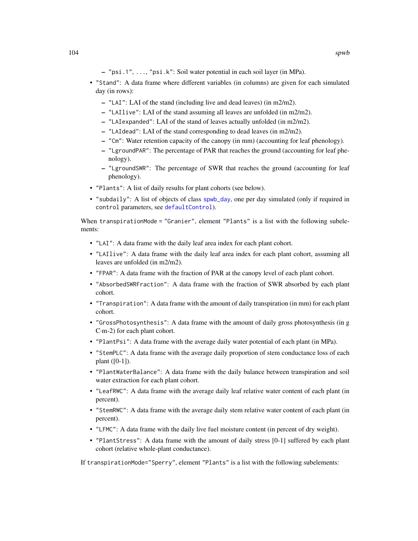- "psi.1", ..., "psi.k": Soil water potential in each soil layer (in MPa).
- "Stand": A data frame where different variables (in columns) are given for each simulated day (in rows):
	- "LAI": LAI of the stand (including live and dead leaves) (in m2/m2).
	- "LAIlive": LAI of the stand assuming all leaves are unfolded (in m2/m2).
	- "LAIexpanded": LAI of the stand of leaves actually unfolded (in m2/m2).
	- "LAIdead": LAI of the stand corresponding to dead leaves (in m2/m2).
	- "Cm": Water retention capacity of the canopy (in mm) (accounting for leaf phenology).
	- "LgroundPAR": The percentage of PAR that reaches the ground (accounting for leaf phenology).
	- "LgroundSWR": The percentage of SWR that reaches the ground (accounting for leaf phenology).
- "Plants": A list of daily results for plant cohorts (see below).
- "subdaily": A list of objects of class [spwb\\_day](#page-106-0), one per day simulated (only if required in control parameters, see [defaultControl](#page-8-0)).

When transpirationMode = "Granier", element "Plants" is a list with the following subelements:

- "LAI": A data frame with the daily leaf area index for each plant cohort.
- "LAIlive": A data frame with the daily leaf area index for each plant cohort, assuming all leaves are unfolded (in m2/m2).
- "FPAR": A data frame with the fraction of PAR at the canopy level of each plant cohort.
- "AbsorbedSWRFraction": A data frame with the fraction of SWR absorbed by each plant cohort.
- "Transpiration": A data frame with the amount of daily transpiration (in mm) for each plant cohort.
- "GrossPhotosynthesis": A data frame with the amount of daily gross photosynthesis (in g C·m-2) for each plant cohort.
- "PlantPsi": A data frame with the average daily water potential of each plant (in MPa).
- "StemPLC": A data frame with the average daily proportion of stem conductance loss of each plant ([0-1]).
- "PlantWaterBalance": A data frame with the daily balance between transpiration and soil water extraction for each plant cohort.
- "LeafRWC": A data frame with the average daily leaf relative water content of each plant (in percent).
- "StemRWC": A data frame with the average daily stem relative water content of each plant (in percent).
- "LFMC": A data frame with the daily live fuel moisture content (in percent of dry weight).
- "PlantStress": A data frame with the amount of daily stress [0-1] suffered by each plant cohort (relative whole-plant conductance).

If transpirationMode="Sperry", element "Plants" is a list with the following subelements: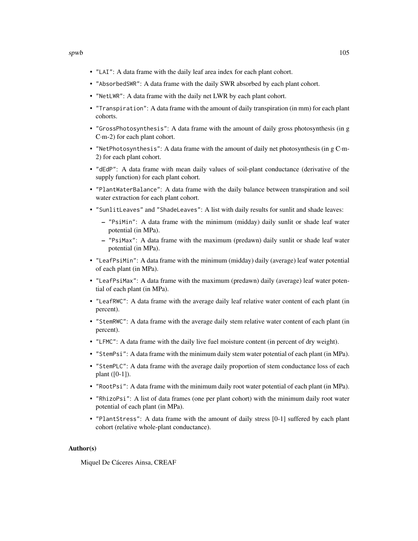- "LAI": A data frame with the daily leaf area index for each plant cohort.
- "AbsorbedSWR": A data frame with the daily SWR absorbed by each plant cohort.
- "NetLWR": A data frame with the daily net LWR by each plant cohort.
- "Transpiration": A data frame with the amount of daily transpiration (in mm) for each plant cohorts.
- "GrossPhotosynthesis": A data frame with the amount of daily gross photosynthesis (in g C·m-2) for each plant cohort.
- "NetPhotosynthesis": A data frame with the amount of daily net photosynthesis (in g C·m-2) for each plant cohort.
- "dEdP": A data frame with mean daily values of soil-plant conductance (derivative of the supply function) for each plant cohort.
- "PlantWaterBalance": A data frame with the daily balance between transpiration and soil water extraction for each plant cohort.
- "SunlitLeaves" and "ShadeLeaves": A list with daily results for sunlit and shade leaves:
	- "PsiMin": A data frame with the minimum (midday) daily sunlit or shade leaf water potential (in MPa).
	- "PsiMax": A data frame with the maximum (predawn) daily sunlit or shade leaf water potential (in MPa).
- "LeafPsiMin": A data frame with the minimum (midday) daily (average) leaf water potential of each plant (in MPa).
- "LeafPsiMax": A data frame with the maximum (predawn) daily (average) leaf water potential of each plant (in MPa).
- "LeafRWC": A data frame with the average daily leaf relative water content of each plant (in percent).
- "StemRWC": A data frame with the average daily stem relative water content of each plant (in percent).
- "LFMC": A data frame with the daily live fuel moisture content (in percent of dry weight).
- "StemPsi": A data frame with the minimum daily stem water potential of each plant (in MPa).
- "StemPLC": A data frame with the average daily proportion of stem conductance loss of each plant ([0-1]).
- "RootPsi": A data frame with the minimum daily root water potential of each plant (in MPa).
- "RhizoPsi": A list of data frames (one per plant cohort) with the minimum daily root water potential of each plant (in MPa).
- "PlantStress": A data frame with the amount of daily stress [0-1] suffered by each plant cohort (relative whole-plant conductance).

#### Author(s)

Miquel De Cáceres Ainsa, CREAF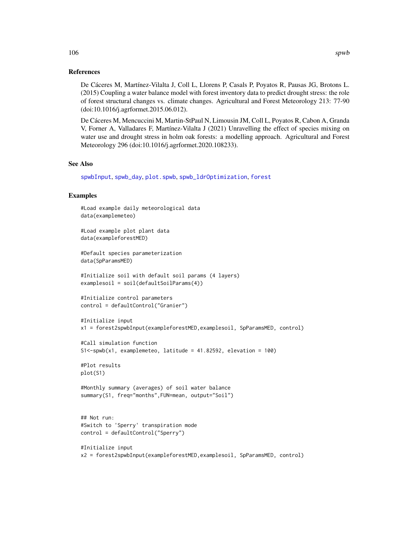## References

De Cáceres M, Martínez-Vilalta J, Coll L, Llorens P, Casals P, Poyatos R, Pausas JG, Brotons L. (2015) Coupling a water balance model with forest inventory data to predict drought stress: the role of forest structural changes vs. climate changes. Agricultural and Forest Meteorology 213: 77-90 (doi:10.1016/j.agrformet.2015.06.012).

De Cáceres M, Mencuccini M, Martin-StPaul N, Limousin JM, Coll L, Poyatos R, Cabon A, Granda V, Forner A, Valladares F, Martínez-Vilalta J (2021) Unravelling the effect of species mixing on water use and drought stress in holm oak forests: a modelling approach. Agricultural and Forest Meteorology 296 (doi:10.1016/j.agrformet.2020.108233).

#### See Also

[spwbInput](#page-48-0), [spwb\\_day](#page-106-0), [plot.spwb](#page-69-0), [spwb\\_ldrOptimization](#page-111-0), [forest](#page-32-0)

# Examples

```
#Load example daily meteorological data
data(examplemeteo)
```
#Load example plot plant data data(exampleforestMED)

#Default species parameterization data(SpParamsMED)

#Initialize soil with default soil params (4 layers) examplesoil = soil(defaultSoilParams(4))

```
#Initialize control parameters
control = defaultControl("Granier")
```

```
#Initialize input
x1 = forest2spwbInput(exampleforestMED,examplesoil, SpParamsMED, control)
```

```
#Call simulation function
S1<-spwb(x1, examplemeteo, latitude = 41.82592, elevation = 100)
```
#Plot results plot(S1)

```
#Monthly summary (averages) of soil water balance
summary(S1, freq="months",FUN=mean, output="Soil")
```

```
## Not run:
#Switch to 'Sperry' transpiration mode
control = defaultControl("Sperry")
```

```
#Initialize input
x2 = forest2spwbInput(exampleforestMED,examplesoil, SpParamsMED, control)
```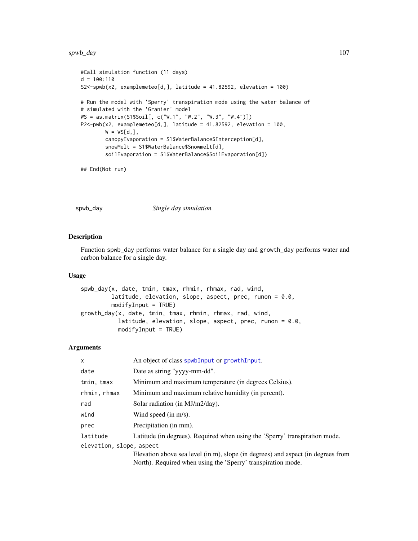#### spwb\_day 107

```
#Call simulation function (11 days)
d = 100:110S2<-spwb(x2, examplemeteo[d,], latitude = 41.82592, elevation = 100)
# Run the model with 'Sperry' transpiration mode using the water balance of
# simulated with the 'Granier' model
WS = as.matrix(S1$Soil[, c("W.1", "W.2", "W.3", "W.4")])
P2 <-pwb(x2, examplemeteo[d,], latitude = 41.82592, elevation = 100,
        W = WSLd, \exists,
        canopyEvaporation = S1$WaterBalance$Interception[d],
        snowMelt = S1$WaterBalance$Snowmelt[d],
        soilEvaporation = S1$WaterBalance$SoilEvaporation[d])
```
## End(Not run)

<span id="page-106-0"></span>spwb\_day *Single day simulation*

# <span id="page-106-1"></span>Description

Function spwb\_day performs water balance for a single day and growth\_day performs water and carbon balance for a single day.

#### Usage

```
spwb_day(x, date, tmin, tmax, rhmin, rhmax, rad, wind,
         latitude, elevation, slope, aspect, prec, runon = 0.0,
         modifyInput = TRUE)
growth_day(x, date, tmin, tmax, rhmin, rhmax, rad, wind,
           latitude, elevation, slope, aspect, prec, runon = 0.0,
          modifyInput = TRUE)
```
## Arguments

| X                        | An object of class spwbInput or growthInput.                                     |
|--------------------------|----------------------------------------------------------------------------------|
| date                     | Date as string "yyyy-mm-dd".                                                     |
| tmin, tmax               | Minimum and maximum temperature (in degrees Celsius).                            |
| rhmin, rhmax             | Minimum and maximum relative humidity (in percent).                              |
| rad                      | Solar radiation (in MJ/m2/day).                                                  |
| wind                     | Wind speed (in $m/s$ ).                                                          |
| prec                     | Precipitation (in mm).                                                           |
| latitude                 | Latitude (in degrees). Required when using the 'Sperry' transpiration mode.      |
| elevation, slope, aspect |                                                                                  |
|                          | Elevation above sea level (in m), slope (in degrees) and aspect (in degrees from |
|                          | North). Required when using the 'Sperry' transpiration mode.                     |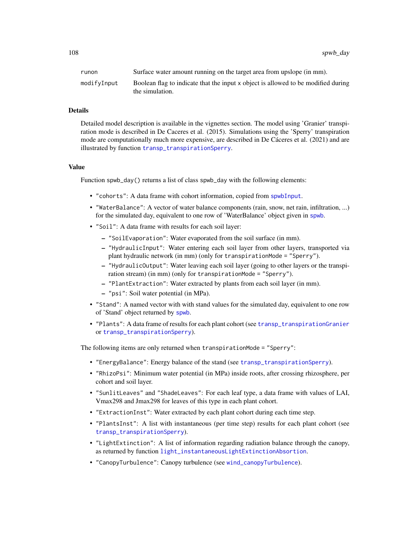108 spwb\_day spwb\_day

| runon       | Surface water amount running on the target area from upslope (in mm).             |
|-------------|-----------------------------------------------------------------------------------|
| modifyInput | Boolean flag to indicate that the input x object is allowed to be modified during |
|             | the simulation.                                                                   |

#### Details

Detailed model description is available in the vignettes section. The model using 'Granier' transpiration mode is described in De Caceres et al. (2015). Simulations using the 'Sperry' transpiration mode are computationally much more expensive, are described in De Cáceres et al. (2021) and are illustrated by function [transp\\_transpirationSperry](#page-128-0).

## Value

Function spwb\_day() returns a list of class spwb\_day with the following elements:

- "cohorts": A data frame with cohort information, copied from [spwbInput](#page-48-0).
- "WaterBalance": A vector of water balance components (rain, snow, net rain, infiltration, ...) for the simulated day, equivalent to one row of 'WaterBalance' object given in [spwb](#page-100-0).
- "Soil": A data frame with results for each soil layer:
	- "SoilEvaporation": Water evaporated from the soil surface (in mm).
	- "HydraulicInput": Water entering each soil layer from other layers, transported via plant hydraulic network (in mm) (only for transpirationMode = "Sperry").
	- "HydraulicOutput": Water leaving each soil layer (going to other layers or the transpiration stream) (in mm) (only for transpirationMode = "Sperry").
	- "PlantExtraction": Water extracted by plants from each soil layer (in mm).
	- "psi": Soil water potential (in MPa).
- "Stand": A named vector with with stand values for the simulated day, equivalent to one row of 'Stand' object returned by [spwb](#page-100-0).
- "Plants": A data frame of results for each plant cohort (see [transp\\_transpirationGranier](#page-128-0) or [transp\\_transpirationSperry](#page-128-0)).

The following items are only returned when transpirationMode = "Sperry":

- "EnergyBalance": Energy balance of the stand (see [transp\\_transpirationSperry](#page-128-0)).
- "RhizoPsi": Minimum water potential (in MPa) inside roots, after crossing rhizosphere, per cohort and soil layer.
- "SunlitLeaves" and "ShadeLeaves": For each leaf type, a data frame with values of LAI, Vmax298 and Jmax298 for leaves of this type in each plant cohort.
- "ExtractionInst": Water extracted by each plant cohort during each time step.
- "PlantsInst": A list with instantaneous (per time step) results for each plant cohort (see [transp\\_transpirationSperry](#page-128-0)).
- "LightExtinction": A list of information regarding radiation balance through the canopy, as returned by function [light\\_instantaneousLightExtinctionAbsortion](#page-45-0).
- "CanopyTurbulence": Canopy turbulence (see [wind\\_canopyTurbulence](#page-137-0)).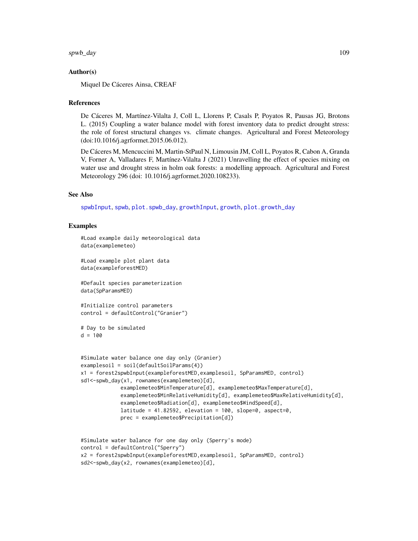#### <span id="page-108-0"></span>spwb\_day 109

#### Author(s)

Miquel De Cáceres Ainsa, CREAF

# References

De Cáceres M, Martínez-Vilalta J, Coll L, Llorens P, Casals P, Poyatos R, Pausas JG, Brotons L. (2015) Coupling a water balance model with forest inventory data to predict drought stress: the role of forest structural changes vs. climate changes. Agricultural and Forest Meteorology (doi:10.1016/j.agrformet.2015.06.012).

De Cáceres M, Mencuccini M, Martin-StPaul N, Limousin JM, Coll L, Poyatos R, Cabon A, Granda V, Forner A, Valladares F, Martínez-Vilalta J (2021) Unravelling the effect of species mixing on water use and drought stress in holm oak forests: a modelling approach. Agricultural and Forest Meteorology 296 (doi: 10.1016/j.agrformet.2020.108233).

# See Also

[spwbInput](#page-48-0), [spwb](#page-100-0), [plot.spwb\\_day](#page-73-0), [growthInput](#page-48-0), [growth](#page-37-0), [plot.growth\\_day](#page-73-1)

#### Examples

```
#Load example daily meteorological data
data(examplemeteo)
```
#Load example plot plant data data(exampleforestMED)

#Default species parameterization data(SpParamsMED)

```
#Initialize control parameters
control = defaultControl("Granier")
```

```
# Day to be simulated
d = 100
```

```
#Simulate water balance one day only (Granier)
examples oil = soil (defaultSoilParameters(4))x1 = forest2spwbInput(exampleforestMED,examplesoil, SpParamsMED, control)
sd1<-spwb_day(x1, rownames(examplemeteo)[d],
             examplemeteo$MinTemperature[d], examplemeteo$MaxTemperature[d],
             examplemeteo$MinRelativeHumidity[d], examplemeteo$MaxRelativeHumidity[d],
             examplemeteo$Radiation[d], examplemeteo$WindSpeed[d],
             latitude = 41.82592, elevation = 100, slope=0, aspect=0,
             prec = examplemeteo$Precipitation[d])
```

```
#Simulate water balance for one day only (Sperry's mode)
control = defaultControl("Sperry")
x2 = forest2spwbInput(exampleforestMED,examplesoil, SpParamsMED, control)
sd2<-spwb_day(x2, rownames(examplemeteo)[d],
```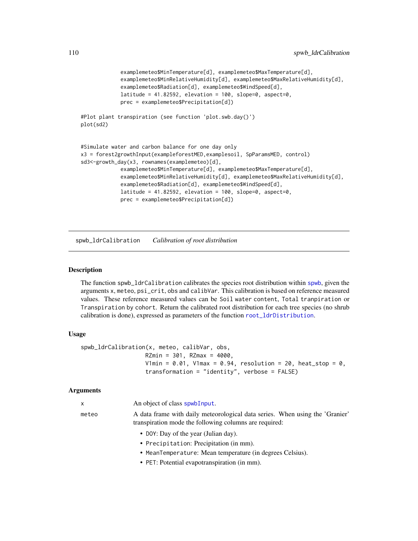```
examplemeteo$MinTemperature[d], examplemeteo$MaxTemperature[d],
             examplemeteo$MinRelativeHumidity[d], examplemeteo$MaxRelativeHumidity[d],
             examplemeteo$Radiation[d], examplemeteo$WindSpeed[d],
             latitude = 41.82592, elevation = 100, slope=0, aspect=0,
             prec = examplemeteo$Precipitation[d])
#Plot plant transpiration (see function 'plot.swb.day()')
plot(sd2)
#Simulate water and carbon balance for one day only
x3 = forest2growthInput(exampleforestMED,examplesoil, SpParamsMED, control)
sd3<-growth_day(x3, rownames(examplemeteo)[d],
             examplemeteo$MinTemperature[d], examplemeteo$MaxTemperature[d],
             examplemeteo$MinRelativeHumidity[d], examplemeteo$MaxRelativeHumidity[d],
             examplemeteo$Radiation[d], examplemeteo$WindSpeed[d],
             latitude = 41.82592, elevation = 100, slope=0, aspect=0,
             prec = examplemeteo$Precipitation[d])
```
spwb\_ldrCalibration *Calibration of root distribution*

# **Description**

The function spwb\_ldrCalibration calibrates the species root distribution within [spwb](#page-100-0), given the arguments x, meteo, psi\_crit, obs and calibVar. This calibration is based on reference measured values. These reference measured values can be Soil water content, Total tranpiration or Transpiration by cohort. Return the calibrated root distribution for each tree species (no shrub calibration is done), expressed as parameters of the function [root\\_ldrDistribution](#page-79-0).

# Usage

```
spwb_ldrCalibration(x, meteo, calibVar, obs,
                   RZmin = 301, RZmax = 4000,
                   V1min = 0.01, V1max = 0.94, resolution = 20, heat_stop = 0,
                   transformation = "identity", verbose = FALSE)
```
#### Arguments

| $\mathsf{x}$ | An object of class spwb Input.                                                                                                         |
|--------------|----------------------------------------------------------------------------------------------------------------------------------------|
| meteo        | A data frame with daily meteorological data series. When using the 'Granier'<br>transpiration mode the following columns are required: |
|              | • DOY: Day of the year (Julian day).                                                                                                   |
|              | • Precipitation: Precipitation (in mm).                                                                                                |
|              | • MeanTemperature: Mean temperature (in degrees Celsius).                                                                              |
|              | • PET: Potential evapotranspiration (in mm).                                                                                           |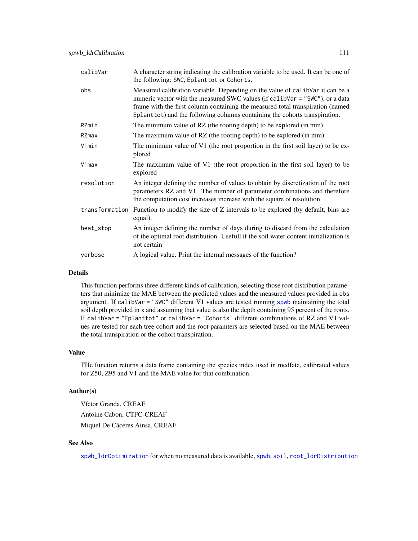| calibVar   | A character string indicating the calibration variable to be used. It can be one of<br>the following: SWC, Eplanttot or Cohorts.                                                                                                                                                                                              |
|------------|-------------------------------------------------------------------------------------------------------------------------------------------------------------------------------------------------------------------------------------------------------------------------------------------------------------------------------|
| obs        | Measured calibration variable. Depending on the value of calibVar it can be a<br>numeric vector with the measured SWC values (if calibVar = "SWC"), or a data<br>frame with the first column containing the measured total transpiration (named<br>Eplanttot) and the following columns containing the cohorts transpiration. |
| RZmin      | The minimum value of RZ (the rooting depth) to be explored (in mm)                                                                                                                                                                                                                                                            |
| RZmax      | The maximum value of RZ (the rooting depth) to be explored (in mm)                                                                                                                                                                                                                                                            |
| V1min      | The minimum value of V1 (the root proportion in the first soil layer) to be ex-<br>plored                                                                                                                                                                                                                                     |
| $V1$ max   | The maximum value of V1 (the root proportion in the first soil layer) to be<br>explored                                                                                                                                                                                                                                       |
| resolution | An integer defining the number of values to obtain by discretization of the root<br>parameters RZ and V1. The number of parameter combinations and therefore<br>the computation cost increases increase with the square of resolution                                                                                         |
|            | transformation Function to modify the size of Z intervals to be explored (by default, bins are<br>equal).                                                                                                                                                                                                                     |
| heat_stop  | An integer defining the number of days during to discard from the calculation<br>of the optimal root distribution. Usefull if the soil water content initialization is<br>not certain                                                                                                                                         |
| verbose    | A logical value. Print the internal messages of the function?                                                                                                                                                                                                                                                                 |

# Details

This function performs three different kinds of calibration, selecting those root distribution parameters that minimize the MAE between the predicted values and the measured values provided in obs argument. If calibVar = "SWC" different V1 values are tested running [spwb](#page-100-0) maintaining the total soil depth provided in x and assuming that value is also the depth containing 95 percent of the roots. If calibVar = "Eplanttot" or calibVar = 'Cohorts' different combinations of RZ and V1 values are tested for each tree cohort and the root paramters are selected based on the MAE between the total transpiration or the cohort transpiration.

# Value

THe function returns a data frame containing the species index used in medfate, calibrated values for Z50, Z95 and V1 and the MAE value for that combination.

# Author(s)

Víctor Granda, CREAF Antoine Cabon, CTFC-CREAF Miquel De Cáceres Ainsa, CREAF

# See Also

[spwb\\_ldrOptimization](#page-111-0) for when no measured data is available, [spwb](#page-100-0), [soil](#page-87-0), [root\\_ldrDistribution](#page-79-0)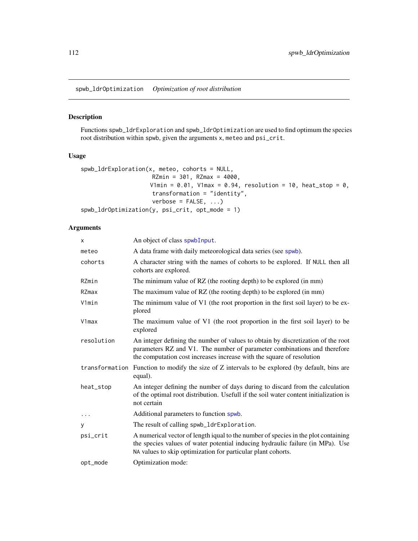<span id="page-111-0"></span>spwb\_ldrOptimization *Optimization of root distribution*

# Description

Functions spwb\_ldrExploration and spwb\_ldrOptimization are used to find optimum the species root distribution within spwb, given the arguments x, meteo and psi\_crit.

# Usage

```
spwb_ldrExploration(x, meteo, cohorts = NULL,
                     RZmin = 301, RZmax = 4000,
                    V1min = 0.01, V1max = 0.94, resolution = 10, heat_stop = 0,
                     transformation = "identity",
                     verbose = FALSE, ...)spwb_ldrOptimization(y, psi_crit, opt_mode = 1)
```
# Arguments

| X          | An object of class spwbInput.                                                                                                                                                                                                         |
|------------|---------------------------------------------------------------------------------------------------------------------------------------------------------------------------------------------------------------------------------------|
| meteo      | A data frame with daily meteorological data series (see spwb).                                                                                                                                                                        |
| cohorts    | A character string with the names of cohorts to be explored. If NULL then all<br>cohorts are explored.                                                                                                                                |
| RZmin      | The minimum value of RZ (the rooting depth) to be explored (in mm)                                                                                                                                                                    |
| RZmax      | The maximum value of RZ (the rooting depth) to be explored (in mm)                                                                                                                                                                    |
| V1min      | The minimum value of V1 (the root proportion in the first soil layer) to be ex-<br>plored                                                                                                                                             |
| V1max      | The maximum value of V1 (the root proportion in the first soil layer) to be<br>explored                                                                                                                                               |
| resolution | An integer defining the number of values to obtain by discretization of the root<br>parameters RZ and V1. The number of parameter combinations and therefore<br>the computation cost increases increase with the square of resolution |
|            | transformation Function to modify the size of Z intervals to be explored (by default, bins are<br>equal).                                                                                                                             |
| heat_stop  | An integer defining the number of days during to discard from the calculation<br>of the optimal root distribution. Usefull if the soil water content initialization is<br>not certain                                                 |
|            | Additional parameters to function spwb.                                                                                                                                                                                               |
| У          | The result of calling spwb_ldrExploration.                                                                                                                                                                                            |
| psi_crit   | A numerical vector of length iqual to the number of species in the plot containing<br>the species values of water potential inducing hydraulic failure (in MPa). Use<br>NA values to skip optimization for particular plant cohorts.  |
| opt_mode   | Optimization mode:                                                                                                                                                                                                                    |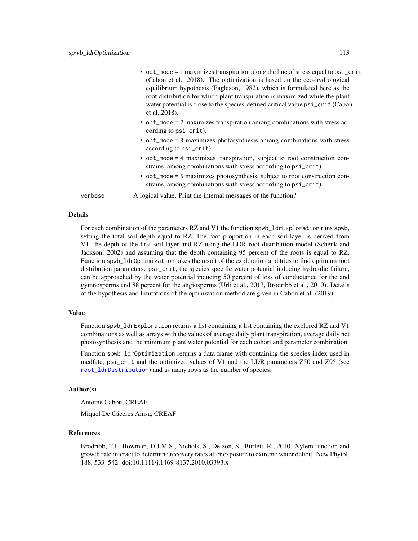|         | • opt_mode = 1 maximizes transpiration along the line of stress equal to psi_crit<br>(Cabon et al. 2018). The optimization is based on the eco-hydrological<br>equilibrium hypothesis (Eagleson, 1982), which is formulated here as the<br>root distribution for which plant transpiration is maximized while the plant<br>water potential is close to the species-defined critical value $psi_C$ : $crit$ (Cabon<br>et al., 2018). |
|---------|-------------------------------------------------------------------------------------------------------------------------------------------------------------------------------------------------------------------------------------------------------------------------------------------------------------------------------------------------------------------------------------------------------------------------------------|
|         | • opt_mode = 2 maximizes transpiration among combinations with stress ac-<br>cording to psi_crit).                                                                                                                                                                                                                                                                                                                                  |
|         | • opt_mode = 3 maximizes photosynthesis among combinations with stress<br>according to psi_crit).                                                                                                                                                                                                                                                                                                                                   |
|         | • opt_mode = 4 maximizes transpiration, subject to root construction con-<br>strains, among combinations with stress according to psi_crit).                                                                                                                                                                                                                                                                                        |
|         | • opt_mode = 5 maximizes photosynthesis, subject to root construction con-<br>strains, among combinations with stress according to psi_crit).                                                                                                                                                                                                                                                                                       |
| verbose | A logical value. Print the internal messages of the function?                                                                                                                                                                                                                                                                                                                                                                       |
|         |                                                                                                                                                                                                                                                                                                                                                                                                                                     |

# Details

For each combination of the parameters RZ and V1 the function spwb\_ldrExploration runs spwb, setting the total soil depth equal to RZ. The root proportion in each soil layer is derived from V1, the depth of the first soil layer and RZ using the LDR root distribution model (Schenk and Jackson, 2002) and assuming that the depth containing 95 percent of the roots is equal to RZ. Function spwb\_ldrOptimization takes the result of the exploration and tries to find optimum root distribution parameters. psi\_crit, the species specific water potential inducing hydraulic failure, can be approached by the water potential inducing 50 percent of loss of conductance for the and gymnosperms and 88 percent for the angiosperms (Urli et al., 2013, Brodribb et al., 2010). Details of the hypothesis and limitations of the optimization method are given in Cabon et al. (2019).

# Value

Function spwb\_ldrExploration returns a list containing a list containing the explored RZ and V1 combinations as well as arrays with the values of average daily plant transpiration, average daily net photosynthesis and the minimum plant water potential for each cohort and parameter combination.

Function spwb\_ldrOptimization returns a data frame with containing the species index used in medfate, psi\_crit and the optimized values of V1 and the LDR parameters Z50 and Z95 (see [root\\_ldrDistribution](#page-79-0)) and as many rows as the number of species.

#### Author(s)

Antoine Cabon, CREAF

Miquel De Cáceres Ainsa, CREAF

#### References

Brodribb, T.J., Bowman, D.J.M.S., Nichols, S., Delzon, S., Burlett, R., 2010. Xylem function and growth rate interact to determine recovery rates after exposure to extreme water deficit. New Phytol. 188, 533–542. doi:10.1111/j.1469-8137.2010.03393.x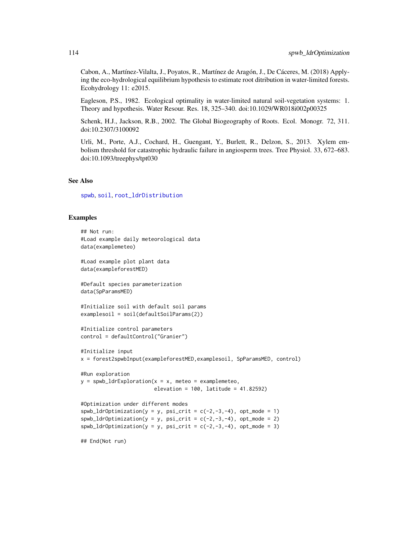Cabon, A., Martínez-Vilalta, J., Poyatos, R., Martínez de Aragón, J., De Cáceres, M. (2018) Applying the eco-hydrological equilibrium hypothesis to estimate root ditribution in water-limited forests. Ecohydrology 11: e2015.

Eagleson, P.S., 1982. Ecological optimality in water-limited natural soil-vegetation systems: 1. Theory and hypothesis. Water Resour. Res. 18, 325–340. doi:10.1029/WR018i002p00325

Schenk, H.J., Jackson, R.B., 2002. The Global Biogeography of Roots. Ecol. Monogr. 72, 311. doi:10.2307/3100092

Urli, M., Porte, A.J., Cochard, H., Guengant, Y., Burlett, R., Delzon, S., 2013. Xylem embolism threshold for catastrophic hydraulic failure in angiosperm trees. Tree Physiol. 33, 672–683. doi:10.1093/treephys/tpt030

# See Also

[spwb](#page-100-0), [soil](#page-87-0), [root\\_ldrDistribution](#page-79-0)

# Examples

```
## Not run:
#Load example daily meteorological data
data(examplemeteo)
#Load example plot plant data
data(exampleforestMED)
#Default species parameterization
data(SpParamsMED)
#Initialize soil with default soil params
examplesoil = soil(defaultSoilParams(2))
#Initialize control parameters
control = defaultControl("Granier")
#Initialize input
x = forest2spwbInput(exampleforestMED,examplesoil, SpParamsMED, control)
#Run exploration
y =spwb_ldrExploration(x = x, meteo = examplemeteo,
                        elevation = 100, latitude = 41.82592)
#Optimization under different modes
spub_ldrOptimization(y = y, psi_ccrit = c(-2, -3, -4), opt_model = 1)spub\_ldroptimization(y = y, psi\_crit = c(-2, -3, -4), opt\_mode = 2)spub_ldrOptimization(y = y, psi_crit = c(-2, -3, -4), opt_mode = 3)
```
## End(Not run)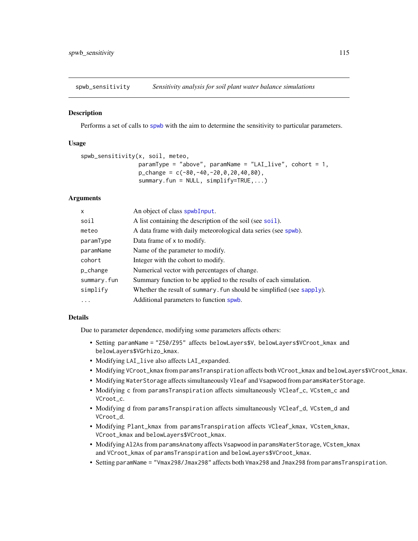spwb\_sensitivity *Sensitivity analysis for soil plant water balance simulations*

# Description

Performs a set of calls to [spwb](#page-100-0) with the aim to determine the sensitivity to particular parameters.

# Usage

```
spwb_sensitivity(x, soil, meteo,
                  paramType = "above", paramName = "LAI\_live", cohort = 1,p_{\text{1}}change = c(-80,-40,-20,0,20,40,80),
                  summary.fun = NULL, simplify=TRUE,...)
```
# Arguments

| $\mathsf{x}$ | An object of class spwbInput.                                         |
|--------------|-----------------------------------------------------------------------|
| soil         | A list containing the description of the soil (see soil).             |
| meteo        | A data frame with daily meteorological data series (see spwb).        |
| paramType    | Data frame of x to modify.                                            |
| paramName    | Name of the parameter to modify.                                      |
| cohort       | Integer with the cohort to modify.                                    |
| p_change     | Numerical vector with percentages of change.                          |
| summary.fun  | Summary function to be applied to the results of each simulation.     |
| simplify     | Whether the result of summary. fun should be simplified (see sapply). |
| $\cdots$     | Additional parameters to function spwb.                               |

# Details

Due to parameter dependence, modifying some parameters affects others:

- Setting paramName = "Z50/Z95" affects belowLayers\$V, belowLayers\$VCroot\_kmax and belowLayers\$VGrhizo\_kmax.
- Modifying LAI\_live also affects LAI\_expanded.
- Modifying VCroot\_kmax from paramsTranspiration affects both VCroot\_kmax and belowLayers\$VCroot\_kmax.
- Modifying WaterStorage affects simultaneously Vleaf and Vsapwood from paramsWaterStorage.
- Modifying c from paramsTranspiration affects simultaneously VCleaf\_c, VCstem\_c and VCroot\_c.
- Modifying d from paramsTranspiration affects simultaneously VCleaf\_d, VCstem\_d and VCroot\_d.
- Modifying Plant\_kmax from paramsTranspiration affects VCleaf\_kmax, VCstem\_kmax, VCroot\_kmax and belowLayers\$VCroot\_kmax.
- Modifying Al2As from paramsAnatomy affects Vsapwood in paramsWaterStorage, VCstem\_kmax and VCroot\_kmax of paramsTranspiration and belowLayers\$VCroot\_kmax.
- Setting paramName = "Vmax298/Jmax298" affects both Vmax298 and Jmax298 from paramsTranspiration.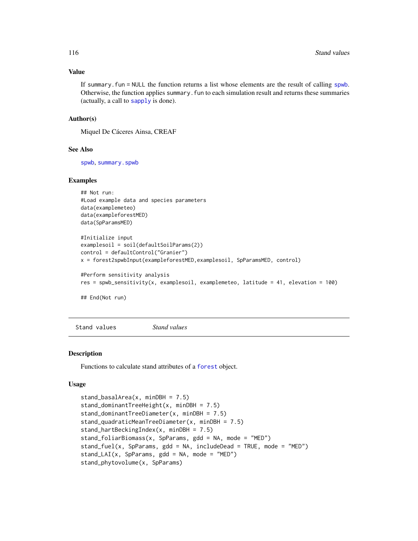#### <span id="page-115-0"></span>Value

If summary.fun = NULL the function returns a list whose elements are the result of calling [spwb](#page-100-0). Otherwise, the function applies summary.fun to each simulation result and returns these summaries (actually, a call to [sapply](#page-0-0) is done).

#### Author(s)

Miquel De Cáceres Ainsa, CREAF

# See Also

[spwb](#page-100-0), [summary.spwb](#page-117-0)

#### Examples

```
## Not run:
#Load example data and species parameters
data(examplemeteo)
data(exampleforestMED)
data(SpParamsMED)
#Initialize input
examplesoil = soil(defaultSoilParams(2))
control = defaultControl("Granier")
x = forest2spwbInput(exampleforestMED,examplesoil, SpParamsMED, control)
#Perform sensitivity analysis
res = spwb_sensitivity(x, examplesoil, examplemeteo, latitude = 41, elevation = 100)
```
## End(Not run)

Stand values *Stand values*

#### Description

Functions to calculate stand attributes of a [forest](#page-32-0) object.

#### Usage

```
stand_basalArea(x, minDBH = 7.5)
stand_dominantTreeHeight(x, minDBH = 7.5)
stand_dominantTreeDiameter(x, minDBH = 7.5)
stand_quadraticMeanTreeDiameter(x, minDBH = 7.5)
stand_hartBeckingIndex(x, minDBH = 7.5)
stand_foliarBiomass(x, SpParams, gdd = NA, mode = "MED")
stand_fuel(x, SpParams, gdd = NA, includeDead = TRUE, mode = "MED")
stand_LAI(x, SpParams, \text{gdd} = \text{NA}, mode = "MED")
stand_phytovolume(x, SpParams)
```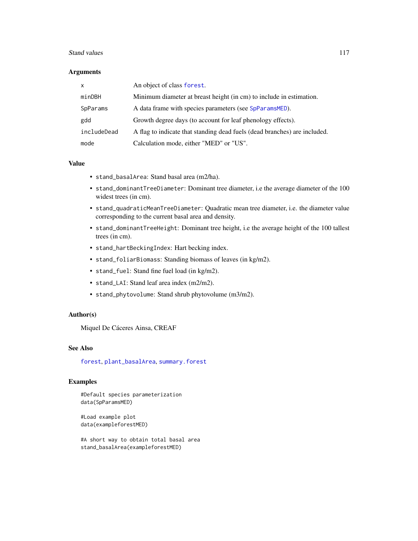#### <span id="page-116-0"></span>Stand values 2008 and 2008 and 2008 and 2008 and 2008 and 2008 and 2008 and 2008 and 2008 and 2008 and 2008 and 2008 and 2008 and 2008 and 2008 and 2008 and 2008 and 2008 and 2008 and 2008 and 2008 and 2008 and 2008 and 20

#### **Arguments**

| $\mathsf{x}$ | An object of class forest.                                                |
|--------------|---------------------------------------------------------------------------|
| minDBH       | Minimum diameter at breast height (in cm) to include in estimation.       |
| SpParams     | A data frame with species parameters (see SpParamsMED).                   |
| gdd          | Growth degree days (to account for leaf phenology effects).               |
| includeDead  | A flag to indicate that standing dead fuels (dead branches) are included. |
| mode         | Calculation mode, either "MED" or "US".                                   |

# Value

- stand\_basalArea: Stand basal area (m2/ha).
- stand\_dominantTreeDiameter: Dominant tree diameter, i.e the average diameter of the 100 widest trees (in cm).
- stand\_quadraticMeanTreeDiameter: Quadratic mean tree diameter, i.e. the diameter value corresponding to the current basal area and density.
- stand\_dominantTreeHeight: Dominant tree height, i.e the average height of the 100 tallest trees (in cm).
- stand\_hartBeckingIndex: Hart becking index.
- stand\_foliarBiomass: Standing biomass of leaves (in kg/m2).
- stand\_fuel: Stand fine fuel load (in kg/m2).
- stand\_LAI: Stand leaf area index (m2/m2).
- stand\_phytovolume: Stand shrub phytovolume (m3/m2).

# Author(s)

Miquel De Cáceres Ainsa, CREAF

# See Also

[forest](#page-32-0), [plant\\_basalArea](#page-65-0), [summary.forest](#page-32-1)

# Examples

#Default species parameterization data(SpParamsMED)

#Load example plot data(exampleforestMED)

#A short way to obtain total basal area stand\_basalArea(exampleforestMED)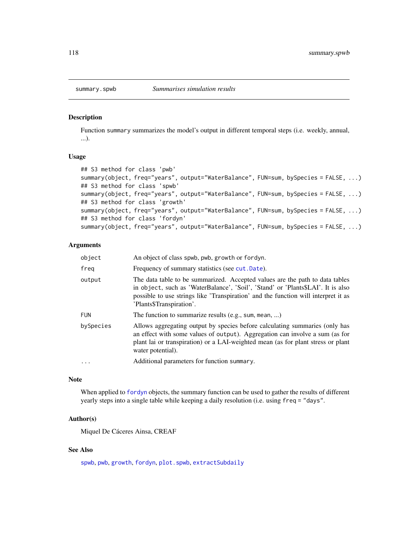#### <span id="page-117-1"></span><span id="page-117-0"></span>Description

Function summary summarizes the model's output in different temporal steps (i.e. weekly, annual, ...).

# Usage

```
## S3 method for class 'pwb'
summary(object, freq="years", output="WaterBalance", FUN=sum, bySpecies = FALSE, ...)
## S3 method for class 'spwb'
summary(object, freq="years", output="WaterBalance", FUN=sum, bySpecies = FALSE, ...)
## S3 method for class 'growth'
summary(object, freq="years", output="WaterBalance", FUN=sum, bySpecies = FALSE, ...)
## S3 method for class 'fordyn'
summary(object, freq="years", output="WaterBalance", FUN=sum, bySpecies = FALSE, ...)
```
# Arguments

| An object of class spwb, pwb, growth or fordyn.                                                                                                                                                                                                                                   |
|-----------------------------------------------------------------------------------------------------------------------------------------------------------------------------------------------------------------------------------------------------------------------------------|
| Frequency of summary statistics (see cut. Date).                                                                                                                                                                                                                                  |
| The data table to be summarized. Accepted values are the path to data tables<br>in object, such as 'WaterBalance', 'Soil', 'Stand' or 'Plants\$LAI'. It is also<br>possible to use strings like 'Transpiration' and the function will interpret it as<br>'Plants\$Transpiration'. |
| The function to summarize results (e.g., sum, mean, )                                                                                                                                                                                                                             |
| Allows aggregating output by species before calculating summaries (only has<br>an effect with some values of output). Aggregation can involve a sum (as for<br>plant lai or transpiration) or a LAI-weighted mean (as for plant stress or plant<br>water potential).              |
| Additional parameters for function summary.                                                                                                                                                                                                                                       |
|                                                                                                                                                                                                                                                                                   |

# Note

When applied to [fordyn](#page-29-0) objects, the summary function can be used to gather the results of different yearly steps into a single table while keeping a daily resolution (i.e. using freq = "days".

#### Author(s)

Miquel De Cáceres Ainsa, CREAF

# See Also

[spwb](#page-100-0), [pwb](#page-100-1), [growth](#page-37-0), [fordyn](#page-29-0), [plot.spwb](#page-69-0), [extractSubdaily](#page-23-0)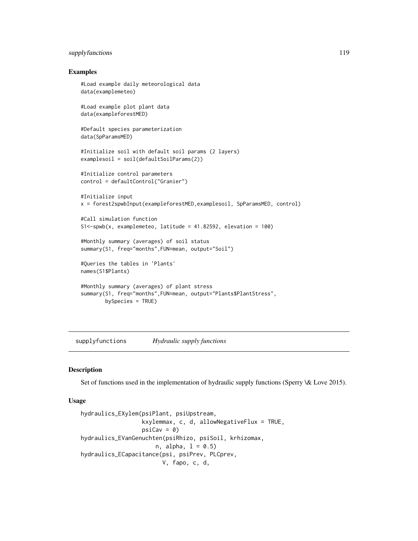# <span id="page-118-1"></span>supplyfunctions and the supplyfunctions of  $\sim$  119

# Examples

```
#Load example daily meteorological data
data(examplemeteo)
#Load example plot plant data
data(exampleforestMED)
#Default species parameterization
data(SpParamsMED)
#Initialize soil with default soil params (2 layers)
examplesoil = soil(defaultSoilParams(2))
#Initialize control parameters
control = defaultControl("Granier")
#Initialize input
x = forest2spwbInput(exampleforestMED,examplesoil, SpParamsMED, control)
#Call simulation function
S1<-spwb(x, examplemeteo, latitude = 41.82592, elevation = 100)
#Monthly summary (averages) of soil status
summary(S1, freq="months",FUN=mean, output="Soil")
#Queries the tables in 'Plants'
names(S1$Plants)
#Monthly summary (averages) of plant stress
summary(S1, freq="months",FUN=mean, output="Plants$PlantStress",
       bySpecies = TRUE)
```
supplyfunctions *Hydraulic supply functions*

#### <span id="page-118-0"></span>Description

Set of functions used in the implementation of hydraulic supply functions (Sperry \& Love 2015).

#### Usage

```
hydraulics_EXylem(psiPlant, psiUpstream,
                  kxylemmax, c, d, allowNegativeFlux = TRUE,
                 psi = 0)
hydraulics_EVanGenuchten(psiRhizo, psiSoil, krhizomax,
                     n, alpha, 1 = 0.5)hydraulics_ECapacitance(psi, psiPrev, PLCprev,
                       V, fapo, c, d,
```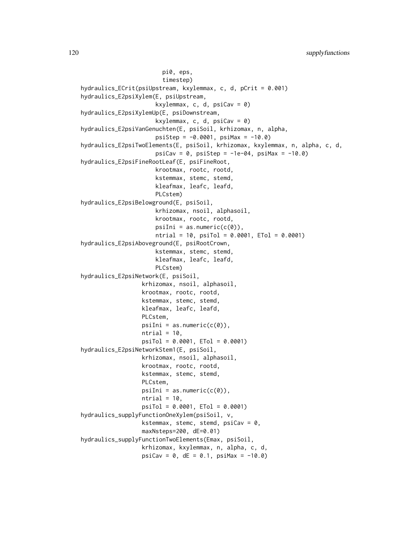pi0, eps, timestep) hydraulics\_ECrit(psiUpstream, kxylemmax, c, d, pCrit = 0.001) hydraulics\_E2psiXylem(E, psiUpstream, kxylemmax, c, d,  $psicav = 0$ ) hydraulics\_E2psiXylemUp(E, psiDownstream, kxylemmax, c, d,  $psicav = 0$ ) hydraulics\_E2psiVanGenuchten(E, psiSoil, krhizomax, n, alpha,  $psislep = -0.0001$ ,  $psiMax = -10.0$ hydraulics\_E2psiTwoElements(E, psiSoil, krhizomax, kxylemmax, n, alpha, c, d,  $psicav = 0$ ,  $psistep = -1e-04$ ,  $psima = -10.0$ hydraulics\_E2psiFineRootLeaf(E, psiFineRoot, krootmax, rootc, rootd, kstemmax, stemc, stemd, kleafmax, leafc, leafd, PLCstem) hydraulics\_E2psiBelowground(E, psiSoil, krhizomax, nsoil, alphasoil, krootmax, rootc, rootd,  $psi = as.numeric(c(\theta))$ ,  $ntrial = 10$ ,  $psiTol = 0.0001$ ,  $ETol = 0.0001$ ) hydraulics\_E2psiAboveground(E, psiRootCrown, kstemmax, stemc, stemd, kleafmax, leafc, leafd, PLCstem) hydraulics\_E2psiNetwork(E, psiSoil, krhizomax, nsoil, alphasoil, krootmax, rootc, rootd, kstemmax, stemc, stemd, kleafmax, leafc, leafd, PLCstem,  $psilon = as.numeric(c(\theta)),$  $ntrial = 10,$ psiTol = 0.0001, ETol = 0.0001) hydraulics\_E2psiNetworkStem1(E, psiSoil, krhizomax, nsoil, alphasoil, krootmax, rootc, rootd, kstemmax, stemc, stemd, PLCstem,  $psilon = as.numeric(c(\theta)),$  $ntrial = 10,$ psiTol = 0.0001, ETol = 0.0001) hydraulics\_supplyFunctionOneXylem(psiSoil, v, kstemmax, stemc, stemd,  $psicav = 0$ , maxNsteps=200, dE=0.01) hydraulics\_supplyFunctionTwoElements(Emax, psiSoil, krhizomax, kxylemmax, n, alpha, c, d,  $psi = 0$ ,  $dE = 0.1$ ,  $psi = -10.0$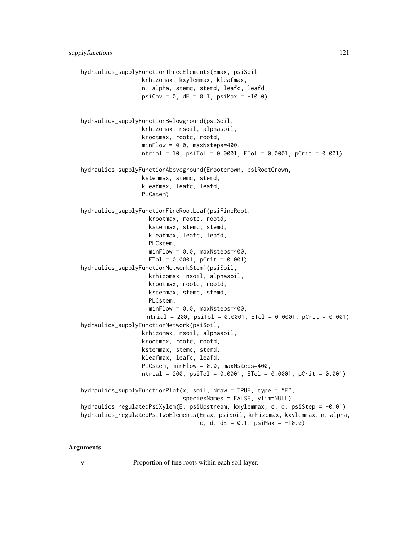```
hydraulics_supplyFunctionThreeElements(Emax, psiSoil,
                  krhizomax, kxylemmax, kleafmax,
                  n, alpha, stemc, stemd, leafc, leafd,
                  psi = 0, dE = 0.1, psi = -10.0hydraulics_supplyFunctionBelowground(psiSoil,
                  krhizomax, nsoil, alphasoil,
                  krootmax, rootc, rootd,
                  minFlow = 0.0, maxNsteps=400,
                  ntrial = 10, psiTol = 0.0001, ETol = 0.0001, pCrit = 0.001)
hydraulics_supplyFunctionAboveground(Erootcrown, psiRootCrown,
                  kstemmax, stemc, stemd,
                  kleafmax, leafc, leafd,
                  PLCstem)
hydraulics_supplyFunctionFineRootLeaf(psiFineRoot,
                   krootmax, rootc, rootd,
                    kstemmax, stemc, stemd,
                   kleafmax, leafc, leafd,
                   PLCstem,
                   minFlow = 0.0, maxNsteps=400,
                   ETO1 = 0.0001, pCrit = 0.001hydraulics_supplyFunctionNetworkStem1(psiSoil,
                   krhizomax, nsoil, alphasoil,
                   krootmax, rootc, rootd,
                   kstemmax, stemc, stemd,
                   PLCstem,
                   minFlow = 0.0, maxNsteps=400,ntrial = 200, psiTol = 0.0001, ETol = 0.0001, pCrit = 0.001)
hydraulics_supplyFunctionNetwork(psiSoil,
                  krhizomax, nsoil, alphasoil,
                  krootmax, rootc, rootd,
                  kstemmax, stemc, stemd,
                  kleafmax, leafc, leafd,
                  PLCstem, minFlow = 0.0, maxNsteps=400,
                  ntrial = 200, psiTol = 0.0001, ETol = 0.0001, pCrit = 0.001)
hydraulics_supplyFunctionPlot(x, soil, draw = TRUE, type = "E",
                              speciesNames = FALSE, ylim=NULL)
hydraulics_regulatedPsiXylem(E, psiUpstream, kxylemmax, c, d, psiStep = -0.01)
hydraulics_regulatedPsiTwoElements(Emax, psiSoil, krhizomax, kxylemmax, n, alpha,
                                  c, d, dE = 0.1, psi = -10.0
```
#### Arguments

v Proportion of fine roots within each soil layer.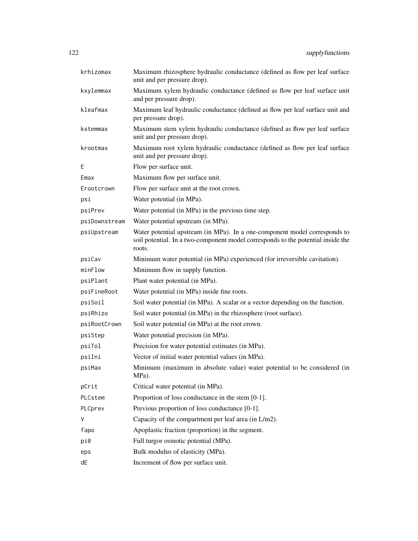| krhizomax     | Maximum rhizosphere hydraulic conductance (defined as flow per leaf surface<br>unit and per pressure drop).                                                              |
|---------------|--------------------------------------------------------------------------------------------------------------------------------------------------------------------------|
| kxylemmax     | Maximum xylem hydraulic conductance (defined as flow per leaf surface unit<br>and per pressure drop).                                                                    |
| kleafmax      | Maximum leaf hydraulic conductance (defined as flow per leaf surface unit and<br>per pressure drop).                                                                     |
| kstemmax      | Maximum stem xylem hydraulic conductance (defined as flow per leaf surface<br>unit and per pressure drop).                                                               |
| krootmax      | Maximum root xylem hydraulic conductance (defined as flow per leaf surface<br>unit and per pressure drop).                                                               |
| Ε             | Flow per surface unit.                                                                                                                                                   |
| Emax          | Maximum flow per surface unit.                                                                                                                                           |
| Erootcrown    | Flow per surface unit at the root crown.                                                                                                                                 |
| psi           | Water potential (in MPa).                                                                                                                                                |
| psiPrev       | Water potential (in MPa) in the previous time step.                                                                                                                      |
| psiDownstream | Water potential upstream (in MPa).                                                                                                                                       |
| psiUpstream   | Water potential upstream (in MPa). In a one-component model corresponds to<br>soil potential. In a two-component model corresponds to the potential inside the<br>roots. |
| psiCav        | Minimum water potential (in MPa) experienced (for irreversible cavitation).                                                                                              |
| minFlow       | Minimum flow in supply function.                                                                                                                                         |
| psiPlant      | Plant water potential (in MPa).                                                                                                                                          |
| psiFineRoot   | Water potential (in MPa) inside fine roots.                                                                                                                              |
| psiSoil       | Soil water potential (in MPa). A scalar or a vector depending on the function.                                                                                           |
| psiRhizo      | Soil water potential (in MPa) in the rhizosphere (root surface).                                                                                                         |
| psiRootCrown  | Soil water potential (in MPa) at the root crown.                                                                                                                         |
| psiStep       | Water potential precision (in MPa).                                                                                                                                      |
| psiTol        | Precision for water potential estimates (in MPa).                                                                                                                        |
| psiIni        | Vector of initial water potential values (in MPa).                                                                                                                       |
| psiMax        | Minimum (maximum in absolute value) water potential to be considered (in<br>MPa).                                                                                        |
| pCrit         | Critical water potential (in MPa).                                                                                                                                       |
| PLCstem       | Proportion of loss conductance in the stem [0-1].                                                                                                                        |
| PLCprev       | Previous proportion of loss conductance [0-1].                                                                                                                           |
| V             | Capacity of the compartment per leaf area (in L/m2).                                                                                                                     |
| fapo          | Apoplastic fraction (proportion) in the segment.                                                                                                                         |
| pi0           | Full turgor osmotic potential (MPa).                                                                                                                                     |
| eps           | Bulk modulus of elasticity (MPa).                                                                                                                                        |
| dE            | Increment of flow per surface unit.                                                                                                                                      |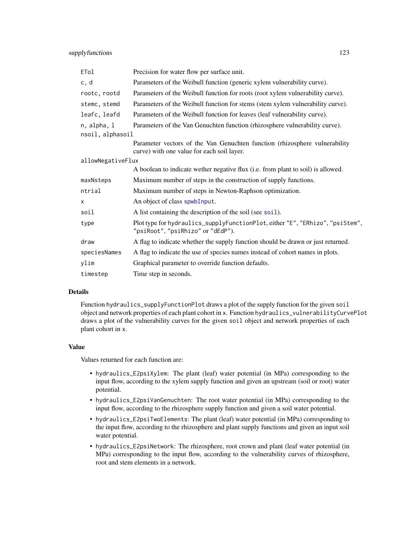| ETol              | Precision for water flow per surface unit.                                                                               |  |
|-------------------|--------------------------------------------------------------------------------------------------------------------------|--|
| c, d              | Parameters of the Weibull function (generic xylem vulnerability curve).                                                  |  |
| rootc, rootd      | Parameters of the Weibull function for roots (root xylem vulnerability curve).                                           |  |
| stemc, stemd      | Parameters of the Weibull function for stems (stem xylem vulnerability curve).                                           |  |
| leafc, leafd      | Parameters of the Weibull function for leaves (leaf vulnerability curve).                                                |  |
| n, alpha, l       | Parameters of the Van Genuchten function (rhizosphere vulnerability curve).                                              |  |
| nsoil, alphasoil  |                                                                                                                          |  |
|                   | Parameter vectors of the Van Genuchten function (rhizosphere vulnerability<br>curve) with one value for each soil layer. |  |
| allowNegativeFlux |                                                                                                                          |  |
|                   | A boolean to indicate wether negative flux (i.e. from plant to soil) is allowed.                                         |  |
| maxNsteps         | Maximum number of steps in the construction of supply functions.                                                         |  |
| ntrial            | Maximum number of steps in Newton-Raphson optimization.                                                                  |  |
| X                 | An object of class spwbInput.                                                                                            |  |
| soil              | A list containing the description of the soil (see soil).                                                                |  |
| type              | Plot type for hydraulics_supplyFunctionPlot, either "E", "ERhizo", "psiStem",<br>"psiRoot", "psiRhizo" or "dEdP").       |  |
| draw              | A flag to indicate whether the supply function should be drawn or just returned.                                         |  |
| speciesNames      | A flag to indicate the use of species names instead of cohort names in plots.                                            |  |
| ylim              | Graphical parameter to override function defaults.                                                                       |  |
| timestep          | Time step in seconds.                                                                                                    |  |

#### Details

Function hydraulics\_supplyFunctionPlot draws a plot of the supply function for the given soil object and network properties of each plant cohort in x. Function hydraulics\_vulnerabilityCurvePlot draws a plot of the vulnerability curves for the given soil object and network properties of each plant cohort in x.

# Value

Values returned for each function are:

- hydraulics\_E2psiXylem: The plant (leaf) water potential (in MPa) corresponding to the input flow, according to the xylem supply function and given an upstream (soil or root) water potential.
- hydraulics\_E2psiVanGenuchten: The root water potential (in MPa) corresponding to the input flow, according to the rhizosphere supply function and given a soil water potential.
- hydraulics\_E2psiTwoElements: The plant (leaf) water potential (in MPa) corresponding to the input flow, according to the rhizosphere and plant supply functions and given an input soil water potential.
- hydraulics\_E2psiNetwork: The rhizosphere, root crown and plant (leaf water potential (in MPa) corresponding to the input flow, according to the vulnerability curves of rhizosphere, root and stem elements in a network.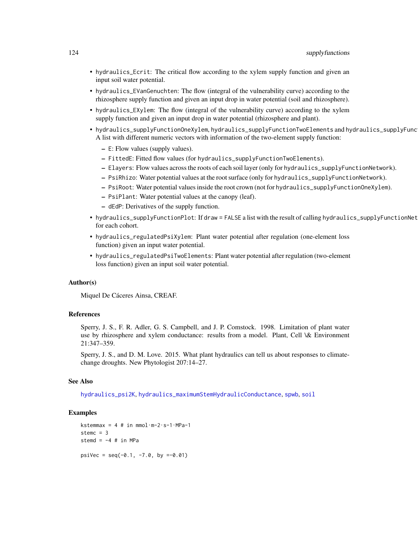- <span id="page-123-0"></span>• hydraulics\_Ecrit: The critical flow according to the xylem supply function and given an input soil water potential.
- hydraulics\_EVanGenuchten: The flow (integral of the vulnerability curve) according to the rhizosphere supply function and given an input drop in water potential (soil and rhizosphere).
- hydraulics\_EXylem: The flow (integral of the vulnerability curve) according to the xylem supply function and given an input drop in water potential (rhizosphere and plant).
- hydraulics\_supplyFunctionOneXylem, hydraulics\_supplyFunctionTwoElements and hydraulics\_supplyFunc A list with different numeric vectors with information of the two-element supply function:
	- E: Flow values (supply values).
	- FittedE: Fitted flow values (for hydraulics\_supplyFunctionTwoElements).
	- Elayers: Flow values across the roots of each soil layer (only for hydraulics\_supplyFunctionNetwork).
	- PsiRhizo: Water potential values at the root surface (only for hydraulics\_supplyFunctionNetwork).
	- PsiRoot: Water potential values inside the root crown (not for hydraulics\_supplyFunctionOneXylem).
	- PsiPlant: Water potential values at the canopy (leaf).
	- dEdP: Derivatives of the supply function.
- hydraulics\_supplyFunctionPlot: If draw = FALSE a list with the result of calling hydraulics\_supplyFunctionNet for each cohort.
- hydraulics\_regulatedPsiXylem: Plant water potential after regulation (one-element loss function) given an input water potential.
- hydraulics\_regulatedPsiTwoElements: Plant water potential after regulation (two-element loss function) given an input soil water potential.

#### Author(s)

Miquel De Cáceres Ainsa, CREAF.

# References

Sperry, J. S., F. R. Adler, G. S. Campbell, and J. P. Comstock. 1998. Limitation of plant water use by rhizosphere and xylem conductance: results from a model. Plant, Cell \& Environment 21:347–359.

Sperry, J. S., and D. M. Love. 2015. What plant hydraulics can tell us about responses to climatechange droughts. New Phytologist 207:14–27.

# See Also

[hydraulics\\_psi2K](#page-6-0), [hydraulics\\_maximumStemHydraulicConductance](#page-82-0), [spwb](#page-100-0), [soil](#page-87-0)

# Examples

```
kstemmax = 4 # in mmol·m-2·s-1·MPa-1
stemc = 3
stemd = -4 # in MPa
psiVec = seq(-0.1, -7.0, by =0.01)
```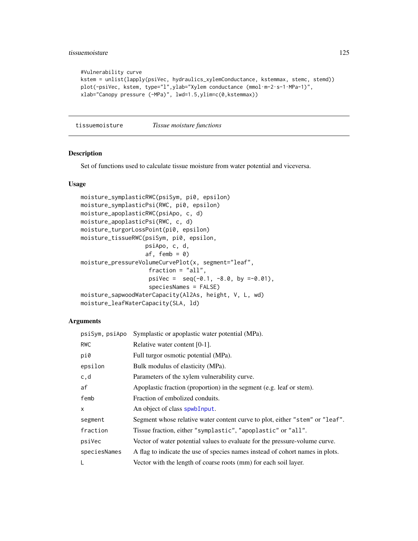# tissuemoisture 125

```
#Vulnerability curve
kstem = unlist(lapply(psiVec, hydraulics_xylemConductance, kstemmax, stemc, stemd))
plot(-psiVec, kstem, type="l",ylab="Xylem conductance (mmol·m-2·s-1·MPa-1)",
xlab="Canopy pressure (-MPa)", lwd=1.5,ylim=c(0,kstemmax))
```
tissuemoisture *Tissue moisture functions*

# Description

Set of functions used to calculate tissue moisture from water potential and viceversa.

# Usage

```
moisture_symplasticRWC(psiSym, pi0, epsilon)
moisture_symplasticPsi(RWC, pi0, epsilon)
moisture_apoplasticRWC(psiApo, c, d)
moisture_apoplasticPsi(RWC, c, d)
moisture_turgorLossPoint(pi0, epsilon)
moisture_tissueRWC(psiSym, pi0, epsilon,
                   psiApo, c, d,
                   af, femb = 0)
moisture_pressureVolumeCurvePlot(x, segment="leaf",
                    fraction = "all",
                    psiVec = seq(-0.1, -8.0, by =0.01),
                    speciesNames = FALSE)
moisture_sapwoodWaterCapacity(Al2As, height, V, L, wd)
moisture_leafWaterCapacity(SLA, ld)
```
# Arguments

| psiSym, psiApo | Symplastic or apoplastic water potential (MPa).                               |
|----------------|-------------------------------------------------------------------------------|
| <b>RWC</b>     | Relative water content $[0-1]$ .                                              |
| pi0            | Full turgor osmotic potential (MPa).                                          |
| epsilon        | Bulk modulus of elasticity (MPa).                                             |
| c,d            | Parameters of the xylem vulnerability curve.                                  |
| af             | Apoplastic fraction (proportion) in the segment (e.g. leaf or stem).          |
| femb           | Fraction of embolized conduits.                                               |
| $\mathsf{x}$   | An object of class spwbInput.                                                 |
| segment        | Segment whose relative water content curve to plot, either "stem" or "leaf".  |
| fraction       | Tissue fraction, either "symplastic", "apoplastic" or "all".                  |
| psiVec         | Vector of water potential values to evaluate for the pressure-volume curve.   |
| speciesNames   | A flag to indicate the use of species names instead of cohort names in plots. |
| L              | Vector with the length of coarse roots (mm) for each soil layer.              |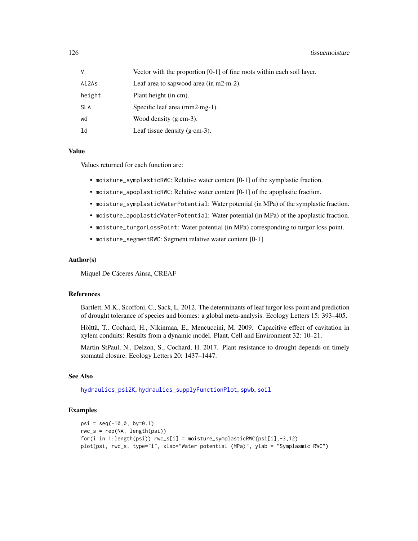# <span id="page-125-0"></span>126 tissuemoisture

| v      | Vector with the proportion $[0-1]$ of fine roots within each soil layer. |
|--------|--------------------------------------------------------------------------|
| Al2As  | Leaf area to sapwood area (in $m2 \cdot m-2$ ).                          |
| height | Plant height (in cm).                                                    |
| SLA    | Specific leaf area $(mm2·mg-1)$ .                                        |
| wd     | Wood density $(g\text{-}cm-3)$ .                                         |
| ld     | Leaf tissue density $(g\text{-}cm-3)$ .                                  |

#### Value

Values returned for each function are:

- moisture\_symplasticRWC: Relative water content [0-1] of the symplastic fraction.
- moisture\_apoplasticRWC: Relative water content [0-1] of the apoplastic fraction.
- moisture\_symplasticWaterPotential: Water potential (in MPa) of the symplastic fraction.
- moisture\_apoplasticWaterPotential: Water potential (in MPa) of the apoplastic fraction.
- moisture\_turgorLossPoint: Water potential (in MPa) corresponding to turgor loss point.
- moisture\_segmentRWC: Segment relative water content [0-1].

# Author(s)

Miquel De Cáceres Ainsa, CREAF

# References

Bartlett, M.K., Scoffoni, C., Sack, L. 2012. The determinants of leaf turgor loss point and prediction of drought tolerance of species and biomes: a global meta-analysis. Ecology Letters 15: 393–405.

Hölttä, T., Cochard, H., Nikinmaa, E., Mencuccini, M. 2009. Capacitive effect of cavitation in xylem conduits: Results from a dynamic model. Plant, Cell and Environment 32: 10–21.

Martin-StPaul, N., Delzon, S., Cochard, H. 2017. Plant resistance to drought depends on timely stomatal closure. Ecology Letters 20: 1437–1447.

# See Also

[hydraulics\\_psi2K](#page-6-0), [hydraulics\\_supplyFunctionPlot](#page-118-0), [spwb](#page-100-0), [soil](#page-87-0)

# Examples

```
psi = seq(-10, 0, by=0.1)rwc_s = rep(NA, length(psi))for(i in 1:length(psi)) rwc_s[i] = moisture_symplasticRWC(psi[i],-3,12)
plot(psi, rwc_s, type="l", xlab="Water potential (MPa)", ylab = "Symplasmic RWC")
```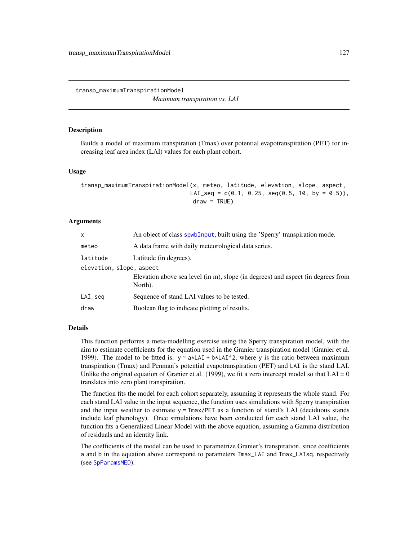transp\_maximumTranspirationModel

*Maximum transpiration vs. LAI*

# **Description**

Builds a model of maximum transpiration (Tmax) over potential evapotranspiration (PET) for increasing leaf area index (LAI) values for each plant cohort.

# Usage

```
transp_maximumTranspirationModel(x, meteo, latitude, elevation, slope, aspect,
                                LAI_seq = c(0.1, 0.25, seq(0.5, 10, by = 0.5)),
                                 draw = TRUE)
```
# Arguments

| $\mathsf{x}$             | An object of class spwb Input, built using the 'Sperry' transpiration mode.                 |  |
|--------------------------|---------------------------------------------------------------------------------------------|--|
| meteo                    | A data frame with daily meteorological data series.                                         |  |
| latitude                 | Latitude (in degrees).                                                                      |  |
| elevation, slope, aspect |                                                                                             |  |
|                          | Elevation above sea level (in m), slope (in degrees) and aspect (in degrees from<br>North). |  |
| $LAI\_seq$               | Sequence of stand LAI values to be tested.                                                  |  |
| draw                     | Boolean flag to indicate plotting of results.                                               |  |

# Details

This function performs a meta-modelling exercise using the Sperry transpiration model, with the aim to estimate coefficients for the equation used in the Granier transpiration model (Granier et al. 1999). The model to be fitted is:  $y \sim a \times LAI + b \times LAI^2$ , where y is the ratio between maximum transpiration (Tmax) and Penman's potential evapotranspiration (PET) and LAI is the stand LAI. Unlike the original equation of Granier et al. (1999), we fit a zero intercept model so that  $LAI = 0$ translates into zero plant transpiration.

The function fits the model for each cohort separately, assuming it represents the whole stand. For each stand LAI value in the input sequence, the function uses simulations with Sperry transpiration and the input weather to estimate  $y = Tmax/PET$  as a function of stand's LAI (deciduous stands include leaf phenology). Once simulations have been conducted for each stand LAI value, the function fits a Generalized Linear Model with the above equation, assuming a Gamma distribution of residuals and an identity link.

The coefficients of the model can be used to parametrize Granier's transpiration, since coefficients a and b in the equation above correspond to parameters Tmax\_LAI and Tmax\_LAIsq, respectively (see [SpParamsMED](#page-98-0)).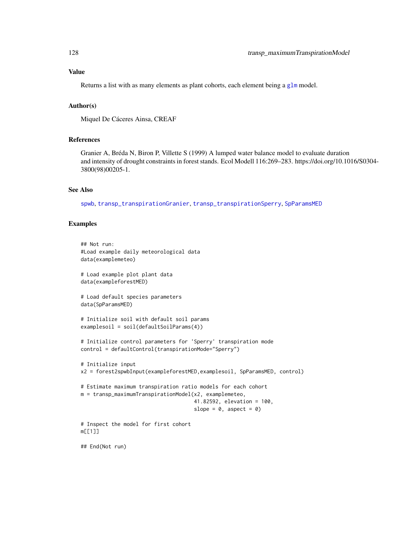# <span id="page-127-0"></span>Value

Returns a list with as many elements as plant cohorts, each element being a  $g1m$  model.

# Author(s)

Miquel De Cáceres Ainsa, CREAF

# References

Granier A, Bréda N, Biron P, Villette S (1999) A lumped water balance model to evaluate duration and intensity of drought constraints in forest stands. Ecol Modell 116:269–283. https://doi.org/10.1016/S0304- 3800(98)00205-1.

# See Also

[spwb](#page-100-0), [transp\\_transpirationGranier](#page-128-0), [transp\\_transpirationSperry](#page-128-0), [SpParamsMED](#page-98-0)

# Examples

```
## Not run:
#Load example daily meteorological data
data(examplemeteo)
# Load example plot plant data
data(exampleforestMED)
# Load default species parameters
data(SpParamsMED)
# Initialize soil with default soil params
examplesoil = soil(defaultSoilParams(4))
# Initialize control parameters for 'Sperry' transpiration mode
control = defaultControl(transpirationMode="Sperry")
# Initialize input
x2 = forest2spwbInput(exampleforestMED,examplesoil, SpParamsMED, control)
# Estimate maximum transpiration ratio models for each cohort
m = transp_maximumTranspirationModel(x2, examplemeteo,
                                     41.82592, elevation = 100,
                                     slope = 0, aspect = 0)
# Inspect the model for first cohort
m[[1]]
## End(Not run)
```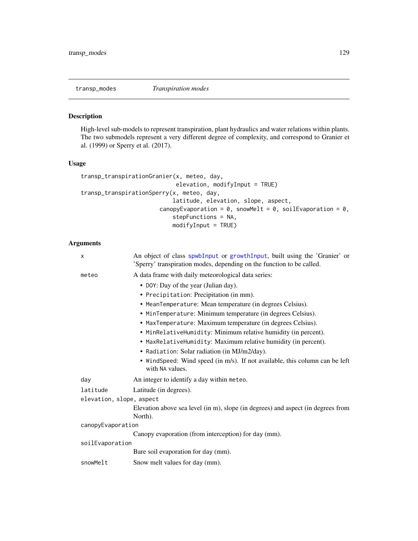<span id="page-128-1"></span>

# <span id="page-128-0"></span>Description

High-level sub-models to represent transpiration, plant hydraulics and water relations within plants. The two submodels represent a very different degree of complexity, and correspond to Granier et al. (1999) or Sperry et al. (2017).

# Usage

```
transp_transpirationGranier(x, meteo, day,
                            elevation, modifyInput = TRUE)
transp_transpirationSperry(x, meteo, day,
                           latitude, elevation, slope, aspect,
                       canopyEvaporation = 0, snowMelt = 0, soilEvaporation = 0,
                           stepFunctions = NA,
                           modifyInput = TRUE)
```
# Arguments

| X                        | An object of class spwbInput or growthInput, built using the 'Granier' or<br>'Sperry' transpiration modes, depending on the function to be called. |
|--------------------------|----------------------------------------------------------------------------------------------------------------------------------------------------|
| meteo                    | A data frame with daily meteorological data series:                                                                                                |
|                          | • DOY: Day of the year (Julian day).                                                                                                               |
|                          | • Precipitation: Precipitation (in mm).                                                                                                            |
|                          | • MeanTemperature: Mean temperature (in degrees Celsius).                                                                                          |
|                          | • MinTemperature: Minimum temperature (in degrees Celsius).                                                                                        |
|                          | • MaxTemperature: Maximum temperature (in degrees Celsius).                                                                                        |
|                          | • MinRelativeHumidity: Minimum relative humidity (in percent).                                                                                     |
|                          | • MaxRelativeHumidity: Maximum relative humidity (in percent).                                                                                     |
|                          | • Radiation: Solar radiation (in MJ/m2/day).                                                                                                       |
|                          | • WindSpeed: Wind speed (in m/s). If not available, this column can be left<br>with NA values.                                                     |
| day                      | An integer to identify a day within meteo.                                                                                                         |
| latitude                 | Latitude (in degrees).                                                                                                                             |
| elevation, slope, aspect |                                                                                                                                                    |
|                          | Elevation above sea level (in m), slope (in degrees) and aspect (in degrees from<br>North).                                                        |
| canopyEvaporation        |                                                                                                                                                    |
|                          | Canopy evaporation (from interception) for day (mm).                                                                                               |
| soilEvaporation          |                                                                                                                                                    |
|                          | Bare soil evaporation for day (mm).                                                                                                                |
| snowMelt                 | Snow melt values for day (mm).                                                                                                                     |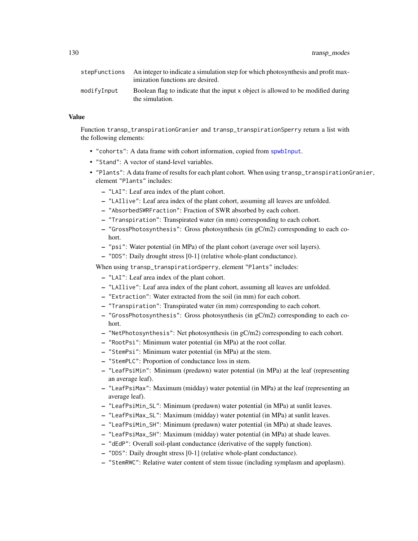130 transp\_modes

| stepFunctions | An integer to indicate a simulation step for which photosynthesis and profit max-<br>imization functions are desired. |
|---------------|-----------------------------------------------------------------------------------------------------------------------|
| modifyInput   | Boolean flag to indicate that the input x object is allowed to be modified during<br>the simulation.                  |

# Value

Function transp\_transpirationGranier and transp\_transpirationSperry return a list with the following elements:

- "cohorts": A data frame with cohort information, copied from [spwbInput](#page-48-0).
- "Stand": A vector of stand-level variables.
- "Plants": A data frame of results for each plant cohort. When using transp\_transpirationGranier, element "Plants" includes:
	- "LAI": Leaf area index of the plant cohort.
	- "LAIlive": Leaf area index of the plant cohort, assuming all leaves are unfolded.
	- "AbsorbedSWRFraction": Fraction of SWR absorbed by each cohort.
	- "Transpiration": Transpirated water (in mm) corresponding to each cohort.
	- "GrossPhotosynthesis": Gross photosynthesis (in gC/m2) corresponding to each cohort.
	- "psi": Water potential (in MPa) of the plant cohort (average over soil layers).
	- "DDS": Daily drought stress [0-1] (relative whole-plant conductance).

When using transp\_transpirationSperry, element "Plants" includes:

- "LAI": Leaf area index of the plant cohort.
- "LAIlive": Leaf area index of the plant cohort, assuming all leaves are unfolded.
- "Extraction": Water extracted from the soil (in mm) for each cohort.
- "Transpiration": Transpirated water (in mm) corresponding to each cohort.
- "GrossPhotosynthesis": Gross photosynthesis (in gC/m2) corresponding to each cohort.
- "NetPhotosynthesis": Net photosynthesis (in gC/m2) corresponding to each cohort.
- "RootPsi": Minimum water potential (in MPa) at the root collar.
- "StemPsi": Minimum water potential (in MPa) at the stem.
- "StemPLC": Proportion of conductance loss in stem.
- "LeafPsiMin": Minimum (predawn) water potential (in MPa) at the leaf (representing an average leaf).
- "LeafPsiMax": Maximum (midday) water potential (in MPa) at the leaf (representing an average leaf).
- "LeafPsiMin\_SL": Minimum (predawn) water potential (in MPa) at sunlit leaves.
- "LeafPsiMax\_SL": Maximum (midday) water potential (in MPa) at sunlit leaves.
- "LeafPsiMin\_SH": Minimum (predawn) water potential (in MPa) at shade leaves.
- "LeafPsiMax\_SH": Maximum (midday) water potential (in MPa) at shade leaves.
- "dEdP": Overall soil-plant conductance (derivative of the supply function).
- "DDS": Daily drought stress [0-1] (relative whole-plant conductance).
- "StemRWC": Relative water content of stem tissue (including symplasm and apoplasm).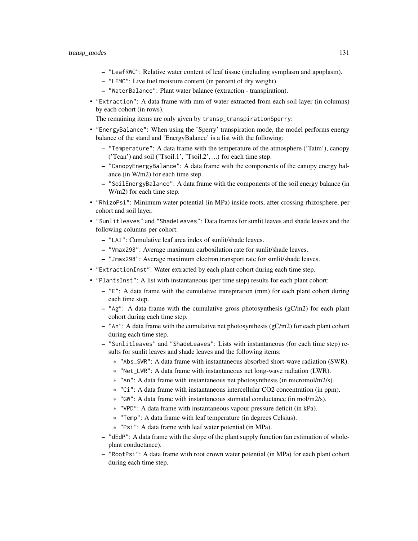- "LeafRWC": Relative water content of leaf tissue (including symplasm and apoplasm).
- "LFMC": Live fuel moisture content (in percent of dry weight).
- "WaterBalance": Plant water balance (extraction transpiration).
- "Extraction": A data frame with mm of water extracted from each soil layer (in columns) by each cohort (in rows).

The remaining items are only given by transp\_transpirationSperry:

- "EnergyBalance": When using the 'Sperry' transpiration mode, the model performs energy balance of the stand and 'EnergyBalance' is a list with the following:
	- "Temperature": A data frame with the temperature of the atmosphere ('Tatm'), canopy ('Tcan') and soil ('Tsoil.1', 'Tsoil.2', ...) for each time step.
	- "CanopyEnergyBalance": A data frame with the components of the canopy energy balance (in W/m2) for each time step.
	- "SoilEnergyBalance": A data frame with the components of the soil energy balance (in W/m2) for each time step.
- "RhizoPsi": Minimum water potential (in MPa) inside roots, after crossing rhizosphere, per cohort and soil layer.
- "Sunlitleaves" and "ShadeLeaves": Data frames for sunlit leaves and shade leaves and the following columns per cohort:
	- "LAI": Cumulative leaf area index of sunlit/shade leaves.
	- "Vmax298": Average maximum carboxilation rate for sunlit/shade leaves.
	- "Jmax298": Average maximum electron transport rate for sunlit/shade leaves.
- "ExtractionInst": Water extracted by each plant cohort during each time step.
- "PlantsInst": A list with instantaneous (per time step) results for each plant cohort:
	- "E": A data frame with the cumulative transpiration (mm) for each plant cohort during each time step.
	- $-$  "Ag": A data frame with the cumulative gross photosynthesis (gC/m2) for each plant cohort during each time step.
	- "An": A data frame with the cumulative net photosynthesis (gC/m2) for each plant cohort during each time step.
	- "Sunlitleaves" and "ShadeLeaves": Lists with instantaneous (for each time step) results for sunlit leaves and shade leaves and the following items:
		- \* "Abs\_SWR": A data frame with instantaneous absorbed short-wave radiation (SWR).
		- \* "Net\_LWR": A data frame with instantaneous net long-wave radiation (LWR).
		- \* "An": A data frame with instantaneous net photosynthesis (in micromol/m2/s).
		- \* "Ci": A data frame with instantaneous intercellular CO2 concentration (in ppm).
		- \* "GW": A data frame with instantaneous stomatal conductance (in mol/m2/s).
		- \* "VPD": A data frame with instantaneous vapour pressure deficit (in kPa).
		- \* "Temp": A data frame with leaf temperature (in degrees Celsius).
		- \* "Psi": A data frame with leaf water potential (in MPa).
	- "dEdP": A data frame with the slope of the plant supply function (an estimation of wholeplant conductance).
	- "RootPsi": A data frame with root crown water potential (in MPa) for each plant cohort during each time step.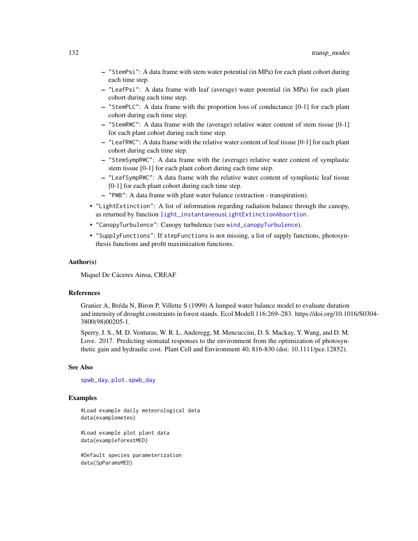- "StemPsi": A data frame with stem water potential (in MPa) for each plant cohort during each time step.
- "LeafPsi": A data frame with leaf (average) water potential (in MPa) for each plant cohort during each time step.
- "StemPLC": A data frame with the proportion loss of conductance [0-1] for each plant cohort during each time step.
- "StemRWC": A data frame with the (average) relative water content of stem tissue [0-1] for each plant cohort during each time step.
- "LeafRWC": A data frame with the relative water content of leaf tissue [0-1] for each plant cohort during each time step.
- "StemSympRWC": A data frame with the (average) relative water content of symplastic stem tissue [0-1] for each plant cohort during each time step.
- "LeafSympRWC": A data frame with the relative water content of symplastic leaf tissue [0-1] for each plant cohort during each time step.
- "PWB": A data frame with plant water balance (extraction transpiration).
- "LightExtinction": A list of information regarding radiation balance through the canopy, as returned by function [light\\_instantaneousLightExtinctionAbsortion](#page-45-0).
- "CanopyTurbulence": Canopy turbulence (see [wind\\_canopyTurbulence](#page-137-0)).
- "SupplyFunctions": If stepFunctions is not missing, a list of supply functions, photosynthesis functions and profit maximization functions.

#### Author(s)

Miquel De Cáceres Ainsa, CREAF

# References

Granier A, Bréda N, Biron P, Villette S (1999) A lumped water balance model to evaluate duration and intensity of drought constraints in forest stands. Ecol Modell 116:269–283. https://doi.org/10.1016/S0304- 3800(98)00205-1.

Sperry, J. S., M. D. Venturas, W. R. L. Anderegg, M. Mencuccini, D. S. Mackay, Y. Wang, and D. M. Love. 2017. Predicting stomatal responses to the environment from the optimization of photosynthetic gain and hydraulic cost. Plant Cell and Environment 40, 816-830 (doi: 10.1111/pce.12852).

#### See Also

[spwb\\_day](#page-106-0), [plot.spwb\\_day](#page-73-0)

# Examples

#Load example daily meteorological data data(examplemeteo)

#Load example plot plant data data(exampleforestMED)

#Default species parameterization data(SpParamsMED)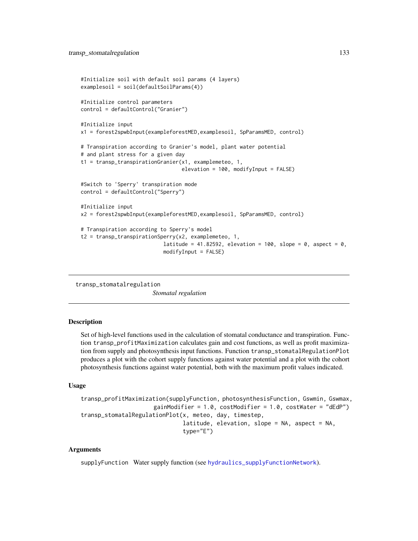```
#Initialize soil with default soil params (4 layers)
examplesoil = soil(defaultSoilParams(4))
#Initialize control parameters
control = defaultControl("Granier")
#Initialize input
x1 = forest2spwbInput(exampleforestMED,examplesoil, SpParamsMED, control)
# Transpiration according to Granier's model, plant water potential
# and plant stress for a given day
t1 = transp_transpirationGranier(x1, examplemeteo, 1,
                                 elevation = 100, modifyInput = FALSE)
#Switch to 'Sperry' transpiration mode
control = defaultControl("Sperry")
#Initialize input
x2 = forest2spwbInput(exampleforestMED,examplesoil, SpParamsMED, control)
# Transpiration according to Sperry's model
t2 = transp_transpirationSperry(x2, examplemeteo, 1,
                           latitude = 41.82592, elevation = 100, slope = 0, aspect = 0,
                           modifyInput = FALSE)
```
transp\_stomatalregulation

*Stomatal regulation*

# Description

Set of high-level functions used in the calculation of stomatal conductance and transpiration. Function transp\_profitMaximization calculates gain and cost functions, as well as profit maximization from supply and photosynthesis input functions. Function transp\_stomatalRegulationPlot produces a plot with the cohort supply functions against water potential and a plot with the cohort photosynthesis functions against water potential, both with the maximum profit values indicated.

#### Usage

```
transp_profitMaximization(supplyFunction, photosynthesisFunction, Gswmin, Gswmax,
                     gainModifier = 1.0, costModifier = 1.0, costWater = "dEdP")
transp_stomatalRegulationPlot(x, meteo, day, timestep,
                              latitude, elevation, slope = NA, aspect = NA,
                              type="E")
```
# Arguments

supplyFunction Water supply function (see [hydraulics\\_supplyFunctionNetwork](#page-118-0)).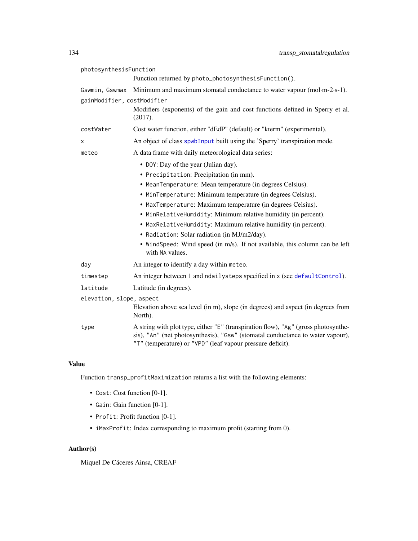<span id="page-133-0"></span>

| photosynthesisFunction     |                                                                                                                                                                                                                                    |
|----------------------------|------------------------------------------------------------------------------------------------------------------------------------------------------------------------------------------------------------------------------------|
|                            | Function returned by photo_photosynthesisFunction().                                                                                                                                                                               |
| Gswmin, Gswmax             | Minimum and maximum stomatal conductance to water vapour (mol·m-2·s-1).                                                                                                                                                            |
| gainModifier, costModifier |                                                                                                                                                                                                                                    |
|                            | Modifiers (exponents) of the gain and cost functions defined in Sperry et al.<br>(2017).                                                                                                                                           |
| costWater                  | Cost water function, either "dEdP" (default) or "kterm" (experimental).                                                                                                                                                            |
| Χ                          | An object of class spwbInput built using the 'Sperry' transpiration mode.                                                                                                                                                          |
| meteo                      | A data frame with daily meteorological data series:                                                                                                                                                                                |
|                            | • DOY: Day of the year (Julian day).                                                                                                                                                                                               |
|                            | • Precipitation: Precipitation (in mm).                                                                                                                                                                                            |
|                            | • MeanTemperature: Mean temperature (in degrees Celsius).                                                                                                                                                                          |
|                            | • MinTemperature: Minimum temperature (in degrees Celsius).                                                                                                                                                                        |
|                            | • MaxTemperature: Maximum temperature (in degrees Celsius).                                                                                                                                                                        |
|                            | • MinRelativeHumidity: Minimum relative humidity (in percent).                                                                                                                                                                     |
|                            | • MaxRelativeHumidity: Maximum relative humidity (in percent).                                                                                                                                                                     |
|                            | • Radiation: Solar radiation (in MJ/m2/day).                                                                                                                                                                                       |
|                            | • WindSpeed: Wind speed (in m/s). If not available, this column can be left<br>with NA values.                                                                                                                                     |
| day                        | An integer to identify a day within meteo.                                                                                                                                                                                         |
| timestep                   | An integer between 1 and ndailysteps specified in x (see defaultControl).                                                                                                                                                          |
| latitude                   | Latitude (in degrees).                                                                                                                                                                                                             |
| elevation, slope, aspect   |                                                                                                                                                                                                                                    |
|                            | Elevation above sea level (in m), slope (in degrees) and aspect (in degrees from<br>North).                                                                                                                                        |
| type                       | A string with plot type, either "E" (transpiration flow), "Ag" (gross photosynthe-<br>sis), "An" (net photosynthesis), "Gsw" (stomatal conductance to water vapour),<br>"T" (temperature) or "VPD" (leaf vapour pressure deficit). |

# Value

Function transp\_profitMaximization returns a list with the following elements:

- Cost: Cost function [0-1].
- Gain: Gain function [0-1].
- Profit: Profit function [0-1].
- iMaxProfit: Index corresponding to maximum profit (starting from 0).

# Author(s)

Miquel De Cáceres Ainsa, CREAF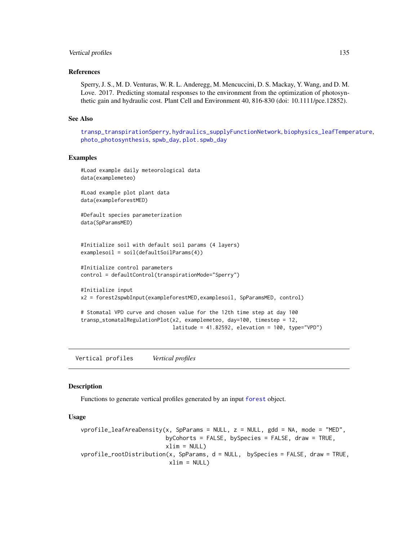# <span id="page-134-1"></span>Vertical profiles 135

#### References

Sperry, J. S., M. D. Venturas, W. R. L. Anderegg, M. Mencuccini, D. S. Mackay, Y. Wang, and D. M. Love. 2017. Predicting stomatal responses to the environment from the optimization of photosynthetic gain and hydraulic cost. Plant Cell and Environment 40, 816-830 (doi: 10.1111/pce.12852).

#### See Also

[transp\\_transpirationSperry](#page-128-0), [hydraulics\\_supplyFunctionNetwork](#page-118-0), [biophysics\\_leafTemperature](#page-2-0), [photo\\_photosynthesis](#page-62-0), [spwb\\_day](#page-106-0), [plot.spwb\\_day](#page-73-0)

# Examples

```
#Load example daily meteorological data
data(examplemeteo)
#Load example plot plant data
data(exampleforestMED)
#Default species parameterization
data(SpParamsMED)
#Initialize soil with default soil params (4 layers)
examplesoil = soil(defaultSoilParams(4))
#Initialize control parameters
control = defaultControl(transpirationMode="Sperry")
#Initialize input
```

```
x2 = forest2spwbInput(exampleforestMED,examplesoil, SpParamsMED, control)
```

```
# Stomatal VPD curve and chosen value for the 12th time step at day 100
transp_stomatalRegulationPlot(x2, examplemeteo, day=100, timestep = 12,
                              latitude = 41.82592, elevation = 100, type="VPD")
```
Vertical profiles *Vertical profiles*

### <span id="page-134-0"></span>**Description**

Functions to generate vertical profiles generated by an input [forest](#page-32-0) object.

# Usage

```
vprofile\_leafAreaDensity(x, SpParams = NULL, z = NULL, gdd = NA, mode = "MED",byCohorts = FALSE, bySpecies = FALSE, draw = TRUE,
                         xlim = NULLvprofile_rootDistribution(x, SpParams, d = NULL, bySpecies = FALSE, draw = TRUE,
                         xlim = NULL
```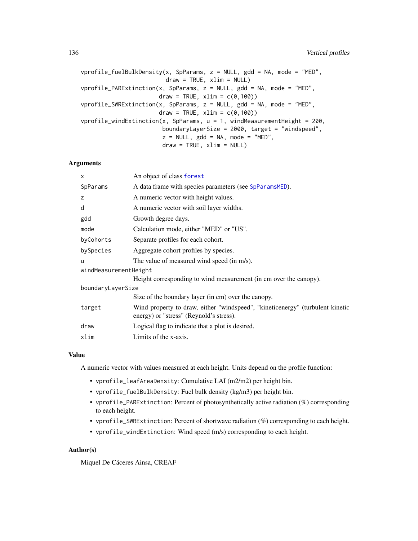vprofile\_fuelBulkDensity(x, SpParams, z = NULL, gdd = NA, mode = "MED",  $draw = TRUE, xlim = NULL)$ vprofile\_PARExtinction(x, SpParams,  $z = NULL$ ,  $gdd = NA$ , mode = "MED",  $draw = TRUE, xlim = c(0,100))$ vprofile\_SWRExtinction(x, SpParams,  $z = NULL$ , gdd = NA, mode = "MED",  $draw = TRUE, xlim = c(0,100))$ vprofile\_windExtinction(x, SpParams,  $u = 1$ , windMeasurementHeight = 200, boundaryLayerSize = 2000, target = "windspeed",  $z = NULL$ ,  $gdd = NA$ , mode = "MED",  $draw = TRUE, xlim = NULL)$ 

# Arguments

| X                     | An object of class forest                                                                                                |
|-----------------------|--------------------------------------------------------------------------------------------------------------------------|
| SpParams              | A data frame with species parameters (see SpParamsMED).                                                                  |
| z                     | A numeric vector with height values.                                                                                     |
| d                     | A numeric vector with soil layer widths.                                                                                 |
| gdd                   | Growth degree days.                                                                                                      |
| mode                  | Calculation mode, either "MED" or "US".                                                                                  |
| byCohorts             | Separate profiles for each cohort.                                                                                       |
| bySpecies             | Aggregate cohort profiles by species.                                                                                    |
| u                     | The value of measured wind speed (in m/s).                                                                               |
| windMeasurementHeight |                                                                                                                          |
|                       | Height corresponding to wind measurement (in cm over the canopy).                                                        |
| boundaryLayerSize     |                                                                                                                          |
|                       | Size of the boundary layer (in cm) over the canopy.                                                                      |
| target                | Wind property to draw, either "windspeed", "kineticenergy" (turbulent kinetic<br>energy) or "stress" (Reynold's stress). |
| draw                  | Logical flag to indicate that a plot is desired.                                                                         |
| xlim                  | Limits of the x-axis.                                                                                                    |
|                       |                                                                                                                          |

#### Value

A numeric vector with values measured at each height. Units depend on the profile function:

- vprofile\_leafAreaDensity: Cumulative LAI (m2/m2) per height bin.
- vprofile\_fuelBulkDensity: Fuel bulk density (kg/m3) per height bin.
- vprofile\_PARExtinction: Percent of photosynthetically active radiation (%) corresponding to each height.
- vprofile\_SWRExtinction: Percent of shortwave radiation (%) corresponding to each height.
- vprofile\_windExtinction: Wind speed (m/s) corresponding to each height.

# Author(s)

Miquel De Cáceres Ainsa, CREAF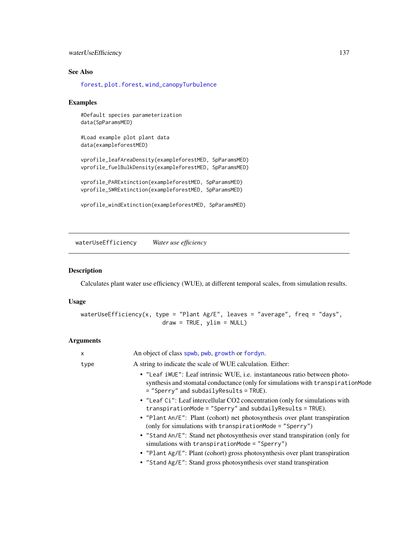# <span id="page-136-0"></span>waterUseEfficiency 137

# See Also

[forest](#page-32-0), [plot.forest](#page-68-0), [wind\\_canopyTurbulence](#page-137-0)

#### Examples

```
#Default species parameterization
data(SpParamsMED)
```
#Load example plot plant data data(exampleforestMED)

```
vprofile_leafAreaDensity(exampleforestMED, SpParamsMED)
vprofile_fuelBulkDensity(exampleforestMED, SpParamsMED)
```

```
vprofile_PARExtinction(exampleforestMED, SpParamsMED)
vprofile_SWRExtinction(exampleforestMED, SpParamsMED)
```

```
vprofile_windExtinction(exampleforestMED, SpParamsMED)
```
waterUseEfficiency *Water use efficiency*

# Description

Calculates plant water use efficiency (WUE), at different temporal scales, from simulation results.

# Usage

waterUseEfficiency(x, type = "Plant Ag/E", leaves = "average", freq = "days",  $draw = TRUE, ylim = NULL)$ 

# Arguments

|  | X    | An object of class spwb, pwb, growth or fordyn.                                                                                                                                                              |
|--|------|--------------------------------------------------------------------------------------------------------------------------------------------------------------------------------------------------------------|
|  | type | A string to indicate the scale of WUE calculation. Either:                                                                                                                                                   |
|  |      | • "Leaf iWUE": Leaf intrinsic WUE, i.e. instantaneous ratio between photo-<br>synthesis and stomatal conductance (only for simulations with transpiration Mode<br>$=$ "Sperry" and subdaily Results = TRUE). |
|  |      | • "Leaf Ci": Leaf intercellular CO2 concentration (only for simulations with<br>$transpirationMode = "Sperry" and subdailyResults = TRUE).$                                                                  |
|  |      | • "Plant An/E": Plant (cohort) net photosynthesis over plant transpiration<br>(only for simulations with transpirationMode = $"Sperry")$                                                                     |
|  |      | • "Stand An/E": Stand net photosynthesis over stand transpiration (only for<br>simulations with transpiration Mode = $"Sperry")$                                                                             |
|  |      | • "Plant Ag/E": Plant (cohort) gross photosynthesis over plant transpiration<br>• "Stand Ag/E": Stand gross photosynthesis over stand transpiration                                                          |
|  |      |                                                                                                                                                                                                              |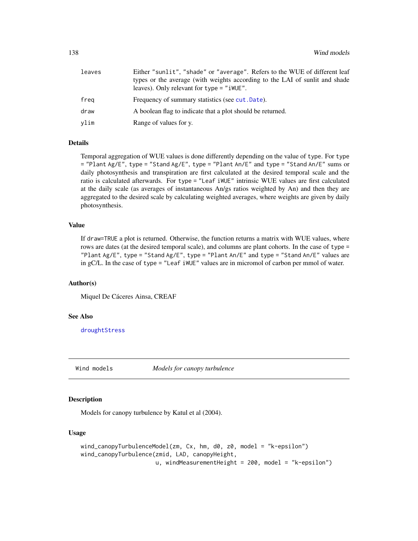<span id="page-137-1"></span>

| leaves | Either "sunlit", "shade" or "average". Refers to the WUE of different leaf<br>types or the average (with weights according to the LAI of sunlit and shade<br>leaves). Only relevant for $type = "iWUE".$ |
|--------|----------------------------------------------------------------------------------------------------------------------------------------------------------------------------------------------------------|
| frea   | Frequency of summary statistics (see cut. Date).                                                                                                                                                         |
| draw   | A boolean flag to indicate that a plot should be returned.                                                                                                                                               |
| vlim   | Range of values for y.                                                                                                                                                                                   |

# Details

Temporal aggregation of WUE values is done differently depending on the value of type. For type = "Plant Ag/E", type = "Stand Ag/E", type = "Plant An/E" and type = "Stand An/E" sums or daily photosynthesis and transpiration are first calculated at the desired temporal scale and the ratio is calculated afterwards. For type = "Leaf iWUE" intrinsic WUE values are first calculated at the daily scale (as averages of instantaneous An/gs ratios weighted by An) and then they are aggregated to the desired scale by calculating weighted averages, where weights are given by daily photosynthesis.

# Value

If draw=TRUE a plot is returned. Otherwise, the function returns a matrix with WUE values, where rows are dates (at the desired temporal scale), and columns are plant cohorts. In the case of type = "Plant Ag/E", type = "Stand Ag/E", type = "Plant An/E" and type = "Stand An/E" values are in gC/L. In the case of type = "Leaf iWUE" values are in micromol of carbon per mmol of water.

# Author(s)

Miquel De Cáceres Ainsa, CREAF

# See Also

[droughtStress](#page-16-0)

Wind models *Models for canopy turbulence*

# <span id="page-137-0"></span>**Description**

Models for canopy turbulence by Katul et al (2004).

#### Usage

```
wind_canopyTurbulenceModel(zm, Cx, hm, d0, z0, model = "k-epsilon")
wind_canopyTurbulence(zmid, LAD, canopyHeight,
                     u, windMeasurementHeight = 200, model = "k-epsilon")
```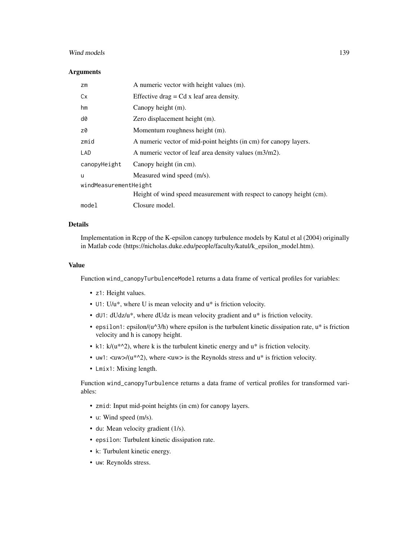# Wind models 2008 and 2008 and 2008 and 2008 and 2008 and 2008 and 2008 and 2008 and 2008 and 2008 and 2008 and 2008 and 2008 and 2008 and 2008 and 2008 and 2008 and 2008 and 2008 and 2008 and 2008 and 2008 and 2008 and 200

#### **Arguments**

| zm                    | A numeric vector with height values (m).                             |
|-----------------------|----------------------------------------------------------------------|
| Cx                    | Effective drag $= Cd$ x leaf area density.                           |
| hm                    | Canopy height (m).                                                   |
| d0                    | Zero displacement height (m).                                        |
| z0                    | Momentum roughness height (m).                                       |
| zmid                  | A numeric vector of mid-point heights (in cm) for canopy layers.     |
| LAD                   | A numeric vector of leaf area density values (m3/m2).                |
| canopyHeight          | Canopy height (in cm).                                               |
| u                     | Measured wind speed (m/s).                                           |
| windMeasurementHeight |                                                                      |
|                       | Height of wind speed measurement with respect to canopy height (cm). |
| model                 | Closure model.                                                       |

# Details

Implementation in Rcpp of the K-epsilon canopy turbulence models by Katul et al (2004) originally in Matlab code (https://nicholas.duke.edu/people/faculty/katul/k\_epsilon\_model.htm).

#### Value

Function wind\_canopyTurbulenceModel returns a data frame of vertical profiles for variables:

- z1: Height values.
- U1: U/u\*, where U is mean velocity and u\* is friction velocity.
- dU1: dUdz/u\*, where dUdz is mean velocity gradient and u\* is friction velocity.
- epsilon1: epsilon/(u^3/h) where epsilon is the turbulent kinetic dissipation rate, u\* is friction velocity and h is canopy height.
- k1:  $k/(u^{*^2})$ , where k is the turbulent kinetic energy and  $u^*$  is friction velocity.
- uw1:  $\langle uw \rangle/(u^* \rangle)$ , where  $\langle uw \rangle$  is the Reynolds stress and  $u^*$  is friction velocity.
- Lmix1: Mixing length.

Function wind\_canopyTurbulence returns a data frame of vertical profiles for transformed variables:

- zmid: Input mid-point heights (in cm) for canopy layers.
- u: Wind speed (m/s).
- du: Mean velocity gradient (1/s).
- epsilon: Turbulent kinetic dissipation rate.
- k: Turbulent kinetic energy.
- uw: Reynolds stress.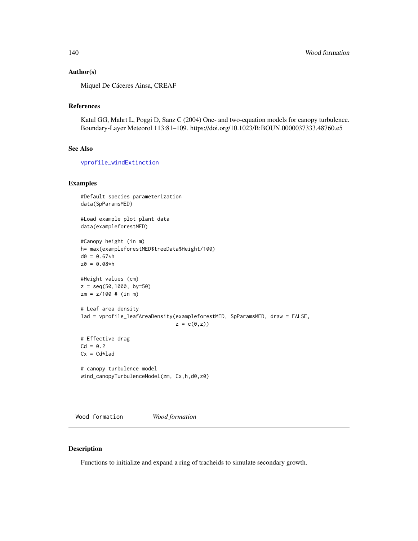# Author(s)

Miquel De Cáceres Ainsa, CREAF

# References

Katul GG, Mahrt L, Poggi D, Sanz C (2004) One- and two-equation models for canopy turbulence. Boundary-Layer Meteorol 113:81–109. https://doi.org/10.1023/B:BOUN.0000037333.48760.e5

# See Also

[vprofile\\_windExtinction](#page-134-0)

### Examples

```
#Default species parameterization
data(SpParamsMED)
#Load example plot plant data
data(exampleforestMED)
#Canopy height (in m)
h= max(exampleforestMED$treeData$Height/100)
d0 = 0.67*hz0 = 0.08*h#Height values (cm)
z = \text{seq}(50, 1000, \text{ by}=50)zm = z/100 # (in m)
# Leaf area density
lad = vprofile_leafAreaDensity(exampleforestMED, SpParamsMED, draw = FALSE,
                                z = c(\emptyset, z)# Effective drag
Cd = 0.2Cx = Cd*lad# canopy turbulence model
wind_canopyTurbulenceModel(zm, Cx,h,d0,z0)
```
Wood formation *Wood formation*

#### Description

Functions to initialize and expand a ring of tracheids to simulate secondary growth.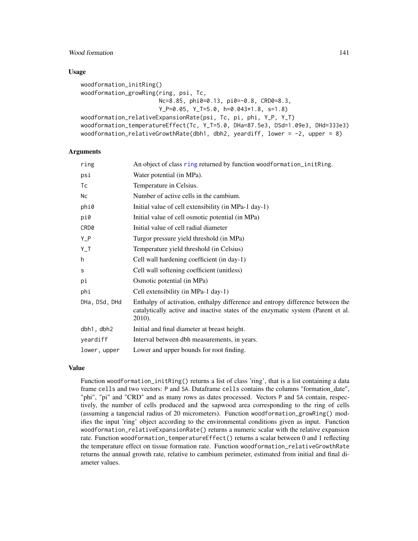# Wood formation and the set of the set of the set of the set of the set of the set of the set of the set of the set of the set of the set of the set of the set of the set of the set of the set of the set of the set of the s

# Usage

```
woodformation_initRing()
woodformation_growRing(ring, psi, Tc,
                       Nc=8.85, phi0=0.13, pi0=-0.8, CRD0=8.3,
                       Y_P=0.05, Y_T=5.0, h=0.043*1.8, s=1.8)
woodformation_relativeExpansionRate(psi, Tc, pi, phi, Y_P, Y_T)
woodformation_temperatureEffect(Tc, Y_T=5.0, DHa=87.5e3, DSd=1.09e3, DHd=333e3)
woodformation_relativeGrowthRate(dbh1, dbh2, yeardiff, lower = -2, upper = 8)
```
# **Arguments**

| An object of class ring returned by function woodformation_initRing.                                                                                                        |
|-----------------------------------------------------------------------------------------------------------------------------------------------------------------------------|
| Water potential (in MPa).                                                                                                                                                   |
| Temperature in Celsius.                                                                                                                                                     |
| Number of active cells in the cambium.                                                                                                                                      |
| Initial value of cell extensibility (in MPa-1 day-1)                                                                                                                        |
| Initial value of cell osmotic potential (in MPa)                                                                                                                            |
| Initial value of cell radial diameter                                                                                                                                       |
| Turgor pressure yield threshold (in MPa)                                                                                                                                    |
| Temperature yield threshold (in Celsius)                                                                                                                                    |
| Cell wall hardening coefficient (in day-1)                                                                                                                                  |
| Cell wall softening coefficient (unitless)                                                                                                                                  |
| Osmotic potential (in MPa)                                                                                                                                                  |
| Cell extensibility (in MPa-1 day-1)                                                                                                                                         |
| Enthalpy of activation, enthalpy difference and entropy difference between the<br>catalytically active and inactive states of the enzymatic system (Parent et al.<br>2010). |
| Initial and final diameter at breast height.                                                                                                                                |
| Interval between dbh measurements, in years.                                                                                                                                |
| Lower and upper bounds for root finding.                                                                                                                                    |
|                                                                                                                                                                             |

# Value

Function woodformation\_initRing() returns a list of class 'ring', that is a list containing a data frame cells and two vectors: P and SA. Dataframe cells contains the columns "formation\_date", "phi", "pi" and "CRD" and as many rows as dates processed. Vectors P and SA contain, respectively, the number of cells produced and the sapwood area corresponding to the ring of cells (assuming a tangencial radius of 20 micrometers). Function woodformation\_growRing() modifies the input 'ring' object according to the environmental conditions given as input. Function woodformation\_relativeExpansionRate() returns a numeric scalar with the relative expansion rate. Function woodformation\_temperatureEffect() returns a scalar between 0 and 1 reflecting the temperature effect on tissue formation rate. Function woodformation\_relativeGrowthRate returns the annual growth rate, relative to cambium perimeter, estimated from initial and final diameter values.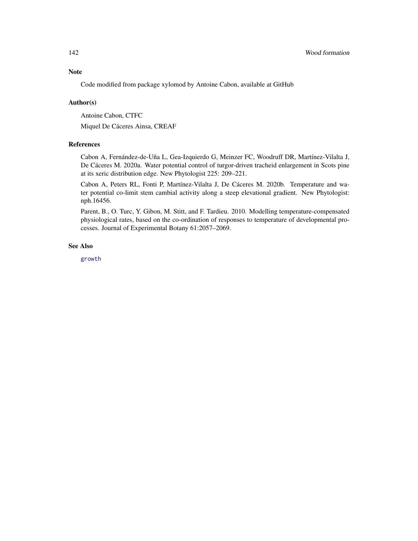# <span id="page-141-0"></span>Note

Code modified from package xylomod by Antoine Cabon, available at GitHub

# Author(s)

Antoine Cabon, CTFC

Miquel De Cáceres Ainsa, CREAF

# References

Cabon A, Fernández-de-Uña L, Gea-Izquierdo G, Meinzer FC, Woodruff DR, Martínez-Vilalta J, De Cáceres M. 2020a. Water potential control of turgor-driven tracheid enlargement in Scots pine at its xeric distribution edge. New Phytologist 225: 209–221.

Cabon A, Peters RL, Fonti P, Martínez-Vilalta J, De Cáceres M. 2020b. Temperature and water potential co-limit stem cambial activity along a steep elevational gradient. New Phytologist: nph.16456.

Parent, B., O. Turc, Y. Gibon, M. Stitt, and F. Tardieu. 2010. Modelling temperature-compensated physiological rates, based on the co-ordination of responses to temperature of developmental processes. Journal of Experimental Botany 61:2057–2069.

#### See Also

[growth](#page-37-0)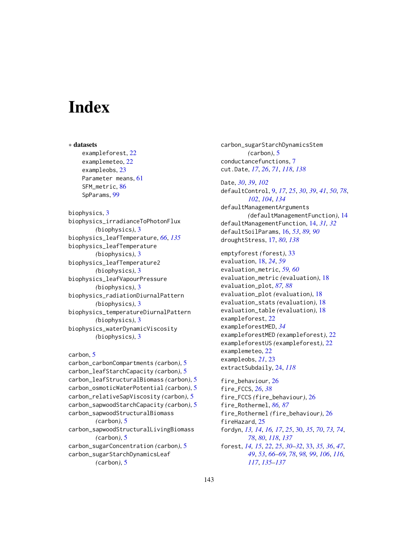# **Index**

∗ datasets exampleforest, [22](#page-21-0) examplemeteo, [22](#page-21-0) exampleobs, [23](#page-22-0) Parameter means, [61](#page-60-0) SFM\_metric, [86](#page-85-0) SpParams, [99](#page-98-1)

biophysics, [3](#page-2-1) biophysics\_irradianceToPhotonFlux *(*biophysics*)*, [3](#page-2-1) biophysics\_leafTemperature, *[66](#page-65-1)*, *[135](#page-134-1)* biophysics\_leafTemperature *(*biophysics*)*, [3](#page-2-1) biophysics\_leafTemperature2 *(*biophysics*)*, [3](#page-2-1) biophysics\_leafVapourPressure *(*biophysics*)*, [3](#page-2-1) biophysics\_radiationDiurnalPattern *(*biophysics*)*, [3](#page-2-1) biophysics\_temperatureDiurnalPattern *(*biophysics*)*, [3](#page-2-1) biophysics\_waterDynamicViscosity *(*biophysics*)*, [3](#page-2-1)

```
carbon, 5
carbon_carbonCompartments (carbon), 5
carbon_leafStarchCapacity (carbon), 5
carbon_leafStructuralBiomass (carbon), 5
carbon_osmoticWaterPotential (carbon), 5
carbon_relativeSapViscosity (carbon), 5
carbon_sapwoodStarchCapacity (carbon), 5
carbon_sapwoodStructuralBiomass
        (carbon), 5
carbon_sapwoodStructuralLivingBiomass
        (carbon), 5
carbon_sugarConcentration (carbon), 5
carbon_sugarStarchDynamicsLeaf
        (carbon), 5
```
carbon\_sugarStarchDynamicsStem *(*carbon*)*, [5](#page-4-0) conductancefunctions, [7](#page-6-1) cut.Date, *[17](#page-16-1)*, *[26](#page-25-0)*, *[71](#page-70-0)*, *[118](#page-117-1)*, *[138](#page-137-1)*

Date, *[30](#page-29-1)*, *[39](#page-38-0)*, *[102](#page-101-0)* defaultControl, [9,](#page-8-1) *[17](#page-16-1)*, *[25](#page-24-0)*, *[30](#page-29-1)*, *[39](#page-38-0)*, *[41](#page-40-0)*, *[50](#page-49-0)*, *[78](#page-77-0)*, *[102](#page-101-0)*, *[104](#page-103-0)*, *[134](#page-133-0)* defaultManagementArguments *(*defaultManagementFunction*)*, [14](#page-13-0) defaultManagementFunction, [14,](#page-13-0) *[31,](#page-30-0) [32](#page-31-0)* defaultSoilParams, [16,](#page-15-0) *[53](#page-52-0)*, *[89,](#page-88-0) [90](#page-89-0)* droughtStress, [17,](#page-16-1) *[80](#page-79-1)*, *[138](#page-137-1)*

emptyforest *(*forest*)*, [33](#page-32-2) evaluation, [18,](#page-17-0) *[24](#page-23-1)*, *[59](#page-58-0)* evaluation\_metric, *[59,](#page-58-0) [60](#page-59-0)* evaluation\_metric *(*evaluation*)*, [18](#page-17-0) evaluation\_plot, *[87,](#page-86-0) [88](#page-87-1)* evaluation\_plot *(*evaluation*)*, [18](#page-17-0) evaluation\_stats *(*evaluation*)*, [18](#page-17-0) evaluation\_table *(*evaluation*)*, [18](#page-17-0) exampleforest, [22](#page-21-0) exampleforestMED, *[34](#page-33-0)* exampleforestMED *(*exampleforest*)*, [22](#page-21-0) exampleforestUS *(*exampleforest*)*, [22](#page-21-0) examplemeteo, [22](#page-21-0) exampleobs, *[21](#page-20-0)*, [23](#page-22-0) extractSubdaily, [24,](#page-23-1) *[118](#page-117-1)*

fire\_behaviour, [26](#page-25-0) fire\_FCCS, *[26](#page-25-0)*, *[38](#page-37-1)* fire\_FCCS *(*fire\_behaviour*)*, [26](#page-25-0) fire\_Rothermel, *[86,](#page-85-0) [87](#page-86-0)* fire\_Rothermel *(*fire\_behaviour*)*, [26](#page-25-0) fireHazard, [25](#page-24-0) fordyn, *[13,](#page-12-0) [14](#page-13-0)*, *[16,](#page-15-0) [17](#page-16-1)*, *[25](#page-24-0)*, [30,](#page-29-1) *[35](#page-34-0)*, *[70](#page-69-1)*, *[73,](#page-72-0) [74](#page-73-2)*, *[78](#page-77-0)*, *[80](#page-79-1)*, *[118](#page-117-1)*, *[137](#page-136-0)* forest, *[14,](#page-13-0) [15](#page-14-0)*, *[22](#page-21-0)*, *[25](#page-24-0)*, *[30](#page-29-1)[–32](#page-31-0)*, [33,](#page-32-2) *[35,](#page-34-0) [36](#page-35-0)*, *[47](#page-46-0)*, *[49](#page-48-1)*, *[53](#page-52-0)*, *[66](#page-65-1)[–69](#page-68-1)*, *[78](#page-77-0)*, *[98,](#page-97-0) [99](#page-98-1)*, *[106](#page-105-0)*, *[116,](#page-115-0) [117](#page-116-0)*, *[135](#page-134-1)[–137](#page-136-0)*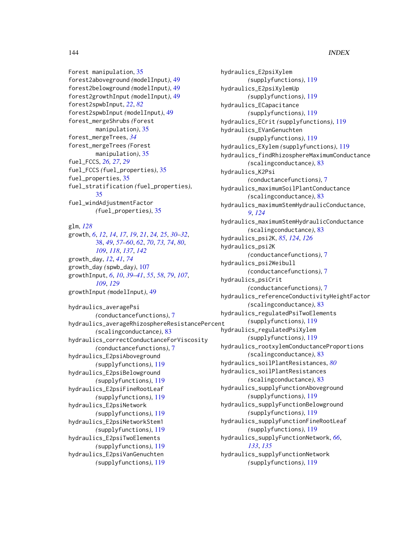# 144 INDEX

Forest manipulation, [35](#page-34-0) forest2aboveground *(*modelInput*)*, [49](#page-48-1) forest2belowground *(*modelInput*)*, [49](#page-48-1) forest2growthInput *(*modelInput*)*, [49](#page-48-1) forest2spwbInput, *[22](#page-21-0)*, *[82](#page-81-0)* forest2spwbInput *(*modelInput*)*, [49](#page-48-1) forest\_mergeShrubs *(*Forest manipulation*)*, [35](#page-34-0) forest\_mergeTrees, *[34](#page-33-0)* forest\_mergeTrees *(*Forest manipulation*)*, [35](#page-34-0) fuel\_FCCS, *[26,](#page-25-0) [27](#page-26-0)*, *[29](#page-28-0)* fuel\_FCCS *(*fuel\_properties*)*, [35](#page-34-0) fuel\_properties, [35](#page-34-0) fuel\_stratification *(*fuel\_properties*)*, [35](#page-34-0) fuel\_windAdjustmentFactor *(*fuel\_properties*)*, [35](#page-34-0)

glm, *[128](#page-127-0)*

growth, *[6](#page-5-0)*, *[12](#page-11-0)*, *[14](#page-13-0)*, *[17](#page-16-1)*, *[19](#page-18-0)*, *[21](#page-20-0)*, *[24,](#page-23-1) [25](#page-24-0)*, *[30–](#page-29-1)[32](#page-31-0)*, [38,](#page-37-1) *[49](#page-48-1)*, *[57](#page-56-0)[–60](#page-59-0)*, *[62](#page-61-0)*, *[70](#page-69-1)*, *[73,](#page-72-0) [74](#page-73-2)*, *[80](#page-79-1)*, *[109](#page-108-0)*, *[118](#page-117-1)*, *[137](#page-136-0)*, *[142](#page-141-0)* growth\_day, *[12](#page-11-0)*, *[41](#page-40-0)*, *[74](#page-73-2)* growth\_day *(*spwb\_day*)*, [107](#page-106-1) growthInput, *[6](#page-5-0)*, *[10](#page-9-0)*, *[39–](#page-38-0)[41](#page-40-0)*, *[55](#page-54-0)*, *[58](#page-57-0)*, *[79](#page-78-0)*, *[107](#page-106-1)*, *[109](#page-108-0)*, *[129](#page-128-1)* growthInput *(*modelInput*)*, [49](#page-48-1) hydraulics\_averagePsi *(*conductancefunctions*)*, [7](#page-6-1) hydraulics\_averageRhizosphereResistancePercent

*(*scalingconductance*)*, [83](#page-82-1) hydraulics\_correctConductanceForViscosity *(*conductancefunctions*)*, [7](#page-6-1) hydraulics\_E2psiAboveground *(*supplyfunctions*)*, [119](#page-118-1) hydraulics\_E2psiBelowground *(*supplyfunctions*)*, [119](#page-118-1) hydraulics\_E2psiFineRootLeaf *(*supplyfunctions*)*, [119](#page-118-1) hydraulics\_E2psiNetwork *(*supplyfunctions*)*, [119](#page-118-1) hydraulics\_E2psiNetworkStem1 *(*supplyfunctions*)*, [119](#page-118-1) hydraulics\_E2psiTwoElements *(*supplyfunctions*)*, [119](#page-118-1) hydraulics\_E2psiVanGenuchten *(*supplyfunctions*)*, [119](#page-118-1)

hydraulics\_E2psiXylem *(*supplyfunctions*)*, [119](#page-118-1) hydraulics\_E2psiXylemUp *(*supplyfunctions*)*, [119](#page-118-1) hydraulics\_ECapacitance *(*supplyfunctions*)*, [119](#page-118-1) hydraulics\_ECrit *(*supplyfunctions*)*, [119](#page-118-1) hydraulics\_EVanGenuchten *(*supplyfunctions*)*, [119](#page-118-1) hydraulics\_EXylem *(*supplyfunctions*)*, [119](#page-118-1) hydraulics\_findRhizosphereMaximumConductance *(*scalingconductance*)*, [83](#page-82-1) hydraulics\_K2Psi *(*conductancefunctions*)*, [7](#page-6-1) hydraulics\_maximumSoilPlantConductance *(*scalingconductance*)*, [83](#page-82-1) hydraulics\_maximumStemHydraulicConductance, *[9](#page-8-1)*, *[124](#page-123-0)* hydraulics\_maximumStemHydraulicConductance *(*scalingconductance*)*, [83](#page-82-1) hydraulics\_psi2K, *[85](#page-84-0)*, *[124](#page-123-0)*, *[126](#page-125-0)* hydraulics\_psi2K *(*conductancefunctions*)*, [7](#page-6-1) hydraulics\_psi2Weibull *(*conductancefunctions*)*, [7](#page-6-1) hydraulics\_psiCrit *(*conductancefunctions*)*, [7](#page-6-1) hydraulics\_referenceConductivityHeightFactor *(*scalingconductance*)*, [83](#page-82-1) hydraulics\_regulatedPsiTwoElements *(*supplyfunctions*)*, [119](#page-118-1) hydraulics\_regulatedPsiXylem *(*supplyfunctions*)*, [119](#page-118-1) hydraulics\_rootxylemConductanceProportions *(*scalingconductance*)*, [83](#page-82-1) hydraulics\_soilPlantResistances, *[80](#page-79-1)* hydraulics\_soilPlantResistances *(*scalingconductance*)*, [83](#page-82-1) hydraulics\_supplyFunctionAboveground *(*supplyfunctions*)*, [119](#page-118-1) hydraulics\_supplyFunctionBelowground *(*supplyfunctions*)*, [119](#page-118-1) hydraulics\_supplyFunctionFineRootLeaf *(*supplyfunctions*)*, [119](#page-118-1) hydraulics\_supplyFunctionNetwork, *[66](#page-65-1)*, *[133](#page-132-0)*, *[135](#page-134-1)* hydraulics\_supplyFunctionNetwork *(*supplyfunctions*)*, [119](#page-118-1)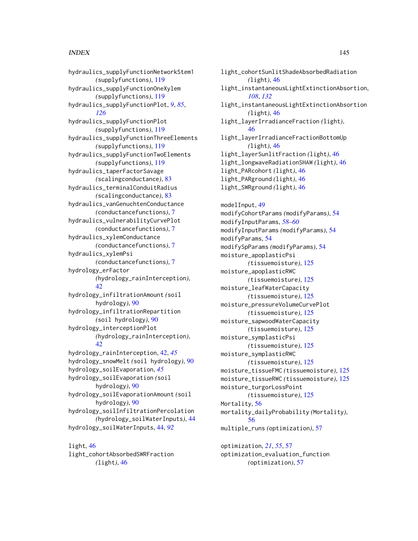## INDEX 145

hydraulics\_supplyFunctionNetworkStem1 *(*supplyfunctions*)*, [119](#page-118-0) hydraulics\_supplyFunctionOneXylem *(*supplyfunctions*)*, [119](#page-118-0) hydraulics\_supplyFunctionPlot, *[9](#page-8-0)*, *[85](#page-84-0)*, *[126](#page-125-0)* hydraulics\_supplyFunctionPlot *(*supplyfunctions*)*, [119](#page-118-0) hydraulics\_supplyFunctionThreeElements *(*supplyfunctions*)*, [119](#page-118-0) hydraulics\_supplyFunctionTwoElements *(*supplyfunctions*)*, [119](#page-118-0) hydraulics\_taperFactorSavage *(*scalingconductance*)*, [83](#page-82-0) hydraulics\_terminalConduitRadius *(*scalingconductance*)*, [83](#page-82-0) hydraulics\_vanGenuchtenConductance *(*conductancefunctions*)*, [7](#page-6-0) hydraulics\_vulnerabilityCurvePlot *(*conductancefunctions*)*, [7](#page-6-0) hydraulics\_xylemConductance *(*conductancefunctions*)*, [7](#page-6-0) hydraulics\_xylemPsi *(*conductancefunctions*)*, [7](#page-6-0) hydrology\_erFactor *(*hydrology\_rainInterception*)*, [42](#page-41-0) hydrology\_infiltrationAmount *(*soil hydrology*)*, [90](#page-89-0) hydrology\_infiltrationRepartition *(*soil hydrology*)*, [90](#page-89-0) hydrology\_interceptionPlot *(*hydrology\_rainInterception*)*, [42](#page-41-0) hydrology\_rainInterception, [42,](#page-41-0) *[45](#page-44-0)* hydrology\_snowMelt *(*soil hydrology*)*, [90](#page-89-0) hydrology\_soilEvaporation, *[45](#page-44-0)* hydrology\_soilEvaporation *(*soil hydrology*)*, [90](#page-89-0) hydrology\_soilEvaporationAmount *(*soil hydrology*)*, [90](#page-89-0) hydrology\_soilInfiltrationPercolation *(*hydrology\_soilWaterInputs*)*, [44](#page-43-0) hydrology\_soilWaterInputs, [44,](#page-43-0) *[92](#page-91-0)*

light, [46](#page-45-0) light\_cohortAbsorbedSWRFraction *(*light*)*, [46](#page-45-0)

light\_cohortSunlitShadeAbsorbedRadiation *(*light*)*, [46](#page-45-0) light\_instantaneousLightExtinctionAbsortion, *[108](#page-107-0)*, *[132](#page-131-0)* light\_instantaneousLightExtinctionAbsortion *(*light*)*, [46](#page-45-0) light\_layerIrradianceFraction *(*light*)*, [46](#page-45-0) light\_layerIrradianceFractionBottomUp *(*light*)*, [46](#page-45-0) light\_layerSunlitFraction *(*light*)*, [46](#page-45-0) light\_longwaveRadiationSHAW *(*light*)*, [46](#page-45-0) light\_PARcohort *(*light*)*, [46](#page-45-0) light\_PARground *(*light*)*, [46](#page-45-0) light\_SWRground *(*light*)*, [46](#page-45-0) modelInput, [49](#page-48-0) modifyCohortParams *(*modifyParams*)*, [54](#page-53-0) modifyInputParams, *[58](#page-57-0)[–60](#page-59-0)* modifyInputParams *(*modifyParams*)*, [54](#page-53-0) modifyParams, [54](#page-53-0) modifySpParams *(*modifyParams*)*, [54](#page-53-0) moisture\_apoplasticPsi *(*tissuemoisture*)*, [125](#page-124-0) moisture\_apoplasticRWC *(*tissuemoisture*)*, [125](#page-124-0) moisture\_leafWaterCapacity *(*tissuemoisture*)*, [125](#page-124-0) moisture\_pressureVolumeCurvePlot *(*tissuemoisture*)*, [125](#page-124-0) moisture\_sapwoodWaterCapacity *(*tissuemoisture*)*, [125](#page-124-0) moisture\_symplasticPsi *(*tissuemoisture*)*, [125](#page-124-0) moisture\_symplasticRWC *(*tissuemoisture*)*, [125](#page-124-0) moisture\_tissueFMC *(*tissuemoisture*)*, [125](#page-124-0) moisture\_tissueRWC *(*tissuemoisture*)*, [125](#page-124-0) moisture\_turgorLossPoint *(*tissuemoisture*)*, [125](#page-124-0) Mortality, [56](#page-55-0) mortality\_dailyProbability *(*Mortality*)*, [56](#page-55-0) multiple\_runs *(*optimization*)*, [57](#page-56-0)

optimization, *[21](#page-20-0)*, *[55](#page-54-0)*, [57](#page-56-0) optimization\_evaluation\_function *(*optimization*)*, [57](#page-56-0)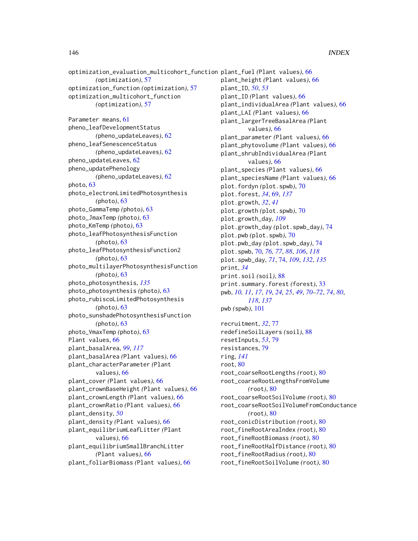optimization\_evaluation\_multicohort\_function plant\_fuel *(*Plant values*)*, [66](#page-65-0) *(*optimization*)*, [57](#page-56-0) optimization\_function *(*optimization*)*, [57](#page-56-0) optimization\_multicohort\_function *(*optimization*)*, [57](#page-56-0) Parameter means, [61](#page-60-0) pheno\_leafDevelopmentStatus *(*pheno\_updateLeaves*)*, [62](#page-61-0) pheno\_leafSenescenceStatus *(*pheno\_updateLeaves*)*, [62](#page-61-0) pheno\_updateLeaves, [62](#page-61-0) pheno\_updatePhenology *(*pheno\_updateLeaves*)*, [62](#page-61-0) photo, [63](#page-62-0) photo\_electronLimitedPhotosynthesis *(*photo*)*, [63](#page-62-0) photo\_GammaTemp *(*photo*)*, [63](#page-62-0) photo\_JmaxTemp *(*photo*)*, [63](#page-62-0) photo\_KmTemp *(*photo*)*, [63](#page-62-0) photo\_leafPhotosynthesisFunction *(*photo*)*, [63](#page-62-0) photo\_leafPhotosynthesisFunction2 *(*photo*)*, [63](#page-62-0) photo\_multilayerPhotosynthesisFunction *(*photo*)*, [63](#page-62-0) photo\_photosynthesis, *[135](#page-134-0)* photo\_photosynthesis *(*photo*)*, [63](#page-62-0) photo\_rubiscoLimitedPhotosynthesis *(*photo*)*, [63](#page-62-0) photo\_sunshadePhotosynthesisFunction *(*photo*)*, [63](#page-62-0) photo\_VmaxTemp *(*photo*)*, [63](#page-62-0) Plant values, [66](#page-65-0) plant\_basalArea, *[99](#page-98-0)*, *[117](#page-116-0)* plant\_basalArea *(*Plant values*)*, [66](#page-65-0) plant\_characterParameter *(*Plant values*)*, [66](#page-65-0) plant\_cover *(*Plant values*)*, [66](#page-65-0) plant\_crownBaseHeight *(*Plant values*)*, [66](#page-65-0) plant\_crownLength *(*Plant values*)*, [66](#page-65-0) plant\_crownRatio *(*Plant values*)*, [66](#page-65-0) plant\_density, *[50](#page-49-0)* plant\_density *(*Plant values*)*, [66](#page-65-0) plant\_equilibriumLeafLitter *(*Plant values*)*, [66](#page-65-0) plant\_equilibriumSmallBranchLitter *(*Plant values*)*, [66](#page-65-0) plant\_foliarBiomass *(*Plant values*)*, [66](#page-65-0) print, *[34](#page-33-0)* ring, *[141](#page-140-0)* root, [80](#page-79-0) root\_fineRootRadius *(*root*)*, [80](#page-79-0)

plant\_height *(*Plant values*)*, [66](#page-65-0) plant\_ID, *[50](#page-49-0)*, *[53](#page-52-0)* plant\_ID *(*Plant values*)*, [66](#page-65-0) plant\_individualArea *(*Plant values*)*, [66](#page-65-0) plant\_LAI *(*Plant values*)*, [66](#page-65-0) plant\_largerTreeBasalArea *(*Plant values*)*, [66](#page-65-0) plant\_parameter *(*Plant values*)*, [66](#page-65-0) plant\_phytovolume *(*Plant values*)*, [66](#page-65-0) plant\_shrubIndividualArea *(*Plant values*)*, [66](#page-65-0) plant\_species *(*Plant values*)*, [66](#page-65-0) plant\_speciesName *(*Plant values*)*, [66](#page-65-0) plot.fordyn *(*plot.spwb*)*, [70](#page-69-0) plot.forest, *[34](#page-33-0)*, [69,](#page-68-0) *[137](#page-136-0)* plot.growth, *[32](#page-31-0)*, *[41](#page-40-0)* plot.growth *(*plot.spwb*)*, [70](#page-69-0) plot.growth\_day, *[109](#page-108-0)* plot.growth\_day *(*plot.spwb\_day*)*, [74](#page-73-0) plot.pwb *(*plot.spwb*)*, [70](#page-69-0) plot.pwb\_day *(*plot.spwb\_day*)*, [74](#page-73-0) plot.spwb, [70,](#page-69-0) *[76,](#page-75-0) [77](#page-76-0)*, *[88](#page-87-0)*, *[106](#page-105-0)*, *[118](#page-117-0)* plot.spwb\_day, *[71](#page-70-0)*, [74,](#page-73-0) *[109](#page-108-0)*, *[132](#page-131-0)*, *[135](#page-134-0)* print.soil *(*soil*)*, [88](#page-87-0) print.summary.forest *(*forest*)*, [33](#page-32-0) pwb, *[10,](#page-9-0) [11](#page-10-0)*, *[17](#page-16-0)*, *[19](#page-18-0)*, *[24,](#page-23-0) [25](#page-24-0)*, *[49](#page-48-0)*, *[70](#page-69-0)[–72](#page-71-0)*, *[74](#page-73-0)*, *[80](#page-79-0)*, *[118](#page-117-0)*, *[137](#page-136-0)* pwb *(*spwb*)*, [101](#page-100-0) recruitment, *[32](#page-31-0)*, [77](#page-76-0) redefineSoilLayers *(*soil*)*, [88](#page-87-0) resetInputs, *[53](#page-52-0)*, [79](#page-78-0) resistances, [79](#page-78-0) root\_coarseRootLengths *(*root*)*, [80](#page-79-0) root\_coarseRootLengthsFromVolume *(*root*)*, [80](#page-79-0) root\_coarseRootSoilVolume *(*root*)*, [80](#page-79-0) root\_coarseRootSoilVolumeFromConductance *(*root*)*, [80](#page-79-0) root\_conicDistribution *(*root*)*, [80](#page-79-0) root\_fineRootAreaIndex *(*root*)*, [80](#page-79-0) root\_fineRootBiomass *(*root*)*, [80](#page-79-0)

root\_fineRootHalfDistance *(*root*)*, [80](#page-79-0)

```
root_fineRootSoilVolume (root), 80
```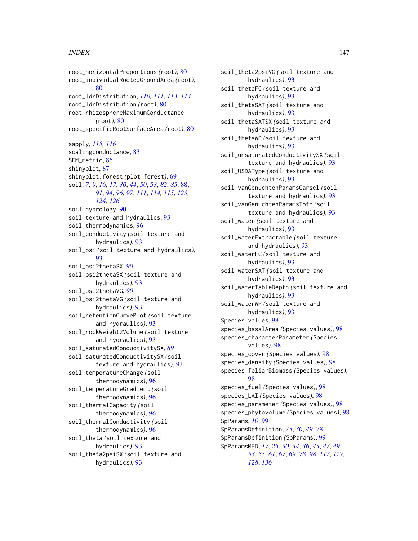## INDEX 147

root\_horizontalProportions *(*root*)*, [80](#page-79-0) root\_individualRootedGroundArea *(*root*)*, [80](#page-79-0) root\_ldrDistribution, *[110,](#page-109-0) [111](#page-110-0)*, *[113,](#page-112-0) [114](#page-113-0)* root\_ldrDistribution *(*root*)*, [80](#page-79-0) root\_rhizosphereMaximumConductance *(*root*)*, [80](#page-79-0) root\_specificRootSurfaceArea *(*root*)*, [80](#page-79-0) sapply, *[115,](#page-114-0) [116](#page-115-0)* scalingconductance, [83](#page-82-0) SFM\_metric, [86](#page-85-0) shinyplot, [87](#page-86-0) shinyplot.forest *(*plot.forest*)*, [69](#page-68-0) soil, *[7](#page-6-0)*, *[9](#page-8-0)*, *[16,](#page-15-0) [17](#page-16-0)*, *[30](#page-29-0)*, *[44](#page-43-0)*, *[50](#page-49-0)*, *[53](#page-52-0)*, *[82](#page-81-0)*, *[85](#page-84-0)*, [88,](#page-87-0) *[91](#page-90-0)*, *[94](#page-93-0)*, *[96,](#page-95-0) [97](#page-96-0)*, *[111](#page-110-0)*, *[114,](#page-113-0) [115](#page-114-0)*, *[123,](#page-122-0) [124](#page-123-0)*, *[126](#page-125-0)* soil hydrology, [90](#page-89-0) soil texture and hydraulics, [93](#page-92-0) soil thermodynamics, [96](#page-95-0) soil\_conductivity *(*soil texture and hydraulics*)*, [93](#page-92-0) soil\_psi *(*soil texture and hydraulics*)*, [93](#page-92-0) soil\_psi2thetaSX, *[90](#page-89-0)* soil\_psi2thetaSX *(*soil texture and hydraulics*)*, [93](#page-92-0) soil\_psi2thetaVG, *[90](#page-89-0)* soil\_psi2thetaVG *(*soil texture and hydraulics*)*, [93](#page-92-0) soil\_retentionCurvePlot *(*soil texture and hydraulics*)*, [93](#page-92-0) soil\_rockWeight2Volume *(*soil texture and hydraulics*)*, [93](#page-92-0) soil\_saturatedConductivitySX, *[89](#page-88-0)* soil\_saturatedConductivitySX *(*soil texture and hydraulics*)*, [93](#page-92-0) soil\_temperatureChange *(*soil thermodynamics*)*, [96](#page-95-0) soil\_temperatureGradient *(*soil thermodynamics*)*, [96](#page-95-0) soil\_thermalCapacity *(*soil thermodynamics*)*, [96](#page-95-0) soil\_thermalConductivity *(*soil thermodynamics*)*, [96](#page-95-0) soil\_theta *(*soil texture and hydraulics*)*, [93](#page-92-0) soil\_theta2psiSX *(*soil texture and hydraulics*)*, [93](#page-92-0)

soil\_theta2psiVG *(*soil texture and hydraulics*)*, [93](#page-92-0) soil\_thetaFC *(*soil texture and hydraulics*)*, [93](#page-92-0) soil\_thetaSAT *(*soil texture and hydraulics*)*, [93](#page-92-0) soil\_thetaSATSX *(*soil texture and hydraulics*)*, [93](#page-92-0) soil\_thetaWP *(*soil texture and hydraulics*)*, [93](#page-92-0) soil\_unsaturatedConductivitySX *(*soil texture and hydraulics*)*, [93](#page-92-0) soil\_USDAType *(*soil texture and hydraulics*)*, [93](#page-92-0) soil\_vanGenuchtenParamsCarsel *(*soil texture and hydraulics*)*, [93](#page-92-0) soil\_vanGenuchtenParamsToth *(*soil texture and hydraulics*)*, [93](#page-92-0) soil\_water *(*soil texture and hydraulics*)*, [93](#page-92-0) soil\_waterExtractable *(*soil texture and hydraulics*)*, [93](#page-92-0) soil\_waterFC *(*soil texture and hydraulics*)*, [93](#page-92-0) soil\_waterSAT *(*soil texture and hydraulics*)*, [93](#page-92-0) soil\_waterTableDepth *(*soil texture and hydraulics*)*, [93](#page-92-0) soil\_waterWP *(*soil texture and hydraulics*)*, [93](#page-92-0) Species values, [98](#page-97-0) species\_basalArea *(*Species values*)*, [98](#page-97-0) species\_characterParameter *(*Species values*)*, [98](#page-97-0) species\_cover *(*Species values*)*, [98](#page-97-0) species\_density *(*Species values*)*, [98](#page-97-0) species\_foliarBiomass *(*Species values*)*, [98](#page-97-0) species\_fuel *(*Species values*)*, [98](#page-97-0) species\_LAI *(*Species values*)*, [98](#page-97-0) species\_parameter *(*Species values*)*, [98](#page-97-0) species\_phytovolume *(*Species values*)*, [98](#page-97-0) SpParams, *[10](#page-9-0)*, [99](#page-98-0) SpParamsDefinition, *[25](#page-24-0)*, *[30](#page-29-0)*, *[49](#page-48-0)*, *[78](#page-77-0)* SpParamsDefinition *(*SpParams*)*, [99](#page-98-0) SpParamsMED, *[17](#page-16-0)*, *[25](#page-24-0)*, *[30](#page-29-0)*, *[34](#page-33-0)*, *[36](#page-35-0)*, *[43](#page-42-0)*, *[47](#page-46-0)*, *[49](#page-48-0)*, *[53](#page-52-0)*, *[55](#page-54-0)*, *[61](#page-60-0)*, *[67](#page-66-0)*, *[69](#page-68-0)*, *[78](#page-77-0)*, *[98](#page-97-0)*, *[117](#page-116-0)*, *[127,](#page-126-0) [128](#page-127-0)*, *[136](#page-135-0)*